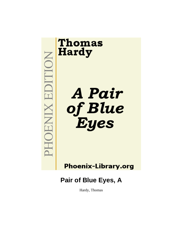

**Phoenix-Library.org** 

**Pair of Blue Eyes, A**

Hardy, Thomas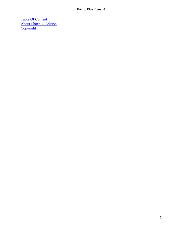[Table Of Content](#page-346-0) [About Phoenix−Edition](#page-348-0) **[Copyright](#page-351-0)**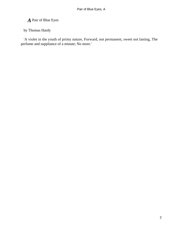*A* Pair of Blue Eyes

by Thomas Hardy

 'A violet in the youth of primy nature, Forward, not permanent, sweet not lasting, The perfume and suppliance of a minute; No more.'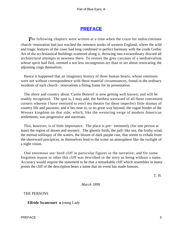## **[PREFACE](#page-346-0)**

**The following chapters were written at a time when the craze for indiscriminate** church−restoration had just reached the remotest nooks of western England, where the wild and tragic features of the coast had long combined in perfect harmony with the crude Gothic Art of the ecclesiastical buildings scattered along it, throwing into extraordinary discord all architectural attempts at newness there. To restore the grey carcases of a mediaevalism whose spirit had fled, seemed a not less incongruous act than to set about renovating the adjoining crags themselves.

 Hence it happened that an imaginary history of three human hearts, whose emotions were not without correspondence with these material circumstances, found in the ordinary incidents of such church− renovations a fitting frame for its presentation.

 The shore and country about 'Castle Boterel' is now getting well known, and will be readily recognized. The spot is, I may add, the furthest westward of all those convenient corners wherein I have ventured to erect my theatre for these imperfect little dramas of country life and passions; and it lies near to, or no great way beyond, the vague border of the Wessex kingdom on that side, which, like the westering verge of modern American settlements, was progressive and uncertain.

 This, however, is of little importance. The place is pre− eminently (for one person at least) the region of dream and mystery. The ghostly birds, the pall−like sea, the frothy wind, the eternal soliloquy of the waters, the bloom of dark purple cast, that seems to exhale from the shoreward precipices, in themselves lend to the scene an atmosphere like the twilight of a night vision.

 One enormous sea−bord cliff in particular figures in the narrative; and for some forgotten reason or other this cliff was described in the story as being without a name. Accuracy would require the statement to be that a remarkable cliff which resembles in many points the cliff of the description bears a name that no event has made famous.

T. H.

*March 1899* 

THE PERSONS

**Elfride Swancourt a** young Lady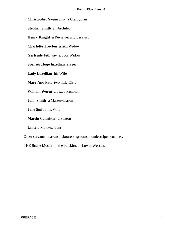**Christopher Swancourt a** Clergyman

**Stephen Smith** an Architect

**Henry Knight a** Reviewer and Essayist

**Charlotte Troyton a** rich Widow

**Gertrude Jethway a** poor Widow

**Spenser Hugo luxellian a** Peer

**Lady Luxellian** his Wife

**Mary And kate** two little Girls

**William Worm a** dazed Factotum

**John Smith a** Master−mason

**Jane Smith** his Wife

**Martin Cannister a** Sexton

**Unity a** Maid−servant

Other servants, masons, labourers, grooms, nondescripts, etc., etc.

THE **Scene** Mostly on the outskirts of Lower Wessex.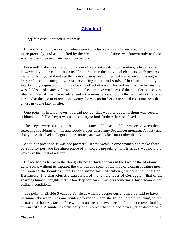# **[Chapter I](#page-346-0)**

*'A* fair vestal, throned in the west'

 Elfride Swancourt was a girl whose emotions lay very near the surface. Their nature more precisely, and as modified by the creeping hours of time, was known only to those who watched the circumstances of her history.

 Personally, she was the combination of very interesting particulars, whose rarity, however, lay in the combination itself rather than in the individual elements combined. As a matter of fact, you did not see the form and substance of her features when conversing with her; and this charming power of preventing a material study of her lineaments by an interlocutor, originated not in the cloaking effect of a well−formed manner (for her manner was childish and scarcely formed), but in the attractive crudeness of the remarks themselves. She had lived all her life in retirement – the monstrari gigito of idle men had not flattered her, and at the age of nineteen or twenty she was no further on in social consciousness than an urban young lady of fifteen.

 One point in her, however, you did notice: that was her eyes. In them was seen a sublimation of all of her; it was not necessary to look further: there she lived.

 These eyes were blue; blue as autumn distance – blue as the blue we see between the retreating mouldings of hills and woody slopes on a sunny September morning. A misty and shady blue, that had no beginning or surface, and was looked **Into** rather than AT.

 As to her presence, it was not powerful; it was weak. Some women can make their personality pervade the atmosphere of a whole banqueting hall; Elfride's was no more pervasive than that of a kitten.

 Elfride had as her own the thoughtfulness which appears in the face of the Madonna della Sedia, without its rapture: the warmth and spirit of the type of woman's feature most common to the beauties – mortal and immortal – of Rubens, without their insistent fleshiness. The characteristic expression of the female faces of Correggio – that of the yearning human thoughts that lie too deep for tears – was hers sometimes, but seldom under ordinary conditions.

 The point in Elfride Swancourt's life at which a deeper current may be said to have permanently set in, was one winter afternoon when she found herself standing, in the character of hostess, face to face with a man she had never seen before – moreover, looking at him with a Miranda−like curiosity and interest that she had never yet bestowed on a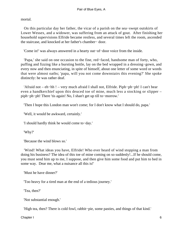mortal.

 On this particular day her father, the vicar of a parish on the sea−swept outskirts of Lower Wessex, and a widower, was suffering from an attack of gout. After finishing her household supervisions Elfride became restless, and several times left the room, ascended the staircase, and knocked at her father's chamber− door.

'Come in!' was always answered in a hearty out−of−door voice from the inside.

 'Papa,' she said on one occasion to the fine, red−faced, handsome man of forty, who, puffing and fizzing like a bursting bottle, lay on the bed wrapped in a dressing−gown, and every now and then enunciating, in spite of himself, about one letter of some word or words that were almost oaths; 'papa, will you not come downstairs this evening?' She spoke distinctly: he was rather deaf.

 'Afraid not – eh−hh ! – very much afraid I shall not, Elfride. Piph−ph−ph! I can't bear even a handkerchief upon this deuced toe of mine, much less a stocking or slipper – piph−ph−ph! There 'tis again! No, I shan't get up till to−morrow.'

'Then I hope this London man won't come; for I don't know what I should do, papa.'

'Well, it would be awkward, certainly.'

'I should hardly think he would come to−day.'

'Why?'

'Because the wind blows so.'

 'Wind! What ideas you have, Elfride! Who ever heard of wind stopping a man from doing his business? The idea of this toe of mine coming on so suddenly!...If he should come, you must send him up to me, I suppose, and then give him some food and put him to bed in some way. Dear me, what a nuisance all this is!'

'Must he have dinner?'

'Too heavy for a tired man at the end of a tedious journey.'

'Tea, then?'

'Not substantial enough.'

'High tea, then? There is cold fowl, rabbit−pie, some pasties, and things of that kind.'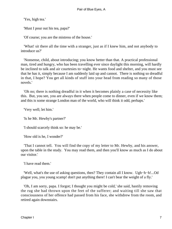'Yes, high tea.'

'Must I pour out his tea, papa?'

'Of course; you are the mistress of the house.'

 'What! sit there all the time with a stranger, just as if I knew him, and not anybody to introduce us?'

 'Nonsense, child, about introducing; you know better than that. A practical professional man, tired and hungry, who has been travelling ever since daylight this morning, will hardly be inclined to talk and air courtesies to−night. He wants food and shelter, and you must see that he has it, simply because I am suddenly laid up and cannot. There is nothing so dreadful in that, I hope? You get all kinds of stuff into your head from reading so many of those novels.'

 'Oh no; there is nothing dreadful in it when it becomes plainly a case of necessity like this. But, you see, you are always there when people come to dinner, even if we know them; and this is some strange London man of the world, who will think it odd, perhaps.'

'Very well; let him.'

'Is he Mr. Hewby's partner?'

'I should scarcely think so: he may be.'

'How old is he, I wonder?'

 'That I cannot tell. You will find the copy of my letter to Mr. Hewby, and his answer, upon the table in the study. You may read them, and then you'll know as much as I do about our visitor.'

'I have read them.'

 'Well, what's the use of asking questions, then? They contain all I know. Ugh−h−h!...Od plague you, you young scamp! don't put anything there! I can't bear the weight of a fly.'

 'Oh, I am sorry, papa. I forgot; I thought you might be cold,' she said, hastily removing the rug she had thrown upon the feet of the sufferer; and waiting till she saw that consciousness of her offence had passed from his face, she withdrew from the room, and retired again downstairs.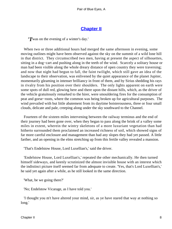## **[Chapter II](#page-346-0)**

*'T*was on the evening of a winter's day.'

When two or three additional hours had merged the same afternoon in evening, some moving outlines might have been observed against the sky on the summit of a wild lone hill in that district. They circumscribed two men, having at present the aspect of silhouettes, sitting in a dog−cart and pushing along in the teeth of the wind. Scarcely a solitary house or man had been visible along the whole dreary distance of open country they were traversing; and now that night had begun to fall, the faint twilight, which still gave an idea of the landscape to their observation, was enlivened by the quiet appearance of the planet Jupiter, momentarily gleaming in intenser brilliancy in front of them, and by Sirius shedding his rays in rivalry from his position over their shoulders. The only lights apparent on earth were some spots of dull red, glowing here and there upon the distant hills, which, as the driver of the vehicle gratuitously remarked to the hirer, were smouldering fires for the consumption of peat and gorse−roots, where the common was being broken up for agricultural purposes. The wind prevailed with but little abatement from its daytime boisterousness, three or four small clouds, delicate and pale, creeping along under the sky southward to the Channel.

 Fourteen of the sixteen miles intervening between the railway terminus and the end of their journey had been gone over, when they began to pass along the brink of a valley some miles in extent, wherein the wintry skeletons of a more luxuriant vegetation than had hitherto surrounded them proclaimed an increased richness of soil, which showed signs of far more careful enclosure and management than had any slopes they had yet passed. A little farther, and an opening in the elms stretching up from this fertile valley revealed a mansion.

'That's Endelstow House, Lord Luxellian's,' said the driver.

 'Endelstow House, Lord Luxellian's,' repeated the other mechanically. He then turned himself sideways, and keenly scrutinized the almost invisible house with an interest which the indistinct picture itself seemed far from adequate to create. 'Yes, that's Lord Luxellian's,' he said yet again after a while, as he still looked in the same direction.

'What, be we going there?'

'No; Endelstow Vicarage, as I have told you.'

 'I thought you m't have altered your mind, sir, as ye have stared that way at nothing so long.'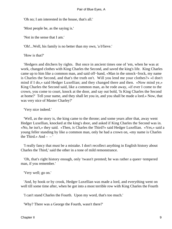'Oh no; I am interested in the house, that's all.'

'Most people be, as the saying is.'

'Not in the sense that I am.'

'Oh!...Well, his family is no better than my own, 'a b'lieve.'

'How is that?'

 'Hedgers and ditchers by rights. But once in ancient times one of 'em, when he was at work, changed clothes with King Charles the Second, and saved the king's life. King Charles came up to him like a common man, and said off−hand, «Man in the smock−frock, my name is Charles the Second, and that's the truth on't. Will you lend me your clothes?» «I don't mind if I do,» said Hedger Luxellian; and they changed there and then. «Now mind ye,» King Charles the Second said, like a common man, as he rode away, «if ever I come to the crown, you come to court, knock at the door, and say out bold, 'Is King Charles the Second at home?' Tell your name, and they shall let you in, and you shall be made a lord.» Now, that was very nice of Master Charley?'

'Very nice indeed.'

 'Well, as the story is, the king came to the throne; and some years after that, away went Hedger Luxellian, knocked at the king's door, and asked if King Charles the Second was in. «No, he isn't,» they said. «Then, is Charles the Third?» said Hedger Luxellian. «Yes,» said a young feller standing by like a common man, only he had a crown on, «my name is Charles the Third.» And  $-$  – '

 'I really fancy that must be a mistake. I don't recollect anything in English history about Charles the Third,' said the other in a tone of mild remonstrance.

 'Oh, that's right history enough, only 'twasn't prented; he was rather a queer−tempered man, if you remember.'

'Very well; go on.'

 'And, by hook or by crook, Hedger Luxellian was made a lord, and everything went on well till some time after, when he got into a most terrible row with King Charles the Fourth

'I can't stand Charles the Fourth. Upon my word, that's too much.'

'Why? There was a George the Fourth, wasn't there?'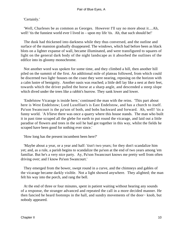'Certainly.'

 'Well, Charleses be as common as Georges. However I'll say no more about it....Ah, well! 'tis the funniest world ever I lived in – upon my life 'tis. Ah, that such should be!'

 The dusk had thickened into darkness while they thus conversed, and the outline and surface of the mansion gradually disappeared. The windows, which had before been as black blots on a lighter expanse of wall, became illuminated, and were transfigured to squares of light on the general dark body of the night landscape as it absorbed the outlines of the edifice into its gloomy monochrome.

 Not another word was spoken for some time, and they climbed a hill, then another hill piled on the summit of the first. An additional mile of plateau followed, from which could be discerned two light−houses on the coast they were nearing, reposing on the horizon with a calm lustre of benignity. Another oasis was reached; a little dell lay like a nest at their feet, towards which the driver pulled the horse at a sharp angle, and descended a steep slope which dived under the trees like a rabbit's burrow. They sank lower and lower.

 'Endelstow Vicarage is inside here,' continued the man with the reins. 'This part about here is West Endelstow; Lord Luxellian's is East Endelstow, and has a church to itself. Pa'son Swancourt is the pa'son of both, and bobs backward and forward. Ah, well! 'tis a funny world. 'A b'lieve there was once a quarry where this house stands. The man who built it in past time scraped all the glebe for earth to put round the vicarage, and laid out a little paradise of flowers and trees in the soil he had got together in this way, whilst the fields he scraped have been good for nothing ever since.'

'How long has the present incumbent been here?'

 'Maybe about a year, or a year and half: 'tisn't two years; for they don't scandalize him yet; and, as a rule, a parish begins to scandalize the pa'son at the end of two years among 'em familiar. But he's a very nice party. Ay, Pa'son Swancourt knows me pretty well from often driving over; and I know Pa'son Swancourt.'

 They emerged from the bower, swept round in a curve, and the chimneys and gables of the vicarage became darkly visible. Not a light showed anywhere. They alighted; the man felt his way into the porch, and rang the bell.

 At the end of three or four minutes, spent in patient waiting without hearing any sounds of a response, the stranger advanced and repeated the call in a more decided manner. He then fancied he heard footsteps in the hall, and sundry movements of the door− knob, but nobody appeared.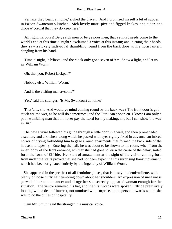'Perhaps they beant at home,' sighed the driver. 'And I promised myself a bit of supper in Pa'son Swancourt's kitchen. Sich lovely mate−pize and figged keakes, and cider, and drops o' cordial that they do keep here!'

 'All right, naibours! Be ye rich men or be ye poor men, that ye must needs come to the world's end at this time o' night?' exclaimed a voice at this instant; and, turning their heads, they saw a rickety individual shambling round from the back door with a horn lantern dangling from his hand.

 'Time o' night, 'a b'lieve! and the clock only gone seven of 'em. Show a light, and let us in, William Worm.'

'Oh, that you, Robert Lickpan?'

'Nobody else, William Worm.'

'And is the visiting man a−come?'

'Yes,' said the stranger. 'Is Mr. Swancourt at home?'

 'That 'a is, sir. And would ye mind coming round by the back way? The front door is got stuck wi' the wet, as he will do sometimes; and the Turk can't open en. I know I am only a poor wambling man that 'ill never pay the Lord for my making, sir; but I can show the way in, sir.'

 The new arrival followed his guide through a little door in a wall, and then promenaded a scullery and a kitchen, along which he passed with eyes rigidly fixed in advance, an inbred horror of prying forbidding him to gaze around apartments that formed the back side of the household tapestry. Entering the hall, he was about to be shown to his room, when from the inner lobby of the front entrance, whither she had gone to learn the cause of the delay, sailed forth the form of Elfride. Her start of amazement at the sight of the visitor coming forth from under the stairs proved that she had not been expecting this surprising flank movement, which had been originated entirely by the ingenuity of William Worm.

 She appeared in the prettiest of all feminine guises, that is to say, in demi−toilette, with plenty of loose curly hair tumbling down about her shoulders. An expression of uneasiness pervaded her countenance; and altogether she scarcely appeared woman enough for the situation. The visitor removed his hat, and the first words were spoken; Elfride prelusively looking with a deal of interest, not unmixed with surprise, at the person towards whom she was to do the duties of hospitality.

'I am Mr. Smith,' said the stranger in a musical voice.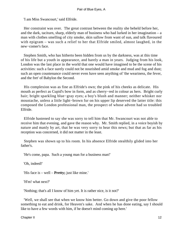'I am Miss Swancourt,' said Elfride.

 Her constraint was over. The great contrast between the reality she beheld before her, and the dark, taciturn, sharp, elderly man of business who had lurked in her imagination – a man with clothes smelling of city smoke, skin sallow from want of sun, and talk flavoured with epigram – was such a relief to her that Elfride smiled, almost laughed, in the new−comer's face.

 Stephen Smith, who has hitherto been hidden from us by the darkness, was at this time of his life but a youth in appearance, and barely a man in years. Judging from his look, London was the last place in the world that one would have imagined to be the scene of his activities: such a face surely could not be nourished amid smoke and mud and fog and dust; such an open countenance could never even have seen anything of 'the weariness, the fever, and the fret' of Babylon the Second.

 His complexion was as fine as Elfride's own; the pink of his cheeks as delicate. His mouth as perfect as Cupid's bow in form, and as cherry−red in colour as hers. Bright curly hair; bright sparkling blue−gray eyes; a boy's blush and manner; neither whisker nor moustache, unless a little light−brown fur on his upper lip deserved the latter title: this composed the London professional man, the prospect of whose advent had so troubled Elfride.

 Elfride hastened to say she was sorry to tell him that Mr. Swancourt was not able to receive him that evening, and gave the reason why. Mr. Smith replied, in a voice boyish by nature and manly by art, that he was very sorry to hear this news; but that as far as his reception was concerned, it did not matter in the least.

 Stephen was shown up to his room. In his absence Elfride stealthily glided into her father's.

'He's come, papa. Such a young man for a business man!'

'Oh, indeed!'

'His face is – well – **Pretty;** just like mine.'

'H'm! what next?'

'Nothing; that's all I know of him yet. It is rather nice, is it not?'

 'Well, we shall see that when we know him better. Go down and give the poor fellow something to eat and drink, for Heaven's sake. And when he has done eating, say I should like to have a few words with him, if he doesn't mind coming up here.'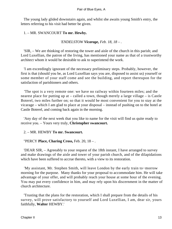The young lady glided downstairs again, and whilst she awaits young Smith's entry, the letters referring to his visit had better be given.

## 1. – MR. SWANCOURT **To mr. Hewby.**

*'ENDELSTOW Vicarage, Feb. 18, 18 – .*

 'SIR, – We are thinking of restoring the tower and aisle of the church in this parish; and Lord Luxellian, the patron of the living, has mentioned your name as that of a trustworthy architect whom it would be desirable to ask to superintend the work.

 'I am exceedingly ignorant of the necessary preliminary steps. Probably, however, the first is that (should you be, as Lord Luxellian says you are, disposed to assist us) yourself or some member of your staff come and see the building, and report thereupon for the satisfaction of parishioners and others.

 'The spot is a very remote one: we have no railway within fourteen miles; and the nearest place for putting up at – called a town, though merely a large village – is Castle Boterel, two miles further on; so that it would be most convenient for you to stay at the vicarage – which I am glad to place at your disposal – instead of pushing on to the hotel at Castle Boterel, and coming back again in the morning.

 'Any day of the next week that you like to name for the visit will find us quite ready to receive you. – Yours very truly, **Christopher swancourt.**

2. – MR. HEWBY **To mr. Swancourt.**

"PERCY **Place, Charing Cross,** Feb. 20, 18 – .

 'DEAR SIR, – Agreeably to your request of the 18th instant, I have arranged to survey and make drawings of the aisle and tower of your parish church, and of the dilapidations which have been suffered to accrue thereto, with a view to its restoration.

 'My assistant, Mr. Stephen Smith, will leave London by the early train to−morrow morning for the purpose. Many thanks for your proposal to accommodate him. He will take advantage of your offer, and will probably reach your house at some hour of the evening. You may put every confidence in him, and may rely upon his discernment in the matter of church architecture.

 'Trusting that the plans for the restoration, which I shall prepare from the details of his survey, will prove satisfactory to yourself and Lord Luxellian, I am, dear sir, yours faithfully, **Walter** HEWBY.'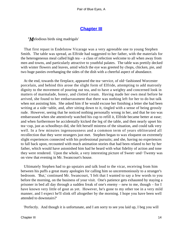# **[Chapter III](#page-346-0)**

*'M*elodious birds sing madrigals'

 That first repast in Endelstow Vicarage was a very agreeable one to young Stephen Smith. The table was spread, as Elfride had suggested to her father, with the materials for the heterogeneous meal called high tea – a class of refection welcome to all when away from men and towns, and particularly attractive to youthful palates. The table was prettily decked with winter flowers and leaves, amid which the eye was greeted by chops, chicken, pie, and two huge pasties overhanging the sides of the dish with a cheerful aspect of abundance.

 At the end, towards the fireplace, appeared the tea−service, of old−fashioned Worcester porcelain, and behind this arose the slight form of Elfride, attempting to add matronly dignity to the movement of pouring out tea, and to have a weighty and concerned look in matters of marmalade, honey, and clotted cream. Having made her own meal before he arrived, she found to her embarrassment that there was nothing left for her to do but talk when not assisting him. She asked him if he would excuse her finishing a letter she had been writing at a side−table, and, after sitting down to it, tingled with a sense of being grossly rude. However, seeing that he noticed nothing personally wrong in her, and that he too was embarrassed when she attentively watched his cup to refill it, Elfride became better at ease; and when furthermore he accidentally kicked the leg of the table, and then nearly upset his tea−cup, just as schoolboys did, she felt herself mistress of the situation, and could talk very well. In a few minutes ingenuousness and a common term of years obliterated all recollection that they were strangers just met. Stephen began to wax eloquent on extremely slight experiences connected with his professional pursuits; and she, having no experiences to fall back upon, recounted with much animation stories that had been related to her by her father, which would have astonished him had he heard with what fidelity of action and tone they were rendered. Upon the whole, a very interesting picture of Sweet−and−Twenty was on view that evening in Mr. Swancourt's house.

 Ultimately Stephen had to go upstairs and talk loud to the vicar, receiving from him between his puffs a great many apologies for calling him so unceremoniously to a stranger's bedroom. 'But,' continued Mr. Swancourt, 'I felt that I wanted to say a few words to you before the morning, on the business of your visit. One's patience gets exhausted by staying a prisoner in bed all day through a sudden freak of one's enemy – new to me, though – for I have known very little of gout as yet. However, he's gone to my other toe in a very mild manner, and I expect he'll slink off altogether by the morning. I hope you have been well attended to downstairs?'

'Perfectly. And though it is unfortunate, and I am sorry to see you laid up, I beg you will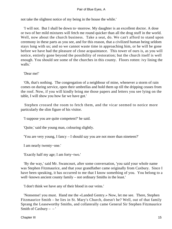not take the slightest notice of my being in the house the while.'

 'I will not. But I shall be down to−morrow. My daughter is an excellent doctor. A dose or two of her mild mixtures will fetch me round quicker than all the drug stuff in the world. Well, now about the church business. Take a seat, do. We can't afford to stand upon ceremony in these parts as you see, and for this reason, that a civilized human being seldom stays long with us; and so we cannot waste time in approaching him, or he will be gone before we have had the pleasure of close acquaintance. This tower of ours is, as you will notice, entirely gone beyond the possibility of restoration; but the church itself is well enough. You should see some of the churches in this county. Floors rotten: ivy lining the walls.'

'Dear me!'

 'Oh, that's nothing. The congregation of a neighbour of mine, whenever a storm of rain comes on during service, open their umbrellas and hold them up till the dripping ceases from the roof. Now, if you will kindly bring me those papers and letters you see lying on the table, I will show you how far we have got.'

 Stephen crossed the room to fetch them, and the vicar seemed to notice more particularly the slim figure of his visitor.

'I suppose you are quite competent?' he said.

'Quite,' said the young man, colouring slightly.

'You are very young, I fancy – I should say you are not more than nineteen?'

I am nearly twenty−one.'

'Exactly half my age; I am forty−two.'

 'By the way,' said Mr. Swancourt, after some conversation, 'you said your whole name was Stephen Fitzmaurice, and that your grandfather came originally from Caxbury. Since I have been speaking, it has occurred to me that I know something of you. You belong to a well−known ancient county family – not ordinary Smiths in the least.'

'I don't think we have any of their blood in our veins.'

 'Nonsense! you must. Hand me the «Landed Gentry.» Now, let me see. There, Stephen Fitzmaurice Smith – he lies in St. Mary's Church, doesn't he? Well, out of that family Sprang the Leaseworthy Smiths, and collaterally came General Sir Stephen Fitzmaurice Smith of Caxbury  $-$  – '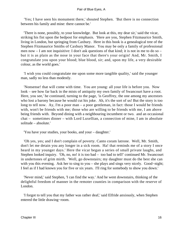'Yes; I have seen his monument there,' shouted Stephen. 'But there is no connection between his family and mine: there cannot be.'

 'There is none, possibly, to your knowledge. But look at this, my dear sir,' said the vicar, striking his fist upon the bedpost for emphasis. 'Here are you, Stephen Fitzmaurice Smith, living in London, but springing from Caxbury. Here in this book is a genealogical tree of the Stephen Fitzmaurice Smiths of Caxbury Manor. You may be only a family of professional men now – I am not inquisitive: I don't ask questions of that kind; it is not in me to do so – but it is as plain as the nose in your face that there's your origin! And, Mr. Smith, I congratulate you upon your blood; blue blood, sir; and, upon my life, a very desirable colour, as the world goes.'

 'I wish you could congratulate me upon some more tangible quality,' said the younger man, sadly no less than modestly.

 'Nonsense! that will come with time. You are young: all your life is before you. Now look – see how far back in the mists of antiquity my own family of Swancourt have a root. Here, you see,' he continued, turning to the page, 'is Geoffrey, the one among my ancestors who lost a barony because he would cut his joke. Ah, it's the sort of us! But the story is too long to tell now. Ay, I'm a poor man – a poor gentleman, in fact: those I would be friends with, won't be friends with me; those who are willing to be friends with me, I am above being friends with. Beyond dining with a neighbouring incumbent or two. and an occasional chat – sometimes dinner – with Lord Luxellian, a connection of mine, I am in absolute solitude – absolute.'

'You have your studies, your books, and your – daughter.'

 'Oh yes, yes; and I don't complain of poverty. Canto coram latrone. Well, Mr. Smith, don't let me detain you any longer in a sick room. Ha! that reminds me of a story I once heard in my younger days.' Here the vicar began a series of small private laughs, and Stephen looked inquiry. 'Oh, no, no! it is too bad – too bad to tell!' continued Mr. Swancourt in undertones of grim mirth. 'Well, go downstairs; my daughter must do the best she can with you this evening. Ask her to sing to you – she plays and sings very nicely. Good−night; I feel as if I had known you for five or six years. I'll ring for somebody to show you down.'

 'Never mind,' said Stephen, 'I can find the way.' And he went downstairs, thinking of the delightful freedom of manner in the remoter counties in comparison with the reserve of London.

 'I forgot to tell you that my father was rather deaf,' said Elfride anxiously, when Stephen entered the little drawing−room.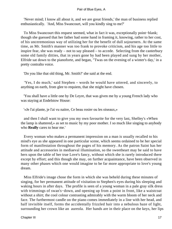'Never mind; I know all about it, and we are great friends,' the man of business replied enthusiastically. 'And, Miss Swancourt, will you kindly sing to me?'

 To Miss Swancourt this request seemed, what in fact it was, exceptionally point−blank; though she guessed that her father had some hand in framing it, knowing, rather to her cost, of his unceremonious way of utilizing her for the benefit of dull sojourners. At the same time, as Mr. Smith's manner was too frank to provoke criticism, and his age too little to inspire fear, she was ready – not to say pleased – to accede. Selecting from the canterbury some old family ditties, that in years gone by had been played and sung by her mother, Elfride sat down to the pianoforte, and began, "Twas on the evening of a winter's day,' in a pretty contralto voice.

'Do you like that old thing, Mr. Smith?' she said at the end.

 'Yes, I do much,' said Stephen – words he would have uttered, and sincerely, to anything on earth, from glee to requiem, that she might have chosen.

 'You shall have a little one by De Leyre, that was given me by a young French lady who was staying at Endelstow House:

'«Je l'ai plante, je l'ai vu naitre, Ce beau rosier ou les oiseaux,»

 and then I shall want to give you my own favourite for the very last, Shelley's «When the lamp is shattered,» as set to music by my poor mother. I so much like singing to anybody who **Really** cares to hear me.'

 Every woman who makes a permanent impression on a man is usually recalled to his mind's eye as she appeared in one particular scene, which seems ordained to be her special form of manifestation throughout the pages of his memory. As the patron Saint has her attitude and accessories in mediaeval illumination, so the sweetheart may be said to have hers upon the table of her true Love's fancy, without which she is rarely introduced there except by effort; and this though she may, on further acquaintance, have been observed in many other phases which one would imagine to be far more appropriate to love's young dream.

 Miss Elfride's image chose the form in which she was beheld during these minutes of singing, for her permanent attitude of visitation to Stephen's eyes during his sleeping and waking hours in after days. The profile is seen of a young woman in a pale gray silk dress with trimmings of swan's−down, and opening up from a point in front, like a waistcoat without a shirt; the cool colour contrasting admirably with the warm bloom of her neck and face. The furthermost candle on the piano comes immediately in a line with her head, and half invisible itself, forms the accidentally frizzled hair into a nebulous haze of light, surrounding her crown like an aureola. Her hands are in their place on the keys, her lips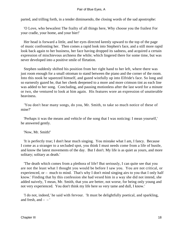parted, and trilling forth, in a tender diminuendo, the closing words of the sad apostrophe:

 'O Love, who bewailest The frailty of all things here, Why choose you the frailest For your cradle, your home, and your bier!'

 Her head is forward a little, and her eyes directed keenly upward to the top of the page of music confronting her. Then comes a rapid look into Stephen's face, and a still more rapid look back again to her business, her face having dropped its sadness, and acquired a certain expression of mischievous archness the while; which lingered there for some time, but was never developed into a positive smile of flirtation.

 Stephen suddenly shifted his position from her right hand to her left, where there was just room enough for a small ottoman to stand between the piano and the corner of the room. Into this nook he squeezed himself, and gazed wistfully up into Elfride's face. So long and so earnestly gazed he, that her cheek deepened to a more and more crimson tint as each line was added to her song. Concluding, and pausing motionless after the last word for a minute or two, she ventured to look at him again. His features wore an expression of unutterable heaviness.

 'You don't hear many songs, do you, Mr. Smith, to take so much notice of these of mine?'

 'Perhaps it was the means and vehicle of the song that I was noticing: I mean yourself,' he answered gently.

'Now, Mr. Smith!'

 'It is perfectly true; I don't hear much singing. You mistake what I am, I fancy. Because I come as a stranger to a secluded spot, you think I must needs come from a life of bustle, and know the latest movements of the day. But I don't. My life is as quiet as yours, and more solitary; solitary as death.'

 'The death which comes from a plethora of life? But seriously, I can quite see that you are not the least what I thought you would be before I saw you. You are not critical, or experienced, or – much to mind. That's why I don't mind singing airs to you that I only half know.' Finding that by this confession she had vexed him in a way she did not intend, she added naively, 'I mean, Mr. Smith, that you are better, not worse, for being only young and not very experienced. You don't think my life here so very tame and dull, I know.'

 'I do not, indeed,' he said with fervour. 'It must be delightfully poetical, and sparkling, and fresh, and  $-$  –  $'$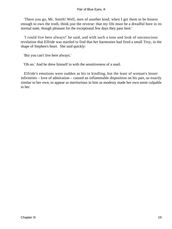'There you go, Mr. Smith! Well, men of another kind, when I get them to be honest enough to own the truth, think just the reverse: that my life must be a dreadful bore in its normal state, though pleasant for the exceptional few days they pass here.'

 'I could live here always!' he said, and with such a tone and look of unconscious revelation that Elfride was startled to find that her harmonies had fired a small Troy, in the shape of Stephen's heart. She said quickly:

'But you can't live here always.'

'Oh no.' And he drew himself in with the sensitiveness of a snail.

 Elfride's emotions were sudden as his in kindling, but the least of woman's lesser infirmities – love of admiration – caused an inflammable disposition on his part, so exactly similar to her own, to appear as meritorious in him as modesty made her own seem culpable in her.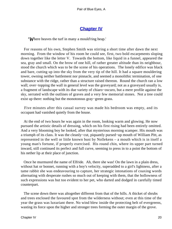## **[Chapter IV](#page-346-0)**

*'W*here heaves the turf in many a mould'ring heap.'

 For reasons of his own, Stephen Smith was stirring a short time after dawn the next morning. From the window of his room he could see, first, two bold escarpments sloping down together like the letter V. Towards the bottom, like liquid in a funnel, appeared the sea, gray and small. On the brow of one hill, of rather greater altitude than its neighbour, stood the church which was to be the scene of his operations. The lonely edifice was black and bare, cutting up into the sky from the very tip of the hill. It had a square mouldering tower, owning neither battlement nor pinnacle, and seemed a monolithic termination, of one substance with the ridge, rather than a structure raised thereon. Round the church ran a low wall; over−topping the wall in general level was the graveyard; not as a graveyard usually is, a fragment of landscape with its due variety of chiaro−oscuro, but a mere profile against the sky, serrated with the outlines of graves and a very few memorial stones. Not a tree could exist up there: nothing but the monotonous gray−green grass.

 Five minutes after this casual survey was made his bedroom was empty, and its occupant had vanished quietly from the house.

 At the end of two hours he was again in the room, looking warm and glowing. He now pursued the artistic details of dressing, which on his first rising had been entirely omitted. And a very blooming boy he looked, after that mysterious morning scamper. His mouth was a triumph of its class. It was the cleanly−cut, piquantly pursed−up mouth of William Pitt, as represented in the well or little known bust by Nollekens – a mouth which is in itself a young man's fortune, if properly exercised. His round chin, where its upper part turned inward, still continued its perfect and full curve, seeming to press in to a point the bottom of his nether lip at their place of junction.

 Once he murmured the name of Elfride. Ah, there she was! On the lawn in a plain dress, without hat or bonnet, running with a boy's velocity, superadded to a girl's lightness, after a tame rabbit she was endeavouring to capture, her strategic intonations of coaxing words alternating with desperate rushes so much out of keeping with them, that the hollowness of such expressions was but too evident to her pet, who darted and dodged in carefully timed counterpart.

 The scene down there was altogether different from that of the hills. A thicket of shrubs and trees enclosed the favoured spot from the wilderness without; even at this time of the year the grass was luxuriant there. No wind blew inside the protecting belt of evergreens, wasting its force upon the higher and stronger trees forming the outer margin of the grove.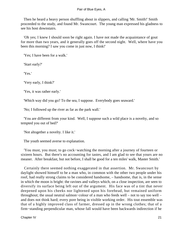Then he heard a heavy person shuffling about in slippers, and calling 'Mr. Smith!' Smith proceeded to the study, and found Mr. Swancourt. The young man expressed his gladness to see his host downstairs.

 'Oh yes; I knew I should soon be right again. I have not made the acquaintance of gout for more than two years, and it generally goes off the second night. Well, where have you been this morning? I saw you come in just now, I think!'

'Yes; I have been for a walk.'

'Start early?'

'Yes.'

'Very early, I think?'

'Yes, it was rather early.'

'Which way did you go? To the sea, I suppose. Everybody goes seaward.'

'No; I followed up the river as far as the park wall.'

 'You are different from your kind. Well, I suppose such a wild place is a novelty, and so tempted you out of bed?'

'Not altogether a novelty. I like it.'

The youth seemed averse to explanation.

 'You must, you must; to go cock−watching the morning after a journey of fourteen or sixteen hours. But there's no accounting for tastes, and I am glad to see that yours are no meaner. After breakfast, but not before, I shall be good for a ten miles' walk, Master Smith.'

 Certainly there seemed nothing exaggerated in that assertion. Mr. Swancourt by daylight showed himself to be a man who, in common with the other two people under his roof, had really strong claims to be considered handsome, – handsome, that is, in the sense in which the moon is bright: the ravines and valleys which, on a close inspection, are seen to diversify its surface being left out of the argument. His face was of a tint that never deepened upon his cheeks nor lightened upon his forehead, but remained uniform throughout; the usual neutral salmon−colour of a man who feeds well – not to say too well – and does not think hard; every pore being in visible working order. His tout ensemble was that of a highly improved class of farmer, dressed up in the wrong clothes; that of a firm−standing perpendicular man, whose fall would have been backwards indirection if he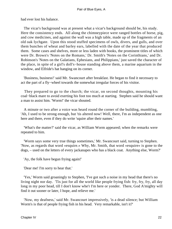had ever lost his balance.

 The vicar's background was at present what a vicar's background should be, his study. Here the consistency ends. All along the chimneypiece were ranged bottles of horse, pig, and cow medicines, and against the wall was a high table, made up of the fragments of an old oak Iychgate. Upon this stood stuffed specimens of owls, divers, and gulls, and over them bunches of wheat and barley ears, labelled with the date of the year that produced them. Some cases and shelves, more or less laden with books, the prominent titles of which were Dr. Brown's 'Notes on the Romans,' Dr. Smith's 'Notes on the Corinthians,' and Dr. Robinson's 'Notes on the Galatians, Ephesians, and Philippians,' just saved the character of the place, in spite of a girl's doll's−house standing above them, a marine aquarium in the window, and Elfride's hat hanging on its corner.

 'Business, business!' said Mr. Swancourt after breakfast. He began to find it necessary to act the part of a fly−wheel towards the somewhat irregular forces of his visitor.

 They prepared to go to the church; the vicar, on second thoughts, mounting his coal−black mare to avoid exerting his foot too much at starting. Stephen said he should want a man to assist him. 'Worm!' the vicar shouted.

 A minute or two after a voice was heard round the corner of the building, mumbling, 'Ah, I used to be strong enough, but 'tis altered now! Well, there, I'm as independent as one here and there, even if they do write 'squire after their names.'

 'What's the matter?' said the vicar, as William Worm appeared; when the remarks were repeated to him.

 'Worm says some very true things sometimes,' Mr. Swancourt said, turning to Stephen. 'Now, as regards that word «esquire.» Why, Mr. Smith, that word «esquire» is gone to the dogs, – used on the letters of every jackanapes who has a black coat. Anything else, Worm?'

'Ay, the folk have begun frying again!'

'Dear me! I'm sorry to hear that.'

 'Yes,' Worm said groaningly to Stephen, 'I've got such a noise in my head that there's no living night nor day. 'Tis just for all the world like people frying fish: fry, fry, fry, all day long in my poor head, till I don't know whe'r I'm here or yonder. There, God A'mighty will find it out sooner or later, I hope, and relieve me.'

 'Now, my deafness,' said Mr. Swancourt impressively, 'is a dead silence; but William Worm's is that of people frying fish in his head. Very remarkable, isn't it?'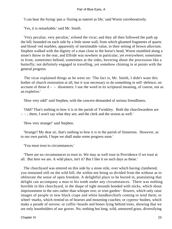'I can hear the frying−pan a−fizzing as naterel as life,' said Worm corroboratively.

'Yes, it is remarkable,' said Mr. Smith.

 'Very peculiar, very peculiar,' echoed the vicar; and they all then followed the path up the hill, bounded on each side by a little stone wall, from which gleamed fragments of quartz and blood−red marbles, apparently of inestimable value, in their setting of brown alluvium. Stephen walked with the dignity of a man close to the horse's head, Worm stumbled along a stone's throw in the rear, and Elfride was nowhere in particular, yet everywhere; sometimes in front, sometimes behind, sometimes at the sides, hovering about the procession like a butterfly; not definitely engaged in travelling, yet somehow chiming in at points with the general progress.

 The vicar explained things as he went on: 'The fact is, Mr. Smith, I didn't want this bother of church restoration at all, but it was necessary to do something in self−defence, on account of those  $d - -$  dissenters: I use the word in its scriptural meaning, of course, not as an expletive.'

'How very odd!' said Stephen, with the concern demanded of serious friendliness.

 'Odd? That's nothing to how it is in the parish of Twinkley. Both the churchwardens are – – ; there, I won't say what they are; and the clerk and the sexton as well.'

'How very strange!' said Stephen.

 'Strange? My dear sir, that's nothing to how it is in the parish of Sinnerton. However, as to our own parish, I hope we shall make some progress soon.'

'You must trust to circumstances.'

 'There are no circumstances to trust to. We may as well trust in Providence if we trust at all. But here we are. A wild place, isn't it? But I like it on such days as these.'

 The churchyard was entered on this side by a stone stile, over which having clambered, you remained still on the wild hill, the within not being so divided from the without as to obliterate the sense of open freedom. A delightful place to be buried in, postulating that delight can accompany a man to his tomb under any circumstances. There was nothing horrible in this churchyard, in the shape of tight mounds bonded with sticks, which shout imprisonment in the ears rather than whisper rest; or trim garden− flowers, which only raise images of people in new black crape and white handkerchiefs coming to tend them; or wheel−marks, which remind us of hearses and mourning coaches; or cypress−bushes, which make a parade of sorrow; or coffin−boards and bones lying behind trees, showing that we are only leaseholders of our graves. No; nothing but long, wild, untutored grass, diversifying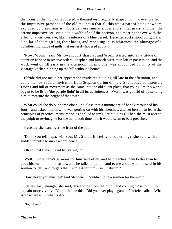the forms of the mounds it covered, – themselves irregularly shaped, with no eye to effect; the impressive presence of the old mountain that all this was a part of being nowhere excluded by disguising art. Outside were similar slopes and similar grass; and then the serene impassive sea, visible to a width of half the horizon, and meeting the eye with the effect of a vast concave, like the interior of a blue vessel. Detached rocks stood upright afar, a collar of foam girding their bases, and repeating in its whiteness the plumage of a countless multitude of gulls that restlessly hovered about.

 'Now, Worm!' said Mr. Swancourt sharply; and Worm started into an attitude of attention at once to receive orders. Stephen and himself were then left in possession, and the work went on till early in the afternoon, when dinner was announced by Unity of the vicarage kitchen running up the hill without a bonnet.

 Elfride did not make her appearance inside the building till late in the afternoon, and came then by special invitation from Stephen during dinner. She looked so intensely **Living** and full of movement as she came into the old silent place, that young Smith's world began to be lit by 'the purple light' in all its definiteness. Worm was got rid of by sending him to measure the height of the tower.

What could she do but come close – so close that a minute arc of her skirt touched his foot – and asked him how he was getting on with his sketches, and set herself to learn the principles of practical mensuration as applied to irregular buildings? Then she must ascend the pulpit to re−imagine for the hundredth time how it would seem to be a preacher.

Presently she leant over the front of the pulpit.

 'Don't you tell papa, will you, Mr. Smith, if I tell you something?' she said with a sudden impulse to make a confidence.

'Oh no, that I won't,' said he, staring up.

 'Well, I write papa's sermons for him very often, and he preaches them better than he does his own; and then afterwards he talks to people and to me about what he said in his sermon to−day, and forgets that I wrote it for him. Isn't it absurd?'

'How clever you must be!' said Stephen. 'I couldn't write a sermon for the world.'

 'Oh, it's easy enough,' she said, descending from the pulpit and coming close to him to explain more vividly. 'You do it like this. Did you ever play a game of forfeits called «When is it? where is it? what is it?»'

'No, never.'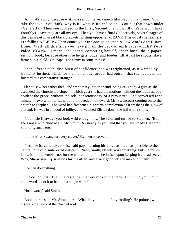'Ah, that's a pity, because writing a sermon is very much like playing that game. You take the text. You think, why is it? what is it? and so on. You put that down under «Generally.» Then you proceed to the First, Secondly, and Thirdly. Papa won't have Fourthlys – says they are all my eye. Then you have a final Collectively, several pages of this being put in great black brackets, writing opposite, «LEAVE **This out if the farmers are falling** ASLEEP.» Then comes your In Conclusion, then A Few Words And I Have Done. Well, all this time you have put on the back of each page, «KEEP **Your voice** DOWN» – I mean,' she added, correcting herself, 'that's how I do in papa's sermon−book, because otherwise he gets louder and louder, till at last he shouts like a farmer up a−field. Oh, papa is so funny in some things!'

 Then, after this childish burst of confidence, she was frightened, as if warned by womanly instinct, which for the moment her ardour had outrun, that she had been too forward to a comparative stranger.

 Elfride saw her father then, and went away into the wind, being caught by a gust as she ascended the churchyard slope, in which gust she had the motions, without the motives, of a hoiden; the grace, without the self−consciousness, of a pirouetter. She conversed for a minute or two with her father, and proceeded homeward, Mr. Swancourt coming on to the church to Stephen. The wind had freshened his warm complexion as it freshens the glow of a brand. He was in a mood of jollity, and watched Elfride down the hill with a smile.

 'You little flyaway! you look wild enough now,' he said, and turned to Stephen. 'But she's not a wild child at all, Mr. Smith. As steady as you; and that you are steady I see from your diligence here.'

'I think Miss Swancourt very clever,' Stephen observed.

 'Yes, she is; certainly, she is,' said papa, turning his voice as much as possible to the neutral tone of disinterested criticism. 'Now, Smith, I'll tell you something; but she mustn't know it for the world – not for the world, mind, for she insists upon keeping it a dead secret. Why, **She writes my sermons for me often,** and a very good job she makes of them!'

'She can do anything.'

 'She can do that. The little rascal has the very trick of the trade. But, mind you, Smith, not a word about it to her, not a single word!'

'Not a word,' said Smith.

 'Look there,' said Mr. Swancourt. 'What do you think of my roofing?' He pointed with his walking−stick at the chancel roof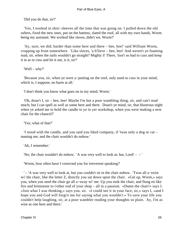'Did you do that, sir?'

 'Yes, I worked in shirt−sleeves all the time that was going on. I pulled down the old rafters, fixed the new ones, put on the battens, slated the roof, all with my own hands, Worm being my assistant. We worked like slaves, didn't we, Worm?'

 'Ay, sure, we did; harder than some here and there – hee, hee!' said William Worm, cropping up from somewhere. 'Like slaves, 'a b'lieve – hee, hee! And weren't ye foaming mad, sir, when the nails wouldn't go straight? Mighty I! There, 'tisn't so bad to cuss and keep it in as to cuss and let it out, is it, sir?'

'Well – why?'

 'Because you, sir, when ye were a−putting on the roof, only used to cuss in your mind, which is, I suppose, no harm at all.'

'I don't think you know what goes on in my mind, Worm.'

 'Oh, doan't I, sir – hee, hee! Maybe I'm but a poor wambling thing, sir, and can't read much; but I can spell as well as some here and there. Doan't ye mind, sir, that blustrous night when ye asked me to hold the candle to ye in yer workshop, when you were making a new chair for the chancel?'

'Yes; what of that?'

 'I stood with the candle, and you said you liked company, if 'twas only a dog or cat – maning me; and the chair wouldn't do nohow.'

'Ah, I remember.'

'No; the chair wouldn't do nohow. 'A was very well to look at; but, Lord! – – '

'Worm, how often have I corrected you for irreverent speaking?'

 ' – 'A was very well to look at, but you couldn't sit in the chair nohow. 'Twas all a−twist wi' the chair, like the letter Z, directly you sat down upon the chair. «Get up, Worm,» says you, when you seed the chair go all a−sway wi' me. Up you took the chair, and flung en like fire and brimstone to t'other end of your shop – all in a passion. «Damn the chair!» says I. «Just what I was thinking,» says you, sir. «I could see it in your face, sir,» says I, «and I hope you and God will forgi'e me for saying what you wouldn't.» To save your life you couldn't help laughing, sir, at a poor wambler reading your thoughts so plain. Ay, I'm as wise as one here and there.'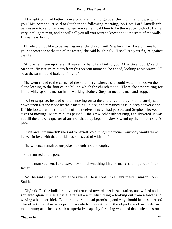'I thought you had better have a practical man to go over the church and tower with you,' Mr. Swancourt said to Stephen the following morning, 'so I got Lord Luxellian's permission to send for a man when you came. I told him to be there at ten o'clock. He's a very intelligent man, and he will tell you all you want to know about the state of the walls. His name is John Smith.'

 Elfride did not like to be seen again at the church with Stephen. 'I will watch here for your appearance at the top of the tower,' she said laughingly. 'I shall see your figure against the sky.'

 'And when I am up there I'll wave my handkerchief to you, Miss Swancourt,' said Stephen. 'In twelve minutes from this present moment,' he added, looking at his watch, 'I'll be at the summit and look out for you.'

 She went round to the corner of the sbrubbery, whence she could watch him down the slope leading to the foot of the hill on which the church stood. There she saw waiting for him a white spot – a mason in his working clothes. Stephen met this man and stopped.

 To her surprise, instead of their moving on to the churchyard, they both leisurely sat down upon a stone close by their meeting− place, and remained as if in deep conversation. Elfride looked at the time; nine of the twelve minutes had passed, and Stephen showed no signs of moving. More minutes passed – she grew cold with waiting, and shivered. It was not till the end of a quarter of an hour that they began to slowly wend up the hill at a snail's pace.

 'Rude and unmannerly!' she said to herself, colouring with pique. 'Anybody would think he was in love with that horrid mason instead of with  $-$  –  $\prime$ 

The sentence remained unspoken, though not unthought.

She returned to the porch.

 'Is the man you sent for a lazy, sit−still, do−nothing kind of man?' she inquired of her father.

 'No,' he said surprised; 'quite the reverse. He is Lord Luxellian's master−mason, John Smith.'

 'Oh,' said Elfride indifferently, and returned towards her bleak station, and waited and shivered again. It was a trifle, after all – a childish thing – looking out from a tower and waving a handkerchief. But her new friend had promised, and why should he tease her so? The effect of a blow is as proportionate to the texture of the object struck as to its own momentum; and she had such a superlative capacity for being wounded that little hits struck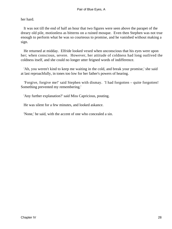her hard.

 It was not till the end of half an hour that two figures were seen above the parapet of the dreary old pile, motionless as bitterns on a ruined mosque. Even then Stephen was not true enough to perform what he was so courteous to promise, and he vanished without making a sign.

 He returned at midday. Elfride looked vexed when unconscious that his eyes were upon her; when conscious, severe. However, her attitude of coldness had long outlived the coldness itself, and she could no longer utter feigned words of indifference.

 'Ah, you weren't kind to keep me waiting in the cold, and break your promise,' she said at last reproachfully, in tones too low for her father's powers of hearing.

 'Forgive, forgive me!' said Stephen with dismay. 'I had forgotten – quite forgotten! Something prevented my remembering.'

'Any further explanation?' said Miss Capricious, pouting.

He was silent for a few minutes, and looked askance.

'None,' he said, with the accent of one who concealed a sin.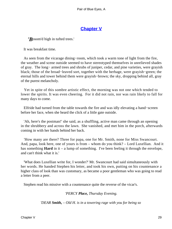# **[Chapter V](#page-346-0)**

*'B*osom'd high in tufted trees.'

It was breakfast time.

 As seen from the vicarage dining−room, which took a warm tone of light from the fire, the weather and scene outside seemed to have stereotyped themselves in unrelieved shades of gray. The long− armed trees and shrubs of juniper, cedar, and pine varieties, were grayish black; those of the broad−leaved sort, together with the herbage, were grayish−green; the eternal hills and tower behind them were grayish−brown; the sky, dropping behind all, gray of the purest melancholy.

 Yet in spite of this sombre artistic effect, the morning was not one which tended to lower the spirits. It was even cheering. For it did not rain, nor was rain likely to fall for many days to come.

 Elfride had turned from the table towards the fire and was idly elevating a hand−screen before her face, when she heard the click of a little gate outside.

 'Ah, here's the postman!' she said, as a shuffling, active man came through an opening in the shrubbery and across the lawn. She vanished, and met him in the porch, afterwards coming in with her hands behind her back.

 'How many are there? Three for papa, one for Mr. Smith, none for Miss Swancourt. And, papa, look here, one of yours is from – whom do you think? – Lord Luxellian. And it has something **Hard** in it – a lump of something. I've been feeling it through the envelope, and can't think what it is.'

 'What does Luxellian write for, I wonder?' Mr. Swancourt had said simultaneously with her words. He handed Stephen his letter, and took his own, putting on his countenance a higher class of look than was customary, as became a poor gentleman who was going to read a letter from a peer.

Stephen read his missive with a countenance quite the reverse of the vicar's.

*'PERCY Place, Thursday Evening.*

*'DEAR Smith, – Old H. is in a towering rage with you for being so*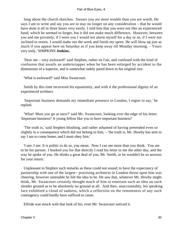long about the church sketches. Swears you are more trouble than you are worth. He says I am to write and say you are to stay no longer on any consideration – that he would have done it all in three hours very easily. I told him that you were not like an experienced hand, which he seemed to forget, but it did not make much difference. However, between you and me privately, if I were you I would not alarm myself for a day or so, if I were not inclined to return. I would make out the week and finish my spree. He will blow up just as much if you appear here on Saturday as if you keep away till Monday morning. – Yours very truly, 'SIMPKINS **Jenkins.**

 'Dear me – very awkward!' said Stephen, rather en l'air, and confused with the kind of confusion that assails an understrapper when he has been enlarged by accident to the dimensions of a superior, and is somewhat rudely pared down to his original size.

'What is awkward?' said Miss Swancourt.

 Smith by this time recovered his equanimity, and with it the professional dignity of an experienced architect.

 'Important business demands my immediate presence in London, I regret to say,' he replied.

 'What! Must you go at once?' said Mr. Swancourt, looking over the edge of his letter. 'Important business? A young fellow like you to have important business!'

 'The truth is,' said Stephen blushing, and rather ashamed of having pretended even so slightly to a consequence which did not belong to him, – 'the truth is, Mr. Hewby has sent to say I am to come home; and I must obey him.'

 'I see; I see. It is politic to do so, you mean. Now I can see more than you think. You are to be his partner. I booked you for that directly I read his letter to me the other day, and the way he spoke of you. He thinks a great deal of you, Mr. Smith, or he wouldn't be so anxious for your return.'

 Unpleasant to Stephen such remarks as these could not sound; to have the expectancy of partnership with one of the largest− practising architects in London thrust upon him was cheering, however untenable he felt the idea to be. He saw that, whatever Mr. Hewby might think, Mr. Swancourt certainly thought much of him to entertain such an idea on such slender ground as to be absolutely no ground at all. And then, unaccountably, his speaking face exhibited a cloud of sadness, which a reflection on the remoteness of any such contingency could hardly have sufficed to cause.

Elfride was struck with that look of his; even Mr. Swancourt noticed it.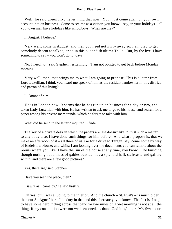'Well,' he said cheerfully, 'never mind that now. You must come again on your own account; not on business. Come to see me as a visitor, you know – say, in your holidays – all you town men have holidays like schoolboys. When are they?'

'In August, I believe.'

 'Very well; come in August; and then you need not hurry away so. I am glad to get somebody decent to talk to, or at, in this outlandish ultima Thule. But, by the bye, I have something to say – you won't go to−day?'

 'No; I need not,' said Stephen hesitatingly. 'I am not obliged to get back before Monday morning.'

 'Very well, then, that brings me to what I am going to propose. This is a letter from Lord Luxellian. I think you heard me speak of him as the resident landowner in this district, and patron of this living?'

'I – know of him.'

 'He is in London now. It seems that he has run up on business for a day or two, and taken Lady Luxellian with him. He has written to ask me to go to his house, and search for a paper among his private memoranda, which he forgot to take with him.'

'What did he send in the letter?' inquired Elfride.

 'The key of a private desk in which the papers are. He doesn't like to trust such a matter to any body else. I have done such things for him before. And what I propose is, that we make an afternoon of it – all three of us. Go for a drive to Targan Bay, come home by way of Endelstow House; and whilst I am looking over the documents you can ramble about the rooms where you like. I have the run of the house at any time, you know. The building, though nothing but a mass of gables outside, has a splendid hall, staircase, and gallery within; and there are a few good pictures.'

'Yes, there are,' said Stephen.

'Have you seen the place, then?

'I saw it as I came by,' he said hastily.

 'Oh yes; but I was alluding to the interior. And the church – St. Eval's – is much older than our St. Agnes' here. I do duty in that and this alternately, you know. The fact is, I ought to have some help; riding across that park for two miles on a wet morning is not at all the thing. If my constitution were not well seasoned, as thank God it is,' – here Mr. Swancourt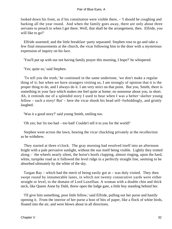looked down his front, as if his constitution were visible there, – 'I should be coughing and barking all the year round. And when the family goes away, there are only about three servants to preach to when I get there. Well, that shall be the arrangement, then. Elfride, you will like to go?'

 Elfride assented; and the little breakfast−party separated. Stephen rose to go and take a few final measurements at the church, the vicar following him to the door with a mysterious expression of inquiry on his face.

'You'll put up with our not having family prayer this morning, I hope?' he whispered.

'Yes; quite so,' said Stephen.

 'To tell you the truth,' he continued in the same undertone, 'we don't make a regular thing of it; but when we have strangers visiting us, I am strongly of opinion that it is the proper thing to do, and I always do it. I am very strict on that point. But you, Smith, there is something in your face which makes me feel quite at home; no nonsense about you, in short. Ah, it reminds me of a splendid story I used to hear when I was a helter−skelter young fellow – such a story! But' – here the vicar shook his head self−forbiddingly, and grimly laughed.

'Was it a good story?' said young Smith, smiling too.

'Oh yes; but 'tis too bad – too bad! Couldn't tell it to you for the world!'

 Stephen went across the lawn, hearing the vicar chuckling privately at the recollection as he withdrew.

 They started at three o'clock. The gray morning had resolved itself into an afternoon bright with a pale pervasive sunlight, without the sun itself being visible. Lightly they trotted along – the wheels nearly silent, the horse's hoofs clapping, almost ringing, upon the hard, white, turnpike road as it followed the level ridge in a perfectly straight line, seeming to be absorbed ultimately by the white of the sky.

 Targan Bay – which had the merit of being easily got at – was duly visited. They then swept round by innumerable lanes, in which not twenty consecutive yards were either straight or level, to the domain of Lord Luxellian. A woman with a double chin and thick neck, like Queen Anne by Dahl, threw open the lodge gate, a little boy standing behind her.

 'I'll give him something, poor little fellow,' said Elfride, pulling out her purse and hastily opening it. From the interior of her purse a host of bits of paper, like a flock of white birds, floated into the air, and were blown about in all directions.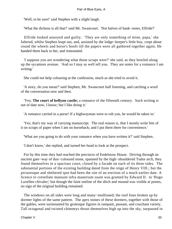'Well, to be sure!' said Stephen with a slight laugh.

'What the dickens is all that?' said Mr. Swancourt. 'Not halves of bank−notes, Elfride?'

 Elfride looked annoyed and guilty. 'They are only something of mine, papa,' she faltered, whilst Stephen leapt out, and, assisted by the lodge−keeper's little boy, crept about round the wheels and horse's hoofs till the papers were all gathered together again. He handed them back to her, and remounted.

 'I suppose you are wondering what those scraps were?' she said, as they bowled along up the sycamore avenue. 'And so I may as well tell you. They are notes for a romance I am writing.'

She could not help colouring at the confession, much as she tried to avoid it.

 'A story, do you mean?' said Stephen, Mr. Swancourt half listening, and catching a word of the conversation now and then.

 'Yes; **The court of kellyon castle;** a romance of the fifteenth century. Such writing is out of date now, I know; but I like doing it.'

'A romance carried in a purse! If a highwayman were to rob you, he would be taken in.'

 'Yes; that's my way of carrying manuscript. The real reason is, that I mostly write bits of it on scraps of paper when I am on horseback; and I put them there for convenience.'

'What are you going to do with your romance when you have written it?' said Stephen.

'I don't know,' she replied, and turned her head to look at the prospect.

 For by this time they had reached the precincts of Endelstow House. Driving through an ancient gate−way of dun−coloured stone, spanned by the high−shouldered Tudor arch, they found themselves in a spacious court, closed by a facade on each of its three sides. The substantial portions of the existing building dated from the reign of Henry VIII.; but the picturesque and sheltered spot had been the site of an erection of a much earlier date. A licence to crenellate mansum infra manerium suum was granted by Edward II. to 'Hugo Luxellen chivaler;' but though the faint outline of the ditch and mound was visible at points, no sign of the original building remained.

 The windows on all sides were long and many−mullioned; the roof lines broken up by dormer lights of the same pattern. The apex stones of these dormers, together with those of the gables, were surmounted by grotesque figures in rampant, passant, and couchant variety. Tall octagonal and twisted chimneys thrust themselves high up into the sky, surpassed in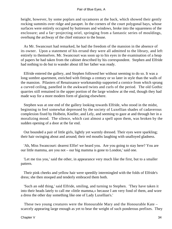height, however, by some poplars and sycamores at the back, which showed their gently rocking summits over ridge and parapet. In the corners of the court polygonal bays, whose surfaces were entirely occupied by buttresses and windows, broke into the squareness of the enclosure; and a far−projecting oriel, springing from a fantastic series of mouldings, overhung the archway of the chief entrance to the house.

 As Mr. Swancourt had remarked, he had the freedom of the mansion in the absence of its owner. Upon a statement of his errand they were all admitted to the library, and left entirely to themselves. Mr. Swancourt was soon up to his eyes in the examination of a heap of papers he had taken from the cabinet described by his correspondent. Stephen and Elfride had nothing to do but to wander about till her father was ready.

 Elfride entered the gallery, and Stephen followed her without seeming to do so. It was a long sombre apartment, enriched with fittings a century or so later in style than the walls of the mansion. Pilasters of Renaissance workmanship supported a cornice from which sprang a curved ceiling, panelled in the awkward twists and curls of the period. The old Gothic quarries still remained in the upper portion of the large window at the end, though they had made way for a more modern form of glazing elsewhere.

 Stephen was at one end of the gallery looking towards Elfride, who stood in the midst, beginning to feel somewhat depressed by the society of Luxellian shades of cadaverous complexion fixed by Holbein, Kneller, and Lely, and seeming to gaze at and through her in a moralizing mood. The silence, which cast almost a spell upon them, was broken by the sudden opening of a door at the far end.

 Out bounded a pair of little girls, lightly yet warmly dressed. Their eyes were sparkling; their hair swinging about and around; their red mouths laughing with unalloyed gladness.

 'Ah, Miss Swancourt: dearest Elfie! we heard you. Are you going to stay here? You are our little mamma, are you not – our big mamma is gone to London,' said one.

 'Let me tiss you,' said the other, in appearance very much like the first, but to a smaller pattern.

 Their pink cheeks and yellow hair were speedily intermingled with the folds of Elfride's dress; she then stooped and tenderly embraced them both.

 'Such an odd thing,' said Elfride, smiling, and turning to Stephen. 'They have taken it into their heads lately to call me «little mamma,» because I am very fond of them, and wore a dress the other day something like one of Lady Luxellian's.'

 These two young creatures were the Honourable Mary and the Honourable Kate – scarcely appearing large enough as yet to bear the weight of such ponderous prefixes. They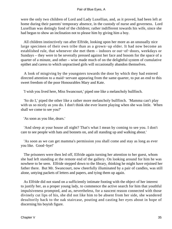were the only two children of Lord and Lady Luxellian, and, as it proved, had been left at home during their parents' temporary absence, in the custody of nurse and governess. Lord Luxellian was dotingly fond of the children; rather indifferent towards his wife, since she had begun to show an inclination not to please him by giving him a boy.

 All children instinctively ran after Elfride, looking upon her more as an unusually nice large specimen of their own tribe than as a grown−up elder. It had now become an established rule, that whenever she met them – indoors or out−of−doors, weekdays or Sundays – they were to be severally pressed against her face and bosom for the space of a quarter of a minute, and other – wise made much of on the delightful system of cumulative epithet and caress to which unpractised girls will occasionally abandon themselves.

 A look of misgiving by the youngsters towards the door by which they had entered directed attention to a maid−servant appearing from the same quarter, to put an end to this sweet freedom of the poor Honourables Mary and Kate.

'I wish you lived here, Miss Swancourt,' piped one like a melancholy bullfinch.

 'So do I,' piped the other like a rather more melancholy bullfinch. 'Mamma can't play with us so nicely as you do. I don't think she ever learnt playing when she was little. When shall we come to see you?'

'As soon as you like, dears.'

 'And sleep at your house all night? That's what I mean by coming to see you. I don't care to see people with hats and bonnets on, and all standing up and walking about.'

 'As soon as we can get mamma's permission you shall come and stay as long as ever you like. Good−bye!'

 The prisoners were then led off, Elfride again turning her attention to her guest, whom she had left standing at the remote end of the gallery. On looking around for him he was nowhere to be seen. Elfride stepped down to the library, thinking he might have rejoined her father there. But Mr. Swancourt, now cheerfully illuminated by a pair of candles, was still alone, untying packets of letters and papers, and tying them up again.

 As Elfride did not stand on a sufficiently intimate footing with the object of her interest to justify her, as a proper young lady, to commence the active search for him that youthful impulsiveness prompted, and as, nevertheless, for a nascent reason connected with those divinely cut lips of his, she did not like him to be absent from her side, she wandered desultorily back to the oak staircase, pouting and casting her eyes about in hope of discerning his boyish figure.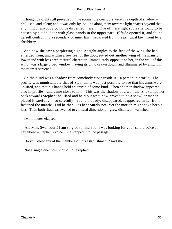Though daylight still prevailed in the rooms, the corridors were in a depth of shadow – chill, sad, and silent; and it was only by looking along them towards light spaces beyond that anything or anybody could be discerned therein. One of these light spots she found to be caused by a side−door with glass panels in the upper part. Elfride opened it, and found herself confronting a secondary or inner lawn, separated from the principal lawn front by a shrubbery.

 And now she saw a perplexing sight. At right angles to the face of the wing she had emerged from, and within a few feet of the door, jutted out another wing of the mansion, lower and with less architectural character. Immediately opposite to her, in the wall of this wing, was a large broad window, having its blind drawn down, and illuminated by a light in the room it screened.

On the blind was a shadow from somebody close inside it – a person in profile. The profile was unmistakably that of Stephen. It was just possible to see that his arms were uplifted, and that his hands held an article of some kind. Then another shadow appeared – also in profile – and came close to him. This was the shadow of a woman. She turned her back towards Stephen: he lifted and held out what now proved to be a shawl or mantle – placed it carefully – so carefully – round the lady; disappeared; reappeared in her front – fastened the mantle. Did he then kiss her? Surely not. Yet the motion might have been a kiss. Then both shadows swelled to colossal dimensions – grew distorted – vanished.

Two minutes elapsed.

 'Ah, Miss Swancourt! I am so glad to find you. I was looking for you,' said a voice at her elbow – Stephen's voice. She stepped into the passage.

'Do you know any of the members of this establishment?' said she.

'Not a single one: how should I?' he replied.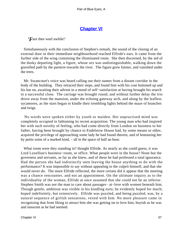### **[Chapter VI](#page-346-0)**

*'F*are thee weel awhile!'

 Simultaneously with the conclusion of Stephen's remark, the sound of the closing of an external door in their immediate neighbourhood reached Elfride's ears. It came from the further side of the wing containing the illuminated room. She then discerned, by the aid of the dusky departing light, a figure, whose sex was undistinguishable, walking down the gravelled path by the parterre towards the river. The figure grew fainter, and vanished under the trees.

 Mr. Swancourt's voice was heard calling out their names from a distant corridor in the body of the building. They retraced their steps, and found him with his coat buttoned up and his hat on, awaiting their advent in a mood of self−satisfaction at having brought his search to a successful close. The carriage was brought round, and without further delay the trio drove away from the mansion, under the echoing gateway arch, and along by the leafless sycamores, as the stars began to kindle their trembling lights behind the maze of branches and twigs.

 No words were spoken either by youth or maiden. Her unpractised mind was completely occupied in fathoming its recent acquisition. The young man who had inspired her with such novelty of feeling, who had come directly from London on business to her father, having been brought by chance to Endelstow House had, by some means or other, acquired the privilege of approaching some lady he had found therein, and of honouring her by petits soins of a marked kind, – all in the space of half an hour.

What room were they standing in? thought Elfride. As nearly as she could guess, it was Lord Luxellian's business−room, or office. What people were in the house? None but the governess and servants, as far as she knew, and of these he had professed a total ignorance. Had the person she had indistinctly seen leaving the house anything to do with the performance? It was impossible to say without appealing to the culprit himself, and that she would never do. The more Elfride reflected, the more certain did it appear that the meeting was a chance rencounter, and not an appointment. On the ultimate inquiry as to the individuality of the woman, Elfride at once assumed that she could not be an inferior. Stephen Smith was not the man to care about passages− at−love with women beneath him. Though gentle, ambition was visible in his kindling eyes; he evidently hoped for much; hoped indefinitely, but extensively. Elfride was puzzled, and being puzzled, was, by a natural sequence of girlish sensations, vexed with him. No more pleasure came in recognizing that from liking to attract him she was getting on to love him, boyish as he was and innocent as he had seemed.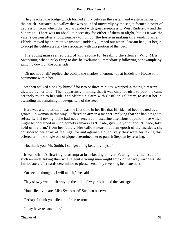They reached the bridge which formed a link between the eastern and western halves of the parish. Situated in a valley that was bounded outwardly by the sea, it formed a point of depression from which the road ascended with great steepness to West Endelstow and the Vicarage. There was no absolute necessity for either of them to alight, but as it was the vicar's custom after a long journey to humour the horse in making this winding ascent, Elfride, moved by an imitative instinct, suddenly jumped out when Pleasant had just begun to adopt the deliberate stalk he associated with this portion of the road.

 The young man seemed glad of any excuse for breaking the silence. 'Why, Miss Swancourt, what a risky thing to do!' he exclaimed, immediately following her example by jumping down on the other side.

 'Oh no, not at all,' replied she coldly; the shadow phenomenon at Endelstow House still paramount within her.

 Stephen walked along by himself for two or three minutes, wrapped in the rigid reserve dictated by her tone. Then apparently thinking that it was only for girls to pout, he came serenely round to her side, and offered his arm with Castilian gallantry, to assist her in ascending the remaining three−quarters of the steep.

 Here was a temptation: it was the first time in her life that Elfride had been treated as a grown−up woman in this way – offered an arm in a manner implying that she had a right to refuse it. Till to−night she had never received masculine attentions beyond those which might be contained in such homely remarks as 'Elfride, give me your hand;' 'Elfride, take hold of my arm,' from her father. Her callow heart made an epoch of the incident; she considered her array of feelings, for and against. Collectively they were for taking this offered arm; the single one of pique determined her to punish Stephen by refusing.

'No, thank you, Mr. Smith; I can get along better by myself'

 It was Elfride's first fragile attempt at browbeating a lover. Fearing more the issue of such an undertaking than what a gentle young man might think of her waywardness, she immediately afterwards determined to please herself by reversing her statement.

'On second thoughts, I will take it,' she said.

They slowly went their way up the hill, a few yards behind the carriage.

'How silent you are, Miss Swancourt!' Stephen observed.

'Perhaps I think you silent too,' she returned.

'I may have reason to be.'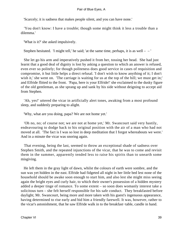'Scarcely; it is sadness that makes people silent, and you can have none.'

 'You don't know: I have a trouble; though some might think it less a trouble than a dilemma.'

'What is it?' she asked impulsively.

Stephen hesitated. 'I might tell,' he said; 'at the same time, perhaps, it is as well  $-$  – '

 She let go his arm and imperatively pushed it from her, tossing her head. She had just learnt that a good deal of dignity is lost by asking a question to which an answer is refused, even ever so politely; for though politeness does good service in cases of requisition and compromise, it but little helps a direct refusal. 'I don't wish to know anything of it; I don't wish it,' she went on. The carriage is waiting for us at the top of the hill; we must get in;' and Elfride flitted to the front. 'Papa, here is your Elfride!' she exclaimed to the dusky figure of the old gentleman, as she sprang up and sank by his side without deigning to accept aid from Stephen.

 'Ah, yes!' uttered the vicar in artificially alert tones, awaking from a most profound sleep, and suddenly preparing to alight.

'Why, what are you doing, papa? We are not home yet.'

 'Oh no, no; of course not; we are not at home yet,' Mr. Swancourt said very hastily, endeavouring to dodge back to his original position with the air of a man who had not moved at all. 'The fact is I was so lost in deep meditation that I forgot whereabouts we were.' And in a minute the vicar was snoring again.

 That evening, being the last, seemed to throw an exceptional shade of sadness over Stephen Smith, and the repeated injunctions of the vicar, that he was to come and revisit them in the summer, apparently tended less to raise his spirits than to unearth some misgiving.

 He left them in the gray light of dawn, whilst the colours of earth were sombre, and the sun was yet hidden in the east. Elfride had fidgeted all night in her little bed lest none of the household should be awake soon enough to start him, and also lest she might miss seeing again the bright eyes and curly hair, to which their owner's possession of a hidden mystery added a deeper tinge of romance. To some extent – so soon does womanly interest take a solicitous turn – she felt herself responsible for his safe conduct. They breakfasted before daylight; Mr. Swancourt, being more and more taken with his guest's ingenuous appearance, having determined to rise early and bid him a friendly farewell. It was, however, rather to the vicar's astonishment, that he saw Elfride walk in to the breakfast−table, candle in hand.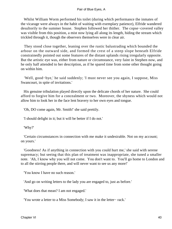Whilst William Worm performed his toilet (during which performance the inmates of the vicarage were always in the habit of waiting with exemplary patience), Elfride wandered desultorily to the summer house. Stephen followed her thither. The copse−covered valley was visible from this position, a mist now lying all along its length, hiding the stream which trickled through it, though the observers themselves were in clear air.

 They stood close together, leaning over the rustic balustrading which bounded the arbour on the outward side, and formed the crest of a steep slope beneath Elfride constrainedly pointed out some features of the distant uplands rising irregularly opposite. But the artistic eye was, either from nature or circumstance, very faint in Stephen now, and he only half attended to her description, as if he spared time from some other thought going on within him.

 'Well, good−bye,' he said suddenly; 'I must never see you again, I suppose, Miss Swancourt, in spite of invitations.'

 His genuine tribulation played directly upon the delicate chords of her nature. She could afford to forgive him for a concealment or two. Moreover, the shyness which would not allow him to look her in the face lent bravery to her own eyes and tongue.

'Oh, DO come again, Mr. Smith!' she said prettily.

'I should delight in it; but it will be better if I do not.'

'Why?'

 'Certain circumstances in connection with me make it undesirable. Not on my account; on yours.'

 'Goodness! As if anything in connection with you could hurt me,' she said with serene supremacy; but seeing that this plan of treatment was inappropriate, she tuned a smaller note. 'Ah, I know why you will not come. You don't want to. You'll go home to London and to all the stirring people there, and will never want to see us any more!'

'You know I have no such reason.'

'And go on writing letters to the lady you are engaged to, just as before.'

'What does that mean? I am not engaged.'

'You wrote a letter to a Miss Somebody; I saw it in the letter− rack.'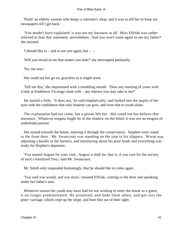'Pooh! an elderly woman who keeps a stationer's shop; and it was to tell her to keep my newspapers till I get back.'

 'You needn't have explained: it was not my business at all.' Miss Elfride was rather relieved to hear that statement, nevertheless. 'And you won't come again to see my father?' she insisted.

'I should like to – and to see you again, but –  $-$ '

'Will you reveal to me that matter you hide?' she interrupted petulantly.

'No; not now.'

She could not but go on, graceless as it might seem.

 'Tell me this,' she importuned with a trembling mouth. 'Does any meeting of yours with a lady at Endelstow Vicarage clash with – any interest you may take in me?'

 He started a little. 'It does not,' he said emphatically; and looked into the pupils of her eyes with the confidence that only honesty can give, and even that to youth alone.

 The explanation had not come, but a gloom left her. She could not but believe that utterance. Whatever enigma might lie in the shadow on the blind, it was not an enigma of underhand passion.

 She turned towards the house, entering it through the conservatory. Stephen went round to the front door. Mr. Swancourt was standing on the step in his slippers. Worm was adjusting a buckle in the harness, and murmuring about his poor head; and everything was ready for Stephen's departure.

 'You named August for your visit. August it shall be; that is, if you care for the society of such a fossilized Tory,' said Mr. Swancourt.

Mr. Smith only responded hesitatingly, that he should like to come again.

 'You said you would, and you must,' insisted Elfride, coming to the door and speaking under her father's arm.

 Whatever reason the youth may have had for not wishing to enter the house as a guest, it no longer predominated. He promised, and bade them adieu, and got into the pony−carriage, which crept up the slope, and bore him out of their sight.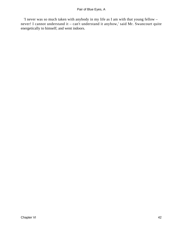'I never was so much taken with anybody in my life as I am with that young fellow – never! I cannot understand it – can't understand it anyhow,' said Mr. Swancourt quite energetically to himself; and went indoors.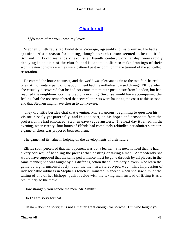### **[Chapter VII](#page-346-0)**

*'N*o more of me you knew, my love!'

 Stephen Smith revisited Endelstow Vicarage, agreeably to his promise. He had a genuine artistic reason for coming, though no such reason seemed to be required. Six−and−thirty old seat ends, of exquisite fifteenth−century workmanship, were rapidly decaying in an aisle of the church; and it became politic to make drawings of their worm−eaten contours ere they were battered past recognition in the turmoil of the so−called restoration.

 He entered the house at sunset, and the world was pleasant again to the two fair−haired ones. A momentary pang of disappointment had, nevertheless, passed through Elfride when she casually discovered that he had not come that minute post−haste from London, but had reached the neighbourhood the previous evening. Surprise would have accompanied the feeling, had she not remembered that several tourists were haunting the coast at this season, and that Stephen might have chosen to do likewise.

 They did little besides chat that evening, Mr. Swancourt beginning to question his visitor, closely yet paternally, and in good part, on his hopes and prospects from the profession he had embraced. Stephen gave vague answers. The next day it rained. In the evening, when twenty−four hours of Elfride had completely rekindled her admirer's ardour, a game of chess was proposed between them.

The game had its value in helping on the developments of their future.

 Elfride soon perceived that her opponent was but a learner. She next noticed that he had a very odd way of handling the pieces when castling or taking a man. Antecedently she would have supposed that the same performance must be gone through by all players in the same manner; she was taught by his differing action that all ordinary players, who learn the game by sight, unconsciously touch the men in a stereotyped way. This impression of indescribable oddness in Stephen's touch culminated in speech when she saw him, at the taking of one of her bishops, push it aside with the taking man instead of lifting it as a preliminary to the move.

'How strangely you handle the men, Mr. Smith!'

'Do I? I am sorry for that.'

'Oh no – don't be sorry; it is not a matter great enough for sorrow. But who taught you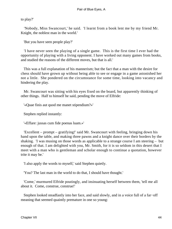to play?'

 'Nobody, Miss Swancourt,' he said. 'I learnt from a book lent me by my friend Mr. Knight, the noblest man in the world.'

'But you have seen people play?'

 'I have never seen the playing of a single game. This is the first time I ever had the opportunity of playing with a living opponent. I have worked out many games from books, and studied the reasons of the different moves, but that is all.'

 This was a full explanation of his mannerism; but the fact that a man with the desire for chess should have grown up without being able to see or engage in a game astonished her not a little. She pondered on the circumstance for some time, looking into vacancy and hindering the play.

 Mr. Swancourt was sitting with his eyes fixed on the board, but apparently thinking of other things. Half to himself he said, pending the move of Elfride:

'«Quae finis aut quod me manet stipendium?»'

Stephen replied instantly:

'«Effare: jussas cum fide poenas luam.»'

 'Excellent – prompt – gratifying!' said Mr. Swancourt with feeling, bringing down his hand upon the table, and making three pawns and a knight dance over their borders by the shaking. 'I was musing on those words as applicable to a strange course I am steering – but enough of that. I am delighted with you, Mr. Smith, for it is so seldom in this desert that I meet with a man who is gentleman and scholar enough to continue a quotation, however trite it may be.'

'I also apply the words to myself,' said Stephen quietly.

'You? The last man in the world to do that, I should have thought.'

 'Come,' murmured Elfride poutingly, and insinuating herself between them, 'tell me all about it. Come, construe, construe!'

 Stephen looked steadfastly into her face, and said slowly, and in a voice full of a far−off meaning that seemed quaintly premature in one so young: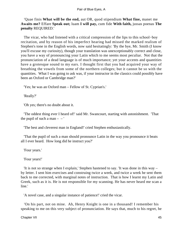'Quae finis **What will be the end,** aut OR, quod stipendium **What fine,** manet me **Awaits me?** Effare **Speak out;** luam **I will pay,** cum fide **With faith,** jussas poenas **The penalty** REQUIRED.'

 The vicar, who had listened with a critical compression of the lips to this school−boy recitation, and by reason of his imperfect hearing had missed the marked realism of Stephen's tone in the English words, now said hesitatingly: 'By the bye, Mr. Smith (I know you'll excuse my curiosity), though your translation was unexceptionably correct and close, you have a way of pronouncing your Latin which to me seems most peculiar. Not that the pronunciation of a dead language is of much importance; yet your accents and quantities have a grotesque sound to my ears. I thought first that you had acquired your way of breathing the vowels from some of the northern colleges; but it cannot be so with the quantities. What I was going to ask was, if your instructor in the classics could possibly have been an Oxford or Cambridge man?'

'Yes; he was an Oxford man – Fellow of St. Cyprian's.'

'Really?'

'Oh yes; there's no doubt about it.

 'The oddest thing ever I heard of!' said Mr. Swancourt, starting with astonishment. 'That the pupil of such a man  $-$  –  $\prime$ 

'The best and cleverest man in England!' cried Stephen enthusiastically.

 'That the pupil of such a man should pronounce Latin in the way you pronounce it beats all I ever heard. How long did he instruct you?'

'Four years.'

'Four years!'

 'It is not so strange when I explain,' Stephen hastened to say. 'It was done in this way – by letter. I sent him exercises and construing twice a week, and twice a week he sent them back to me corrected, with marginal notes of instruction. That is how I learnt my Latin and Greek, such as it is. He is not responsible for my scanning. He has never heard me scan a line.'

'A novel case, and a singular instance of patience!' cried the vicar.

 'On his part, not on mine. Ah, Henry Knight is one in a thousand! I remember his speaking to me on this very subject of pronunciation. He says that, much to his regret, he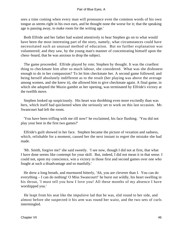sees a time coming when every man will pronounce even the common words of his own tongue as seems right in his own ears, and be thought none the worse for it; that the speaking age is passing away, to make room for the writing age.'

 Both Elfride and her father had waited attentively to hear Stephen go on to what would have been the most interesting part of the story, namely, what circumstances could have necessitated such an unusual method of education. But no further explanation was volunteered; and they saw, by the young man's manner of concentrating himself upon the chess−board, that he was anxious to drop the subject.

 The game proceeded. Elfride played by rote; Stephen by thought. It was the cruellest thing to checkmate him after so much labour, she considered. What was she dishonest enough to do in her compassion? To let him checkmate her. A second game followed; and being herself absolutely indifferent as to the result (her playing was above the average among women, and she knew it), she allowed him to give checkmate again. A final game, in which she adopted the Muzio gambit as her opening, was terminated by Elfride's victory at the twelfth move.

 Stephen looked up suspiciously. His heart was throbbing even more excitedly than was hers, which itself had quickened when she seriously set to work on this last occasion. Mr. Swancourt had left the room.

 'You have been trifling with me till now!' he exclaimed, his face flushing. 'You did not play your best in the first two games?'

 Elfride's guilt showed in her face. Stephen became the picture of vexation and sadness, which, relishable for a moment, caused her the next instant to regret the mistake she had made.

 'Mr. Smith, forgive me!' she said sweetly. 'I see now, though I did not at first, that what I have done seems like contempt for your skill. But, indeed, I did not mean it in that sense. I could not, upon my conscience, win a victory in those first and second games over one who fought at such a disadvantage and so manfully.'

 He drew a long breath, and murmured bitterly, 'Ah, you are cleverer than I. You can do everything – I can do nothing! O Miss Swancourt!' he burst out wildly, his heart swelling in his throat, 'I must tell you how I love you! All these months of my absence I have worshipped you.'

 He leapt from his seat like the impulsive lad that he was, slid round to her side, and almost before she suspected it his arm was round her waist, and the two sets of curls intermingled.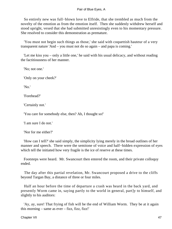So entirely new was full−blown love to Elfride, that she trembled as much from the novelty of the emotion as from the emotion itself. Then she suddenly withdrew herself and stood upright, vexed that she had submitted unresistingly even to his momentary pressure. She resolved to consider this demonstration as premature.

 'You must not begin such things as those,' she said with coquettish hauteur of a very transparent nature 'And – you must not do so again – and papa is coming.'

 'Let me kiss you – only a little one,' he said with his usual delicacy, and without reading the factitiousness of her manner.

'No; not one.'

'Only on your cheek?'

'No.'

'Forehead?'

'Certainly not.'

'You care for somebody else, then? Ah, I thought so!'

'I am sure I do not.'

'Nor for me either?'

 'How can I tell?' she said simply, the simplicity lying merely in the broad outlines of her manner and speech. There were the semitone of voice and half−hidden expression of eyes which tell the initiated how very fragile is the ice of reserve at these times.

 Footsteps were heard. Mr. Swancourt then entered the room, and their private colloquy ended.

 The day after this partial revelation, Mr. Swancourt proposed a drive to the cliffs beyond Targan Bay, a distance of three or four miles.

 Half an hour before the time of departure a crash was heard in the back yard, and presently Worm came in, saying partly to the world in general, part]y to himself, and slightly to his auditors:

 'Ay, ay, sure! That frying of fish will be the end of William Worm. They be at it again this morning – same as  $ever - fizz$ , fizz, fizz!'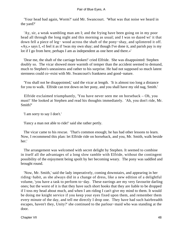'Your head bad again, Worm?' said Mr. Swancourt. 'What was that noise we heard in the yard?'

 'Ay, sir, a weak wambling man am I; and the frying have been going on in my poor head all through the long night and this morning as usual; and I was so dazed wi' it that down fell a piece of leg− wood across the shaft of the pony−shay, and splintered it off. «Ay,» says I, «I feel it as if 'twas my own shay; and though I've done it, and parish pay is my lot if I go from here, perhaps I am as independent as one here and there.»'

 'Dear me, the shaft of the carriage broken!' cried Elfride. She was disappointed: Stephen doubly so. The vicar showed more warmth of temper than the accident seemed to demand, much to Stephen's uneasiness and rather to his surprise. He had not supposed so much latent sternness could co−exist with Mr. Swancourt's frankness and good−nature.

 'You shall not be disappointed,' said the vicar at length. 'It is almost too long a distance for you to walk. Elfride can trot down on her pony, and you shall have my old nag, Smith.'

 Elfride exclaimed triumphantly, 'You have never seen me on horseback – Oh, you must!' She looked at Stephen and read his thoughts immediately. 'Ah, you don't ride, Mr. Smith?'

'I am sorry to say I don't.'

'Fancy a man not able to ride!' said she rather pertly.

 The vicar came to his rescue. 'That's common enough; he has had other lessons to learn. Now, I recommend this plan: let Elfride ride on horseback, and you, Mr. Smith, walk beside her.'

 The arrangement was welcomed with secret delight by Stephen. It seemed to combine in itself all the advantages of a long slow ramble with Elfride, without the contingent possibility of the enjoyment being spoilt by her becoming weary. The pony was saddled and brought round.

 'Now, Mr. Smith,' said the lady imperatively, coming downstairs, and appearing in her riding−habit, as she always did in a change of dress, like a new edition of a delightful volume, 'you have a task to perform to−day. These earrings are my very favourite darling ones; but the worst of it is that they have such short hooks that they are liable to be dropped if I toss my head about much, and when I am riding I can't give my mind to them. It would be doing me knight service if you keep your eyes fixed upon them, and remember them every minute of the day, and tell me directly I drop one. They have had such hairbreadth escapes, haven't they, Unity?' she continued to the parlour−maid who was standing at the door.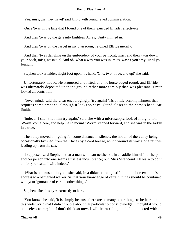'Yes, miss, that they have!' said Unity with round−eyed commiseration.

'Once 'twas in the lane that I found one of them,' pursued Elfride reflectively.

'And then 'twas by the gate into Eighteen Acres,' Unity chimed in.

'And then 'twas on the carpet in my own room,' rejoined Elfride merrily.

 'And then 'twas dangling on the embroidery of your petticoat, miss; and then 'twas down your back, miss, wasn't it? And oh, what a way you was in, miss, wasn't you? my! until you found it!'

Stephen took Elfride's slight foot upon his hand: 'One, two, three, and up!' she said.

 Unfortunately not so. He staggered and lifted, and the horse edged round; and Elfride was ultimately deposited upon the ground rather more forcibly than was pleasant. Smith looked all contrition.

 'Never mind,' said the vicar encouragingly; 'try again! 'Tis a little accomplishment that requires some practice, although it looks so easy. Stand closer to the horse's head, Mr. Smith.'

 'Indeed, I shan't let him try again,' said she with a microscopic look of indignation. 'Worm, come here, and help me to mount.' Worm stepped forward, and she was in the saddle in a trice.

 Then they moved on, going for some distance in silence, the hot air of the valley being occasionally brushed from their faces by a cool breeze, which wound its way along ravines leading up from the sea.

 'I suppose,' said Stephen, 'that a man who can neither sit in a saddle himself nor help another person into one seems a useless incumbrance; but, Miss Swancourt, I'll learn to do it all for your sake; I will, indeed.'

 'What is so unusual in you,' she said, in a didactic tone justifiable in a horsewoman's address to a benighted walker, 'is that your knowledge of certain things should be combined with your ignorance of certain other things.'

Stephen lifted his eyes earnestly to hers.

 'You know,' he said, 'it is simply because there are so many other things to be learnt in this wide world that I didn't trouble about that particular bit of knowledge. I thought it would be useless to me; but I don't think so now. I will learn riding, and all connected with it,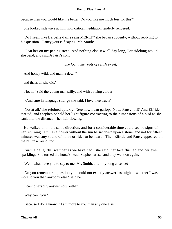because then you would like me better. Do you like me much less for this?'

She looked sideways at him with critical meditation tenderly rendered.

 'Do I seem like **La belle dame sans** MERCI?' she began suddenly, without replying to his question. 'Fancy yourself saying, Mr. Smith:

 "I sat her on my pacing steed, And nothing else saw all day long, For sidelong would she bend, and sing A fairy's song,

*She found me roots of relish sweet,* 

And honey wild, and manna dew; "

and that's all she did.'

'No, no,' said the young man stilly, and with a rising colour.

'«And sure in language strange she said, I love thee true.»'

 'Not at all,' she rejoined quickly. 'See how I can gallop. Now, Pansy, off!' And Elfride started; and Stephen beheld her light figure contracting to the dimensions of a bird as she sank into the distance – her hair flowing.

 He walked on in the same direction, and for a considerable time could see no signs of her returning. Dull as a flower without the sun he sat down upon a stone, and not for fifteen minutes was any sound of horse or rider to be heard. Then Elfride and Pansy appeared on the hill in a round trot.

 'Such a delightful scamper as we have had!' she said, her face flushed and her eyes sparkling. She turned the horse's head, Stephen arose, and they went on again.

'Well, what have you to say to me, Mr. Smith, after my long absence?'

 'Do you remember a question you could not exactly answer last night – whether I was more to you than anybody else?' said he.

'I cannot exactly answer now, either.'

'Why can't you?'

'Because I don't know if I am more to you than any one else.'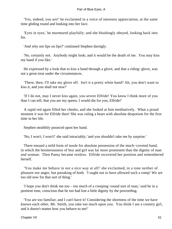'Yes, indeed, you are!' he exclaimed in a voice of intensest appreciation, at the same time gliding round and looking into her face.

 'Eyes in eyes,' he murmured playfully; and she blushingly obeyed, looking back into his.

'And why not lips on lips?' continued Stephen daringly.

 'No, certainly not. Anybody might look; and it would be the death of me. You may kiss my hand if you like.'

 He expressed by a look that to kiss a hand through a glove, and that a riding−glove, was not a great treat under the circumstances.

 'There, then; I'll take my glove off. Isn't it a pretty white hand? Ah, you don't want to kiss it, and you shall not now!'

 'If I do not, may I never kiss again, you severe Elfride! You know I think more of you than I can tell; that you are my queen. I would die for you, Elfride!'

 A rapid red again filled her cheeks, and she looked at him meditatively. What a proud moment it was for Elfride then! She was ruling a heart with absolute despotism for the first time in her life.

Stephen stealthily pounced upon her hand.

'No; I won't, I won't!' she said intractably; 'and you shouldn't take me by surprise.'

 There ensued a mild form of tussle for absolute possession of the much−coveted hand, in which the boisterousness of boy and girl was far more prominent than the dignity of man and woman. Then Pansy became restless. Elfride recovered her position and remembered herself.

 'You make me behave in not a nice way at all!' she exclaimed, in a tone neither of pleasure nor anger, but partaking of both. 'I ought not to have allowed such a romp! We are too old now for that sort of thing.'

 'I hope you don't think me too – too much of a creeping−round sort of man,' said he in a penitent tone, conscious that he too had lost a little dignity by the proceeding.

 'You are too familiar; and I can't have it! Considering the shortness of the time we have known each other, Mr. Smith, you take too much upon you. You think I am a country girl, and it doesn't matter how you behave to me!'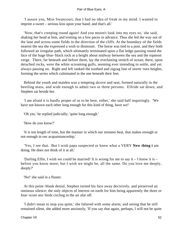'I assure you, Miss Swancourt, that I had no idea of freak in my mind. I wanted to imprint a sweet – serious kiss upon your hand; and that's all.'

 'Now, that's creeping round again! And you mustn't look into my eyes so,' she said, shaking her head at him, and trotting on a few paces in advance. Thus she led the way out of the lane and across some fields in the direction of the cliffs. At the boundary of the fields nearest the sea she expressed a wish to dismount. The horse was tied to a post. and they both followed an irregular path, which ultimately terminated upon a flat ledge passing round the face of the huge blue−black rock at a height about midway between the sea and the topmost verge. There, far beneath and before them, lay the everlasting stretch of ocean; there, upon detached rocks, were the white screaming gulls, seeming ever intending to settle, and yet always passing on. Right and left ranked the toothed and zigzag line of storm−torn heights, forming the series which culminated in the one beneath their feet.

 Behind the youth and maiden was a tempting alcove and seat, formed naturally in the beetling mass, and wide enough to admit two or three persons. Elfride sat down, and Stephen sat beside her.

 'I am afraid it is hardly proper of us to be here, either,' she said half inquiringly. 'We have not known each other long enough for this kind of thing, have we!'

'Oh yes,' he replied judicially; 'quite long enough.'

'How do you know?'

 'It is not length of time, but the manner in which our minutes beat, that makes enough or not enough in our acquaintanceship.'

 'Yes, I see that. But I wish papa suspected or knew what a VERY **New thing i** am doing. He does not think of it at all.'

'Darling Elfie, I wish we could be married! It is wrong for me to say it  $-1$  know it is  $$ before you know more; but I wish we might be, all the same. Do you love me deeply, deeply?'

'No!' she said in a fluster.

 At this point−blank denial, Stephen turned his face away decisively, and preserved an ominous silence; the only objects of interest on earth for him being apparently the three or four−score sea−birds circling in the air afar off.

 'I didn't mean to stop you quite,' she faltered with some alarm; and seeing that he still remained silent, she added more anxiously, 'If you say that again, perhaps, I will not be quite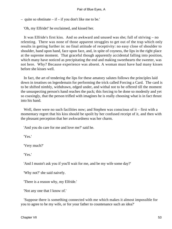– quite so obstinate – if – if you don't like me to be.'

'Oh, my Elfride!' he exclaimed, and kissed her.

 It was Elfride's first kiss. And so awkward and unused was she; full of striving – no relenting. There was none of those apparent struggles to get out of the trap which only results in getting further in: no final attitude of receptivity: no easy close of shoulder to shoulder, hand upon hand, face upon face, and, in spite of coyness, the lips in the right place at the supreme moment. That graceful though apparently accidental falling into position, which many have noticed as precipitating the end and making sweethearts the sweeter, was not here. Why? Because experience was absent. A woman must have had many kisses before she kisses well.

 In fact, the art of tendering the lips for these amatory salutes follows the principles laid down in treatises on legerdemain for performing the trick called Forcing a Card. The card is to be shifted nimbly, withdrawn, edged under, and withal not to be offered till the moment the unsuspecting person's hand reaches the pack; this forcing to be done so modestly and yet so coaxingly, that the person trifled with imagines he is really choosing what is in fact thrust into his hand.

Well, there were no such facilities now; and Stephen was conscious of it – first with a momentary regret that his kiss should be spoilt by her confused receipt of it, and then with the pleasant perception that her awkwardness was her charm.

'And you do care for me and love me?' said he.

'Yes.'

'Very much?'

'Yes.'

'And I mustn't ask you if you'll wait for me, and be my wife some day?'

'Why not?' she said naively.

'There is a reason why, my Elfride.'

'Not any one that I know of.'

 'Suppose there is something connected with me which makes it almost impossible for you to agree to be my wife, or for your father to countenance such an idea?'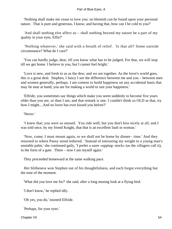'Nothing shall make me cease to love you: no blemish can be found upon your personal nature. That is pure and generous, I know; and having that, how can I be cold to you?'

 'And shall nothing else affect us – shall nothing beyond my nature be a part of my quality in your eyes, Elfie?'

 'Nothing whatever,' she said with a breath of relief. 'Is that all? Some outside circumstance? What do I care?'

 'You can hardly judge, dear, till you know what has to be judged. For that, we will stop till we get home. I believe in you, but I cannot feel bright.'

 'Love is new, and fresh to us as the dew; and we are together. As the lover's world goes, this is a great deal. Stephen, I fancy I see the difference between me and you – between men and women generally, perhaps. I am content to build happiness on any accidental basis that may lie near at hand; you are for making a world to suit your happiness.'

 'Elfride, you sometimes say things which make you seem suddenly to become five years older than you are, or than I am; and that remark is one. I couldn't think so OLD as that, try how I might....And no lover has ever kissed you before?'

'Never.'

 'I knew that; you were so unused. You ride well, but you don't kiss nicely at all; and I was told once, by my friend Knight, that that is an excellent fault in woman.'

 'Now, come; I must mount again, or we shall not be home by dinner− time.' And they returned to where Pansy stood tethered. 'Instead of entrusting my weight to a young man's unstable palm,' she continued gaily, 'I prefer a surer «upping−stock» (as the villagers call it), in the form of a gate. There – now I am myself again.'

They proceeded homeward at the same walking pace.

 Her blitheness won Stephen out of his thoughtfulness, and each forgot everything but the tone of the moment.

'What did you love me for?' she said, after a long musing look at a flying bird.

'I don't know,' he replied idly.

'Oh yes, you do,' insisted Elfride.

'Perhaps, for your eyes.'

Chapter VII 54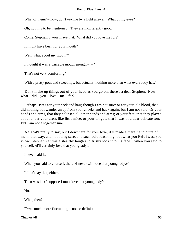'What of them? – now, don't vex me by a light answer. What of my eyes?'

'Oh, nothing to be mentioned. They are indifferently good.'

'Come, Stephen, I won't have that. What did you love me for?'

'It might have been for your mouth?'

'Well, what about my mouth?'

'I thought it was a passable mouth enough  $-$  '

'That's not very comforting.'

'With a pretty pout and sweet lips; but actually, nothing more than what everybody has.'

 'Don't make up things out of your head as you go on, there's a dear Stephen. Now – what – did – you – love – me – for?'

 'Perhaps, 'twas for your neck and hair; though I am not sure: or for your idle blood, that did nothing but wander away from your cheeks and back again; but I am not sure. Or your hands and arms, that they eclipsed all other hands and arms; or your feet, that they played about under your dress like little mice; or your tongue, that it was of a dear delicate tone. But I am not altogether sure.'

 'Ah, that's pretty to say; but I don't care for your love, if it made a mere flat picture of me in that way, and not being sure, and such cold reasoning; but what you **Felt i** was, you know, Stephen' (at this a stealthy laugh and frisky look into his face), 'when you said to yourself, «I'll certainly love that young lady.»'

'I never said it.'

'When you said to yourself, then, «I never will love that young lady.»'

'I didn't say that, either.'

'Then was it, «I suppose I must love that young lady?»'

'No.'

'What, then?'

''Twas much more fluctuating – not so definite.'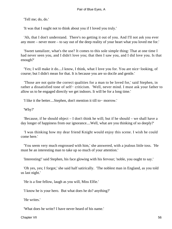'Tell me; do, do.'

'It was that I ought not to think about you if I loved you truly.'

 'Ah, that I don't understand. There's no getting it out of you. And I'll not ask you ever any more – never more – to say out of the deep reality of your heart what you loved me for.'

 'Sweet tantalizer, what's the use? It comes to this sole simple thing: That at one time I had never seen you, and I didn't love you; that then I saw you, and I did love you. Is that enough?'

 'Yes; I will make it do....I know, I think, what I love you for. You are nice−looking, of course; but I didn't mean for that. It is because you are so docile and gentle.'

 'Those are not quite the correct qualities for a man to be loved for,' said Stephen, in rather a dissatisfied tone of self− criticism. 'Well, never mind. I must ask your father to allow us to be engaged directly we get indoors. It will be for a long time.'

'I like it the better....Stephen, don't mention it till to− morrow.'

'Why?'

 'Because, if he should object – I don't think he will; but if he should – we shall have a day longer of happiness from our ignorance....Well, what are you thinking of so deeply?'

 'I was thinking how my dear friend Knight would enjoy this scene. I wish he could come here.'

 'You seem very much engrossed with him,' she answered, with a jealous little toss. 'He must be an interesting man to take up so much of your attention.'

'Interesting!' said Stephen, his face glowing with his fervour; 'noble, you ought to say.'

 'Oh yes, yes; I forgot,' she said half satirically. 'The noblest man in England, as you told us last night.'

'He is a fine fellow, laugh as you will, Miss Elfie.'

'I know he is your hero. But what does he do? anything?'

'He writes.'

'What does he write? I have never heard of his name.'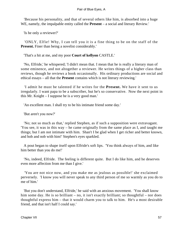'Because his personality, and that of several others like him, is absorbed into a huge WE, namely, the impalpable entity called the **Present** – a social and literary Review.'

'Is he only a reviewer?'

 'ONLY, Elfie! Why, I can tell you it is a fine thing to be on the staff of the **Present.** Finer than being a novelist considerably.'

'That's a hit at me, and my poor **Court of kellyon** CASTLE.'

 'No, Elfride,' he whispered; 'I didn't mean that. I mean that he is really a literary man of some eminence, and not altogether a reviewer. He writes things of a higher class than reviews, though he reviews a book occasionally. His ordinary productions are social and ethical essays – all that the **Present** contains which is not literary reviewing.'

 'I admit he must be talented if he writes for the **Present.** We have it sent to us irregularly. I want papa to be a subscriber, but he's so conservative. Now the next point in this Mr. Knight – I suppose he is a very good man.'

'An excellent man. I shall try to be his intimate friend some day.'

'But aren't you now?'

 'No; not so much as that,' replied Stephen, as if such a supposition were extravagant. 'You see, it was in this way – he came originally from the same place as I, and taught me things; but I am not intimate with him. Shan't I be glad when I get richer and better known, and hob and nob with him!' Stephen's eyes sparkled.

 A pout began to shape itself upon Elfride's soft lips. 'You think always of him, and like him better than you do me!'

 'No, indeed, Elfride. The feeling is different quite. But I do like him, and he deserves even more affection from me than I give.'

 'You are not nice now, and you make me as jealous as possible!' she exclaimed perversely. 'I know you will never speak to any third person of me so warmly as you do to me of him.'

 'But you don't understand, Elfride,' he said with an anxious movement. 'You shall know him some day. He is so brilliant – no, it isn't exactly brilliant; so thoughtful – nor does thoughtful express him – that it would charm you to talk to him. He's a most desirable friend, and that isn't half I could say.'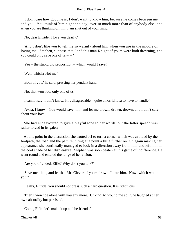'I don't care how good he is; I don't want to know him, because he comes between me and you. You think of him night and day, ever so much more than of anybody else; and when you are thinking of him, I am shut out of your mind.'

'No, dear Elfride; I love you dearly.'

 'And I don't like you to tell me so warmly about him when you are in the middle of loving me. Stephen, suppose that I and this man Knight of yours were both drowning, and you could only save one of  $us - -$ 

'Yes – the stupid old proposition – which would I save?

'Well, which? Not me.'

'Both of you,' he said, pressing her pendent hand.

'No, that won't do; only one of us.'

'I cannot say; I don't know. It is disagreeable – quite a horrid idea to have to handle.'

 'A−ha, I know. You would save him, and let me drown, drown, drown; and I don't care about your love!'

 She had endeavoured to give a playful tone to her words, but the latter speech was rather forced in its gaiety.

 At this point in the discussion she trotted off to turn a corner which was avoided by the footpath, the road and the path reuniting at a point a little further on. On again making her appearance she continually managed to look in a direction away from him, and left him in the cool shade of her displeasure. Stephen was soon beaten at this game of indifference. He went round and entered the range of her vision.

'Are you offended, Elfie? Why don't you talk?'

 'Save me, then, and let that Mr. Clever of yours drown. I hate him. Now, which would you?'

'Really, Elfride, you should not press such a hard question. It is ridiculous.'

 'Then I won't be alone with you any more. Unkind, to wound me so!' She laughed at her own absurdity but persisted.

'Come, Elfie, let's make it up and be friends.'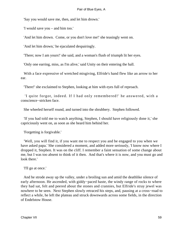'Say you would save me, then, and let him drown.'

'I would save you – and him too.'

'And let him drown. Come, or you don't love me!' she teasingly went on.

'And let him drown,' he ejaculated despairingly.

'There; now I am yours!' she said, and a woman's flush of triumph lit her eyes.

'Only one earring, miss, as I'm alive,' said Unity on their entering the hall.

 With a face expressive of wretched misgiving, Elfride's hand flew like an arrow to her ear.

'There!' she exclaimed to Stephen, looking at him with eyes full of reproach.

 'I quite forgot, indeed. If I had only remembered!' he answered, with a conscience−stricken face.

She wheeled herself round, and turned into the shrubbery. Stephen followed.

 'If you had told me to watch anything, Stephen, I should have religiously done it,' she capriciously went on, as soon as she heard him behind her.

'Forgetting is forgivable.'

 'Well, you will find it, if you want me to respect you and be engaged to you when we have asked papa.' She considered a moment, and added more seriously, 'I know now where I dropped it, Stephen. It was on the cliff. I remember a faint sensation of some change about me, but I was too absent to think of it then. And that's where it is now, and you must go and look there.'

'I'll go at once.'

 And he strode away up the valley, under a broiling sun and amid the deathlike silence of early afternoon. He ascended, with giddy−paced haste, the windy range of rocks to where they had sat, felt and peered about the stones and crannies, but Elfride's stray jewel was nowhere to be seen. Next Stephen slowly retraced his steps, and, pausing at a cross−road to reflect a while, he left the plateau and struck downwards across some fields, in the direction of Endelstow House.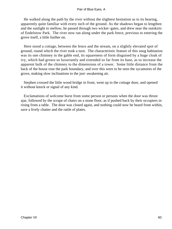He walked along the path by the river without the slightest hesitation as to its bearing, apparently quite familiar with every inch of the ground. As the shadows began to lengthen and the sunlight to mellow, he passed through two wicket−gates, and drew near the outskirts of Endelstow Park. The river now ran along under the park fence, previous to entering the grove itself, a little further on.

 Here stood a cottage, between the fence and the stream, on a slightly elevated spot of ground, round which the river took a turn. The characteristic feature of this snug habitation was its one chimney in the gable end, its squareness of form disguised by a huge cloak of ivy, which had grown so luxuriantly and extended so far from its base, as to increase the apparent bulk of the chimney to the dimensions of a tower. Some little distance from the back of the house rose the park boundary, and over this were to be seen the sycamores of the grove, making slow inclinations to the just−awakening air.

 Stephen crossed the little wood bridge in front, went up to the cottage door, and opened it without knock or signal of any kind.

 Exclamations of welcome burst from some person or persons when the door was thrust ajar, followed by the scrape of chairs on a stone floor, as if pushed back by their occupiers in rising from a table. The door was closed again, and nothing could now be heard from within, save a lively chatter and the rattle of plates.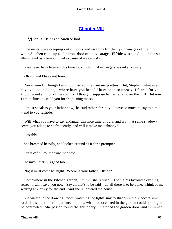## **[Chapter VIII](#page-346-0)**

*'A*llen−a−Dale is no baron or lord.'

 The mists were creeping out of pools and swamps for their pilgrimages of the night when Stephen came up to the front door of the vicarage. Elfride was standing on the step illuminated by a lemon−hued expanse of western sky.

'You never have been all this time looking for that earring?' she said anxiously.

'Oh no; and I have not found it.'

 'Never mind. Though I am much vexed; they are my prettiest. But, Stephen, what ever have you been doing – where have you been? I have been so uneasy. I feared for you, knowing not an inch of the country. I thought, suppose he has fallen over the cliff! But now I am inclined to scold you for frightening me so.'

 'I must speak to your father now,' he said rather abruptly; 'I have so much to say to him – and to you, Elfride.'

 'Will what you have to say endanger this nice time of ours, and is it that same shadowy secret you allude to so frequently, and will it make me unhappy?'

'Possibly.'

She breathed heavily, and looked around as if for a prompter.

'Put it off till to−morrow,' she said.

He involuntarily sighed too.

'No; it must come to−night. Where is your father, Elfride?'

 'Somewhere in the kitchen garden, I think,' she replied. 'That is his favourite evening retreat. I will leave you now. Say all that's to be said – do all there is to be done. Think of me waiting anxiously for the end.' And she re−entered the house.

 She waited in the drawing−room, watching the lights sink to shadows, the shadows sink to darkness, until her impatience to know what had occurred in the garden could no longer be controlled. She passed round the shrubbery, unlatched the garden door, and skimmed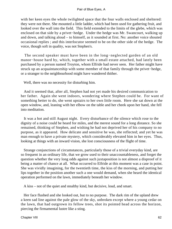with her keen eyes the whole twilighted space that the four walls enclosed and sheltered: they were not there. She mounted a little ladder, which had been used for gathering fruit, and looked over the wall into the field. This field extended to the limits of the glebe, which was enclosed on that side by a privet−hedge. Under the hedge was Mr. Swancourt, walking up and down, and talking aloud – to himself, as it sounded at first. No: another voice shouted occasional replies ; and this interlocutor seemed to be on the other side of the hedge. The voice, though soft in quality, was not Stephen's.

 The second speaker must have been in the long−neglected garden of an old manor−house hard by, which, together with a small estate attached, had lately been purchased by a person named Troyton, whom Elfride had never seen. Her father might have struck up an acquaintanceship with some member of that family through the privet−hedge, or a stranger to the neighbourhood might have wandered thither.

Well, there was no necessity for disturbing him.

 And it seemed that, after all, Stephen had not yet made his desired communication to her father. Again she went indoors, wondering where Stephen could be. For want of something better to do, she went upstairs to her own little room. Here she sat down at the open window, and, leaning with her elbow on the table and her cheek upon her hand, she fell into meditation.

 It was a hot and still August night. Every disturbance of the silence which rose to the dignity of a noise could be heard for miles, and the merest sound for a long distance. So she remained, thinking of Stephen, and wishing he had not deprived her of his company to no purpose, as it appeared. How delicate and sensitive he was, she reflected; and yet he was man enough to have a private mystery, which considerably elevated him in her eyes. Thus, looking at things with an inward vision, she lost consciousness of the flight of time.

 Strange conjunctions of circumstances, particularly those of a trivial everyday kind, are so frequent in an ordinary life, that we grow used to their unaccountableness, and forget the question whether the very long odds against such juxtaposition is not almost a disproof of it being a matter of chance at all. What occurred to Elfride at this moment was a case in point. She was vividly imagining, for the twentieth time, the kiss of the morning, and putting her lips together in the position another such a one would demand, when she heard the identical operation performed on the lawn, immediately beneath her window.

A kiss – not of the quiet and stealthy kind, but decisive, loud, and smart.

 Her face flushed and she looked out, but to no purpose. The dark rim of the upland drew a keen sad line against the pale glow of the sky, unbroken except where a young cedar on the lawn, that had outgrown its fellow trees, shot its pointed head across the horizon, piercing the firmamental lustre like a sting.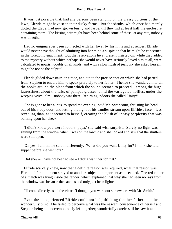It was just possible that, had any persons been standing on the grassy portions of the lawn, Elfride might have seen their dusky forms. But the shrubs, which once had merely dotted the glade, had now grown bushy and large, till they hid at least half the enclosure containing them. The kissing pair might have been behind some of these; at any rate, nobody was in sight.

 Had no enigma ever been connected with her lover by his hints and absences, Elfride would never have thought of admitting into her mind a suspicion that he might be concerned in the foregoing enactment. But the reservations he at present insisted on, while they added to the mystery without which perhaps she would never have seriously loved him at all, were calculated to nourish doubts of all kinds, and with a slow flush of jealousy she asked herself, might he not be the culprit?

 Elfride glided downstairs on tiptoe, and out to the precise spot on which she had parted from Stephen to enable him to speak privately to her father. Thence she wandered into all the nooks around the place from which the sound seemed to proceed – among the huge laurestines, about the tufts of pampas grasses, amid the variegated hollies, under the weeping wych−elm – nobody was there. Returning indoors she called 'Unity!'

 'She is gone to her aunt's, to spend the evening,' said Mr. Swancourt, thrusting his head out of his study door, and letting the light of his candles stream upon Elfride's face – less revealing than, as it seemed to herself, creating the blush of uneasy perplexity that was burning upon her cheek.

 'I didn't know you were indoors, papa,' she said with surprise. 'Surely no light was shining from the window when I was on the lawn?' and she looked and saw that the shutters were still open.

 'Oh yes, I am in,' he said indifferently. 'What did you want Unity for? I think she laid supper before she went out.'

'Did she? – I have not been to see – I didn't want her for that.'

 Elfride scarcely knew, now that a definite reason was required, what that reason was. Her mind for a moment strayed to another subject, unimportant as it seemed. The red ember of a match was lying inside the fender, which explained that why she had seen no rays from the window was because the candles had only just been lighted.

'I'll come directly,' said the vicar. 'I thought you were out somewhere with Mr. Smith.'

 Even the inexperienced Elfride could not help thinking that her father must be wonderfully blind if he failed to perceive what was the nascent consequence of herself and Stephen being so unceremoniously left together; wonderfully careless, if he saw it and did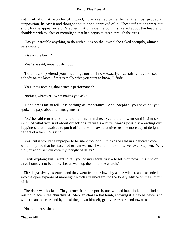not think about it; wonderfully good, if, as seemed to her by far the most probable supposition, he saw it and thought about it and approved of it. These reflections were cut short by the appearance of Stephen just outside the porch, silvered about the head and shoulders with touches of moonlight, that had begun to creep through the trees.

 'Has your trouble anything to do with a kiss on the lawn?' she asked abruptly, almost passionately.

'Kiss on the lawn?'

'Yes!' she said, imperiously now.

 'I didn't comprehend your meaning, nor do I now exactly. I certainly have kissed nobody on the lawn, if that is really what you want to know, Elfride.'

'You know nothing about such a performance?'

'Nothing whatever. What makes you ask?'

 'Don't press me to tell; it is nothing of importance. And, Stephen, you have not yet spoken to papa about our engagement?'

 'No,' he said regretfully, 'I could not find him directly; and then I went on thinking so much of what you said about objections, refusals – bitter words possibly – ending our happiness, that I resolved to put it off till to−morrow; that gives us one more day of delight – delight of a tremulous kind.'

 'Yes; but it would be improper to be silent too long, I think,' she said in a delicate voice, which implied that her face had grown warm. 'I want him to know we love, Stephen. Why did you adopt as your own my thought of delay?'

 'I will explain; but I want to tell you of my secret first – to tell you now. It is two or three hours yet to bedtime. Let us walk up the hill to the church.'

 Elfride passively assented, and they went from the lawn by a side wicket, and ascended into the open expanse of moonlight which streamed around the lonely edifice on the summit of the hill.

 The door was locked. They turned from the porch, and walked hand in hand to find a resting−place in the churchyard. Stephen chose a flat tomb, showing itself to be newer and whiter than those around it, and sitting down himself, gently drew her hand towards him.

'No, not there,' she said.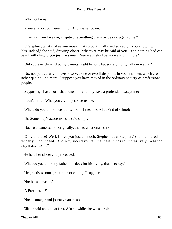'Why not here?'

'A mere fancy; but never mind.' And she sat down.

'Elfie, will you love me, in spite of everything that may be said against me?'

 'O Stephen, what makes you repeat that so continually and so sadly? You know I will. Yes, indeed,' she said, drawing closer, 'whatever may be said of you – and nothing bad can be – I will cling to you just the same. Your ways shall be my ways until I die.'

'Did you ever think what my parents might be, or what society I originally moved in?'

 'No, not particularly. I have observed one or two little points in your manners which are rather quaint – no more. I suppose you have moved in the ordinary society of professional people.'

'Supposing I have not – that none of my family have a profession except me?'

'I don't mind. What you are only concerns me.'

'Where do you think I went to school – I mean, to what kind of school?'

'Dr. Somebody's academy,' she said simply.

'No. To a dame school originally, then to a national school.'

 'Only to those! Well, I love you just as much, Stephen, dear Stephen,' she murmured tenderly, 'I do indeed. And why should you tell me these things so impressively? What do they matter to me?'

He held her closer and proceeded:

'What do you think my father is – does for his living, that is to say?'

'He practises some profession or calling, I suppose.'

'No; he is a mason.'

'A Freemason?'

'No; a cottager and journeyman mason.'

Elfride said nothing at first. After a while she whispered: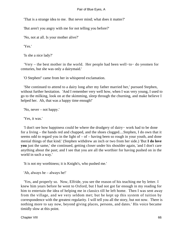'That is a strange idea to me. But never mind; what does it matter?'

'But aren't you angry with me for not telling you before?'

'No, not at all. Is your mother alive?'

'Yes.'

'Is she a nice lady?'

 'Very – the best mother in the world. Her people had been well−to− do yeomen for centuries, but she was only a dairymaid.'

'O Stephen!' came from her in whispered exclamation.

 'She continued to attend to a dairy long after my father married her,' pursued Stephen, without further hesitation. 'And I remember very well how, when I was very young, I used to go to the milking, look on at the skimming, sleep through the churning, and make believe I helped her. Ah, that was a happy time enough!'

'No, never – not happy.'

'Yes, it was.'

 'I don't see how happiness could be where the drudgery of dairy− work had to be done for a living – the hands red and chapped, and the shoes clogged....Stephen, I do own that it seems odd to regard you in the light of  $-$  of  $-$  having been so rough in your youth, and done menial things of that kind.' (Stephen withdrew an inch or two from her side.) 'But **I do love you** just the same,' she continued, getting closer under his shoulder again, 'and I don't care anything about the past; and I see that you are all the worthier for having pushed on in the world in such a way.'

'It is not my worthiness; it is Knight's, who pushed me.'

'Ah, always he – always he!'

 'Yes, and properly so. Now, Elfride, you see the reason of his teaching me by letter. I knew him years before he went to Oxford, but I had not got far enough in my reading for him to entertain the idea of helping me in classics till he left home. Then I was sent away from the village, and we very seldom met; but he kept up this system of tuition by correspondence with the greatest regularity. I will tell you all the story, but not now. There is nothing more to say now, beyond giving places, persons, and dates.' His voice became timidly slow at this point.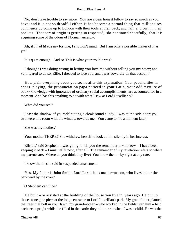'No; don't take trouble to say more. You are a dear honest fellow to say so much as you have; and it is not so dreadful either. It has become a normal thing that millionaires commence by going up to London with their tools at their back, and half−a−crown in their pockets. That sort of origin is getting so respected,' she continued cheerfully, 'that it is acquiring some of the odour of Norman ancestry.'

 'Ah, if I had **Made** my fortune, I shouldn't mind. But I am only a possible maker of it as yet.'

'It is quite enough. And so **This** is what your trouble was?'

 'I thought I was doing wrong in letting you love me without telling you my story; and yet I feared to do so, Elfie. I dreaded to lose you, and I was cowardly on that account.'

 'How plain everything about you seems after this explanation! Your peculiarities in chess−playing, the pronunciation papa noticed in your Latin, your odd mixture of book−knowledge with ignorance of ordinary social accomplishments, are accounted for in a moment. And has this anything to do with what I saw at Lord Luxellian's?'

'What did you see?'

 'I saw the shadow of yourself putting a cloak round a lady. I was at the side door; you two were in a room with the window towards me. You came to me a moment later.'

'She was my mother.'

'Your mother THERE!' She withdrew herself to look at him silently in her interest.

 'Elfride,' said Stephen, 'I was going to tell you the remainder to−morrow – I have been keeping it back – I must tell it now, after all. The remainder of my revelation refers to where my parents are. Where do you think they live? You know them – by sight at any rate.'

'I know them!' she said in suspended amazement.

 'Yes. My father is John Smith, Lord Luxellian's master−mason, who lives under the park wall by the river.'

'O Stephen! can it be?'

 'He built – or assisted at the building of the house you live in, years ago. He put up those stone gate piers at the lodge entrance to Lord Luxellian's park. My grandfather planted the trees that belt in your lawn; my grandmother – who worked in the fields with him – held each tree upright whilst he filled in the earth: they told me so when I was a child. He was the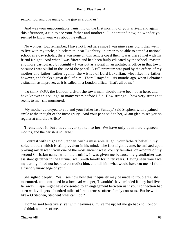sexton, too, and dug many of the graves around us.'

 'And was your unaccountable vanishing on the first morning of your arrival, and again this afternoon, a run to see your father and mother?...I understand now; no wonder you seemed to know your way about the village!'

 'No wonder. But remember, I have not lived here since I was nine years old. I then went to live with my uncle, a blacksmith, near Exonbury, in order to be able to attend a national school as a day scholar; there was none on this remote coast then. It was there I met with my friend Knight. And when I was fifteen and had been fairly educated by the school−master – and more particularly by Knight – I was put as a pupil in an architect's office in that town, because I was skilful in the use of the pencil. A full premium was paid by the efforts of my mother and father, rather against the wishes of Lord Luxellian, who likes my father, however, and thinks a great deal of him. There I stayed till six months ago, when I obtained a situation as improver, as it is called, in a London office. That's all of me.'

 'To think YOU, the London visitor, the town man, should have been born here, and have known this village so many years before I did. How strange – how very strange it seems to me!' she murmured.

 'My mother curtseyed to you and your father last Sunday,' said Stephen, with a pained smile at the thought of the incongruity. 'And your papa said to her, «I am glad to see you so regular at church, JANE.»'

 'I remember it, but I have never spoken to her. We have only been here eighteen months, and the parish is so large.'

 'Contrast with this,' said Stephen, with a miserable laugh, 'your father's belief in my «blue blood,» which is still prevalent in his mind. The first night I came, he insisted upon proving my descent from one of the most ancient west−county families, on account of my second Christian name; when the truth is, it was given me because my grandfather was assistant gardener in the Fitzmaurice−Smith family for thirty years. Having seen your face, my darling, I had not heart to contradict him, and tell him what would have cut me off from a friendly knowledge of you.'

 She sighed deeply. 'Yes, I see now how this inequality may be made to trouble us,' she murmured, and continued in a low, sad whisper, 'I wouldn't have minded if they had lived far away. Papa might have consented to an engagement between us if your connection had been with villagers a hundred miles off; remoteness softens family contrasts. But he will not like – O Stephen, Stephen! what can I do?'

 'Do?' he said tentatively, yet with heaviness. 'Give me up; let me go back to London, and think no more of me.'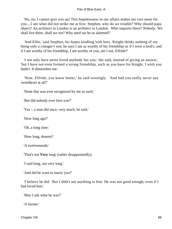'No, no; I cannot give you up! This hopelessness in our affairs makes me care more for you....I see what did not strike me at first. Stephen, why do we trouble? Why should papa object? An architect in London is an architect in London. Who inquires there? Nobody. We shall live there, shall we not? Why need we be so alarmed?'

 'And Elfie,' said Stephen, his hopes kindling with hers, 'Knight thinks nothing of my being only a cottager's son; he says I am as worthy of his friendship as if I were a lord's; and if I am worthy of his friendship, I am worthy of you, am I not, Elfride?'

 'I not only have never loved anybody but you,' she said, instead of giving an answer, 'but I have not even formed a strong friendship, such as you have for Knight. I wish you hadn't. It diminishes me.'

 'Now, Elfride, you know better,' he said wooingly. 'And had you really never any sweetheart at all?'

'None that was ever recognized by me as such.'

'But did nobody ever love you?'

'Yes – a man did once; very much, he said.'

'How long ago?'

'Oh, a long time.'

'How long, dearest?

'A twelvemonth.'

'That's not **Very** long' (rather disappointedly).

'I said long, not very long.'

'And did he want to marry you?'

 'I believe he did. But I didn't see anything in him. He was not good enough, even if I had loved him.'

'May I ask what he was?'

'A farmer.'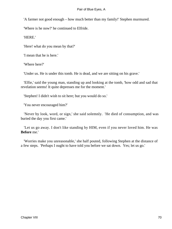'A farmer not good enough – how much better than my family!' Stephen murmured.

'Where is he now?' he continued to Elfride.

'HERE.'

'Here! what do you mean by that?'

'I mean that he is here.'

'Where here?'

'Under us. He is under this tomb. He is dead, and we are sitting on his grave.'

 'Elfie,' said the young man, standing up and looking at the tomb, 'how odd and sad that revelation seems! It quite depresses me for the moment.'

'Stephen! I didn't wish to sit here; but you would do so.'

'You never encouraged him?'

 'Never by look, word, or sign,' she said solemnly. 'He died of consumption, and was buried the day you first came.'

 'Let us go away. I don't like standing by HIM, even if you never loved him. He was **Before** me.'

 'Worries make you unreasonable,' she half pouted, following Stephen at the distance of a few steps. 'Perhaps I ought to have told you before we sat down. Yes; let us go.'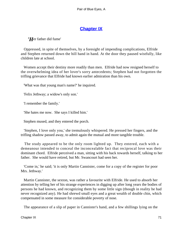# **[Chapter IX](#page-346-0)**

*'H*er father did fume'

 Oppressed, in spite of themselves, by a foresight of impending complications, Elfride and Stephen returned down the hill hand in hand. At the door they paused wistfully, like children late at school.

 Women accept their destiny more readily than men. Elfride had now resigned herself to the overwhelming idea of her lover's sorry antecedents; Stephen had not forgotten the trifling grievance that Elfride had known earlier admiration than his own.

'What was that young man's name?' he inquired.

'Felix Jethway; a widow's only son.'

'I remember the family.'

'She hates me now. She says I killed him.'

Stephen mused, and they entered the porch.

 'Stephen, I love only you,' she tremulously whispered. He pressed her fingers, and the trifling shadow passed away, to admit again the mutual and more tangible trouble.

 The study appeared to be the only room lighted up. They entered, each with a demeanour intended to conceal the inconcealable fact that reciprocal love was their dominant chord. Elfride perceived a man, sitting with his back towards herself, talking to her father. She would have retired, but Mr. Swancourt had seen her.

 'Come in,' he said; 'it is only Martin Cannister, come for a copy of the register for poor Mrs. Jethway.'

 Martin Cannister, the sexton, was rather a favourite with Elfride. He used to absorb her attention by telling her of his strange experiences in digging up after long years the bodies of persons he had known, and recognizing them by some little sign (though in reality he had never recognized any). He had shrewd small eyes and a great wealth of double chin, which compensated in some measure for considerable poverty of nose.

The appearance of a slip of paper in Cannister's hand, and a few shillings lying on the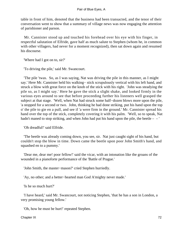table in front of him, denoted that the business had been transacted, and the tenor of their conversation went to show that a summary of village news was now engaging the attention of parishioner and parson.

 Mr. Cannister stood up and touched his forehead over his eye with his finger, in respectful salutation of Elfride, gave half as much salute to Stephen (whom he, in common with other villagers, had never for a moment recognized), then sat down again and resumed his discourse.

'Where had I got on to, sir?'

'To driving the pile,' said Mr. Swancourt.

 'The pile 'twas. So, as I was saying, Nat was driving the pile in this manner, as I might say.' Here Mr. Cannister held his walking− stick scrupulously vertical with his left hand, and struck a blow with great force on the knob of the stick with his right. 'John was steadying the pile so, as I might say.' Here he gave the stick a slight shake, and looked firmly in the various eyes around to see that before proceeding further his listeners well grasped the subject at that stage. 'Well, when Nat had struck some half−dozen blows more upon the pile, 'a stopped for a second or two. John, thinking he had done striking, put his hand upon the top o' the pile to gie en a pull, and see if 'a were firm in the ground.' Mr. Cannister spread his hand over the top of the stick, completely covering it with his palm. 'Well, so to speak, Nat hadn't maned to stop striking, and when John had put his hand upon the pile, the beetle  $-$  –

'Oh dreadful!' said Elfride.

 'The beetle was already coming down, you see, sir. Nat just caught sight of his hand, but couldn't stop the blow in time. Down came the beetle upon poor John Smith's hand, and squashed en to a pummy.'

 'Dear me, dear me! poor fellow!' said the vicar, with an intonation like the groans of the wounded in a pianoforte performance of the 'Battle of Prague.'

'John Smith, the master−mason?' cried Stephen hurriedly.

'Ay, no other; and a better−hearted man God A'mighty never made.'

'Is he so much hurt?'

 'I have heard,' said Mr. Swancourt, not noticing Stephen, 'that he has a son in London, a very promising young fellow.'

'Oh, how he must be hurt!' repeated Stephen.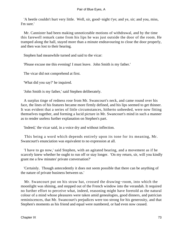'A beetle couldn't hurt very little. Well, sir, good−night t'ye; and ye, sir; and you, miss, I'm sure.'

 Mr. Cannister had been making unnoticeable motions of withdrawal, and by the time this farewell remark came from his lips he was just outside the door of the room. He tramped along the hall, stayed more than a minute endeavouring to close the door properly, and then was lost to their hearing.

Stephen had meanwhile turned and said to the vicar:

'Please excuse me this evening! I must leave. John Smith is my father.'

The vicar did not comprehend at first.

'What did you say?' he inquired.

'John Smith is my father,' said Stephen deliberately.

 A surplus tinge of redness rose from Mr. Swancourt's neck, and came round over his face, the lines of his features became more firmly defined, and his lips seemed to get thinner. It was evident that a series of little circumstances, hitherto unheeded, were now fitting themselves together, and forming a lucid picture in Mr. Swancourt's mind in such a manner as to render useless further explanation on Stephen's part.

'Indeed,' the vicar said, in a voice dry and without inflection.

 This being a word which depends entirely upon its tone for its meaning, Mr. Swancourt's enunciation was equivalent to no expression at all.

 'I have to go now,' said Stephen, with an agitated bearing, and a movement as if he scarcely knew whether he ought to run off or stay longer. 'On my return, sir, will you kindly grant me a few minutes' private conversation?'

 'Certainly. Though antecedently it does not seem possible that there can be anything of the nature of private business between us.'

 Mr. Swancourt put on his straw hat, crossed the drawing−room, into which the moonlight was shining, and stepped out of the French window into the verandah. It required no further effort to perceive what, indeed, reasoning might have foretold as the natural colour of a mind whose pleasures were taken amid genealogies, good dinners, and patrician reminiscences, that Mr. Swancourt's prejudices were too strong for his generosity, and that Stephen's moments as his friend and equal were numbered, or had even now ceased.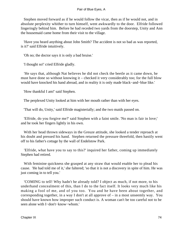Stephen moved forward as if he would follow the vicar, then as if he would not, and in absolute perplexity whither to turn himself, went awkwardly to the door. Elfride followed lingeringly behind him. Before he had receded two yards from the doorstep, Unity and Ann the housemaid came home from their visit to the village.

 'Have you heard anything about John Smith? The accident is not so bad as was reported, is it?' said Elfride intuitively.

'Oh no; the doctor says it is only a bad bruise.'

'I thought so!' cried Elfride gladly.

 'He says that, although Nat believes he did not check the beetle as it came down, he must have done so without knowing it – checked it very considerably too; for the full blow would have knocked his hand abroad, and in reality it is only made black−and−blue like.'

'How thankful I am!' said Stephen.

The perplexed Unity looked at him with her mouth rather than with her eyes.

'That will do, Unity,' said Elfride magisterially; and the two maids passed on.

 'Elfride, do you forgive me?' said Stephen with a faint smile. 'No man is fair in love;' and he took her fingers lightly in his own.

 With her head thrown sideways in the Greuze attitude, she looked a tender reproach at his doubt and pressed his hand. Stephen returned the pressure threefold, then hastily went off to his father's cottage by the wall of Endelstow Park.

 'Elfride, what have you to say to this?' inquired her father, coming up immediately Stephen had retired.

 With feminine quickness she grasped at any straw that would enable her to plead his cause. 'He had told me of it,' she faltered; 'so that it is not a discovery in spite of him. He was just coming in to tell you.'

 'COMING to tell! Why hadn't he already told? I object as much, if not more, to his underhand concealment of this, than I do to the fact itself. It looks very much like his making a fool of me, and of you too. You and he have been about together, and corresponding together, in a way I don't at all approve of – in a most unseemly way. You should have known how improper such conduct is. A woman can't be too careful not to be seen alone with I−don't−know−whom.'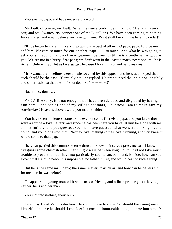'You saw us, papa, and have never said a word.'

 'My fault, of course; my fault. What the deuce could I be thinking of! He, a villager's son; and we, Swancourts, connections of the Luxellians. We have been coming to nothing for centuries, and now I believe we have got there. What shall I next invite here, I wonder!'

 Elfride began to cry at this very unpropitious aspect of affairs. 'O papa, papa, forgive me and him! We care so much for one another, papa – O, so much! And what he was going to ask you is, if you will allow of an engagement between us till he is a gentleman as good as you. We are not in a hurry, dear papa; we don't want in the least to marry now; not until he is richer. Only will you let us be engaged, because I love him so, and he loves me?'

 Mr. Swancourt's feelings were a little touched by this appeal, and he was annoyed that such should be the case. 'Certainly not!' he replied. He pronounced the inhibition lengthily and sonorously, so that the 'not' sounded like 'n−o−o−o−t!'

'No, no, no; don't say it!'

 'Foh! A fine story. It is not enough that I have been deluded and disgraced by having him here, – the son of one of my village peasants, – but now I am to make him my son−in−law! Heavens above us, are you mad, Elfride?'

 'You have seen his letters come to me ever since his first visit, papa, and you knew they were a sort of – love−letters; and since he has been here you have let him be alone with me almost entirely; and you guessed, you must have guessed, what we were thinking of, and doing, and you didn't stop him. Next to love−making comes love−winning, and you knew it would come to that, papa.'

 The vicar parried this common−sense thrust. 'I know – since you press me so – I know I did guess some childish attachment might arise between you; I own I did not take much trouble to prevent it; but I have not particularly countenanced it; and, Elfride, how can you expect that I should now? It is impossible; no father in England would hear of such a thing.'

 'But he is the same man, papa; the same in every particular; and how can he be less fit for me than he was before?'

 'He appeared a young man with well−to−do friends, and a little property; but having neither, he is another man.'

'You inquired nothing about him?'

 'I went by Hewby's introduction. He should have told me. So should the young man himself; of course he should. I consider it a most dishonourable thing to come into a man's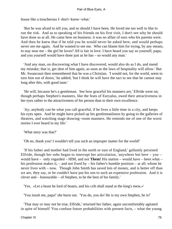house like a treacherous I−don't−know−what.'

 'But he was afraid to tell you, and so should I have been. He loved me too well to like to run the risk. And as to speaking of his friends on his first visit, I don't see why he should have done so at all. He came here on business: it was no affair of ours who his parents were. And then he knew that if he told you he would never be asked here, and would perhaps never see me again. And he wanted to see me. Who can blame him for trying, by any means, to stay near me – the girl he loves? All is fair in love. I have heard you say so yourself, papa; and you yourself would have done just as he has – so would any man.'

 'And any man, on discovering what I have discovered, would also do as I do, and mend my mistake; that is, get shot of him again, as soon as the laws of hospitality will allow.' But Mr. Swancourt then remembered that he was a Christian. 'I would not, for the world, seem to turn him out of doors,' he added; 'but I think he will have the tact to see that he cannot stay long after this, with good taste.'

 'He will, because he's a gentleman. See how graceful his manners are,' Elfride went on; though perhaps Stephen's manners, like the feats of Euryalus, owed their attractiveness in her eyes rather to the attractiveness of his person than to their own excellence.

 'Ay; anybody can be what you call graceful, if he lives a little time in a city, and keeps his eyes open. And he might have picked up his gentlemanliness by going to the galleries of theatres, and watching stage drawing−room manners. He reminds me of one of the worst stories I ever heard in my life.'

'What story was that?'

'Oh no, thank you! I wouldn't tell you such an improper matter for the world!'

 'If his father and mother had lived in the north or east of England,' gallantly persisted Elfride, though her sobs began to interrupt her articulation, 'anywhere but here – you – would have – only regarded – HIM, and not **Them!** His station – would have – been what – his profession makes it, – and not fixed by – his father's humble position – at all; whom he never lives with – now. Though John Smith has saved lots of money, and is better off than we are, they say, or he couldn't have put his son to such an expensive profession. And it is clever and – honourable – of Stephen, to be the best of his family.'

'Yes. «Let a beast be lord of beasts, and his crib shall stand at the king's mess.»'

'You insult me, papa!' she burst out. 'You do, you do! He is my own Stephen, he is!'

 'That may or may not be true, Elfride,' returned her father, again uncomfortably agitated in spite of himself 'You confuse future probabilities with present facts, – what the young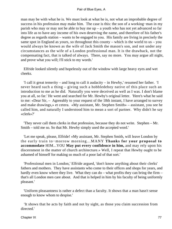man may be with what he is. We must look at what he is, not what an improbable degree of success in his profession may make him. The case is this: the son of a working−man in my parish who may or may not be able to buy me up – a youth who has not yet advanced so far into life as to have any income of his own deserving the name, and therefore of his father's degree as regards station – wants to be engaged to you. His family are living in precisely the same spot in England as yours, so throughout this county – which is the world to us – you would always be known as the wife of Jack Smith the mason's son, and not under any circumstances as the wife of a London professional man. It is the drawback, not the compensating fact, that is talked of always. There, say no more. You may argue all night, and prove what you will; I'll stick to my words.'

 Elfride looked silently and hopelessly out of the window with large heavy eyes and wet cheeks.

 'I call it great temerity – and long to call it audacity – in Hewby,' resumed her father. 'I never heard such a thing – giving such a hobbledehoy native of this place such an introduction to me as he did. Naturally you were deceived as well as I was. I don't blame you at all, so far.' He went and searched for Mr. Hewby's original letter. 'Here's what he said to me: «Dear Sir, – Agreeably to your request of the 18th instant, I have arranged to survey and make drawings,» et cetera. «My assistant, Mr. Stephen Smith» – assistant, you see he called him, and naturally I understood him to mean a sort of partner. Why didn't he say «clerk»?'

 'They never call them clerks in that profession, because they do not write. Stephen – Mr. Smith – told me so. So that Mr. Hewby simply used the accepted word.'

 'Let me speak, please, Elfride! «My assistant, Mr. Stephen Smith, will leave London by the early train to−morrow morning...MANY **Thanks for your proposal to accommodate** HIM...YOU **May put every confidence in him,** and may rely upon his discernment in the matter of church architecture.» Well, I repeat that Hewby ought to be ashamed of himself for making so much of a poor lad of that sort.'

 'Professional men in London,' Elfride argued, 'don't know anything about their clerks' fathers and mothers. They have assistants who come to their offices and shops for years, and hardly even know where they live. What they can do – what profits they can bring the firm – that's all London men care about. And that is helped in him by his faculty of being uniformly pleasant.'

 'Uniform pleasantness is rather a defect than a faculty. It shows that a man hasn't sense enough to know whom to despise.'

 'It shows that he acts by faith and not by sight, as those you claim succession from directed.'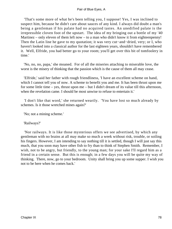'That's some more of what he's been telling you, I suppose! Yes, I was inclined to suspect him, because he didn't care about sauces of any kind. I always did doubt a man's being a gentleman if his palate had no acquired tastes. An unedified palate is the irrepressible cloven foot of the upstart. The idea of my bringing out a bottle of my '40 Martinez – only eleven of them left now – to a man who didn't know it from eighteenpenny! Then the Latin line he gave to my quotation; it was very cut–and–dried, very; or I, who haven't looked into a classical author for the last eighteen years, shouldn't have remembered it. Well, Elfride, you had better go to your room; you'll get over this bit of tomfoolery in time.'

 'No, no, no, papa,' she moaned. For of all the miseries attaching to miserable love, the worst is the misery of thinking that the passion which is the cause of them all may cease.

 'Elfride,' said her father with rough friendliness, 'I have an excellent scheme on hand, which I cannot tell you of now. A scheme to benefit you and me. It has been thrust upon me for some little time – yes, thrust upon me – but I didn't dream of its value till this afternoon, when the revelation came. I should be most unwise to refuse to entertain it.'

 'I don't like that word,' she returned wearily. 'You have lost so much already by schemes. Is it those wretched mines again?'

'No; not a mining scheme.'

'Railways?'

 'Nor railways. It is like those mysterious offers we see advertised, by which any gentleman with no brains at all may make so much a week without risk, trouble, or soiling his fingers. However, I am intending to say nothing till it is settled, though I will just say this much, that you soon may have other fish to fry than to think of Stephen Smith. Remember, I wish, not to be angry, but friendly, to the young man; for your sake I'll regard him as a friend in a certain sense. But this is enough; in a few days you will be quite my way of thinking. There, now, go to your bedroom. Unity shall bring you up some supper. I wish you not to be here when he comes back.'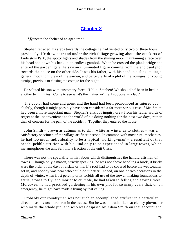# **[Chapter X](#page-346-0)**

*'R*eneath the shelter of an aged tree.'

 Stephen retraced his steps towards the cottage he had visited only two or three hours previously. He drew near and under the rich foliage growing about the outskirts of Endelstow Park, the spotty lights and shades from the shining moon maintaining a race over his head and down his back in an endless gambol. When he crossed the plank bridge and entered the garden−gate, he saw an illuminated figure coming from the enclosed plot towards the house on the other side. It was his father, with his hand in a sling, taking a general moonlight view of the garden, and particularly of a plot of the youngest of young turnips, previous to closing the cottage for the night.

 He saluted his son with customary force. 'Hallo, Stephen! We should ha' been in bed in another ten minutes. Come to see what's the matter wi' me, I suppose, my lad?'

 The doctor had come and gone, and the hand had been pronounced as injured but slightly, though it might possibly have been considered a far more serious case if Mr. Smith had been a more important man. Stephen's anxious inquiry drew from his father words of regret at the inconvenience to the world of his doing nothing for the next two days, rather than of concern for the pain of the accident. Together they entered the house.

 John Smith – brown as autumn as to skin, white as winter as to clothes – was a satisfactory specimen of the village artificer in stone. In common with most rural mechanics, he had too much individuality to be a typical 'working−man' – a resultant of that beach−pebble attrition with his kind only to be experienced in large towns, which metamorphoses the unit Self into a fraction of the unit Class.

 There was not the speciality in his labour which distinguishes the handicraftsmen of towns. Though only a mason, strictly speaking, he was not above handling a brick, if bricks were the order of the day; or a slate or tile, if a roof had to be covered before the wet weather set in, and nobody was near who could do it better. Indeed, on one or two occasions in the depth of winter, when frost peremptorily forbids all use of the trowel, making foundations to settle, stones to fly, and mortar to crumble, he had taken to felling and sawing trees. Moreover, he had practised gardening in his own plot for so many years that, on an emergency, he might have made a living by that calling.

 Probably our countryman was not such an accomplished artificer in a particular direction as his town brethren in the trades. But he was, in truth, like that clumsy pin−maker who made the whole pin, and who was despised by Adam Smith on that account and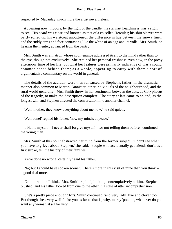respected by Macaulay, much more the artist nevertheless.

 Appearing now, indoors, by the light of the candle, his stalwart healthiness was a sight to see. His beard was close and knotted as that of a chiselled Hercules; his shirt sleeves were partly rolled up, his waistcoat unbuttoned; the difference in hue between the snowy linen and the ruddy arms and face contrasting like the white of an egg and its yolk. Mrs. Smith, on hearing them enter, advanced from the pantry.

 Mrs. Smith was a matron whose countenance addressed itself to the mind rather than to the eye, though not exclusively. She retained her personal freshness even now, in the prosy afternoon−time of her life; but what her features were primarily indicative of was a sound common sense behind them; as a whole, appearing to carry with them a sort of argumentative commentary on the world in general.

 The details of the accident were then rehearsed by Stephen's father, in the dramatic manner also common to Martin Cannister, other individuals of the neighbourhood, and the rural world generally. Mrs. Smith threw in her sentiments between the acts, as Coryphaeus of the tragedy, to make the description complete. The story at last came to an end, as the longest will, and Stephen directed the conversation into another channel.

'Well, mother, they know everything about me now,' he said quietly.

'Well done!' replied his father; 'now my mind's at peace.'

 'I blame myself – I never shall forgive myself – for not telling them before,' continued the young man.

 Mrs. Smith at this point abstracted her mind from the former subject. 'I don't see what you have to grieve about, Stephen,' she said. 'People who accidentally get friends don't, as a first stroke, tell the history of their families.'

'Ye've done no wrong, certainly,' said his father.

 'No; but I should have spoken sooner. There's more in this visit of mine than you think – a good deal more.'

 'Not more than I think,' Mrs. Smith replied, looking contemplatively at him. Stephen blushed; and his father looked from one to the other in a state of utter incomprehension.

 'She's a pretty piece enough,' Mrs. Smith continued, 'and very lady−like and clever too. But though she's very well fit for you as far as that is, why, mercy 'pon me, what ever do you want any woman at all for yet?'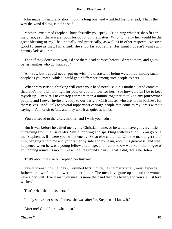John made his naturally short mouth a long one, and wrinkled his forehead, 'That's the way the wind d'blow, is it?' he said.

 'Mother,' exclaimed Stephen, 'how absurdly you speak! Criticizing whether she's fit for me or no, as if there were room for doubt on the matter! Why, to marry her would be the great blessing of my life – socially and practically, as well as in other respects. No such good fortune as that, I'm afraid; she's too far above me. Her family doesn't want such country lads as I in it.'

 'Then if they don't want you, I'd see them dead corpses before I'd want them, and go to better families who do want you.'

 'Ah, yes; but I could never put up with the distaste of being welcomed among such people as you mean, whilst I could get indifference among such people as hers.'

 'What crazy twist o' thinking will enter your head next?' said his mother. 'And come to that, she's not a bit too high for you, or you too low for her. See how careful I be to keep myself up. I'm sure I never stop for more than a minute together to talk to any journeymen people; and I never invite anybody to our party o' Christmases who are not in business for themselves. And I talk to several toppermost carriage people that come to my lord's without saying ma'am or sir to 'em, and they take it as quiet as lambs.'

'You curtseyed to the vicar, mother; and I wish you hadn't.'

 'But it was before he called me by my Christian name, or he would have got very little curtseying from me!' said Mrs. Smith, bridling and sparkling with vexation. 'You go on at me, Stephen, as if I were your worst enemy! What else could I do with the man to get rid of him, banging it into me and your father by side and by seam, about his greatness, and what happened when he was a young fellow at college, and I don't know what−all; the tongue o' en flopping round his mouth like a mop−rag round a dairy. That 'a did, didn't he, John?'

'That's about the size o't,' replied her husband.

 'Every woman now−a−days,' resumed Mrs. Smith, 'if she marry at all, must expect a father−in−law of a rank lower than her father. The men have gone up so, and the women have stood still. Every man you meet is more the dand than his father; and you are just level wi' her.'

'That's what she thinks herself.'

'It only shows her sense. I knew she was after 'ee, Stephen – I knew it.'

'After me! Good Lord, what next!'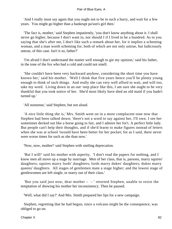'And I really must say again that you ought not to be in such a hurry, and wait for a few years. You might go higher than a bankrupt pa'son's girl then.'

 'The fact is, mother,' said Stephen impatiently, 'you don't know anything about it. I shall never go higher, because I don't want to, nor should I if I lived to be a hundred. As to you saying that she's after me, I don't like such a remark about her, for it implies a scheming woman, and a man worth scheming for, both of which are not only untrue, but ludicrously untrue, of this case. Isn't it so, father?'

 'I'm afraid I don't understand the matter well enough to gie my opinion,' said his father, in the tone of the fox who had a cold and could not smell.

 'She couldn't have been very backward anyhow, considering the short time you have known her,' said his mother. 'Well I think that five years hence you'll be plenty young enough to think of such things. And really she can very well afford to wait, and will too, take my word. Living down in an out−step place like this, I am sure she ought to be very thankful that you took notice of her. She'd most likely have died an old maid if you hadn't turned up.'

'All nonsense,' said Stephen, but not aloud.

 'A nice little thing she is,' Mrs. Smith went on in a more complacent tone now that Stephen had been talked down; 'there's not a word to say against her, I'll own. I see her sometimes decked out like a horse going to fair, and I admire her for't. A perfect little lady. But people can't help their thoughts, and if she'd learnt to make figures instead of letters when she was at school 'twould have been better for her pocket; for as I said, there never were worse times for such as she than now.'

'Now, now, mother!' said Stephen with smiling deprecation.

 'But I will!' said his mother with asperity. 'I don't read the papers for nothing, and I know men all move up a stage by marriage. Men of her class, that is, parsons, marry squires' daughters; squires marry lords' daughters; lords marry dukes' daughters; dukes marry queens' daughters. All stages of gentlemen mate a stage higher; and the lowest stage of gentlewomen are left single, or marry out of their class.'

'But you said just now, dear mother  $-$  - ' retorted Stephen, unable to resist the temptation of showing his mother her inconsistency. Then he paused.

'Well, what did I say?' And Mrs. Smith prepared her lips for a new campaign.

 Stephen, regretting that he had begun, since a volcano might be the consequence, was obliged to go on.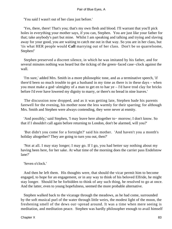'You said I wasn't out of her class just before.'

 'Yes, there, there! That's you; that's my own flesh and blood. I'll warrant that you'll pick holes in everything your mother says, if you can, Stephen. You are just like your father for that; take anybody's part but mine. Whilst I am speaking and talking and trying and slaving away for your good, you are waiting to catch me out in that way. So you are in her class, but 'tis what HER people would **Call** marrying out of her class. Don't be so quarrelsome, Stephen!'

 Stephen preserved a discreet silence, in which he was imitated by his father, and for several minutes nothing was heard but the ticking of the green−faced case−clock against the wall.

 'I'm sure,' added Mrs. Smith in a more philosophic tone, and as a terminative speech, 'if there'd been so much trouble to get a husband in my time as there is in these days – when you must make a god−almighty of a man to get en to hae ye – I'd have trod clay for bricks before I'd ever have lowered my dignity to marry, or there's no bread in nine loaves.'

 The discussion now dropped, and as it was getting late, Stephen bade his parents farewell for the evening, his mother none the less warmly for their sparring; for although Mrs. Smith and Stephen were always contending, they were never at enmity.

 'And possibly,' said Stephen, 'I may leave here altogether to− morrow; I don't know. So that if I shouldn't call again before returning to London, don't be alarmed, will you?'

 'But didn't you come for a fortnight?' said his mother. 'And haven't you a month's holiday altogether? They are going to turn you out, then?'

 'Not at all. I may stay longer; I may go. If I go, you had better say nothing about my having been here, for her sake. At what time of the morning does the carrier pass Endelstow lane?'

'Seven o'clock.'

 And then he left them. His thoughts were, that should the vicar permit him to become engaged, to hope for an engagement, or in any way to think of his beloved Elfride, he might stay longer. Should he be forbidden to think of any such thing, he resolved to go at once. And the latter, even to young hopefulness, seemed the more probable alternative.

 Stephen walked back to the vicarage through the meadows, as he had come, surrounded by the soft musical purl of the water through little weirs, the modest light of the moon, the freshening smell of the dews out−spread around. It was a time when mere seeing is meditation, and meditation peace. Stephen was hardly philosopher enough to avail himself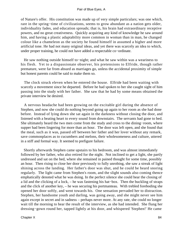of Nature's offer. His constitution was made up of very simple particulars; was one which, rare in the spring−time of civilizations, seems to grow abundant as a nation gets older, individuality fades, and education spreads; that is, his brain had extraordinary receptive powers, and no great creativeness. Quickly acquiring any kind of knowledge he saw around him, and having a plastic adaptability more common in woman than in man, he changed colour like a chameleon as the society he found himself in assumed a higher and more artificial tone. He had not many original ideas, and yet there was scarcely an idea to which, under proper training, he could not have added a respectable co−ordinate.

 He saw nothing outside himself to−night; and what he saw within was a weariness to his flesh. Yet to a dispassionate observer, his pretensions to Elfride, though rather premature, were far from absurd as marriages go, unless the accidental proximity of simple but honest parents could be said to make them so.

 The clock struck eleven when he entered the house. Elfride had been waiting with scarcely a movement since he departed. Before he had spoken to her she caught sight of him passing into the study with her father. She saw that he had by some means obtained the private interview he desired.

 A nervous headache had been growing on the excitable girl during the absence of Stephen, and now she could do nothing beyond going up again to her room as she had done before. Instead of lying down she sat again in the darkness without closing the door, and listened with a beating heart to every sound from downstairs. The servants had gone to bed. She ultimately heard the two men come from the study and cross to the dining−room, where supper had been lingering for more than an hour. The door was left open, and she found that the meal, such as it was, passed off between her father and her lover without any remark, save commonplaces as to cucumbers and melons, their wholesomeness and culture, uttered in a stiff and formal way. It seemed to prefigure failure.

 Shortly afterwards Stephen came upstairs to his bedroom, and was almost immediately followed by her father, who also retired for the night. Not inclined to get a light, she partly undressed and sat on the bed, where she remained in pained thought for some time, possibly an hour. Then rising to close her door previously to fully unrobing, she saw a streak of light shining across the landing. Her father's door was shut, and he could be heard snoring regularly. The light came from Stephen's room, and the slight sounds also coming thence emphatically denoted what he was doing. In the perfect silence she could hear the closing of a lid and the clicking of a lock, – he was fastening his hat−box. Then the buckling of straps and the click of another key, – he was securing his portmanteau. With trebled foreboding she opened her door softly, and went towards his. One sensation pervaded her to distraction. Stephen, her handsome youth and darling, was going away, and she might never see him again except in secret and in sadness – perhaps never more. At any rate, she could no longer wait till the morning to hear the result of the interview, as she had intended. She flung her dressing−gown round her, tapped lightly at his door, and whispered 'Stephen!' He came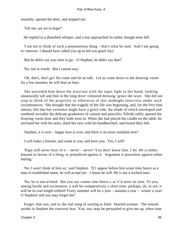instantly, opened the door, and stepped out.

'Tell me; are we to hope?'

He replied in a disturbed whisper, and a tear approached its outlet, though none fell.

 'I am not to think of such a preposterous thing – that's what he said. And I am going to−morrow. I should have called you up to bid you good−bye.'

'But he didn't say you were to go – O Stephen, he didn't say that?'

'No; not in words. But I cannot stay.'

 'Oh, don't, don't go! Do come and let us talk. Let us come down to the drawing−room for a few minutes; he will hear us here.'

 She preceded him down the staircase with the taper light in her hand, looking unnaturally tall and thin in the long dove−coloured dressing−gown she wore. She did not stop to think of the propriety or otherwise of this midnight interview under such circumstances. She thought that the tragedy of her life was beginning, and, for the first time almost, felt that her existence might have a grave side, the shade of which enveloped and rendered invisible the delicate gradations of custom and punctilio. Elfride softly opened the drawing−room door and they both went in. When she had placed the candle on the table, he enclosed her with his arms, dried her eyes with his handkerchief, and kissed their lids.

'Stephen, it is over – happy love is over; and there is no more sunshine now!'

'I will make a fortune, and come to you, and have you. Yes, I will!'

 'Papa will never hear of it – never – never! You don't know him. I do. He is either biassed in favour of a thing, or prejudiced against it. Argument is powerless against either feeling.'

 'No; I won't think of him so,' said Stephen. 'If I appear before him some time hence as a man of established name, he will accept me – I know he will. He is not a wicked man.'

 'No, he is not wicked. But you say «some time hence,» as if it were no time. To you, among bustle and excitement, it will be comparatively a short time, perhaps; oh, to me, it will be its real length trebled! Every summer will be a year – autumn a year – winter a year! O Stephen! and you may forget me!'

 Forget: that was, and is, the real sting of waiting to fond− hearted woman. The remark awoke in Stephen the converse fear. 'You, too, may be persuaded to give me up, when time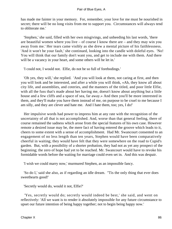has made me fainter in your memory. For, remember, your love for me must be nourished in secret; there will be no long visits from me to support you. Circumstances will always tend to obliterate me.'

 'Stephen,' she said, filled with her own misgivings, and unheeding his last words, 'there are beautiful women where you live – of course I know there are – and they may win you away from me.' Her tears came visibly as she drew a mental picture of his faithlessness. 'And it won't be your fault,' she continued, looking into the candle with doleful eyes. 'No! You will think that our family don't want you, and get to include me with them. And there will be a vacancy in your heart, and some others will be let in.'

'I could not, I would not. Elfie, do not be so full of forebodings.'

 'Oh yes, they will,' she replied. 'And you will look at them, not caring at first, and then you will look and be interested, and after a while you will think, «Ah, they know all about city life, and assemblies, and coteries, and the manners of the titled, and poor little Elfie, with all the fuss that's made about her having me, doesn't know about anything but a little house and a few cliffs and a space of sea, far away.» And then you'll be more interested in them, and they'll make you have them instead of me, on purpose to be cruel to me because I am silly, and they are clever and hate me. And I hate them, too; yes, I do!'

 Her impulsive words had power to impress him at any rate with the recognition of the uncertainty of all that is not accomplished. And, worse than that general feeling, there of course remained the sadness which arose from the special features of his own case. However remote a desired issue may be, the mere fact of having entered the groove which leads to it, cheers to some extent with a sense of accomplishment. Had Mr. Swancourt consented to an engagement of no less length than ten years, Stephen would have been comparatively cheerful in waiting; they would have felt that they were somewhere on the road to Cupid's garden. But, with a possibility of a shorter probation, they had not as yet any prospect of the beginning; the zero of hope had yet to be reached. Mr. Swancourt would have to revoke his formidable words before the waiting for marriage could even set in. And this was despair.

'I wish we could marry now,' murmured Stephen, as an impossible fancy.

 'So do I,' said she also, as if regarding an idle dream. ''Tis the only thing that ever does sweethearts good!'

'Secretly would do, would it not, Elfie?'

 'Yes, secretly would do; secretly would indeed be best,' she said, and went on reflectively: 'All we want is to render it absolutely impossible for any future circumstance to upset our future intention of being happy together; not to begin being happy now.'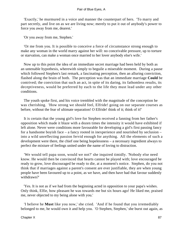'Exactly,' he murmured in a voice and manner the counterpart of hers. 'To marry and part secretly, and live on as we are living now; merely to put it out of anybody's power to force you away from me, dearest.'

'Or you away from me, Stephen.'

 'Or me from you. It is possible to conceive a force of circumstance strong enough to make any woman in the world marry against her will: no conceivable pressure, up to torture or starvation, can make a woman once married to her lover anybody else's wife.'

 Now up to this point the idea of an immediate secret marriage had been held by both as an untenable hypothesis, wherewith simply to beguile a miserable moment. During a pause which followed Stephen's last remark, a fascinating perception, then an alluring conviction, flashed along the brain of both. The perception was that an immediate marriage **Could** be contrived; the conviction that such an act, in spite of its daring, its fathomless results, its deceptiveness, would be preferred by each to the life they must lead under any other conditions.

 The youth spoke first, and his voice trembled with the magnitude of the conception he was cherishing. 'How strong we should feel, Elfride! going on our separate courses as before, without the fear of ultimate separation! O Elfride! think of it; think of it!'

 It is certain that the young girl's love for Stephen received a fanning from her father's opposition which made it blaze with a dozen times the intensity it would have exhibited if left alone. Never were conditions more favourable for developing a girl's first passing fancy for a handsome boyish face – a fancy rooted in inexperience and nourished by seclusion – into a wild unreflecting passion fervid enough for anything. All the elements of such a development were there, the chief one being hopelessness – a necessary ingredient always to perfect the mixture of feelings united under the name of loving to distraction.

 'We would tell papa soon, would we not?' she inquired timidly. 'Nobody else need know. He would then be convinced that hearts cannot be played with; love encouraged be ready to grow, love discouraged be ready to die, at a moment's notice. Stephen, do you not think that if marriages against a parent's consent are ever justifiable, they are when young people have been favoured up to a point, as we have, and then have had that favour suddenly withdrawn?'

 'Yes. It is not as if we had from the beginning acted in opposition to your papa's wishes. Only think, Elfie, how pleasant he was towards me but six hours ago! He liked me, praised me, never objected to my being alone with you.'

 'I believe he **Must** like you now,' she cried. 'And if he found that you irremediably belonged to me, he would own it and help you. 'O Stephen, Stephen,' she burst out again, as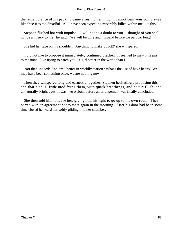the remembrance of his packing came afresh to her mind, 'I cannot bear your going away like this! It is too dreadful. All I have been expecting miserably killed within me like this!'

 Stephen flushed hot with impulse. 'I will not be a doubt to you – thought of you shall not be a misery to me!' he said. 'We will be wife and husband before we part for long!'

She hid her face on his shoulder. 'Anything to make SURE!' she whispered.

 'I did not like to propose it immediately,' continued Stephen. 'It seemed to me – it seems to me now – like trying to catch you – a girl better in the world than I.'

 'Not that, indeed! And am I better in worldly station? What's the use of have beens? We may have been something once; we are nothing now.'

 Then they whispered long and earnestly together; Stephen hesitatingly proposing this and that plan, Elfride modifying them, with quick breathings, and hectic flush, and unnaturally bright eyes. It was two o'clock before an arrangement was finally concluded.

 She then told him to leave her, giving him his light to go up to his own room. They parted with an agreement not to meet again in the morning. After his door had been some time closed he heard her softly gliding into her chamber.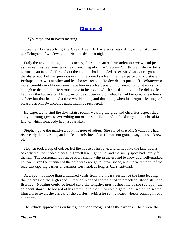# **[Chapter XI](#page-346-0)**

*'J*ourneys end in lovers meeting.'

 Stephen lay watching the Great Bear; Elfride was regarding a monotonous parallelogram of window blind. Neither slept that night.

 Early the next morning – that is to say, four hours after their stolen interview, and just as the earliest servant was heard moving about – Stephen Smith went downstairs, portmanteau in hand. Throughout the night he had intended to see Mr. Swancourt again, but the sharp rebuff of the previous evening rendered such an interview particularly distasteful. Perhaps there was another and less honest reason. He decided to put it off. Whatever of moral timidity or obliquity may have lain in such a decision, no perception of it was strong enough to detain him. He wrote a note in his room, which stated simply that he did not feel happy in the house after Mr. Swancourt's sudden veto on what he had favoured a few hours before; but that he hoped a time would come, and that soon, when his original feelings of pleasure as Mr. Swancourt's guest might be recovered.

 He expected to find the downstairs rooms wearing the gray and cheerless aspect that early morning gives to everything out of the sun. He found in the dining room a breakfast laid, of which somebody had just partaken.

 Stephen gave the maid−servant his note of adieu. She stated that Mr. Swancourt had risen early that morning, and made an early breakfast. He was not going away that she knew of.

 Stephen took a cup of coffee, left the house of his love, and turned into the lane. It was so early that the shaded places still smelt like night time, and the sunny spots had hardly felt the sun. The horizontal rays made every shallow dip in the ground to show as a well−marked hollow. Even the channel of the path was enough to throw shade, and the very stones of the road cast tapering dashes of darkness westward, as long as Jael's tent−nail.

 At a spot not more than a hundred yards from the vicar's residence the lane leading thence crossed the high road. Stephen reached the point of intersection, stood still and listened. Nothing could be heard save the lengthy, murmuring line of the sea upon the adjacent shore. He looked at his watch, and then mounted a gate upon which he seated himself, to await the arrival of the carrier. Whilst he sat he heard wheels coming in two directions.

The vehicle approaching on his right he soon recognized as the carrier's. There were the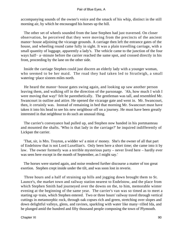accompanying sounds of the owner's voice and the smack of his whip, distinct in the still morning air, by which he encouraged his horses up the hill.

 The other set of wheels sounded from the lane Stephen had just traversed. On closer observation, he perceived that they were moving from the precincts of the ancient manor−house adjoining the vicarage grounds. A carriage then left the entrance gates of the house, and wheeling round came fully in sight. It was a plain travelling carriage, with a small quantity of luggage, apparently a lady's. The vehicle came to the junction of the four ways half− a−minute before the carrier reached the same spot, and crossed directly in his front, proceeding by the lane on the other side.

 Inside the carriage Stephen could just discern an elderly lady with a younger woman, who seemed to be her maid. The road they had taken led to Stratleigh, a small watering−place sixteen miles north.

 He heard the manor−house gates swing again, and looking up saw another person leaving them, and walking off in the direction of the parsonage. 'Ah, how much I wish I were moving that way!' felt he parenthetically. The gentleman was tall, and resembled Mr. Swancourt in outline and attire. He opened the vicarage gate and went in. Mr. Swancourt, then, it certainly was. Instead of remaining in bed that morning Mr. Swancourt must have taken it into his head to see his new neighbour off on a journey. He must have been greatly interested in that neighbour to do such an unusual thing.

 The carrier's conveyance had pulled up, and Stephen now handed in his portmanteau and mounted the shafts. 'Who is that lady in the carriage?' he inquired indifferently of Lickpan the carrier.

 'That, sir, is Mrs. Troyton, a widder wi' a mint o' money. She's the owner of all that part of Endelstow that is not Lord Luxellian's. Only been here a short time; she came into it by law. The owner formerly was a terrible mysterious party – never lived here – hardly ever was seen here except in the month of September, as I might say.'

 The horses were started again, and noise rendered further discourse a matter of too great exertion. Stephen crept inside under the tilt, and was soon lost in reverie.

 Three hours and a half of straining up hills and jogging down brought them to St. Launce's, the market town and railway station nearest to Endelstow, and the place from which Stephen Smith had journeyed over the downs on the, to him, memorable winter evening at the beginning of the same year. The carrier's van was so timed as to meet a starting up−train, which Stephen entered. Two or three hours' railway travel through vertical cuttings in metamorphic rock, through oak copses rich and green, stretching over slopes and down delightful valleys, glens, and ravines, sparkling with water like many−rilled Ida, and he plunged amid the hundred and fifty thousand people composing the town of Plymouth.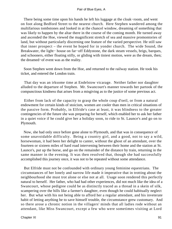There being some time upon his hands he left his luggage at the cloak−room, and went on foot along Bedford Street to the nearest church. Here Stephen wandered among the multifarious tombstones and looked in at the chancel window, dreaming of something that was likely to happen by the altar there in the course of the coming month. He turned away and ascended the Hoe, viewed the magnificent stretch of sea and massive promontories of land, but without particularly discerning one feature of the varied perspective. He still saw that inner prospect – the event he hoped for in yonder church. The wide Sound, the Breakwater, the light− house on far−off Eddystone, the dark steam vessels, brigs, barques, and schooners, either floating stilly, or gliding with tiniest motion, were as the dream, then; the dreamed−of event was as the reality.

 Soon Stephen went down from the Hoe, and returned to the railway station. He took his ticket, and entered the London train.

 That day was an irksome time at Endelstow vicarage. Neither father nor daughter alluded to the departure of Stephen. Mr. Swancourt's manner towards her partook of the compunctious kindness that arises from a misgiving as to the justice of some previous act.

 Either from lack of the capacity to grasp the whole coup d'oeil, or from a natural endowment for certain kinds of stoicism, women are cooler than men in critical situations of the passive form. Probably, in Elfride's case at least, it was blindness to the greater contingencies of the future she was preparing for herself, which enabled her to ask her father in a quiet voice if he could give her a holiday soon, to ride to St. Launce's and go on to Plymouth.

 Now, she had only once before gone alone to Plymouth, and that was in consequence of some unavoidable difficulty. Being a country girl, and a good, not to say a wild, horsewoman, it had been her delight to canter, without the ghost of an attendant, over the fourteen or sixteen miles of hard road intervening between their home and the station at St. Launce's, put up the horse, and go on the remainder of the distance by train, returning in the same manner in the evening. It was then resolved that, though she had successfully accomplished this journey once, it was not to be repeated without some attendance.

 But Elfride must not be confounded with ordinary young feminine equestrians. The circumstances of her lonely and narrow life made it imperative that in trotting about the neighbourhood she must trot alone or else not at all. Usage soon rendered this perfectly natural to herself. Her father, who had had other experiences, did not much like the idea of a Swancourt, whose pedigree could be as distinctly traced as a thread in a skein of silk, scampering over the hills like a farmer's daughter, even though he could habitually neglect her. But what with his not being able to afford her a regular attendant, and his inveterate habit of letting anything be to save himself trouble, the circumstance grew customary. And so there arose a chronic notion in the villagers' minds that all ladies rode without an attendant, like Miss Swancourt, except a few who were sometimes visiting at Lord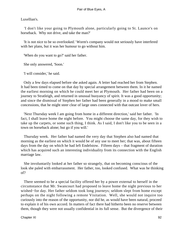Luxellian's.

 'I don't like your going to Plymouth alone, particularly going to St. Launce's on horseback. Why not drive, and take the man?'

 'It is not nice to be so overlooked.' Worm's company would not seriously have interfered with her plans, but it was her humour to go without him.

'When do you want to go?' said her father.

She only answered, 'Soon.'

'I will consider,' he said.

 Only a few days elapsed before she asked again. A letter had reached her from Stephen. It had been timed to come on that day by special arrangement between them. In it he named the earliest morning on which he could meet her at Plymouth. Her father had been on a journey to Stratleigh, and returned in unusual buoyancy of spirit. It was a good opportunity; and since the dismissal of Stephen her father had been generally in a mood to make small concessions, that he might steer clear of large ones connected with that outcast lover of hers.

 'Next Thursday week I am going from home in a different direction,' said her father. 'In fact, I shall leave home the night before. You might choose the same day, for they wish to take up the carpets, or some such thing, I think. As I said, I don't like you to be seen in a town on horseback alone; but go if you will.'

 Thursday week. Her father had named the very day that Stephen also had named that morning as the earliest on which it would be of any use to meet her; that was, about fifteen days from the day on which he had left Endelstow. Fifteen days – that fragment of duration which has acquired such an interesting individuality from its connection with the English marriage law.

 She involuntarily looked at her father so strangely, that on becoming conscious of the look she paled with embarrassment. Her father, too, looked confused. What was he thinking of?

 There seemed to be a special facility offered her by a power external to herself in the circumstance that Mr. Swancourt had proposed to leave home the night previous to her wished−for day. Her father seldom took long journeys; seldom slept from home except perhaps on the night following a remote Visitation. Well, she would not inquire too curiously into the reason of the opportunity, nor did he, as would have been natural, proceed to explain it of his own accord. In matters of fact there had hitherto been no reserve between them, though they were not usually confidential in its full sense. But the divergence of their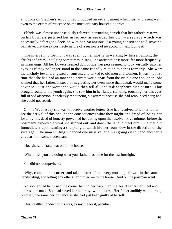emotions on Stephen's account had produced an estrangement which just at present went even to the extent of reticence on the most ordinary household topics.

 Elfride was almost unconsciously relieved, persuading herself that her father's reserve on his business justified her in secrecy as regarded her own – a secrecy which was necessarily a foregone decision with her. So anxious is a young conscience to discover a palliative, that the ex post facto nature of a reason is of no account in excluding it.

 The intervening fortnight was spent by her mostly in walking by herself among the shrubs and trees, indulging sometimes in sanguine anticipations; more, far more frequently, in misgivings. All her flowers seemed dull of hue; her pets seemed to look wistfully into her eyes, as if they no longer stood in the same friendly relation to her as formerly. She wore melancholy jewellery, gazed at sunsets, and talked to old men and women. It was the first time that she had had an inner and private world apart from the visible one about her. She wished that her father, instead of neglecting her even more than usual, would make some advance – just one word; she would then tell all, and risk Stephen's displeasure. Thus brought round to the youth again, she saw him in her fancy, standing, touching her, his eyes full of sad affection, hopelessly renouncing his attempt because she had renounced hers; and she could not recede.

 On the Wednesday she was to receive another letter. She had resolved to let her father see the arrival of this one, be the consequences what they might: the dread of losing her lover by this deed of honesty prevented her acting upon the resolve. Five minutes before the postman's expected arrival she slipped out, and down the lane to meet him. She met him immediately upon turning a sharp angle, which hid her from view in the direction of the vicarage. The man smilingly handed one missive, and was going on to hand another, a circular from some tradesman.

'No,' she said; 'take that on to the house.'

'Why, miss, you are doing what your father has done for the last fortnight.'

She did not comprehend.

 'Why, come to this corner, and take a letter of me every morning, all writ in the same handwriting, and letting any others for him go on to the house.' And on the postman went.

 No sooner had he turned the corner behind her back than she heard her father meet and address the man. She had saved her letter by two minutes. Her father audibly went through precisely the same performance as she had just been guilty of herself.

This stealthy conduct of his was, to say the least, peculiar.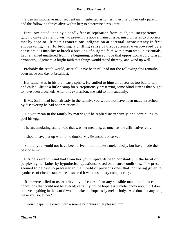Given an impulsive inconsequent girl, neglected as to her inner life by her only parent, and the following forces alive within her; to determine a resultant:

 First love acted upon by a deadly fear of separation from its object: inexperience, guiding onward a frantic wish to prevent the above−named issue: misgivings as to propriety, met by hope of ultimate exoneration: indignation at parental inconsistency in first encouraging, then forbidding: a chilling sense of disobedience, overpowered by a conscientious inability to brook a breaking of plighted faith with a man who, in essentials, had remained unaltered from the beginning: a blessed hope that opposition would turn an erroneous judgement: a bright faith that things would mend thereby, and wind up well.

 Probably the result would, after all, have been nil, had not the following few remarks been made one day at breakfast.

 Her father was in his old hearty spirits. He smiled to himself at stories too bad to tell, and called Elfride a little scamp for surreptitiously preserving some blind kittens that ought to have been drowned. After this expression, she said to him suddenly:

 If Mr. Smith had been already in the family, you would not have been made wretched by discovering he had poor relations?'

 'Do you mean in the family by marriage?' he replied inattentively, and continuing to peel his egg.

The accumulating scarlet told that was her meaning, as much as the affirmative reply.

'I should have put up with it, no doubt,' Mr. Swancourt observed.

 'So that you would not have been driven into hopeless melancholy, but have made the best of him?'

 Elfride's erratic mind had from her youth upwards been constantly in the habit of perplexing her father by hypothetical questions, based on absurd conditions. The present seemed to be cast so precisely in the mould of previous ones that, not being given to syntheses of circumstances, he answered it with customary complacency.

 'If he were allied to us irretrievably, of course I, or any sensible man, should accept conditions that could not be altered; certainly not be hopelessly melancholy about it. I don't believe anything in the world would make me hopelessly melancholy. And don't let anything make you so, either.'

'I won't, papa,' she cried, with a serene brightness that pleased him.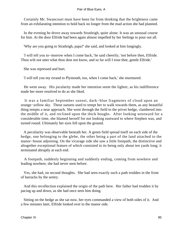Certainly Mr. Swancourt must have been far from thinking that the brightness came from an exhilarating intention to hold back no longer from the mad action she had planned.

 In the evening he drove away towards Stratleigh, quite alone. It was an unusual course for him. At the door Elfride had been again almost impelled by her feelings to pour out all.

'Why are you going to Stratleigh, papa?' she said, and looked at him longingly.

 'I will tell you to−morrow when I come back,' he said cheerily; 'not before then, Elfride. Thou wilt not utter what thou dost not know, and so far will I trust thee, gentle Elfride.'

She was repressed and hurt.

'I will tell you my errand to Plymouth, too, when I come back,' she murmured.

 He went away. His jocularity made her intention seem the lighter, as his indifference made her more resolved to do as she liked.

 It was a familiar September sunset, dark−blue fragments of cloud upon an orange−yellow sky. These sunsets used to tempt her to walk towards them, as any beautiful thing tempts a near approach. She went through the field to the privet hedge, clambered into the middle of it, and reclined upon the thick boughs. After looking westward for a considerable time, she blamed herself for not looking eastward to where Stephen was, and turned round. Ultimately her eyes fell upon the ground.

 A peculiarity was observable beneath her. A green field spread itself on each side of the hedge, one belonging to the glebe, the other being a part of the land attached to the manor−house adjoining. On the vicarage side she saw a little footpath, the distinctive and altogether exceptional feature of which consisted in its being only about ten yards long; it terminated abruptly at each end.

 A footpath, suddenly beginning and suddenly ending, coming from nowhere and leading nowhere, she had never seen before.

 Yes, she had, on second thoughts. She had seen exactly such a path trodden in the front of barracks by the sentry.

 And this recollection explained the origin of the path here. Her father had trodden it by pacing up and down, as she had once seen him doing.

 Sitting on the hedge as she sat now, her eyes commanded a view of both sides of it. And a few minutes later, Elfride looked over to the manor side.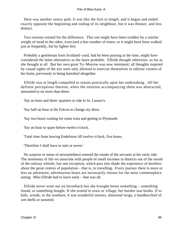Here was another sentry path. It was like the first in length, and it began and ended exactly opposite the beginning and ending of its neighbour, but it was thinner, and less distinct.

 Two reasons existed for the difference. This one might have been trodden by a similar weight of tread to the other, exercised a less number of times; or it might have been walked just as frequently, but by lighter feet.

 Probably a gentleman from Scotland−yard, had he been passing at the time, might have considered the latter alternative as the more probable. Elfride thought otherwise, so far as she thought at all. But her own great To−Morrow was now imminent; all thoughts inspired by casual sights of the eye were only allowed to exercise themselves in inferior corners of her brain, previously to being banished altogether.

 Elfride was at length compelled to reason practically upon her undertaking. All her definite perceptions thereon, when the emotion accompanying them was abstracted, amounted to no more than these:

'Say an hour and three−quarters to ride to St. Launce's.

'Say half an hour at the Falcon to change my dress.

'Say two hours waiting for some train and getting to Plymouth.

'Say an hour to spare before twelve o'clock.

'Total time from leaving Endelstow till twelve o'clock, five hours.

'Therefore I shall have to start at seven.'

 No surprise or sense of unwontedness entered the minds of the servants at her early ride. The monotony of life we associate with people of small incomes in districts out of the sound of the railway whistle, has one exception, which puts into shade the experience of dwellers about the great centres of population – that is, in travelling. Every journey there is more or less an adventure; adventurous hours are necessarily chosen for the most commonplace outing. Miss Elfride had to leave early – that was all.

 Elfride never went out on horseback but she brought home something – something found, or something bought. If she trotted to town or village, her burden was books. If to hills, woods, or the seashore, it was wonderful mosses, abnormal twigs, a handkerchief of wet shells or seaweed.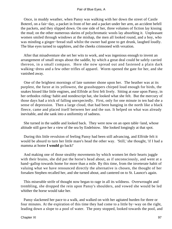Once, in muddy weather, when Pansy was walking with her down the street of Castle Boterel, on a fair−day, a packet in front of her and a packet under her arm, an accident befell the packets, and they slipped down. On one side of her, three volumes of fiction lay kissing the mud; on the other numerous skeins of polychromatic wools lay absorbing it. Unpleasant women smiled through windows at the mishap, the men all looked round, and a boy, who was minding a ginger−bread stall whilst the owner had gone to get drunk, laughed loudly. The blue eyes turned to sapphires, and the cheeks crimsoned with vexation.

 After that misadventure she set her wits to work, and was ingenious enough to invent an arrangement of small straps about the saddle, by which a great deal could be safely carried thereon, in a small compass. Here she now spread out and fastened a plain dark walking−dress and a few other trifles of apparel. Worm opened the gate for her, and she vanished away.

 One of the brightest mornings of late summer shone upon her. The heather was at its purplest, the furze at its yellowest, the grasshoppers chirped loud enough for birds, the snakes hissed like little engines, and Elfride at first felt lively. Sitting at ease upon Pansy, in her orthodox riding−habit and nondescript hat, she looked what she felt. But the mercury of those days had a trick of falling unexpectedly. First, only for one minute in ten had she a sense of depression. Then a large cloud, that had been hanging in the north like a black fleece, came and placed itself between her and the sun. It helped on what was already inevitable, and she sank into a uniformity of sadness.

 She turned in the saddle and looked back. They were now on an open table−land, whose altitude still gave her a view of the sea by Endelstow. She looked longingly at that spot.

 During this little revulsion of feeling Pansy had been still advancing, and Elfride felt it would be absurd to turn her little mare's head the other way. 'Still,' she thought, 'if I had a mamma at home **I would** go back!'

 And making one of those stealthy movements by which women let their hearts juggle with their brains, she did put the horse's head about, as if unconsciously, and went at a hand−gallop towards home for more than a mile. By this time, from the inveterate habit of valuing what we have renounced directly the alternative is chosen, the thought of her forsaken Stephen recalled her, and she turned about, and cantered on to St. Launce's again.

 This miserable strife of thought now began to rage in all its wildness. Overwrought and trembling, she dropped the rein upon Pansy's shoulders, and vowed she would be led whither the horse would take her.

 Pansy slackened her pace to a walk, and walked on with her agitated burden for three or four minutes. At the expiration of this time they had come to a little by−way on the right, leading down a slope to a pool of water. The pony stopped, looked towards the pool, and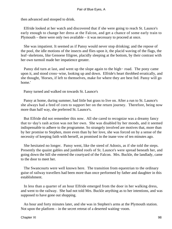then advanced and stooped to drink.

 Elfride looked at her watch and discovered that if she were going to reach St. Launce's early enough to change her dress at the Falcon, and get a chance of some early train to Plymouth – there were only two available – it was necessary to proceed at once.

 She was impatient. It seemed as if Pansy would never stop drinking; and the repose of the pool, the idle motions of the insects and flies upon it, the placid waving of the flags, the leaf−skeletons, like Genoese filigree, placidly sleeping at the bottom, by their contrast with her own turmoil made her impatience greater.

 Pansy did turn at last, and went up the slope again to the high− road. The pony came upon it, and stood cross−wise, looking up and down. Elfride's heart throbbed erratically, and she thought, 'Horses, if left to themselves, make for where they are best fed. Pansy will go home.'

Pansy turned and walked on towards St. Launce's

 Pansy at home, during summer, had little but grass to live on. After a run to St. Launce's she always had a feed of corn to support her on the return journey. Therefore, being now more than half way, she preferred St. Launce's.

 But Elfride did not remember this now. All she cared to recognize was a dreamy fancy that to−day's rash action was not her own. She was disabled by her moods, and it seemed indispensable to adhere to the programme. So strangely involved are motives that, more than by her promise to Stephen, more even than by her love, she was forced on by a sense of the necessity of keeping faith with herself, as promised in the inane vow of ten minutes ago.

 She hesitated no longer. Pansy went, like the steed of Adonis, as if she told the steps. Presently the quaint gables and jumbled roofs of St. Launce's were spread beneath her, and going down the hill she entered the courtyard of the Falcon. Mrs. Buckle, the landlady, came to the door to meet her.

 The Swancourts were well known here. The transition from equestrian to the ordinary guise of railway travellers had been more than once performed by father and daughter in this establishment.

 In less than a quarter of an hour Elfride emerged from the door in her walking dress, and went to the railway. She had not told Mrs. Buckle anything as to her intentions, and was supposed to have gone out shopping.

 An hour and forty minutes later, and she was in Stephen's arms at the Plymouth station. Not upon the platform – in the secret retreat of a deserted waiting−room.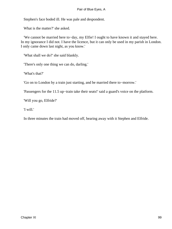Stephen's face boded ill. He was pale and despondent.

What is the matter?' she asked.

 'We cannot be married here to−day, my Elfie! I ought to have known it and stayed here. In my ignorance I did not. I have the licence, but it can only be used in my parish in London. I only came down last night, as you know.'

'What shall we do?' she said blankly.

'There's only one thing we can do, darling.'

'What's that?'

'Go on to London by a train just starting, and be married there to−morrow.'

'Passengers for the 11.5 up−train take their seats!' said a guard's voice on the platform.

'Will you go, Elfride?'

'I will.'

In three minutes the train had moved off, bearing away with it Stephen and Elfride.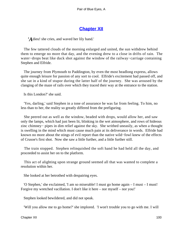# **[Chapter XII](#page-346-0)**

*A* dieu! she cries, and waved her lily hand.'

 The few tattered clouds of the morning enlarged and united, the sun withdrew behind them to emerge no more that day, and the evening drew to a close in drifts of rain. The water−drops beat like duck shot against the window of the railway−carriage containing Stephen and Elfride.

 The journey from Plymouth to Paddington, by even the most headlong express, allows quite enough leisure for passion of any sort to cool. Elfride's excitement had passed off, and she sat in a kind of stupor during the latter half of the journey. She was aroused by the clanging of the maze of rails over which they traced their way at the entrance to the station.

Is this London?' she said.

 'Yes, darling,' said Stephen in a tone of assurance he was far from feeling. To him, no less than to her, the reality so greatly differed from the prefiguring.

 She peered out as well as the window, beaded with drops, would allow her, and saw only the lamps, which had just been lit, blinking in the wet atmosphere, and rows of hideous zinc chimney− pipes in dim relief against the sky. She writhed uneasily, as when a thought is swelling in the mind which must cause much pain at its deliverance in words. Elfride had known no more about the stings of evil report than the native wild−fowl knew of the effects of Crusoe's first shot. Now she saw a little further, and a little further still.

 The train stopped. Stephen relinquished the soft hand he had held all the day, and proceeded to assist her on to the platform.

 This act of alighting upon strange ground seemed all that was wanted to complete a resolution within her.

She looked at her betrothed with despairing eyes.

 'O Stephen,' she exclaimed, 'I am so miserable! I must go home again – I must – I must! Forgive my wretched vacillation. I don't like it here – nor myself – nor you!'

Stephen looked bewildered, and did not speak.

'Will you allow me to go home?' she implored. 'I won't trouble you to go with me. I will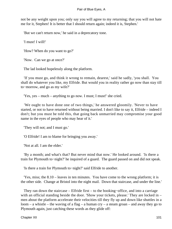not be any weight upon you; only say you will agree to my returning; that you will not hate me for it, Stephen! It is better that I should return again; indeed it is, Stephen.'

'But we can't return now,' he said in a deprecatory tone.

'I must! I will!'

'How? When do you want to go?'

'Now. Can we go at once?'

The lad looked hopelessly along the platform.

 'If you must go, and think it wrong to remain, dearest,' said he sadly, 'you shall. You shall do whatever you like, my Elfride. But would you in reality rather go now than stay till to−morrow, and go as my wife?'

'Yes, yes – much – anything to go now. I must; I must!' she cried.

 'We ought to have done one of two things,' he answered gloomily. 'Never to have started, or not to have returned without being married. I don't like to say it, Elfride – indeed I don't; but you must be told this, that going back unmarried may compromise your good name in the eyes of people who may hear of it.'

'They will not; and I must go.'

'O Elfride! I am to blame for bringing you away.'

'Not at all. I am the elder.'

 'By a month; and what's that? But never mind that now.' He looked around. 'Is there a train for Plymouth to−night?' he inquired of a guard. The guard passed on and did not speak.

'Is there a train for Plymouth to−night?' said Elfride to another.

 'Yes, miss; the 8.10 – leaves in ten minutes. You have come to the wrong platform; it is the other side. Change at Bristol into the night mail. Down that staircase, and under the line.'

 They ran down the staircase – Elfride first – to the booking−office, and into a carriage with an official standing beside the door. 'Show your tickets, please.' They are locked in – men about the platform accelerate their velocities till they fly up and down like shuttles in a loom – a whistle – the waving of a flag – a human  $\text{cry}$  – a steam groan – and away they go to Plymouth again, just catching these words as they glide off: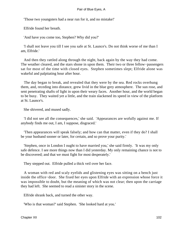'Those two youngsters had a near run for it, and no mistake!'

Elfride found her breath.

'And have you come too, Stephen? Why did you?'

 'I shall not leave you till I see you safe at St. Launce's. Do not think worse of me than I am, Elfride.'

 And then they rattled along through the night, back again by the way they had come. The weather cleared, and the stars shone in upon them. Their two or three fellow–passengers sat for most of the time with closed eyes. Stephen sometimes slept; Elfride alone was wakeful and palpitating hour after hour.

 The day began to break, and revealed that they were by the sea. Red rocks overhung them, and, receding into distance, grew livid in the blue grey atmosphere. The sun rose, and sent penetrating shafts of light in upon their weary faces. Another hour, and the world began to be busy. They waited yet a little, and the train slackened its speed in view of the platform at St. Launce's.

She shivered, and mused sadly.

 'I did not see all the consequences,' she said. 'Appearances are wofully against me. If anybody finds me out, I am, I suppose, disgraced.'

 'Then appearances will speak falsely; and how can that matter, even if they do? I shall be your husband sooner or later, for certain, and so prove your purity.'

 'Stephen, once in London I ought to have married you,' she said firmly. 'It was my only safe defence. I see more things now than I did yesterday. My only remaining chance is not to be discovered; and that we must fight for most desperately.'

They stepped out. Elfride pulled a thick veil over her face.

 A woman with red and scaly eyelids and glistening eyes was sitting on a bench just inside the office−door. She fixed her eyes upon Elfride with an expression whose force it was impossible to doubt, but the meaning of which was not clear; then upon the carriage they had left. She seemed to read a sinister story in the scene.

Elfride shrank back, and turned the other way.

'Who is that woman?' said Stephen. 'She looked hard at you.'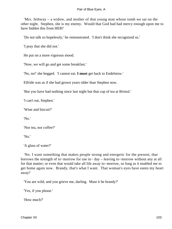'Mrs. Jethway – a widow, and mother of that young man whose tomb we sat on the other night. Stephen, she is my enemy. Would that God had had mercy enough upon me to have hidden this from HER!'

'Do not talk so hopelessly,' he remonstrated. 'I don't think she recognized us.'

'I pray that she did not.'

He put on a more vigorous mood.

'Now, we will go and get some breakfast.'

'No, no!' she begged. 'I cannot eat. **I must** get back to Endelstow.'

Elfride was as if she had grown years older than Stephen now.

'But you have had nothing since last night but that cup of tea at Bristol.'

'I can't eat, Stephen.'

'Wine and biscuit?'

'No.'

'Nor tea, nor coffee?'

'No.'

'A glass of water?'

 'No. I want something that makes people strong and energetic for the present, that borrows the strength of to−morrow for use to− day – leaving to−morrow without any at all for that matter; or even that would take all life away to−morrow, so long as it enabled me to get home again now. Brandy, that's what I want. That woman's eyes have eaten my heart away!'

'You are wild; and you grieve me, darling. Must it be brandy?'

'Yes, if you please.'

'How much?'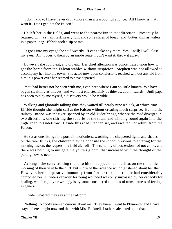'I don't know. I have never drunk more than a teaspoonful at once. All I know is that I want it. Don't get it at the Falcon.'

 He left her in the fields, and went to the nearest inn in that direction. Presently he returned with a small flask nearly full, and some slices of bread−and−butter, thin as wafers, in a paper− bag. Elfride took a sip or two.

 'It goes into my eyes,' she said wearily. 'I can't take any more. Yes, I will; I will close my eyes. Ah, it goes to them by an inside route. I don't want it; throw it away.'

 However, she could eat, and did eat. Her chief attention was concentrated upon how to get the horse from the Falcon stables without suspicion. Stephen was not allowed to accompany her into the town. She acted now upon conclusions reached without any aid from him: his power over her seemed to have departed.

 'You had better not be seen with me, even here where I am so little known. We have begun stealthily as thieves, and we must end stealthily as thieves, at all hazards. Until papa has been told by me myself, a discovery would be terrible.'

 Walking and gloomily talking thus they waited till nearly nine o'clock, at which time Elfride thought she might call at the Falcon without creating much surprise. Behind the railway−station was the river, spanned by an old Tudor bridge, whence the road diverged in two directions, one skirting the suburbs of the town, and winding round again into the high−road to Endelstow. Beside this road Stephen sat, and awaited her return from the Falcon.

 He sat as one sitting for a portrait, motionless, watching the chequered lights and shades on the tree−trunks, the children playing opposite the school previous to entering for the morning lesson, the reapers in a field afar off. The certainty of possession had not come, and there was nothing to mitigate the youth's gloom, that increased with the thought of the parting now so near.

 At length she came trotting round to him, in appearance much as on the romantic morning of their visit to the cliff, but shorn of the radiance which glistened about her then. However, her comparative immunity from further risk and trouble had considerably composed her. Elfride's capacity for being wounded was only surpassed by her capacity for healing, which rightly or wrongly is by some considered an index of transientness of feeling in general.

'Elfride, what did they say at the Falcon?'

 'Nothing. Nobody seemed curious about me. They knew I went to Plymouth, and I have stayed there a night now and then with Miss Bicknell. I rather calculated upon that.'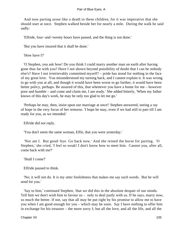And now parting arose like a death to these children, for it was imperative that she should start at once. Stephen walked beside her for nearly a mile. During the walk he said sadly:

'Elfride, four−and−twenty hours have passed, and the thing is not done.'

'But you have insured that it shall be done.'

'How have I?'

 'O Stephen, you ask how! Do you think I could marry another man on earth after having gone thus far with you? Have I not shown beyond possibility of doubt that I can be nobody else's? Have I not irretrievably committed myself? – pride has stood for nothing in the face of my great love. You misunderstood my turning back, and I cannot explain it. It was wrong to go with you at all; and though it would have been worse to go further, it would have been better policy, perhaps. Be assured of this, that whenever you have a home for me – however poor and humble – and come and claim me, I am ready.' She added bitterly, 'When my father knows of this day's work, he may be only too glad to let me go.'

 'Perhaps he may, then, insist upon our marriage at once!' Stephen answered, seeing a ray of hope in the very focus of her remorse. 'I hope he may, even if we had still to part till I am ready for you, as we intended.'

Elfride did not reply.

'You don't seem the same woman, Elfie, that you were yesterday.'

 'Nor am I. But good−bye. Go back now.' And she reined the horse for parting. 'O Stephen,' she cried, 'I feel so weak! I don't know how to meet him. Cannot you, after all, come back with me?'

'Shall I come?'

Elfride paused to think.

 'No; it will not do. It is my utter foolishness that makes me say such words. But he will send for you.'

 'Say to him,' continued Stephen, 'that we did this in the absolute despair of our minds. Tell him we don't wish him to favour us – only to deal justly with us. If he says, marry now, so much the better. If not, say that all may be put right by his promise to allow me to have you when I am good enough for you – which may be soon. Say I have nothing to offer him in exchange for his treasure – the more sorry I; but all the love, and all the life, and all the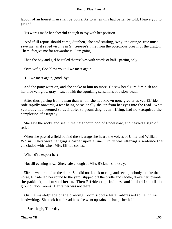labour of an honest man shall be yours. As to when this had better be told, I leave you to judge.'

His words made her cheerful enough to toy with her position.

 'And if ill report should come, Stephen,' she said smiling, 'why, the orange−tree must save me, as it saved virgins in St. George's time from the poisonous breath of the dragon. There, forgive me for forwardness: I am going.'

Then the boy and girl beguiled themselves with words of half– parting only.

'Own wifie, God bless you till we meet again!'

'Till we meet again, good−bye!'

 And the pony went on, and she spoke to him no more. He saw her figure diminish and her blue veil grow gray – saw it with the agonizing sensations of a slow death.

 After thus parting from a man than whom she had known none greater as yet, Elfride rode rapidly onwards, a tear being occasionally shaken from her eyes into the road. What yesterday had seemed so desirable, so promising, even trifling, had now acquired the complexion of a tragedy.

 She saw the rocks and sea in the neighbourhood of Endelstow, and heaved a sigh of relief

 When she passed a field behind the vicarage she heard the voices of Unity and William Worm. They were hanging a carpet upon a line. Unity was uttering a sentence that concluded with 'when Miss Elfride comes.'

'When d'ye expect her?'

'Not till evening now. She's safe enough at Miss Bicknell's, bless ye.'

 Elfride went round to the door. She did not knock or ring; and seeing nobody to take the horse, Elfride led her round to the yard, slipped off the bridle and saddle, drove her towards the paddock, and turned her in. Then Elfride crept indoors, and looked into all the ground−floor rooms. Her father was not there.

 On the mantelpiece of the drawing−room stood a letter addressed to her in his handwriting. She took it and read it as she went upstairs to change her habit.

**Stratleigh,** Thursday.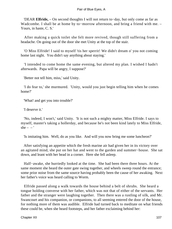'DEAR **Elfride,** – On second thoughts I will not return to−day, but only come as far as Wadcombe. I shall be at home by to−morrow afternoon, and bring a friend with me. – Yours, in haste, C. S.'

 After making a quick toilet she felt more revived, though still suffering from a headache. On going out of the door she met Unity at the top of the stair.

 'O Miss Elfride! I said to myself 'tis her sperrit! We didn't dream o' you not coming home last night. You didn't say anything about staying.'

 'I intended to come home the same evening, but altered my plan. I wished I hadn't afterwards. Papa will be angry, I suppose?'

'Better not tell him, miss,' said Unity.

 'I do fear to,' she murmured. 'Unity, would you just begin telling him when he comes home?'

'What! and get you into trouble?'

'I deserve it.'

 'No, indeed, I won't,' said Unity. 'It is not such a mighty matter, Miss Elfride. I says to myself, master's taking a hollerday, and because he's not been kind lately to Miss Elfride, she –  $-$ '

'Is imitating him. Well, do as you like. And will you now bring me some luncheon?'

 After satisfying an appetite which the fresh marine air had given her in its victory over an agitated mind, she put on her hat and went to the garden and summer−house. She sat down, and leant with her head in a corner. Here she fell asleep.

 Half−awake, she hurriedly looked at the time. She had been there three hours. At the same moment she heard the outer gate swing together, and wheels sweep round the entrance; some prior noise from the same source having probably been the cause of her awaking. Next her father's voice was heard calling to Worm.

 Elfride passed along a walk towards the house behind a belt of shrubs. She heard a tongue holding converse with her father, which was not that of either of the servants. Her father and the stranger were laughing together. Then there was a rustling of silk, and Mr. Swancourt and his companion, or companions, to all seeming entered the door of the house, for nothing more of them was audible. Elfride had turned back to meditate on what friends these could be, when she heard footsteps, and her father exclaiming behind her: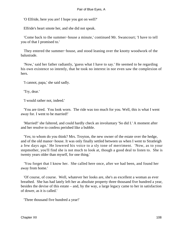'O Elfride, here you are! I hope you got on well?'

Elfride's heart smote her, and she did not speak.

 'Come back to the summer−house a minute,' continued Mr. Swancourt; 'I have to tell you of that I promised to.'

 They entered the summer−house, and stood leaning over the knotty woodwork of the balustrade.

 'Now,' said her father radiantly, 'guess what I have to say.' He seemed to be regarding his own existence so intently, that he took no interest in nor even saw the complexion of hers.

'I cannot, papa,' she said sadly.

'Try, dear.'

'I would rather not, indeed.'

 'You are tired. You look worn. The ride was too much for you. Well, this is what I went away for. I went to be married!'

 'Married!' she faltered, and could hardly check an involuntary 'So did I.' A moment after and her resolve to confess perished like a bubble.

 'Yes; to whom do you think? Mrs. Troyton, the new owner of the estate over the hedge, and of the old manor−house. It was only finally settled between us when I went to Stratleigh a few days ago.' He lowered his voice to a sly tone of merriment. 'Now, as to your stepmother, you'll find she is not much to look at, though a good deal to listen to. She is twenty years older than myself, for one thing.'

 'You forget that I know her. She called here once, after we had been, and found her away from home.'

 'Of course, of course. Well, whatever her looks are, she's as excellent a woman as ever breathed. She has had lately left her as absolute property three thousand five hundred a year, besides the devise of this estate – and, by the way, a large legacy came to her in satisfaction of dower, as it is called.'

'Three thousand five hundred a year!'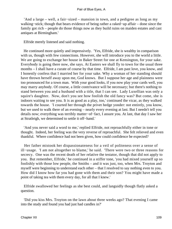'And a large – well, a fair−sized – mansion in town, and a pedigree as long as my walking−stick; though that bears evidence of being rather a raked−up affair – done since the family got rich – people do those things now as they build ruins on maiden estates and cast antiques at Birmingham.'

Elfride merely listened and said nothing.

 He continued more quietly and impressively. 'Yes, Elfride, she is wealthy in comparison with us, though with few connections. However, she will introduce you to the world a little. We are going to exchange her house in Baker Street for one at Kensington, for your sake. Everybody is going there now, she says. At Easters we shall fly to town for the usual three months – I shall have a curate of course by that time. Elfride, I am past love, you know, and I honestly confess that I married her for your sake. Why a woman of her standing should have thrown herself away upon me, God knows. But I suppose her age and plainness were too pronounced for a town man. With your good looks, if you now play your cards well, you may marry anybody. Of course, a little contrivance will be necessary; but there's nothing to stand between you and a husband with a title, that I can see. Lady Luxellian was only a squire's daughter. Now, don't you see how foolish the old fancy was? But come, she is indoors waiting to see you. It is as good as a play, too,' continued the vicar, as they walked towards the house. 'I courted her through the privet hedge yonder: not entirely, you know, but we used to walk there of an evening – nearly every evening at last. But I needn't tell you details now; everything was terribly matter−of−fact, I assure you. At last, that day I saw her at Stratleigh, we determined to settle it off−hand.'

 'And you never said a word to me,' replied Elfride, not reproachfully either in tone or thought. Indeed, her feeling was the very reverse of reproachful. She felt relieved and even thankful. Where confidence had not been given, how could confidence be expected?

 Her father mistook her dispassionateness for a veil of politeness over a sense of ill−usage. 'I am not altogether to blame,' he said. 'There were two or three reasons for secrecy. One was the recent death of her relative the testator, though that did not apply to you. But remember, Elfride,' he continued in a stiffer tone, 'you had mixed yourself up so foolishly with those low people, the Smiths – and it was just, too, when Mrs. Troyton and myself were beginning to understand each other – that I resolved to say nothing even to you. How did I know how far you had gone with them and their son? You might have made a point of taking tea with them every day, for all that I knew.'

 Elfride swallowed her feelings as she best could, and languidly though flatly asked a question.

 'Did you kiss Mrs. Troyton on the lawn about three weeks ago? That evening I came into the study and found you had just had candles in?'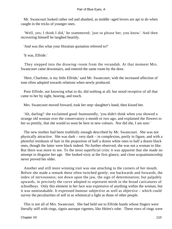Mr. Swancourt looked rather red and abashed, as middle−aged lovers are apt to do when caught in the tricks of younger ones.

 'Well, yes; I think I did,' he stammered; 'just to please her, you know.' And then recovering himself he laughed heartily.

'And was this what your Horatian quotation referred to?'

'It was, Elfride.'

 They stepped into the drawing−room from the verandah. At that moment Mrs. Swancourt came downstairs, and entered the same room by the door.

 'Here, Charlotte, is my little Elfride,' said Mr. Swancourt, with the increased affection of tone often adopted towards relations when newly produced.

 Poor Elfride, not knowing what to do, did nothing at all; but stood receptive of all that came to her by sight, hearing, and touch.

Mrs. Swancourt moved forward, took her step−daughter's hand, then kissed her.

 'Ah, darling!' she exclaimed good−humouredly, 'you didn't think when you showed a strange old woman over the conservatory a month or two ago, and explained the flowers to her so prettily, that she would so soon be here in new colours. Nor did she, I am sure.'

 The new mother had been truthfully enough described by Mr. Swancourt. She was not physically attractive. She was dark – very dark – in complexion, portly in figure, and with a plentiful residuum of hair in the proportion of half a dozen white ones to half a dozen black ones, though the latter were black indeed. No further observed, she was not a woman to like. But there was more to see. To the most superficial critic it was apparent that she made no attempt to disguise her age. She looked sixty at the first glance, and close acquaintanceship never proved her older.

 Another and still more winning trait was one attaching to the corners of her mouth. Before she made a remark these often twitched gently: not backwards and forwards, the index of nervousness; not down upon the jaw, the sign of determination; but palpably upwards, in precisely the curve adopted to represent mirth in the broad caricatures of schoolboys. Only this element in her face was expressive of anything within the woman, but it was unmistakable. It expressed humour subjective as well as objective – which could survey the peculiarities of self in as whimsical a light as those of other people.

 This is not all of Mrs. Swancourt. She had held out to Elfride hands whose fingers were literally stiff with rings, signis auroque rigentes, like Helen's robe. These rows of rings were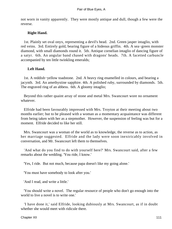not worn in vanity apparently. They were mostly antique and dull, though a few were the reverse.

### **Right Hand.**

 1st. Plainly set oval onyx, representing a devil's head. 2nd. Green jasper intaglio, with red veins. 3rd. Entirely gold, bearing figure of a hideous griffin. 4th. A sea−green monster diamond, with small diamonds round it. 5th. Antique cornelian intaglio of dancing figure of a satyr. 6th. An angular band chased with dragons' heads. 7th. A facetted carbuncle accompanied by ten little twinkling emeralds;

### **Left Hand.**

 1st. A reddish−yellow toadstone. 2nd. A heavy ring enamelled in colours, and bearing a jacynth. 3rd. An amethystine sapphire. 4th. A polished ruby, surrounded by diamonds. 5th. The engraved ring of an abbess. 6th. A gloomy intaglio;

 Beyond this rather quaint array of stone and metal Mrs. Swancourt wore no ornament whatever.

 Elfride had been favourably impressed with Mrs. Troyton at their meeting about two months earlier; but to be pleased with a woman as a momentary acquaintance was different from being taken with her as a stepmother. However, the suspension of feeling was but for a moment. Elfride decided to like her still.

 Mrs. Swancourt was a woman of the world as to knowledge, the reverse as to action, as her marriage suggested. Elfride and the lady were soon inextricably involved in conversation, and Mr. Swancourt left them to themselves.

 'And what do you find to do with yourself here?' Mrs. Swancourt said, after a few remarks about the wedding. 'You ride, I know.'

'Yes, I ride. But not much, because papa doesn't like my going alone.'

'You must have somebody to look after you.'

'And I read, and write a little.'

 'You should write a novel. The regular resource of people who don't go enough into the world to live a novel is to write one.'

 'I have done it,' said Elfride, looking dubiously at Mrs. Swancourt, as if in doubt whether she would meet with ridicule there.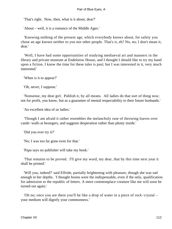'That's right. Now, then, what is it about, dear?'

'About – well, it is a romance of the Middle Ages.'

 'Knowing nothing of the present age, which everybody knows about, for safety you chose an age known neither to you nor other people. That's it, eh? No, no; I don't mean it, dear.'

 'Well, I have had some opportunities of studying mediaeval art and manners in the library and private museum at Endelstow House, and I thought I should like to try my hand upon a fiction. I know the time for these tales is past; but I was interested in it, very much interested.'

'When is it to appear?'

'Oh, never, I suppose.'

 'Nonsense, my dear girl. Publish it, by all means. All ladies do that sort of thing now; not for profit, you know, but as a guarantee of mental respectability to their future husbands.'

'An excellent idea of us ladies.'

 'Though I am afraid it rather resembles the melancholy ruse of throwing loaves over castle−walls at besiegers, and suggests desperation rather than plenty inside.'

'Did you ever try it?'

'No; I was too far gone even for that.'

'Papa says no publisher will take my book.'

 'That remains to be proved. I'll give my word, my dear, that by this time next year it shall be printed.'

 'Will you, indeed?' said Elfride, partially brightening with pleasure, though she was sad enough in her depths. 'I thought brains were the indispensable, even if the only, qualification for admission to the republic of letters. A mere commonplace creature like me will soon be turned out again.'

 'Oh no; once you are there you'll be like a drop of water in a piece of rock−crystal – your medium will dignify your commonness.'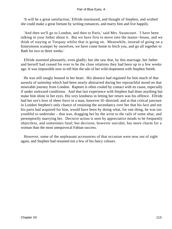'It will be a great satisfaction,' Elfride murmured, and thought of Stephen, and wished she could make a great fortune by writing romances, and marry him and live happily.

 'And then we'll go to London, and then to Paris,' said Mrs. Swancourt. 'I have been talking to your father about it. But we have first to move into the manor−house, and we think of staying at Torquay whilst that is going on. Meanwhile, instead of going on a honeymoon scamper by ourselves, we have come home to fetch you, and go all together to Bath for two or three weeks.'

 Elfride assented pleasantly, even gladly; but she saw that, by this marriage, her father and herself had ceased for ever to be the close relations they had been up to a few weeks ago. It was impossible now to tell him the tale of her wild elopement with Stephen Smith.

 He was still snugly housed in her heart. His absence had regained for him much of that aureola of saintship which had been nearly abstracted during her reproachful mood on that miserable journey from London. Rapture is often cooled by contact with its cause, especially if under awkward conditions. And that last experience with Stephen had done anything but make him shine in her eyes. His very kindness in letting her return was his offence. Elfride had her sex's love of sheer force in a man, however ill−directed; and at that critical juncture in London Stephen's only chance of retaining the ascendancy over her that his face and not his parts had acquired for him, would have been by doing what, for one thing, he was too youthful to undertake – that was, dragging her by the wrist to the rails of some altar, and peremptorily marrying her. Decisive action is seen by appreciative minds to be frequently objectless, and sometimes fatal; but decision, however suicidal, has more charm for a woman than the most unequivocal Fabian success.

 However, some of the unpleasant accessories of that occasion were now out of sight again, and Stephen had resumed not a few of his fancy colours.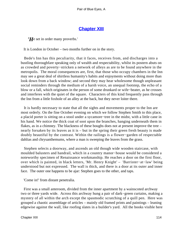# **[Chapter XIII](#page-346-0)**

*'H*e set in order many proverbs.'

It is London in October – two months further on in the story.

 Bede's Inn has this peculiarity, that it faces, receives from, and discharges into a bustling thoroughfare speaking only of wealth and respectability, whilst its postern abuts on as crowded and poverty−stricken a network of alleys as are to be found anywhere in the metropolis. The moral consequences are, first, that those who occupy chambers in the Inn may see a great deal of shirtless humanity's habits and enjoyments without doing more than look down from a back window; and second they may hear wholesome though unpleasant social reminders through the medium of a harsh voice, an unequal footstep, the echo of a blow or a fall, which originates in the person of some drunkard or wife−beater, as he crosses and interferes with the quiet of the square. Characters of this kind frequently pass through the Inn from a little foxhole of an alley at the back, but they never loiter there.

 It is hardly necessary to state that all the sights and movements proper to the Inn are most orderly. On the fine October evening on which we follow Stephen Smith to this place, a placid porter is sitting on a stool under a sycamore−tree in the midst, with a little cane in his hand. We notice the thick coat of soot upon the branches, hanging underneath them in flakes, as in a chimney. The blackness of these boughs does not at present improve the tree – nearly forsaken by its leaves as it is – but in the spring their green fresh beauty is made doubly beautiful by the contrast. Within the railings is a flower−garden of respectable dahlias and chrysanthemums, where a man is sweeping the leaves from the grass.

 Stephen selects a doorway, and ascends an old though wide wooden staircase, with moulded balusters and handrail, which in a country manor−house would be considered a noteworthy specimen of Renaissance workmanship. He reaches a door on the first floor, over which is painted, in black letters, 'Mr. Henry Knight' – 'Barrister−at−law' being understood but not expressed. The wall is thick, and there is a door at its outer and inner face. The outer one happens to be ajar: Stephen goes to the other, and taps.

'Come in!' from distant penetralia.

 First was a small anteroom, divided from the inner apartment by a wainscoted archway two or three yards wide. Across this archway hung a pair of dark−green curtains, making a mystery of all within the arch except the spasmodic scratching of a quill pen. Here was grouped a chaotic assemblage of articles – mainly old framed prints and paintings – leaning edgewise against the wall, like roofing slates in a builder's yard. All the books visible here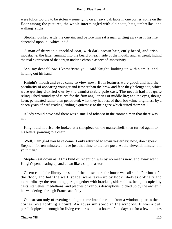were folios too big to be stolen – some lying on a heavy oak table in one corner, some on the floor among the pictures, the whole intermingled with old coats, hats, umbrellas, and walking−sticks.

 Stephen pushed aside the curtain, and before him sat a man writing away as if his life depended upon it – which it did.

 A man of thirty in a speckled coat, with dark brown hair, curly beard, and crisp moustache: the latter running into the beard on each side of the mouth, and, as usual, hiding the real expression of that organ under a chronic aspect of impassivity.

 'Ah, my dear fellow, I knew 'twas you,' said Knight, looking up with a smile, and holding out his hand.

 Knight's mouth and eyes came to view now. Both features were good, and had the peculiarity of appearing younger and fresher than the brow and face they belonged to, which were getting sicklied o'er by the unmistakable pale cast. The mouth had not quite relinquished rotundity of curve for the firm angularities of middle life; and the eyes, though keen, permeated rather than penetrated: what they had lost of their boy−time brightness by a dozen years of hard reading lending a quietness to their gaze which suited them well.

 A lady would have said there was a smell of tobacco in the room: a man that there was not.

 Knight did not rise. He looked at a timepiece on the mantelshelf, then turned again to his letters, pointing to a chair.

 'Well, I am glad you have come. I only returned to town yesterday; now, don't speak, Stephen, for ten minutes; I have just that time to the late post. At the eleventh minute, I'm your man.'

 Stephen sat down as if this kind of reception was by no means new, and away went Knight's pen, beating up and down like a ship in a storm.

 Cicero called the library the soul of the house; here the house was all soul. Portions of the floor, and half the wall−space, were taken up by book−shelves ordinary and extraordinary; the remaining parts, together with brackets, side−tables, being occupied by casts, statuettes, medallions, and plaques of various descriptions, picked up by the owner in his wanderings through France and Italy.

 One stream only of evening sunlight came into the room from a window quite in the corner, overlooking a court. An aquarium stood in the window. It was a dull parallelopipedon enough for living creatures at most hours of the day; but for a few minutes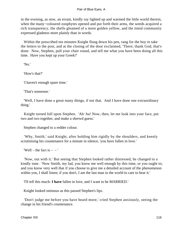in the evening, as now, an errant, kindly ray lighted up and warmed the little world therein, when the many−coloured zoophytes opened and put forth their arms, the weeds acquired a rich transparency, the shells gleamed of a more golden yellow, and the timid community expressed gladness more plainly than in words.

 Within the prescribed ten minutes Knight flung down his pen, rang for the boy to take the letters to the post, and at the closing of the door exclaimed, 'There; thank God, that's done. Now, Stephen, pull your chair round, and tell me what you have been doing all this time. Have you kept up your Greek?'

'No.'

'How's that?'

'I haven't enough spare time.'

'That's nonsense.'

 'Well, I have done a great many things, if not that. And I have done one extraordinary thing.'

 Knight turned full upon Stephen. 'Ah−ha! Now, then, let me look into your face, put two and two together, and make a shrewd guess.'

Stephen changed to a redder colour.

 'Why, Smith,' said Knight, after holding him rigidly by the shoulders, and keenly scrutinising his countenance for a minute in silence, 'you have fallen in love.'

'Well – the fact is  $-$  – '

 'Now, out with it.' But seeing that Stephen looked rather distressed, he changed to a kindly tone. 'Now Smith, my lad, you know me well enough by this time, or you ought to; and you know very well that if you choose to give me a detailed account of the phenomenon within you, I shall listen; if you don't, I am the last man in the world to care to hear it.'

'I'll tell this much: **I have** fallen in love, and I want to be MARRIED.'

Knight looked ominous as this passed Stephen's lips.

 'Don't judge me before you have heard more,' cried Stephen anxiously, seeing the change in his friend's countenance.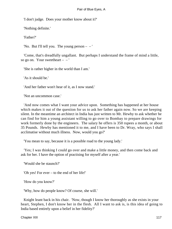'I don't judge. Does your mother know about it?'

'Nothing definite.'

'Father?'

'No. But I'll tell you. The young person – – '

 'Come, that's dreadfully ungallant. But perhaps I understand the frame of mind a little, so go on. Your sweetheart  $-$  – '

'She is rather higher in the world than I am.'

'As it should be.'

'And her father won't hear of it, as I now stand.'

'Not an uncommon case.'

 'And now comes what I want your advice upon. Something has happened at her house which makes it out of the question for us to ask her father again now. So we are keeping silent. In the meantime an architect in India has just written to Mr. Hewby to ask whether he can find for him a young assistant willing to go over to Bombay to prepare drawings for work formerly done by the engineers. The salary he offers is 350 rupees a month, or about 35 Pounds. Hewby has mentioned it to me, and I have been to Dr. Wray, who says I shall acclimatise without much illness. Now, would you go?'

'You mean to say, because it is a possible road to the young lady.'

 'Yes; I was thinking I could go over and make a little money, and then come back and ask for her. I have the option of practising for myself after a year.'

'Would she be staunch?'

'Oh yes! For ever – to the end of her life!'

'How do you know?'

'Why, how do people know? Of course, she will.'

 Knight leant back in his chair. 'Now, though I know her thoroughly as she exists in your heart, Stephen, I don't know her in the flesh. All I want to ask is, is this idea of going to India based entirely upon a belief in her fidelity?'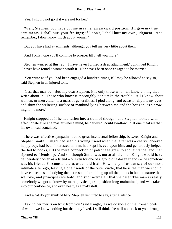'Yes; I should not go if it were not for her.'

 'Well, Stephen, you have put me in rather an awkward position. If I give my true sentiments, I shall hurt your feelings; if I don't, I shall hurt my own judgment. And remember, I don't know much about women.'

'But you have had attachments, although you tell me very little about them.'

'And I only hope you'll continue to prosper till I tell you more.'

 Stephen winced at this rap. 'I have never formed a deep attachment,' continued Knight. 'I never have found a woman worth it. Nor have I been once engaged to be married.'

 'You write as if you had been engaged a hundred times, if I may be allowed to say so,' said Stephen in an injured tone.

 'Yes, that may be. But, my dear Stephen, it is only those who half know a thing that write about it. Those who know it thoroughly don't take the trouble. All I know about women, or men either, is a mass of generalities. I plod along, and occasionally lift my eyes and skim the weltering surface of mankind lying between me and the horizon, as a crow might; no more.'

 Knight stopped as if he had fallen into a train of thought, and Stephen looked with affectionate awe at a master whose mind, he believed, could swallow up at one meal all that his own head contained.

 There was affective sympathy, but no great intellectual fellowship, between Knight and Stephen Smith. Knight had seen his young friend when the latter was a cherry−cheeked happy boy, had been interested in him, had kept his eye upon him, and generously helped the lad to books, till the mere connection of patronage grew to acquaintance, and that ripened to friendship. And so, though Smith was not at all the man Knight would have deliberately chosen as a friend – or even for one of a group of a dozen friends – he somehow was his friend. Circumstance, as usual, did it all. How many of us can say of our most intimate alter ego, leaving alone friends of the outer circle, that he is the man we should have chosen, as embodying the net result after adding up all the points in human nature that we love, and principles we hold, and subtracting all that we hate? The man is really somebody we got to know by mere physical juxtaposition long maintained, and was taken into our confidence, and even heart, as a makeshift.

'And what do you think of her?' Stephen ventured to say, after a silence.

 'Taking her merits on trust from you,' said Knight, 'as we do those of the Roman poets of whom we know nothing but that they lived, I still think she will not stick to you through,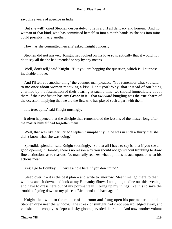say, three years of absence in India.'

 'But she will!' cried Stephen desperately. 'She is a girl all delicacy and honour. And no woman of that kind, who has committed herself so into a man's hands as she has into mine, could possibly marry another.'

'How has she committed herself?' asked Knight cunously.

 Stephen did not answer. Knight had looked on his love so sceptically that it would not do to say all that he had intended to say by any means.

 'Well, don't tell,' said Knight. 'But you are begging the question, which is, I suppose, inevitable in love.'

 'And I'll tell you another thing,' the younger man pleaded. 'You remember what you said to me once about women receiving a kiss. Don't you? Why, that instead of our being charmed by the fascination of their bearing at such a time, we should immediately doubt them if their confusion has any **Grace** in it – that awkward bungling was the true charm of the occasion, implying that we are the first who has played such a part with them.'

'It is true, quite,' said Knight musingly.

 It often happened that the disciple thus remembered the lessons of the master long after the master himself had forgotten them.

 'Well, that was like her!' cried Stephen triumphantly. 'She was in such a flurry that she didn't know what she was doing.'

 'Splendid, splendid!' said Knight soothingly. 'So that all I have to say is, that if you see a good opening in Bombay there's no reason why you should not go without troubling to draw fine distinctions as to reasons. No man fully realizes what opinions he acts upon, or what his actions mean.'

'Yes; I go to Bombay. I'll write a note here, if you don't mind.'

 'Sleep over it – it is the best plan – and write to−morrow. Meantime, go there to that window and sit down, and look at my Humanity Show. I am going to dine out this evening, and have to dress here out of my portmanteau. I bring up my things like this to save the trouble of going down to my place at Richmond and back again.'

 Knight then went to the middle of the room and flung open his portmanteau, and Stephen drew near the window. The streak of sunlight had crept upward, edged away, and vanished; the zoophytes slept: a dusky gloom pervaded the room. And now another volume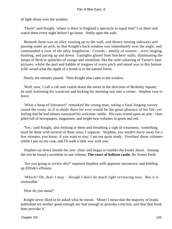of light shone over the window.

 'There!' said Knight, 'where is there in England a spectacle to equal that? I sit there and watch them every night before I go home. Softly open the sash.'

 Beneath them was an alley running up to the wall, and thence turning sideways and passing under an arch, so that Knight's back window was immediately over the angle, and commanded a view of the alley lengthwise. Crowds – mostly of women – were surging, bustling, and pacing up and down. Gaslights glared from butchers' stalls, illuminating the lumps of flesh to splotches of orange and vermilion, like the wild colouring of Turner's later pictures, whilst the purl and babble of tongues of every pitch and mood was to this human wild−wood what the ripple of a brook is to the natural forest.

Nearly ten minutes passed. Then Knight also came to the window.

 'Well, now, I call a cab and vanish down the street in the direction of Berkeley Square,' he said, buttoning his waistcoat and kicking his morning suit into a corner. Stephen rose to leave.

 'What a heap of literature!' remarked the young man, taking a final longing survey round the room, as if to abide there for ever would be the great pleasure of his life, yet feeling that he had almost outstayed his welcome−while. His eyes rested upon an arm− chair piled full of newspapers, magazines, and bright new volumes in green and red.

 'Yes,' said Knight, also looking at them and breathing a sigh of weariness; 'something must be done with several of them soon, I suppose. Stephen, you needn't hurry away for a few minutes, you know, if you want to stay; I am not quite ready. Overhaul those volumes whilst I put on my coat, and I'll walk a little way with you.'

 Stephen sat down beside the arm−chair and began to tumble the books about. Among the rest he found a novelette in one volume, **The court of kellyon castle.** By Ernest Field.

 'Are you going to review this?' inquired Stephen with apparent unconcern, and holding up Elfride's effusion.

 'Which? Oh, that! I may – though I don't do much light reviewing now. But it is reviewable.'

'How do you mean?'

 Knight never liked to be asked what he meant. 'Mean! I mean that the majority of books published are neither good enough nor bad enough to provoke criticism, and that that book does provoke it.'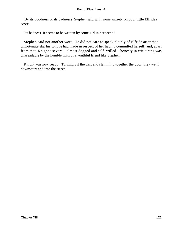'By its goodness or its badness?' Stephen said with some anxiety on poor little Elfride's score.

'Its badness. It seems to be written by some girl in her teens.'

 Stephen said not another word. He did not care to speak plainly of Elfride after that unfortunate slip his tongue had made in respect of her having committed herself; and, apart from that, Knight's severe – almost dogged and self−willed – honesty in criticizing was unassailable by the humble wish of a youthful friend like Stephen.

 Knight was now ready. Turning off the gas, and slamming together the door, they went downstairs and into the street.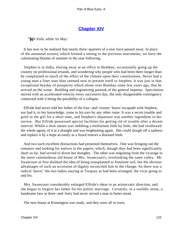## **[Chapter XIV](#page-346-0)**

*'W*e frolic while 'tis May.'

 It has now to be realized that nearly three−quarters of a year have passed away. In place of the autumnal scenery which formed a setting to the previous enactments, we have the culminating blooms of summer in the year following.

 Stephen is in India, slaving away at an office in Bombay; occasionally going up the country on professional errands, and wondering why people who had been there longer than he complained so much of the effect of the climate upon their constitutions. Never had a young man a finer start than seemed now to present itself to Stephen. It was just in that exceptional heyday of prosperity which shone over Bombay some few years ago, that he arrived on the scene. Building and engineering partook of the general impetus. Speculation moved with an accelerated velocity every successive day, the only disagreeable contingency connected with it being the possibility of a collapse.

 Elfride had never told her father of the four−and−twenty−hours' escapade with Stephen, nor had it, to her knowledge, come to his ears by any other route. It was a secret trouble and grief to the girl for a short time, and Stephen's departure was another ingredient in her sorrow. But Elfride possessed special facilities for getting rid of trouble after a decent interval. Whilst a slow nature was imbibing a misfortune little by little, she had swallowed the whole agony of it at a draught and was brightening again. She could slough off a sadness and replace it by a hope as easily as a lizard renews a diseased limb.

 And two such excellent distractions had presented themselves. One was bringing out the romance and looking for notices in the papers, which, though they had been significantly short so far, had served to divert her thoughts. The other was migrating from the vicarage to the more commodious old house of Mrs. Swancourt's, overlooking the same valley. Mr. Swancourt at first disliked the idea of being transplanted to feminine soil, but the obvious advantages of such an accession of dignity reconciled him to the change. So there was a radical 'move;' the two ladies staying at Torquay as had been arranged, the vicar going to and fro.

 Mrs. Swancourt considerably enlarged Elfride's ideas in an aristocratic direction, and she began to forgive her father for his politic marriage. Certainly, in a worldly sense, a handsome face at three−and−forty had never served a man in better stead.

The new house at Kensington was ready, and they were all in town.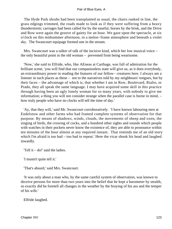The Hyde Park shrubs had been transplanted as usual, the chairs ranked in line, the grass edgings trimmed, the roads made to look as if they were suffering from a heavy thunderstorm; carriages had been called for by the easeful, horses by the brisk, and the Drive and Row were again the groove of gaiety for an hour. We gaze upon the spectacle, at six o'clock on this midsummer afternoon, in a melon−frame atmosphere and beneath a violet sky. The Swancourt equipage formed one in the stream.

 Mrs. Swancourt was a talker of talk of the incisive kind, which her low musical voice – the only beautiful point in the old woman – prevented from being wearisome.

 'Now,' she said to Elfride, who, like AEneas at Carthage, was full of admiration for the brilliant scene, 'you will find that our companionless state will give us, as it does everybody, an extraordinary power in reading the features of our fellow− creatures here. I always am a listener in such places as these – not to the narratives told by my neighbours' tongues, but by their faces – the advantage of which is, that whether I am in Row, Boulevard, Rialto, or Prado, they all speak the same language. I may have acquired some skill in this practice through having been an ugly lonely woman for so many years, with nobody to give me information; a thing you will not consider strange when the parallel case is borne in mind, – how truly people who have no clocks will tell the time of day.'

 'Ay, that they will,' said Mr. Swancourt corroboratively. 'I have known labouring men at Endelstow and other farms who had framed complete systems of observation for that purpose. By means of shadows, winds, clouds, the movements of sheep and oxen, the singing of birds, the crowing of cocks, and a hundred other sights and sounds which people with watches in their pockets never know the existence of, they are able to pronounce within ten minutes of the hour almost at any required instant. That reminds me of an old story which I'm afraid is too bad – too bad to repeat.' Here the vicar shook his head and laughed inwardly.

'Tell it – do!' said the ladies.

'I mustn't quite tell it.'

'That's absurd,' said Mrs. Swancourt.

 'It was only about a man who, by the same careful system of observation, was known to deceive persons for more than two years into the belief that he kept a barometer by stealth, so exactly did he foretell all changes in the weather by the braying of his ass and the temper of his wife.'

Elfride laughed.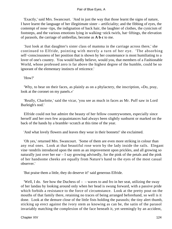'Exactly,' said Mrs. Swancourt. 'And in just the way that those learnt the signs of nature, I have learnt the language of her illegitimate sister – artificiality; and the fibbing of eyes, the contempt of nose−tips, the indignation of back hair, the laughter of clothes, the cynicism of footsteps, and the various emotions lying in walking−stick twirls, hat−liftings, the elevation of parasols, the carriage of umbrellas, become as **A b c** to me.

 'Just look at that daughter's sister class of mamma in the carriage across there,' she continued to Elfride, pointing with merely a turn of her eye. 'The absorbing self–consciousness of her position that is shown by her countenance is most humiliating to a lover of one's country. You would hardly believe, would you, that members of a Fashionable World, whose professed zero is far above the highest degree of the humble, could be so ignorant of the elementary instincts of reticence.'

'How?'

 'Why, to bear on their faces, as plainly as on a phylactery, the inscription, «Do, pray, look at the coronet on my panels.»'

 'Really, Charlotte,' said the vicar, 'you see as much in faces as Mr. Puff saw in Lord Burleigh's nod.'

 Elfride could not but admire the beauty of her fellow countrywomen, especially since herself and her own few acquaintances had always been slightly sunburnt or marked on the back of the hands by a bramble−scratch at this time of the year.

'And what lovely flowers and leaves they wear in their bonnets!' she exclaimed.

 'Oh yes,' returned Mrs. Swancourt. 'Some of them are even more striking in colour than any real ones. Look at that beautiful rose worn by the lady inside the rails. Elegant vine−tendrils introduced upon the stem as an improvement upon prickles, and all growing so naturally just over her ear – I say growing advisedly, for the pink of the petals and the pink of her handsome cheeks are equally from Nature's hand to the eyes of the most casual observer.'

'But praise them a little, they do deserve it!' said generous Elfride.

'Well, I do. See how the Duchess of  $-$  – waves to and fro in her seat, utilizing the sway of her landau by looking around only when her head is swung forward, with a passive pride which forbids a resistance to the force of circumstance. Look at the pretty pout on the mouths of that family there, retaining no traces of being arranged beforehand, so well is it done. Look at the demure close of the little fists holding the parasols; the tiny alert thumb, sticking up erect against the ivory stem as knowing as can be, the satin of the parasol invariably matching the complexion of the face beneath it, yet seemingly by an accident,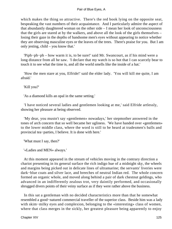which makes the thing so attractive. There's the red book lying on the opposite seat, bespeaking the vast numbers of their acquaintance. And I particularly admire the aspect of that abundantly daughtered woman on the other side – I mean her look of unconsciousness that the girls are stared at by the walkers, and above all the look of the girls themselves – losing their gaze in the depths of handsome men's eyes without appearing to notice whether they are observing masculine eyes or the leaves of the trees. There's praise for you. But I am only jesting, child – you know that.'

 'Piph−ph−ph – how warm it is, to be sure!' said Mr. Swancourt, as if his mind were a long distance from all he saw. 'I declare that my watch is so hot that I can scarcely bear to touch it to see what the time is, and all the world smells like the inside of a hat.'

 'How the men stare at you, Elfride!' said the elder lady. 'You will kill me quite, I am afraid.'

'Kill you?'

'As a diamond kills an opal in the same setting.'

 'I have noticed several ladies and gentlemen looking at me,' said Elfride artlessly, showing her pleasure at being observed.

 'My dear, you mustn't say «gentlemen» nowadays,' her stepmother answered in the tones of arch concern that so well became her ugliness. 'We have handed over «gentlemen» to the lower middle class, where the word is still to be heard at tradesmen's balls and provincial tea−parties, I believe. It is done with here.'

'What must I say, then?'

'«Ladies and MEN» always.'

 At this moment appeared in the stream of vehicles moving in the contrary direction a chariot presenting in its general surface the rich indigo hue of a midnight sky, the wheels and margins being picked out in delicate lines of ultramarine; the servants' liveries were dark−blue coats and silver lace, and breeches of neutral Indian red. The whole concern formed an organic whole, and moved along behind a pair of dark chestnut geldings, who advanced in an indifferently zealous trot, very daintily performed, and occasionally shrugged divers points of their veiny surface as if they were rather above the business.

 In this sat a gentleman with no decided characteristics more than that he somewhat resembled a good−natured commercial traveller of the superior class. Beside him was a lady with skim−milky eyes and complexion, belonging to the «interesting» class of women, where that class merges in the sickly, her greatest pleasure being apparently to enjoy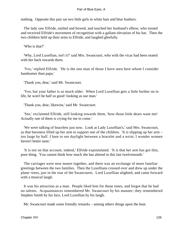nothing. Opposite this pair sat two little girls in white hats and blue feathers.

 The lady saw Elfride, smiled and bowed, and touched her husband's elbow, who turned and received Elfride's movement of recognition with a gallant elevation of his hat. Then the two children held up their arms to Elfride, and laughed gleefully.

'Who is that?'

 'Why, Lord Luxellian, isn't it?' said Mrs. Swancourt, who with the vicar had been seated with her back towards them.

 'Yes,' replied Elfride. 'He is the one man of those I have seen here whom I consider handsomer than papa.'

'Thank you, dear,' said Mr. Swancourt.

 'Yes; but your father is so much older. When Lord Luxellian gets a little further on in life, he won't be half so good−looking as our man.'

'Thank you, dear, likewise,' said Mr. Swancourt.

 'See,' exclaimed Elfride, still looking towards them, 'how those little dears want me! Actually one of them is crying for me to come.'

 'We were talking of bracelets just now. Look at Lady Luxellian's,' said Mrs. Swancourt, as that baroness lifted up her arm to support one of the children. 'It is slipping up her arm – too large by half. I hate to see daylight between a bracelet and a wrist; I wonder women haven't better taste.'

 'It is not on that account, indeed,' Elfride expostulated. 'It is that her arm has got thin, poor thing. You cannot think how much she has altered in this last twelvemonth.'

 The carriages were now nearer together, and there was an exchange of more familiar greetings between the two families. Then the Luxellians crossed over and drew up under the plane−trees, just in the rear of the Swancourts. Lord Luxellian alighted, and came forward with a musical laugh.

 It was his attraction as a man. People liked him for those tones, and forgot that he had no talents. Acquaintances remembered Mr. Swancourt by his manner; they remembered Stephen Smith by his face, Lord Luxellian by his laugh.

Mr. Swancourt made some friendly remarks – among others things upon the heat.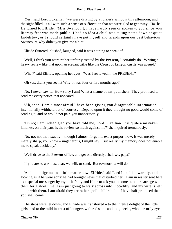'Yes,' said Lord Luxellian, 'we were driving by a furrier's window this afternoon, and the sight filled us all with such a sense of suffocation that we were glad to get away. Ha−ha!' He turned to Elfride. 'Miss Swancourt, I have hardly seen or spoken to you since your literary feat was made public. I had no idea a chiel was taking notes down at quiet Endelstow, or I should certainly have put myself and friends upon our best behaviour. Swancourt, why didn't you give me a hint!'

Elfride fluttered, blushed, laughed, said it was nothing to speak of,

 'Well, I think you were rather unfairly treated by the **Present,** I certainly do. Writing a heavy review like that upon an elegant trifle like the **Court of kellyon castle** was absurd.'

'What?' said Elfride, opening her eyes. 'Was I reviewed in the PRESENT?'

'Oh yes; didn't you see it? Why, it was four or five months ago!'

 'No, I never saw it. How sorry I am! What a shame of my publishers! They promised to send me every notice that appeared.'

 'Ah, then, I am almost afraid I have been giving you disagreeable information, intentionally withheld out of courtesy. Depend upon it they thought no good would come of sending it, and so would not pain you unnecessarily.'

 'Oh no; I am indeed glad you have told me, Lord Luxellian. It is quite a mistaken kindness on their part. Is the review so much against me?' she inquired tremulously.

 'No, no; not that exactly – though I almost forget its exact purport now. It was merely – merely sharp, you know – ungenerous, I might say. But really my memory does not enable me to speak decidedly.'

'We'll drive to the **Present** office, and get one directly; shall we, papa?'

'If you are so anxious, dear, we will, or send. But to−morrow will do.'

 'And do oblige me in a little matter now, Elfride,' said Lord Luxellian warmly, and looking as if he were sorry he had brought news that disturbed her. 'I am in reality sent here as a special messenger by my little Polly and Katie to ask you to come into our carriage with them for a short time. I am just going to walk across into Piccadilly, and my wife is left alone with them. I am afraid they are rather spoilt children; but I have half promised them you shall come.'

 The steps were let down, and Elfride was transferred – to the intense delight of the little girls, and to the mild interest of loungers with red skins and long necks, who cursorily eyed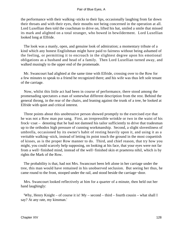the performance with their walking−sticks to their lips, occasionally laughing from far down their throats and with their eyes, their mouths not being concerned in the operation at all. Lord Luxellian then told the coachman to drive on, lifted his hat, smiled a smile that missed its mark and alighted on a total stranger, who bowed in bewilderment. Lord Luxellian looked long at Elfride.

 The look was a manly, open, and genuine look of admiration; a momentary tribute of a kind which any honest Englishman might have paid to fairness without being ashamed of the feeling, or permitting it to encroach in the slightest degree upon his emotional obligations as a husband and head of a family. Then Lord Luxellian turned away, and walked musingly to the upper end of the promenade.

 Mr. Swancourt had alighted at the same time with Elfride, crossing over to the Row for a few minutes to speak to a friend he recognized there; and his wife was thus left sole tenant of the carriage.

 Now, whilst this little act had been in course of performance, there stood among the promenading spectators a man of somewhat different description from the rest. Behind the general throng, in the rear of the chairs, and leaning against the trunk of a tree, he looked at Elfride with quiet and critical interest.

 Three points about this unobtrusive person showed promptly to the exercised eye that he was not a Row man pur sang. First, an irrepressible wrinkle or two in the waist of his frock−coat – denoting that he had not damned his tailor sufficiently to drive that tradesman up to the orthodox high pressure of cunning workmanship. Second, a slight slovenliness of umbrella, occasioned by its owner's habit of resting heavily upon it, and using it as a veritable walking−stick, instead of letting its point touch the ground in the most coquettish of kisses, as is the proper Row manner to do. Third, and chief reason, that try how you might, you could scarcely help supposing, on looking at his face, that your eyes were not far from a well−finished mind, instead of the well−finished skin et praeterea nihil, which is by rights the Mark of the Row.

 The probability is that, had not Mrs. Swancourt been left alone in her carriage under the tree, this man would have remained in his unobserved seclusion. But seeing her thus, he came round to the front, stooped under the rail, and stood beside the carriage−door.

 Mrs. Swancourt looked reflectively at him for a quarter of a minute, then held out her hand laughingly:

 'Why, Henry Knight – of course it is! My – second – third – fourth cousin – what shall I say? At any rate, my kinsman.'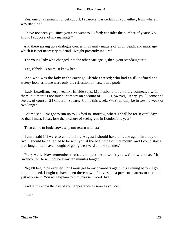'Yes, one of a remnant not yet cut off. I scarcely was certain of you, either, from where I was standing.'

 'I have not seen you since you first went to Oxford; consider the number of years! You know, I suppose, of my marriage?'

 And there sprang up a dialogue concerning family matters of birth, death, and marriage, which it is not necessary to detail. Knight presently inquired:

'The young lady who changed into the other carriage is, then, your stepdaughter?'

'Yes, Elfride. You must know her.'

 'And who was the lady in the carriage Elfride entered; who had an ill−defined and watery look, as if she were only the reflection of herself in a pool?'

 'Lady Luxellian; very weakly, Elfride says. My husband is remotely connected with them; but there is not much intimacy on account of  $-$  – . However, Henry, you'll come and see us, of course. 24 Chevron Square. Come this week. We shall only be in town a week or two longer.'

 'Let me see. I've got to run up to Oxford to−morrow, where I shall be for several days; so that I must, I fear, lose the pleasure of seeing you in London this year.'

'Then come to Endelstow; why not return with us?'

 'I am afraid if I were to come before August I should have to leave again in a day or two. I should be delighted to be with you at the beginning of that month; and I could stay a nice long time. I have thought of going westward all the summer.'

 'Very well. Now remember that's a compact. And won't you wait now and see Mr. Swancourt? He will not be away ten minutes longer.'

 'No; I'll beg to be excused; for I must get to my chambers again this evening before I go home; indeed, I ought to have been there now – I have such a press of matters to attend to just at present. You will explain to him, please. Good−bye.'

'And let us know the day of your appearance as soon as you can.'

'I will'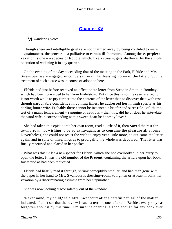# **[Chapter XV](#page-346-0)**

*'A* wandering voice.'

 Though sheer and intelligible griefs are not charmed away by being confided to mere acquaintances, the process is a palliative to certain ill−humours. Among these, perplexed vexation is one – a species of trouble which, like a stream, gets shallower by the simple operation of widening it in any quarter.

 On the evening of the day succeeding that of the meeting in the Park, Elfride and Mrs. Swancourt were engaged in conversation in the dressing−room of the latter. Such a treatment of such a case was in course of adoption here.

 Elfride had just before received an affectionate letter from Stephen Smith in Bombay, which had been forwarded to her from Endelstow. But since this is not the case referred to, it is not worth while to pry further into the contents of the letter than to discover that, with rash though pardonable confidence in coming times, he addressed her in high spirits as his darling future wife. Probably there cannot be instanced a briefer and surer rule− of−thumb test of a man's temperament – sanguine or cautious – than this: did he or does he ante−date the word wife in corresponding with a sweet−heart he honestly loves?

 She had taken this epistle into her own room, read a little of it, then **Saved** the rest for to−morrow, not wishing to be so extravagant as to consume the pleasure all at once. Nevertheless, she could not resist the wish to enjoy yet a little more, so out came the letter again, and in spite of misgivings as to prodigality the whole was devoured. The letter was finally reperused and placed in her pocket.

 What was this? Also a newspaper for Elfride, which she had overlooked in her hurry to open the letter. It was the old number of the **Present,** containing the article upon her book, forwarded as had been requested.

 Elfride had hastily read it through, shrunk perceptibly smaller, and had then gone with the paper in her hand to Mrs. Swancourt's dressing−room, to lighten or at least modify her vexation by a discriminating estimate from her stepmother.

She was now looking disconsolately out of the window.

 'Never mind, my child,' said Mrs. Swancourt after a careful perusal of the matter indicated. 'I don't see that the review is such a terrible one, after all. Besides, everybody has forgotten about it by this time. I'm sure the opening is good enough for any book ever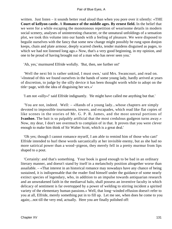written. Just listen – it sounds better read aloud than when you pore over it silently: «THE **Court of kellyon castle.** A **Romance of the middle ages. By ernest field.** In the belief that we were for a while escaping the monotonous repetition of wearisome details in modern social scenery, analyses of uninteresting character, or the unnatural unfoldings of a sensation plot, we took this volume into our hands with a feeling of pleasure. We were disposed to beguile ourselves with the fancy that some new change might possibly be rung upon donjon keeps, chain and plate armour, deeply scarred cheeks, tender maidens disguised as pages, to which we had not listened long ago.» Now, that's a very good beginning, in my opinion, and one to be proud of having brought out of a man who has never seen you.'

'Ah, yes,' murmured Elfride wofully. 'But, then, see further on!'

 'Well the next bit is rather unkind, I must own,' said Mrs. Swancourt, and read on. '«Instead of this we found ourselves in the hands of some young lady, hardly arrived at years of discretion, to judge by the silly device it has been thought worth while to adopt on the title−page, with the idea of disguising her sex.»'

'I am not «silly»!' said Elfride indignantly. 'He might have called me anything but that.'

 'You are not, indeed. Well: – «Hands of a young lady...whose chapters are simply devoted to impossible tournaments, towers, and escapades, which read like flat copies of like scenes in the stories of Mr. G. P. R. James, and the most unreal portions of **Ivanhoe.** The bait is so palpably artificial that the most credulous gudgeon turns away.» Now, my dear, I don't see overmuch to complain of in that. It proves that you were clever enough to make him think of Sir Walter Scott, which is a great deal.'

 'Oh yes; though I cannot romance myself, I am able to remind him of those who can!' Elfride intended to hurl these words sarcastically at her invisible enemy, but as she had no more satirical power than a wood−pigeon, they merely fell in a pretty murmur from lips shaped to a pout.

 'Certainly: and that's something. Your book is good enough to be bad in an ordinary literary manner, and doesn't stand by itself in a melancholy position altogether worse than assailable. – «That interest in an historical romance may nowadays have any chance of being sustained, it is indispensable that the reader find himself under the guidance of some nearly extinct species of legendary, who, in addition to an impulse towards antiquarian research and an unweakened faith in the mediaeval halo, shall possess an inventive faculty in which delicacy of sentiment is far overtopped by a power of welding to stirring incident a spirited variety of the elementary human passions.» Well, that long−winded effusion doesn't refer to you at all, Elfride, merely something put in to fill up. Let me see, when does he come to you again;...not till the very end, actually. Here you are finally polished off: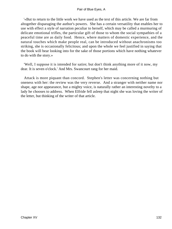'«But to return to the little work we have used as the text of this article. We are far from altogether disparaging the author's powers. She has a certain versatility that enables her to use with effect a style of narration peculiar to herself, which may be called a murmuring of delicate emotional trifles, the particular gift of those to whom the social sympathies of a peaceful time are as daily food. Hence, where matters of domestic experience, and the natural touches which make people real, can be introduced without anachronisms too striking, she is occasionally felicitous; and upon the whole we feel justified in saying that the book will bear looking into for the sake of those portions which have nothing whatever to do with the story.»

 'Well, I suppose it is intended for satire; but don't think anything more of it now, my dear. It is seven o'clock.' And Mrs. Swancourt rang for her maid.

 Attack is more piquant than concord. Stephen's letter was concerning nothing but oneness with her: the review was the very reverse. And a stranger with neither name nor shape, age nor appearance, but a mighty voice, is naturally rather an interesting novelty to a lady he chooses to address. When Elfride fell asleep that night she was loving the writer of the letter, but thinking of the writer of that article.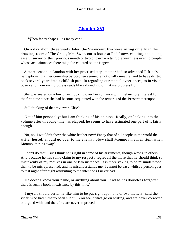## **[Chapter XVI](#page-346-0)**

*'T*hen fancy shapes – as fancy can.'

 On a day about three weeks later, the Swancourt trio were sitting quietly in the drawing−room of The Crags, Mrs. Swancourt's house at Endelstow, chatting, and taking easeful survey of their previous month or two of town – a tangible weariness even to people whose acquaintances there might be counted on the fingers.

 A mere season in London with her practised step−mother had so advanced Elfride's perceptions, that her courtship by Stephen seemed emotionally meagre, and to have drifted back several years into a childish past. In regarding our mental experiences, as in visual observation, our own progress reads like a dwindling of that we progress from.

 She was seated on a low chair, looking over her romance with melancholy interest for the first time since she had become acquainted with the remarks of the **Present** thereupon.

'Still thinking of that reviewer, Elfie?'

 'Not of him personally; but I am thinking of his opinion. Really, on looking into the volume after this long time has elapsed, he seems to have estimated one part of it fairly enough.'

 'No, no; I wouldn't show the white feather now! Fancy that of all people in the world the writer herself should go over to the enemy. How shall Monmouth's men fight when Monmouth runs away?'

 'I don't do that. But I think he is right in some of his arguments, though wrong in others. And because he has some claim to my respect I regret all the more that he should think so mistakenly of my motives in one or two instances. It is more vexing to be misunderstood than to be misrepresented; and he misunderstands me. I cannot be easy whilst a person goes to rest night after night attributing to me intentions I never had.'

 'He doesn't know your name, or anything about you. And he has doubtless forgotten there is such a book in existence by this time.'

 'I myself should certainly like him to be put right upon one or two matters,' said the vicar, who had hitherto been silent. 'You see, critics go on writing, and are never corrected or argued with, and therefore are never improved.'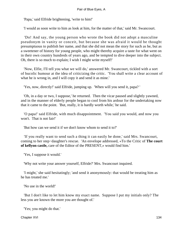'Papa,' said Elfride brightening, 'write to him!'

'I would as soon write to him as look at him, for the matter of that,' said Mr. Swancourt.

 'Do! And say, the young person who wrote the book did not adopt a masculine pseudonym in vanity or conceit, but because she was afraid it would be thought presumptuous to publish her name, and that she did not mean the story for such as he, but as a sweetener of history for young people, who might thereby acquire a taste for what went on in their own country hundreds of years ago, and be tempted to dive deeper into the subject. Oh, there is so much to explain; I wish I might write myself!'

 'Now, Elfie, I'll tell you what we will do,' answered Mr. Swancourt, tickled with a sort of bucolic humour at the idea of criticizing the critic. 'You shall write a clear account of what he is wrong in, and I will copy it and send it as mine.'

'Yes, now, directly!' said Elfride, jumping up. 'When will you send it, papa? '

 'Oh, in a day or two, I suppose,' he returned. Then the vicar paused and slightly yawned, and in the manner of elderly people began to cool from his ardour for the undertaking now that it came to the point. 'But, really, it is hardly worth while,' he said.

 'O papa!' said Elfride, with much disappointment. 'You said you would, and now you won't. That is not fair!'

'But how can we send it if we don't know whom to send it to?'

 'If you really want to send such a thing it can easily be done,' said Mrs. Swancourt, coming to her step−daughter's rescue. 'An envelope addressed, «To the Critic of **The court of kellyon castle,** care of the Editor of the PRESENT,» would find him.'

'Yes, I suppose it would.'

'Why not write your answer yourself, Elfride?' Mrs. Swancourt inquired.

 'I might,' she said hesitatingly; 'and send it anonymously: that would be treating him as he has treated me.'

'No use in the world!'

 'But I don't like to let him know my exact name. Suppose I put my initials only? The less you are known the more you are thought of.'

'Yes; you might do that.'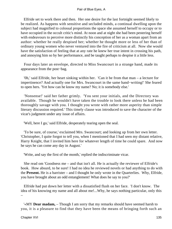Elfride set to work there and then. Her one desire for the last fortnight seemed likely to be realized. As happens with sensitive and secluded minds, a continual dwelling upon the subject had magnified to colossal proportions the space she assumed herself to occupy or to have occupied in the occult critic's mind. At noon and at night she had been pestering herself with endeavours to perceive more distinctly his conception of her as a woman apart from an author: whether he really despised her; whether he thought more or less of her than of ordinary young women who never ventured into the fire of criticism at all. Now she would have the satisfaction of feeling that at any rate he knew her true intent in crossing his path, and annoying him so by her performance, and be taught perhaps to despise it a little less.

 Four days later an envelope, directed to Miss Swancourt in a strange hand, made its appearance from the post−bag.

 '0h,' said Elfride, her heart sinking within her. 'Can it be from that man – a lecture for impertinence? And actually one for Mrs. Swancourt in the same hand−writing!' She feared to open hers. 'Yet how can he know my name? No; it is somebody else.'

 'Nonsense!' said her father grimly. 'You sent your initials, and the Directory was available. Though he wouldn't have taken the trouble to look there unless he had been thoroughly savage with you. I thought you wrote with rather more asperity than simple literary discussion required.' This timely clause was introduced to save the character of the vicar's judgment under any issue of affairs.

'Well, here I go,' said Elfride, desperately tearing open the seal.

 'To be sure, of course,' exclaimed Mrs. Swancourt; and looking up from her own letter. 'Christopher, I quite forgot to tell you, when I mentioned that I had seen my distant relative, Harry Knight, that I invited him here for whatever length of time he could spare. And now he says he can come any day in August.'

'Write, and say the first of the month,' replied the indiscriminate vicar.

 She read om 'Goodness me – and that isn't all. He is actually the reviewer of Elfride's book. How absurd, to be sure! I had no idea he reviewed novels or had anything to do with the **Present.** He is a barrister – and I thought he only wrote in the Quarterlies. Why, Elfride, you have brought about an odd entanglement! What does he say to you?'

 Elfride had put down her letter with a dissatisfied flush on her face. 'I don't know. The idea of his knowing my name and all about me!...Why, he says nothing particular, only this –

 '«MY **Dear madam,** – Though I am sorry that my remarks should have seemed harsh to you, it is a pleasure to find that they have been the means of bringing forth such an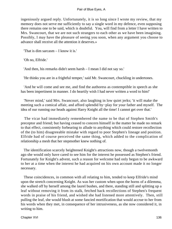ingeniously argued reply. Unfortunately, it is so long since I wrote my review, that my memory does not serve me sufficiently to say a single word in my defence, even supposing there remains one to be said, which is doubtful. You, will find from a letter I have written to Mrs. Swancourt, that we are not such strangers to each other as we have been imagining. Possibly, I may have the pleasure of seeing you soon, when any argument you choose to advance shall receive all the attention it deserves.»

'That is dim sarcasm – I know it is.'

'Oh no, Elfride.'

'And then, his remarks didn't seem harsh – I mean I did not say so.'

'He thinks you are in a frightful temper,' said Mr. Swancourt, chuckling in undertones.

 'And he will come and see me, and find the authoress as contemptible in speech as she has been impertinent in manner. I do heartily wish I had never written a word to him!'

 'Never mind,' said Mrs. Swancourt, also laughing in low quiet jerks; 'it will make the meeting such a comical affair, and afford splendid by−play for your father and myself. The idea of our running our heads against Harry Knight all the time! I cannot get over that.'

 The vicar had immediately remembered the name to be that of Stephen Smith's preceptor and friend; but having ceased to concern himself in the matter he made no remark to that effect, consistently forbearing to allude to anything which could restore recollection of the (to him) disagreeable mistake with regard to poor Stephen's lineage and position. Elfride had of course perceived the same thing, which added to the complication of relationship a mesh that her stepmother knew nothing of.

 The identification scarcely heightened Knight's attractions now, though a twelvemonth ago she would only have cared to see him for the interest he possessed as Stephen's friend. Fortunately for Knight's advent, such a reason for welcome had only begun to be awkward to her at a time when the interest he had acquired on his own account made it no longer necessary.

 These coincidences, in common with all relating to him, tended to keep Elfride's mind upon the stretch concerning Knight. As was her custom when upon the horns of a dilemma, she walked off by herself among the laurel bushes, and there, standing still and splitting up a leaf without removing it from its stalk, fetched back recollections of Stephen's frequent words in praise of his friend, and wished she had listened more attentively. Then, still pulling the leaf, she would blush at some fancied mortification that would accrue to her from his words when they met, in consequence of her intrusiveness, as she now considered it, in writing to him.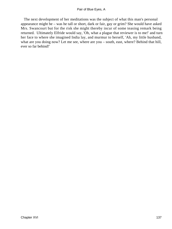The next development of her meditations was the subject of what this man's personal appearance might be – was he tall or short, dark or fair, gay or grim? She would have asked Mrs. Swancourt but for the risk she might thereby incur of some teasing remark being returned. Ultimately Elfride would say, 'Oh, what a plague that reviewer is to me!' and turn her face to where she imagined India lay, and murmur to herself, 'Ah, my little husband, what are you doing now? Let me see, where are you – south, east, where? Behind that hill, ever so far behind!'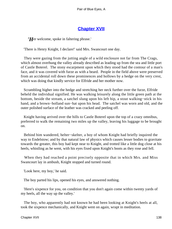# **[Chapter XVII](#page-346-0)**

*'H*er welcome, spoke in faltering phrase.'

'There is Henry Knight, I declare!' said Mrs. Swancourt one day.

 They were gazing from the jutting angle of a wild enclosure not far from The Crags, which almost overhung the valley already described as leading up from the sea and little port of Castle Boterel. The stony escarpment upon which they stood had the contour of a man's face, and it was covered with furze as with a beard. People in the field above were preserved from an accidental roll down these prominences and hollows by a hedge on the very crest, which was doing that kindly service for Elfride and her mother now.

 Scrambling higher into the hedge and stretching her neck further over the furze, Elfride beheld the individual signified. He was walking leisurely along the little green path at the bottom, beside the stream, a satchel slung upon his left hip, a stout walking−stick in his hand, and a brown−holland sun−hat upon his head. The satchel was worn and old, and the outer polished surface of the leather was cracked and peeling off.

 Knight having arrived over the hills to Castle Boterel upon the top of a crazy omnibus, preferred to walk the remaining two miles up the valley, leaving his luggage to be brought on.

 Behind him wandered, helter−skelter, a boy of whom Knight had briefly inquired the way to Endelstow; and by that natural law of physics which causes lesser bodies to gravitate towards the greater, this boy had kept near to Knight, and trotted like a little dog close at his heels, whistling as he went, with his eyes fixed upon Knight's boots as they rose and fell.

 When they had reached a point precisely opposite that in which Mrs. and Miss Swancourt lay in ambush, Knight stopped and turned round.

'Look here, my boy,' he said.

The boy parted his lips, opened his eyes, and answered nothing.

 'Here's sixpence for you, on condition that you don't again come within twenty yards of my heels, all the way up the valley.'

 The boy, who apparently had not known he had been looking at Knight's heels at all, took the sixpence mechanically, and Knight went on again, wrapt in meditation.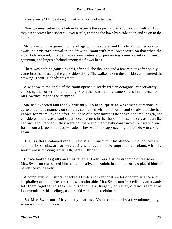'A nice voice,' Elfride thought; 'but what a singular temper!'

 'Now we must get indoors before he ascends the slope,' said Mrs. Swancourt softly. And they went across by a short cut over a stile, entering the lawn by a side door, and so on to the house.

 Mr. Swancourt had gone into the village with the curate, and Elfride felt too nervous to await their visitor's arrival in the drawing−room with Mrs. Swancourt. So that when the elder lady entered, Elfride made some pretence of perceiving a new variety of crimson geranium, and lingered behind among the flower beds.

 There was nothing gained by this, after all, she thought; and a few minutes after boldly came into the house by the glass side− door. She walked along the corridor, and entered the drawing− room. Nobody was there.

 A window at the angle of the room opened directly into an octagonal conservatory, enclosing the corner of the building. From the conservatory came voices in conversation – Mrs. Swancourt's and the stranger's.

 She had expected him to talk brilliantly. To her surprise he was asking questions in quite a learner's manner, on subjects connected with the flowers and shrubs that she had known for years. When after the lapse of a few minutes he spoke at some length, she considered there was a hard square decisiveness in the shape of his sentences, as if, unlike her own and Stephen's, they were not there and then newly constructed, but were drawn forth from a large store ready−made. They were now approaching the window to come in again.

 'That is a flesh−coloured variety,' said Mrs. Swancourt. 'But oleanders, though they are such bulky shrubs, are so very easily wounded as to be unprunable – giants with the sensitiveness of young ladies. Oh, here is Elfride!'

 Elfride looked as guilty and crestfallen as Lady Teazle at the dropping of the screen. Mrs. Swancourt presented him half comically, and Knight in a minute or two placed himself beside the young lady.

 A complexity of instincts checked Elfride's conventional smiles of complaisance and hospitality; and, to make her still less comfortable, Mrs. Swancourt immediately afterwards left them together to seek her husband. Mr. Knight, however, did not seem at all incommoded by his feelings, and he said with light easefulness:

 'So, Miss Swancourt, I have met you at last. You escaped me by a few minutes only when we were in London.'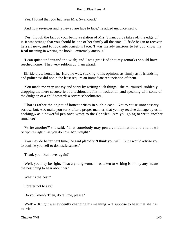'Yes. I found that you had seen Mrs. Swancourt.'

'And now reviewer and reviewed are face to face,' he added unconcernedly.

 'Yes: though the fact of your being a relation of Mrs. Swancourt's takes off the edge of it. It was strange that you should be one of her family all the time.' Elfride began to recover herself now, and to look into Knight's face. 'I was merely anxious to let you know my **Real** meaning in writing the book – extremely anxious.'

 'I can quite understand the wish; and I was gratified that my remarks should have reached home. They very seldom do, I am afraid.'

 Elfride drew herself in. Here he was, sticking to his opinions as firmly as if friendship and politeness did not in the least require an immediate renunciation of them.

 'You made me very uneasy and sorry by writing such things!' she murmured, suddenly dropping the mere cacueterie of a fashionable first introduction, and speaking with some of the dudgeon of a child towards a severe schoolmaster.

 'That is rather the object of honest critics in such a case. Not to cause unnecessary sorrow, but: «To make you sorry after a proper manner, that ye may receive damage by us in nothing,» as a powerful pen once wrote to the Gentiles. Are you going to write another romance?'

 'Write another?' she said. 'That somebody may pen a condemnation and «nail't wi' Scripture» again, as you do now, Mr. Knight?'

 'You may do better next time,' he said placidly: 'I think you will. But I would advise you to confine yourself to domestic scenes.'

'Thank you. But never again!'

 'Well, you may be right. That a young woman has taken to writing is not by any means the best thing to hear about her.'

'What is the best?'

'I prefer not to say.'

'Do you know? Then, do tell me, please.'

 'Well' – (Knight was evidently changing his meaning) – 'I suppose to hear that she has married.'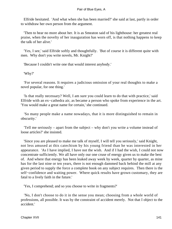Elfride hesitated. 'And what when she has been married?' she said at last, partly in order to withdraw her own person from the argument.

 'Then to hear no more about her. It is as Smeaton said of his lighthouse: her greatest real praise, when the novelty of her inauguration has worn off, is that nothing happens to keep the talk of her alive.'

 'Yes, I see,' said Elfride softly and thoughtfully. 'But of course it is different quite with men. Why don't you write novels, Mr. Knight?'

'Because I couldn't write one that would interest anybody.'

'Why?'

 'For several reasons. It requires a judicious omission of your real thoughts to make a novel popular, for one thing.'

 'Is that really necessary? Well, I am sure you could learn to do that with practice,' said Elfride with an ex−cathedra air, as became a person who spoke from experience in the art. 'You would make a great name for certain,' she continued.

 'So many people make a name nowadays, that it is more distinguished to remain in obscurity.'

 'Tell me seriously – apart from the subject – why don't you write a volume instead of loose articles?' she insisted.

 'Since you are pleased to make me talk of myself, I will tell you seriously,' said Knight, not less amused at this catechism by his young friend than he was interested in her appearance. 'As I have implied, I have not the wish. And if I had the wish, I could not now concentrate sufficiently. We all have only our one cruse of energy given us to make the best of. And where that energy has been leaked away week by week, quarter by quarter, as mine has for the last nine or ten years, there is not enough dammed back behind the mill at any given period to supply the force a complete book on any subject requires. Then there is the self−confidence and waiting power. Where quick results have grown customary, they are fatal to a lively faith in the future.'

'Yes, I comprehend; and so you choose to write in fragments?'

 'No, I don't choose to do it in the sense you mean; choosing from a whole world of professions, all possible. It was by the constraint of accident merely. Not that I object to the accident.'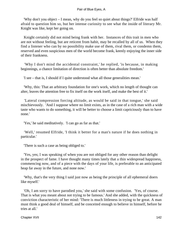'Why don't you object – I mean, why do you feel so quiet about things?' Elfride was half afraid to question him so, but her intense curiosity to see what the inside of literary Mr. Knight was like, kept her going on.

 Knight certainly did not mind being frank with her. Instances of this trait in men who are not without feeling, but are reticent from habit, may be recalled by all of us. When they find a listener who can by no possibility make use of them, rival them, or condemn them, reserved and even suspicious men of the world become frank, keenly enjoying the inner side of their frankness.

 'Why I don't mind the accidental constraint,' he replied, 'is because, in making beginnings, a chance limitation of direction is often better than absolute freedom.'

'I see – that is, I should if I quite understood what all those generalities mean.'

 'Why, this: That an arbitrary foundation for one's work, which no length of thought can alter, leaves the attention free to fix itself on the work itself, and make the best of it.'

 'Lateral compression forcing altitude, as would be said in that tongue,' she said mischievously. 'And I suppose where no limit exists, as in the case of a rich man with a wide taste who wants to do something, it will be better to choose a limit capriciously than to have none.'

'Yes,' he said meditatively. 'I can go as far as that.'

 'Well,' resumed Elfride, 'I think it better for a man's nature if he does nothing in particular.'

'There is such a case as being obliged to.'

 'Yes, yes; I was speaking of when you are not obliged for any other reason than delight in the prospect of fame. I have thought many times lately that a thin widespread happiness, commencing now, and of a piece with the days of your life, is preferable to an anticipated heap far away in the future, and none now.'

 'Why, that's the very thing I said just now as being the principle of all ephemeral doers like myself.'

 'Oh, I am sorry to have parodied you,' she said with some confusion. 'Yes, of course. That is what you meant about not trying to be famous.' And she added, with the quickness of conviction characteristic of her mind: 'There is much littleness in trying to be great. A man must think a good deal of himself, and be conceited enough to believe in himself, before he tries at all.'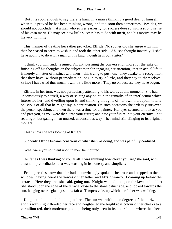'But it is soon enough to say there is harm in a man's thinking a good deal of himself when it is proved he has been thinking wrong, and too soon then sometimes. Besides, we should not conclude that a man who strives earnestly for success does so with a strong sense of his own merit. He may see how little success has to do with merit, and his motive may be his very humility.'

 This manner of treating her rather provoked Elfride. No sooner did she agree with him than he ceased to seem to wish it, and took the other side. 'Ah,' she thought inwardly, 'I shall have nothing to do with a man of this kind, though he is our visitor.'

 'I think you will find,' resumed Knight, pursuing the conversation more for the sake of finishing off his thoughts on the subject than for engaging her attention, 'that in actual life it is merely a matter of instinct with men – this trying to push on. They awake to a recognition that they have, without premeditation, begun to try a little, and they say to themselves, «Since I have tried thus much, I will try a little more.» They go on because they have begun.'

 Elfride, in her turn, was not particularly attending to his words at this moment. She had, unconsciously to herself, a way of seizing any point in the remarks of an interlocutor which interested her, and dwelling upon it, and thinking thoughts of her own thereupon, totally oblivious of all that he might say in continuation. On such occasions she artlessly surveyed the person speaking; and then there was a time for a painter. Her eyes seemed to look at you, and past you, as you were then, into your future; and past your future into your eternity – not reading it, but gazing in an unused, unconscious way – her mind still clinging to its original thought.

This is how she was looking at Knight.

Suddenly Elfride became conscious of what she was doing, and was painfully confused.

'What were you so intent upon in me?' he inquired.

 'As far as I was thinking of you at all, I was thinking how clever you are,' she said, with a want of premeditation that was startling in its honesty and simplicity.

 Feeling restless now that she had so unwittingly spoken, she arose and stepped to the window, having heard the voices of her father and Mrs. Swancourt coming up below the terrace. 'Here they are,' she said, going out. Knight walked out upon the lawn behind her. She stood upon the edge of the terrace, close to the stone balustrade, and looked towards the sun, hanging over a glade just now fair as Tempe's vale, up which her father was walking.

 Knight could not help looking at her. The sun was within ten degrees of the horizon, and its warm light flooded her face and heightened the bright rose colour of her cheeks to a vermilion red, their moderate pink hue being only seen in its natural tone where the cheek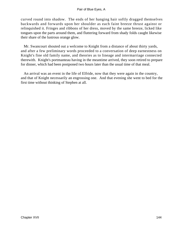curved round into shadow. The ends of her hanging hair softly dragged themselves backwards and forwards upon her shoulder as each faint breeze thrust against or relinquished it. Fringes and ribbons of her dress, moved by the same breeze, licked like tongues upon the parts around them, and fluttering forward from shady folds caught likewise their share of the lustrous orange glow.

 Mr. Swancourt shouted out a welcome to Knight from a distance of about thirty yards, and after a few preliminary words proceeded to a conversation of deep earnestness on Knight's fine old family name, and theories as to lineage and intermarriage connected therewith. Knight's portmanteau having in the meantime arrived, they soon retired to prepare for dinner, which had been postponed two hours later than the usual time of that meal.

 An arrival was an event in the life of Elfride, now that they were again in the country, and that of Knight necessarily an engrossing one. And that evening she went to bed for the first time without thinking of Stephen at all.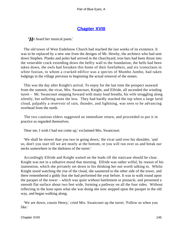## **[Chapter XVIII](#page-346-0)**

*'H*e heard her musical pants.'

 The old tower of West Endelstow Church had reached the last weeks of its existence. It was to be replaced by a new one from the designs of Mr. Hewby, the architect who had sent down Stephen. Planks and poles had arrived in the churchyard, iron bars had been thrust into the venerable crack extending down the belfry wall to the foundation, the bells had been taken down, the owls had forsaken this home of their forefathers, and six iconoclasts in white fustian, to whom a cracked edifice was a species of Mumbo Jumbo, had taken lodgings in the village previous to beginning the actual removal of the stones.

 This was the day after Knight's arrival. To enjoy for the last time the prospect seaward from the summit, the vicar, Mrs. Swancourt, Knight, and Elfride, all ascended the winding turret – Mr. Swancourt stepping forward with many loud breaths, his wife struggling along silently, but suffering none the less. They had hardly reached the top when a large lurid cloud, palpably a reservoir of rain, thunder, and lightning, was seen to be advancing overhead from the north.

 The two cautious elders suggested an immediate return, and proceeded to put it in practice as regarded themselves.

'Dear me, I wish I had not come up,' exclaimed Mrs. Swancourt.

 'We shall be slower than you two in going down,' the vicar said over his shoulder, 'and so, don't you start till we are nearly at the bottom, or you will run over us and break our necks somewhere in the darkness of the turret.'

 Accordingly Elfride and Knight waited on the leads till the staircase should be clear. Knight was not in a talkative mood that morning. Elfride was rather wilful, by reason of his inattention, which she privately set down to his thinking her not worth talking to. Whilst Knight stood watching the rise of the cloud, she sauntered to the other side of the tower, and there remembered a giddy feat she had performed the year before. It was to walk round upon the parapet of the tower – which was quite without battlement or pinnacle, and presented a smooth flat surface about two feet wide, forming a pathway on all the four sides. Without reflecting in the least upon what she was doing she now stepped upon the parapet in the old way, and began walking along.

 'We are down, cousin Henry,' cried Mrs. Swancourt up the turret. 'Follow us when you like.'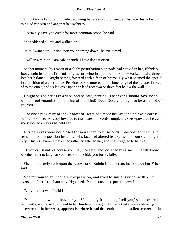Knight turned and saw Elfride beginning her elevated promenade. His face flushed with mingled concern and anger at her rashness.

'I certainly gave you credit for more common sense,' he said.

She reddened a little and walked on.

'Miss Swancourt, I insist upon your coming down,' he exclaimed.

'I will in a minute. I am safe enough. I have done it often.'

 At that moment, by reason of a slight perturbation his words had caused in her, Elfride's foot caught itself in a little tuft of grass growing in a joint of the stone−work, and she almost lost her balance. Knight sprang forward with a face of horror. By what seemed the special interposition of a considerate Providence she tottered to the inner edge of the parapet instead of to the outer, and reeled over upon the lead roof two or three feet below the wall.

 Knight seized her as in a vice, and he said, panting, 'That ever I should have met a woman fool enough to do a thing of that kind! Good God, you ought to be ashamed of yourself!'

 The close proximity of the Shadow of Death had made her sick and pale as a corpse before he spoke. Already lowered to that state, his words completely over−powered her, and she swooned away as he held her.

 Elfride's eyes were not closed for more than forty seconds. She opened them, and remembered the position instantly. His face had altered its expression from stern anger to pity. But his severe remarks had rather frightened her, and she struggled to be free.

 'If you can stand, of course you may,' he said, and loosened his arms. 'I hardly know whether most to laugh at your freak or to chide you for its folly.'

 She immediately sank upon the lead−work. Knight lifted her again. 'Are you hurt?' he said.

 She murmured an incoherent expression, and tried to smile; saying, with a fitful aversion of her face, 'I am only frightened. Put me down, do put me down!'

'But you can't walk,' said Knight.

 'You don't know that; how can you? I am only frightened, I tell you,' she answered petulantly, and raised her hand to her forehead. Knight then saw that she was bleeding from a severe cut in her wrist, apparently where it had descended upon a salient corner of the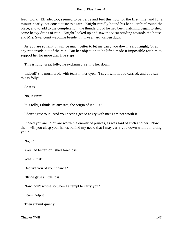lead−work. Elfride, too, seemed to perceive and feel this now for the first time, and for a minute nearly lost consciousness again. Knight rapidly bound his handkerchief round the place, and to add to the complication, the thundercloud he had been watching began to shed some heavy drops of rain. Knight looked up and saw the vicar striding towards the house, and Mrs. Swancourt waddling beside him like a hard−driven duck.

 'As you are so faint, it will be much better to let me carry you down,' said Knight; 'or at any rate inside out of the rain.' But her objection to be lifted made it impossible for him to support her for more than five steps.

'This is folly, great folly,' he exclaimed, setting her down.

 'Indeed!' she murmured, with tears in her eyes. 'I say I will not be carried, and you say this is folly!'

'So it is.'

'No, it isn't!'

'It is folly, I think. At any rate, the origin of it all is.'

'I don't agree to it. And you needn't get so angry with me; I am not worth it.'

 'Indeed you are. You are worth the enmity of princes, as was said of such another. Now, then, will you clasp your hands behind my neck, that I may carry you down without hurting you?'

'No, no.'

'You had better, or I shall foreclose.'

'What's that!'

'Deprive you of your chance.'

Elfride gave a little toss.

'Now, don't writhe so when I attempt to carry you.'

'I can't help it.'

'Then submit quietly.'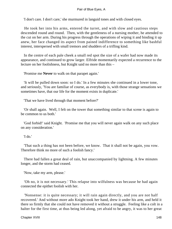'I don't care. I don't care,' she murmured in languid tones and with closed eyes.

 He took her into his arms, entered the turret, and with slow and cautious steps descended round and round. Then, with the gentleness of a nursing mother, he attended to the cut on her arm. During his progress through the operations of wiping it and binding it up anew, her face changed its aspect from pained indifference to something like bashful interest, interspersed with small tremors and shudders of a trifling kind.

 In the centre of each pale cheek a small red spot the size of a wafer had now made its appearance, and continued to grow larger. Elfride momentarily expected a recurrence to the lecture on her foolishness, but Knight said no more than this –

'Promise me **Never** to walk on that parapet again.'

 'It will be pulled down soon: so I do.' In a few minutes she continued in a lower tone, and seriously, 'You are familiar of course, as everybody is, with those strange sensations we sometimes have, that our life for the moment exists in duplicate.'

'That we have lived through that moment before?'

 'Or shall again. Well, I felt on the tower that something similar to that scene is again to be common to us both.'

 'God forbid!' said Knight. 'Promise me that you will never again walk on any such place on any consideration.'

'I do.'

 'That such a thing has not been before, we know. That it shall not be again, you vow. Therefore think no more of such a foolish fancy.'

 There had fallen a great deal of rain, but unaccompanied by lightning. A few minutes longer, and the storm had ceased.

'Now, take my arm, please.'

 'Oh no, it is not necessary.' This relapse into wilfulness was because he had again connected the epithet foolish with her.

 'Nonsense: it is quite necessary; it will rain again directly, and you are not half recovered.' And without more ado Knight took her hand, drew it under his arm, and held it there so firmly that she could not have removed it without a struggle. Feeling like a colt in a halter for the first time, at thus being led along, yet afraid to be angry, it was to her great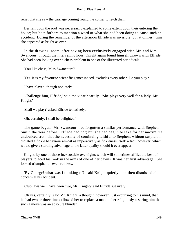relief that she saw the carriage coming round the corner to fetch them.

 Her fall upon the roof was necessarily explained to some extent upon their entering the house; but both forbore to mention a word of what she had been doing to cause such an accident. During the remainder of the afternoon Elfride was invisible; but at dinner− time she appeared as bright as ever.

 In the drawing−room, after having been exclusively engaged with Mr. and Mrs. Swancourt through the intervening hour, Knight again found himself thrown with Elfride. She had been looking over a chess problem in one of the illustrated periodicals.

'You like chess, Miss Swancourt?'

'Yes. It is my favourite scientific game; indeed, excludes every other. Do you play?'

'I have played; though not lately.'

 'Challenge him, Elfride,' said the vicar heartily. 'She plays very well for a lady, Mr. Knight.'

'Shall we play?' asked Elfride tentatively.

'Oh, certainly. I shall be delighted.'

 The game began. Mr. Swancourt had forgotten a similar performance with Stephen Smith the year before. Elfride had not; but she had begun to take for her maxim the undoubted truth that the necessity of continuing faithful to Stephen, without suspicion, dictated a fickle behaviour almost as imperatively as fickleness itself; a fact, however, which would give a startling advantage to the latter quality should it ever appear.

 Knight, by one of those inexcusable oversights which will sometimes afflict the best of players, placed his rook in the arms of one of her pawns. It was her first advantage. She looked triumphant – even ruthless.

 'By George! what was I thinking of?' said Knight quietly; and then dismissed all concern at his accident.

'Club laws we'll have, won't we, Mr. Knight?' said Elfride suasively.

 'Oh yes, certainly,' said Mr. Knight, a thought, however, just occurring to his mind, that he had two or three times allowed her to replace a man on her religiously assuring him that such a move was an absolute blunder.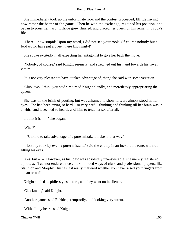She immediately took up the unfortunate rook and the contest proceeded, Elfride having now rather the better of the game. Then he won the exchange, regained his position, and began to press her hard. Elfride grew flurried, and placed her queen on his remaining rook's file.

 'There – how stupid! Upon my word, I did not see your rook. Of course nobody but a fool would have put a queen there knowingly!'

She spoke excitedly, half expecting her antagonist to give her back the move.

 'Nobody, of course,' said Knight serenely, and stretched out his hand towards his royal victim.

'It is not very pleasant to have it taken advantage of, then,' she said with some vexation.

 'Club laws, I think you said?' returned Knight blandly, and mercilessly appropriating the queen.

 She was on the brink of pouting, but was ashamed to show it; tears almost stood in her eyes. She had been trying so hard – so very hard – thinking and thinking till her brain was in a whirl; and it seemed so heartless of him to treat her so, after all.

'I think it is  $-$  – ' she began.

'What?'

– 'Unkind to take advantage of a pure mistake I make in that way.'

 'I lost my rook by even a purer mistake,' said the enemy in an inexorable tone, without lifting his eyes.

 'Yes, but – – ' However, as his logic was absolutely unanswerable, she merely registered a protest. 'I cannot endure those cold− blooded ways of clubs and professional players, like Staunton and Morphy. Just as if it really mattered whether you have raised your fingers from a man or no!'

Knight smiled as pitilessly as before, and they went on in silence.

'Checkmate,' said Knight.

'Another game,' said Elfride peremptorily, and looking very warm.

'With all my heart,' said Knight.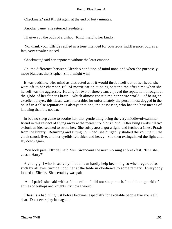'Checkmate,' said Knight again at the end of forty minutes.

'Another game,' she returned resolutely.

'I'll give you the odds of a bishop,' Knight said to her kindly.

 'No, thank you,' Elfride replied in a tone intended for courteous indifference; but, as a fact, very cavalier indeed.

'Checkmate,' said her opponent without the least emotion.

 Oh, the difference between Elfride's condition of mind now, and when she purposely made blunders that Stephen Smith might win!

 It was bedtime. Her mind as distracted as if it would throb itself out of her head, she went off to her chamber, full of mortification at being beaten time after time when she herself was the aggressor. Having for two or three years enjoyed the reputation throughout the globe of her father's brain – which almost constituted her entire world – of being an excellent player, this fiasco was intolerable; for unfortunately the person most dogged in the belief in a false reputation is always that one, the possessor, who has the best means of knowing that it is not true.

 In bed no sleep came to soothe her; that gentle thing being the very middle−of−summer friend in this respect of flying away at the merest troublous cloud. After lying awake till two o'clock an idea seemed to strike her. She softly arose, got a light, and fetched a Chess Praxis from the library. Returning and sitting up in bed, she diligently studied the volume till the clock struck five, and her eyelids felt thick and heavy. She then extinguished the light and lay down again.

 'You look pale, Elfride,' said Mrs. Swancourt the next morning at breakfast. 'Isn't she, cousin Harry?'

 A young girl who is scarcely ill at all can hardly help becoming so when regarded as such by all eyes turning upon her at the table in obedience to some remark. Everybody looked at Elfride. She certainly was pale.

 'Am I pale?' she said with a faint smile. 'I did not sleep much. I could not get rid of armies of bishops and knights, try how I would.'

 'Chess is a bad thing just before bedtime; especially for excitable people like yourself, dear. Don't ever play late again.'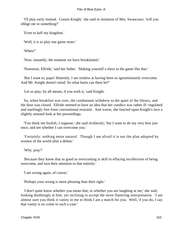'I'll play early instead. Cousin Knight,' she said in imitation of Mrs. Swancourt, 'will you oblige me in something?'

'Even to half my kingdom.'

'Well, it is to play one game more.'

'When?'

'Now, instantly; the moment we have breakfasted.'

'Nonsense, Elfride,' said her father. 'Making yourself a slave to the game like that.'

 'But I want to, papa! Honestly, I am restless at having been so ignominiously overcome. And Mr. Knight doesn't mind. So what harm can there be?'

'Let us play, by all means, if you wish it,' said Knight.

 So, when breakfast was over, the combatants withdrew to the quiet of the library, and the door was closed. Elfride seemed to have an idea that her conduct was rather ill−regulated and startlingly free from conventional restraint. And worse, she fancied upon Knight's face a slightly amused look at her proceedings.

 'You think me foolish, I suppose,' she said recklessly; 'but I want to do my very best just once, and see whether I can overcome you.'

 'Certainly: nothing more natural. Though I am afraid it is not the plan adopted by women of the world after a defeat.'

'Why, pray?'

 'Because they know that as good as overcoming is skill in effacing recollection of being overcome, and turn their attention to that entirely.'

'I am wrong again, of course.'

'Perhaps your wrong is more pleasing than their right.'

 'I don't quite know whether you mean that, or whether you are laughing at me,' she said, looking doubtingly at him, yet inclining to accept the more flattering interpretation. 'I am almost sure you think it vanity in me to think I am a match for you. Well, if you do, I say that vanity is no crime in such a case.'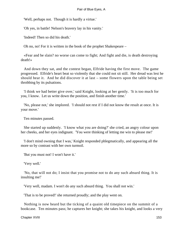'Well, perhaps not. Though it is hardly a virtue.'

'Oh yes, in battle! Nelson's bravery lay in his vanity.'

'Indeed! Then so did his death.'

Oh no, no! For it is written in the book of the prophet Shakespeare –

 «Fear and be slain? no worse can come to fight; And fight and die, is death destroying death!»

 And down they sat, and the contest began, Elfride having the first move. The game progressed. Elfride's heart beat so violently that she could not sit still. Her dread was lest he should hear it. And he did discover it at last – some flowers upon the table being set throbbing by its pulsations.

 'I think we had better give over,' said Knight, looking at her gently. 'It is too much for you, I know. Let us write down the position, and finish another time.'

 'No, please not,' she implored. 'I should not rest if I did not know the result at once. It is your move.'

Ten minutes passed.

 She started up suddenly. 'I know what you are doing?' she cried, an angry colour upon her cheeks, and her eyes indignant. 'You were thinking of letting me win to please me!'

 'I don't mind owning that I was,' Knight responded phlegmatically, and appearing all the more so by contrast with her own turmoil.

'But you must not! I won't have it.'

'Very well.'

 'No, that will not do; I insist that you promise not to do any such absurd thing. It is insulting me!'

'Very well, madam. I won't do any such absurd thing. You shall not win.'

'That is to be proved!' she returned proudly; and the play went on.

 Nothing is now heard but the ticking of a quaint old timepiece on the summit of a bookcase. Ten minutes pass; he captures her knight; she takes his knight, and looks a very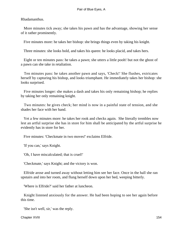Rhadamanthus.

 More minutes tick away; she takes his pawn and has the advantage, showing her sense of it rather prominently.

Five minutes more: he takes her bishop: she brings things even by taking his knight.

Three minutes: she looks bold, and takes his queen: he looks placid, and takes hers.

 Eight or ten minutes pass: he takes a pawn; she utters a little pooh! but not the ghost of a pawn can she take in retaliation.

 Ten minutes pass: he takes another pawn and says, 'Check!' She flushes, extricates herself by capturing his bishop, and looks triumphant. He immediately takes her bishop: she looks surprised.

 Five minutes longer: she makes a dash and takes his only remaining bishop; he replies by taking her only remaining knight.

 Two minutes: he gives check; her mind is now in a painful state of tension, and she shades her face with her hand.

 Yet a few minutes more: he takes her rook and checks again. She literally trembles now lest an artful surprise she has in store for him shall be anticipated by the artful surprise he evidently has in store for her.

Five minutes: 'Checkmate in two moves!' exclaims Elfride.

'If you can,' says Knight.

'Oh, I have miscalculated; that is cruel!'

'Checkmate,' says Knight; and the victory is won.

 Elfride arose and turned away without letting him see her face. Once in the hall she ran upstairs and into her room, and flung herself down upon her bed, weeping bitterly.

'Where is Elfride?' said her father at luncheon.

 Knight listened anxiously for the answer. He had been hoping to see her again before this time.

'She isn't well, sir,' was the reply.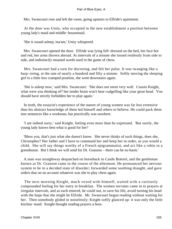Mrs. Swancourt rose and left the room, going upstairs to Elfride's apartment.

 At the door was Unity, who occupied in the new establishment a position between young lady's maid and middle−housemaid.

'She is sound asleep, ma'am,' Unity whispered.

 Mrs. Swancourt opened the door. Elfride was lying full−dressed on the bed, her face hot and red, her arms thrown abroad. At intervals of a minute she tossed restlessly from side to side, and indistinctly moaned words used in the game of chess.

 Mrs. Swancourt had a turn for doctoring, and felt her pulse. It was twanging like a harp−string, at the rate of nearly a hundred and fifty a minute. Softly moving the sleeping girl to a little less cramped position, she went downstairs again.

 'She is asleep now,' said Mrs. Swancourt. 'She does not seem very well. Cousin Knight, what were you thinking of? her tender brain won't bear cudgelling like your great head. You should have strictly forbidden her to play again.'

 In truth, the essayist's experience of the nature of young women was far less extensive than his abstract knowledge of them led himself and others to believe. He could pack them into sentences like a workman, but practically was nowhere.

 'I am indeed sorry,' said Knight, feeling even more than he expressed. 'But surely, the young lady knows best what is good for her!'

 'Bless you, that's just what she doesn't know. She never thinks of such things, does she, Christopher? Her father and I have to command her and keep her in order, as you would a child. She will say things worthy of a French epigrammatist, and act like a robin in a greenhouse. But I think we will send for Dr. Granson – there can be no harm.'

 A man was straightway despatched on horseback to Castle Boterel, and the gentleman known as Dr. Granson came in the course of the afternoon. He pronounced her nervous system to be in a decided state of disorder; forwarded some soothing draught, and gave orders that on no account whatever was she to play chess again.

 The next morning Knight, much vexed with himself, waited with a curiously compounded feeling for her entry to breakfast. The women servants came in to prayers at irregular intervals, and as each entered, he could not, to save his life, avoid turning his head with the hope that she might be Elfride. Mr. Swancourt began reading without waiting for her. Then somebody glided in noiselessly; Knight softly glanced up: it was only the little kitchen−maid. Knight thought reading prayers a bore.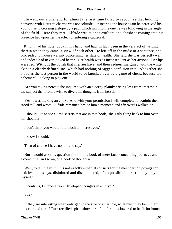He went out alone, and for almost the first time failed to recognize that holding converse with Nature's charms was not solitude. On nearing the house again he perceived his young friend crossing a slope by a path which ran into the one he was following in the angle of the field. Here they met. Elfride was at once exultant and abashed: coming into his presence had upon her the effect of entering a cathedral.

 Knight had his note−book in his hand, and had, in fact, been in the very act of writing therein when they came in view of each other. He left off in the midst of a sentence, and proceeded to inquire warmly concerning her state of health. She said she was perfectly well, and indeed had never looked better. Her health was as inconsequent as her actions. Her lips were red, **Without** the polish that cherries have, and their redness margined with the white skin in a clearly defined line, which had nothing of jagged confusion in it. Altogether she stood as the last person in the world to be knocked over by a game of chess, because too ephemeral−looking to play one.

 'Are you taking notes?' she inquired with an alacrity plainly arising less from interest in the subject than from a wish to divert his thoughts from herself.

 'Yes; I was making an entry. And with your permission I will complete it.' Knight then stood still and wrote. Elfride remained beside him a moment, and afterwards walked on.

 'I should like to see all the secrets that are in that book,' she gaily flung back to him over her shoulder.

'I don't think you would find much to interest you.'

'I know I should.'

'Then of course I have no more to say.'

 'But I would ask this question first. Is it a book of mere facts concerning journeys and expenditure, and so on, or a book of thoughts?'

 'Well, to tell the truth, it is not exactly either. It consists for the most part of jottings for articles and essays, disjointed and disconnected, of no possible interest to anybody but myself.'

'It contains, I suppose, your developed thoughts in embryo?'

'Yes.'

 'If they are interesting when enlarged to the size of an article, what must they be in their concentrated form? Pure rectified spirit, above proof; before it is lowered to be fit for human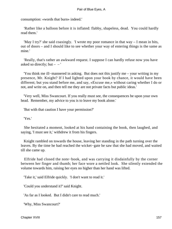consumption: «words that burn» indeed.'

 'Rather like a balloon before it is inflated: flabby, shapeless, dead. You could hardly read them.'

 'May I try?' she said coaxingly. 'I wrote my poor romance in that way – I mean in bits, out of doors – and I should like to see whether your way of entering things is the same as mine.'

 'Really, that's rather an awkward request. I suppose I can hardly refuse now you have asked so directly; but  $-$  – '

 'You think me ill−mannered in asking. But does not this justify me – your writing in my presence, Mr. Knight? If I had lighted upon your book by chance, it would have been different; but you stand before me, and say, «Excuse me,» without caring whether I do or not, and write on, and then tell me they are not private facts but public ideas.'

 'Very well, Miss Swancourt. If you really must see, the consequences be upon your own head. Remember, my advice to you is to leave my book alone.'

'But with that caution I have your permission?'

'Yes.'

 She hesitated a moment, looked at his hand containing the book, then laughed, and saying, 'I must see it,' withdrew it from his fingers.

 Knight rambled on towards the house, leaving her standing in the path turning over the leaves. By the time he had reached the wicket−gate he saw that she had moved, and waited till she came up.

 Elfride had closed the note−book, and was carrying it disdainfully by the corner between her finger and thumb; her face wore a nettled look. She silently extended the volume towards him, raising her eyes no higher than her hand was lifted.

'Take it,' said Elfride quickly. 'I don't want to read it.'

'Could you understand it?' said Knight.

'As far as I looked. But I didn't care to read much.'

'Why, Miss Swancourt?'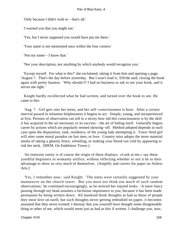'Only because I didn't wish to – that's all.'

'I warned you that you might not.'

'Yes, but I never supposed you would have put me there.'

'Your name is not mentioned once within the four corners.'

'Not my name – I know that.'

'Nor your description, nor anything by which anybody would recognize you.'

 'Except myself. For what is this?' she exclaimed, taking it from him and opening a page. 'August 7. That's the day before yesterday. But I won't read it,' Elfride said, closing the book again with pretty hauteur. 'Why should I? I had no business to ask to see your hook, and it serves me right.'

 Knight hardly recollected what he had written, and turned over the book to see. He came to this:

 'Aug. 7. Girl gets into her teens, and her self−consciousness is born. After a certain interval passed in infantine helplessness it begins to act. Simple, young, and inexperienced at first. Persons of observation can tell to a nicety how old this consciousness is by the skill it has acquired in the art necessary to its success – the art of hiding itself. Generally begins career by actions which are popularly termed showing−off. Method adopted depends in each case upon the disposition, rank, residence, of the young lady attempting it. Town−bred girl will utter some moral paradox on fast men, or love. Country miss adopts the more material media of taking a ghastly fence, whistling, or making your blood run cold by appearing to risk her neck. (MEM. On Endelstow Tower.)

 'An innocent vanity is of course the origin of these displays. «Look at me,» say these youthful beginners in womanly artifice, without reflecting whether or not it be to their advantage to show so very much of themselves. (Amplify and correct for paper on Artless Arts.)'

 'Yes, I remember now,' said Knight. 'The notes were certainly suggested by your manoeuvre on the church tower. But you must not think too much of such random observations,' he continued encouragingly, as he noticed her injured looks. 'A mere fancy passing through my head assumes a factitious importance to you, because it has been made permanent by being written down. All mankind think thoughts as bad as those of people they most love on earth, but such thoughts never getting embodied on paper, it becomes assumed that they never existed. I daresay that you yourself have thought some disagreeable thing or other of me, which would seem just as bad as this if written. I challenge you, now,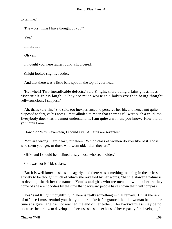to tell me.'

'The worst thing I have thought of you?'

'Yes.'

'I must not.'

'Oh yes.'

'I thought you were rather round−shouldered.'

Knight looked slightly redder.

'And that there was a little bald spot on the top of your head.'

 'Heh−heh! Two ineradicable defects,' said Knight, there being a faint ghastliness discernible in his laugh. 'They are much worse in a lady's eye than being thought self−conscious, I suppose.'

 'Ah, that's very fine,' she said, too inexperienced to perceive her hit, and hence not quite disposed to forgive his notes. 'You alluded to me in that entry as if I were such a child, too. Everybody does that. I cannot understand it. I am quite a woman, you know. How old do you think I am?'

'How old? Why, seventeen, I should say. All girls are seventeen.'

 'You are wrong. I am nearly nineteen. Which class of women do you like best, those who seem younger, or those who seem older than they are?'

'Off−hand I should be inclined to say those who seem older.'

So it was not Elfride's class.

 'But it is well known,' she said eagerly, and there was something touching in the artless anxiety to be thought much of which she revealed by her words, 'that the slower a nature is to develop, the richer the nature. Youths and girls who are men and women before they come of age are nobodies by the time that backward people have shown their full compass.'

 'Yes,' said Knight thoughtfully. 'There is really something in that remark. But at the risk of offence I must remind you that you there take it for granted that the woman behind her time at a given age has not reached the end of her tether. Her backwardness may be not because she is slow to develop, but because she soon exhausted her capacity for developing.'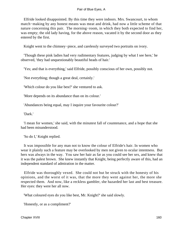Elfride looked disappointed. By this time they were indoors. Mrs. Swancourt, to whom match−making by any honest means was meat and drink, had now a little scheme of that nature concerning this pair. The morning−room, in which they both expected to find her, was empty; the old lady having, for the above reason, vacated it by the second door as they entered by the first.

Knight went to the chimney−piece, and carelessly surveyed two portraits on ivory.

 'Though these pink ladies had very rudimentary features, judging by what I see here,' he observed, 'they had unquestionably beautiful heads of hair.'

'Yes; and that is everything,' said Elfride, possibly conscious of her own, possibly not.

'Not everything; though a great deal, certainly.'

'Which colour do you like best?' she ventured to ask.

'More depends on its abundance than on its colour.'

'Abundances being equal, may I inquire your favourite colour?'

'Dark.'

 'I mean for women,' she said, with the minutest fall of countenance, and a hope that she had been misunderstood.

'So do I,' Knight replied.

 It was impossible for any man not to know the colour of Elfride's hair. In women who wear it plainly such a feature may be overlooked by men not given to ocular intentness. But hers was always in the way. You saw her hair as far as you could see her sex, and knew that it was the palest brown. She knew instantly that Knight, being perfectly aware of this, had an independent standard of admiration in the matter.

 Elfride was thoroughly vexed. She could not but be struck with the honesty of his opinions, and the worst of it was, that the more they went against her, the more she respected them. And now, like a reckless gambler, she hazarded her last and best treasure. Her eyes: they were her all now.

'What coloured eyes do you like best, Mr. Knight?' she said slowly.

'Honestly, or as a compliment?'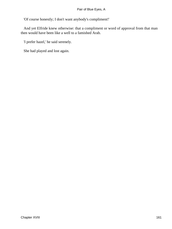'Of course honestly; I don't want anybody's compliment!'

 And yet Elfride knew otherwise: that a compliment or word of approval from that man then would have been like a well to a famished Arab.

'I prefer hazel,' he said serenely.

She had played and lost again.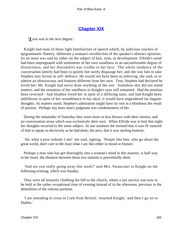## **[Chapter XIX](#page-346-0)**

*'L*ove was in the next degree.'

 Knight had none of those light familiarities of speech which, by judicious touches of epigrammatic flattery, obliterate a woman's recollection of the speaker's abstract opinions. So no more was said by either on the subject of hair, eyes, or development. Elfride's mind had been impregnated with sentiments of her own smallness to an uncomfortable degree of distinctness, and her discomfort was visible in her face. The whole tendency of the conversation latterly had been to quietly but surely disparage her; and she was fain to take Stephen into favour in self−defence. He would not have been so unloving, she said, as to admire an idiosyncrasy and features different from her own. True, Stephen had declared he loved her: Mr. Knight had never done anything of the sort. Somehow this did not mend matters, and the sensation of her smallness in Knight's eyes still remained. Had the position been reversed – had Stephen loved her in spite of a differing taste, and had Knight been indifferent in spite of her resemblance to his ideal, it would have engendered far happier thoughts. As matters stood, Stephen's admiration might have its root in a blindness the result of passion. Perhaps any keen man's judgment was condemnatory of her.

 During the remainder of Saturday they were more or less thrown with their seniors, and no conversation arose which was exclusively their own. When Elfride was in bed that night her thoughts recurred to the same subject. At one moment she insisted that it was ill−natured of him to speak so decisively as he had done; the next, that it was sterling honesty.

 'Ah, what a poor nobody I am!' she said, sighing. 'People like him, who go about the great world, don't care in the least what I am like either in mood or feature.'

 Perhaps a man who has got thoroughly into a woman's mind in this manner, is half way to her heart; the distance between those two stations is proverbially short.

 'And are you really going away this week?' said Mrs. Swancourt to Knight on the following evening, which was Sunday.

 They were all leisurely climbing the hill to the church, where a last service was now to be held at the rather exceptional time of evening instead of in the afternoon, previous to the demolition of the ruinous portions.

 'I am intending to cross to Cork from Bristol,' returned Knight; 'and then I go on to Dublin.'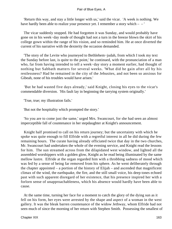'Return this way, and stay a little longer with us,' said the vicar. 'A week is nothing. We have hardly been able to realize your presence yet. I remember a story which – – '

 The vicar suddenly stopped. He had forgotten it was Sunday, and would probably have gone on in his week−day mode of thought had not a turn in the breeze blown the skirt of his college gown within the range of his vision, and so reminded him. He at once diverted the current of his narrative with the dexterity the occasion demanded.

 'The story of the Levite who journeyed to Bethlehem−judah, from which I took my text the Sunday before last, is quite to the point,' he continued, with the pronunciation of a man who, far from having intended to tell a week−day story a moment earlier, had thought of nothing but Sabbath matters for several weeks. 'What did he gain after all by his restlessness? Had he remained in the city of the Jebusites, and not been so anxious for Gibeah, none of his troubles would have arisen.'

 'But he had wasted five days already,' said Knight, closing his eyes to the vicar's commendable diversion. 'His fault lay in beginning the tarrying system originally.'

'True, true; my illustration fails.'

'But not the hospitality which prompted the story.'

 'So you are to come just the same,' urged Mrs. Swancourt, for she had seen an almost imperceptible fall of countenance in her stepdaughter at Knight's announcement.

 Knight half promised to call on his return journey; but the uncertainty with which he spoke was quite enough to fill Elfride with a regretful interest in all he did during the few remaining hours. The curate having already officiated twice that day in the two churches, Mr. Swancourt had undertaken the whole of the evening service, and Knight read the lessons for him. The sun streamed across from the dilapidated west window, and lighted all the assembled worshippers with a golden glow, Knight as he read being illuminated by the same mellow lustre. Elfride at the organ regarded him with a throbbing sadness of mood which was fed by a sense of being far removed from his sphere. As he went deliberately through the chapter appointed – a portion of the history of Elijah – and ascended that magnificent climax of the wind, the earthquake, the fire, and the still small voice, his deep tones echoed past with such apparent disregard of her existence, that his presence inspired her with a forlorn sense of unapproachableness, which his absence would hardly have been able to cause.

 At the same time, turning her face for a moment to catch the glory of the dying sun as it fell on his form, her eyes were arrested by the shape and aspect of a woman in the west gallery. It was the bleak barren countenance of the widow Jethway, whom Elfride had not seen much of since the morning of her return with Stephen Smith. Possessing the smallest of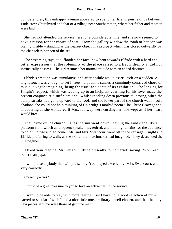competencies, this unhappy woman appeared to spend her life in journeyings between Endelstow Churchyard and that of a village near Southampton, where her father and mother were laid.

 She had not attended the service here for a considerable time, and she now seemed to have a reason for her choice of seat. From the gallery window the tomb of her son was plainly visible – standing as the nearest object in a prospect which was closed outwardly by the changeless horizon of the sea.

 The streaming rays, too, flooded her face, now bent towards Elfride with a hard and bitter expression that the solemnity of the place raised to a tragic dignity it did not intrinsically possess. The girl resumed her normal attitude with an added disquiet.

 Elfride's emotion was cumulative, and after a while would assert itself on a sudden. A slight touch was enough to set it free  $-$  a poem, a sunset, a cunningly contrived chord of music, a vague imagining, being the usual accidents of its exhibition. The longing for Knight's respect, which was leading up to an incipient yearning for his love, made the present conjuncture a sufficient one. Whilst kneeling down previous to leaving, when the sunny streaks had gone upward to the roof, and the lower part of the church was in soft shadow, she could not help thinking of Coleridge's morbid poem 'The Three Graves,' and shuddering as she wondered if Mrs. Jethway were cursing her, she wept as if her heart would break.

 They came out of church just as the sun went down, leaving the landscape like a platform from which an eloquent speaker has retired, and nothing remains for the audience to do but to rise and go home. Mr. and Mrs. Swancourt went off in the carriage, Knight and Elfride preferring to walk, as the skilful old matchmaker had imagined. They descended the hill together.

 'I liked your reading, Mr. Knight,' Elfride presently found herself saying. 'You read better than papa.'

 'I will praise anybody that will praise me. You played excellently, Miss Swancourt, and very correctly.'

'Correctly – yes.'

'It must be a great pleasure to you to take an active part in the service.'

 'I want to be able to play with more feeling. But I have not a good selection of music, sacred or secular. I wish I had a nice little music–library – well chosen, and that the only new pieces sent me were those of genuine merit.'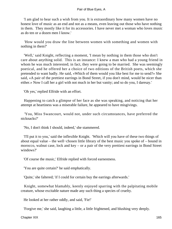'I am glad to hear such a wish from you. It is extraordinary how many women have no honest love of music as an end and not as a means, even leaving out those who have nothing in them. They mostly like it for its accessories. I have never met a woman who loves music as do ten or a dozen men I know.'

 'How would you draw the line between women with something and women with nothing in them?'

 'Well,' said Knight, reflecting a moment, 'I mean by nothing in them those who don't care about anything solid. This is an instance: I knew a man who had a young friend in whom he was much interested; in fact, they were going to be married. She was seemingly poetical, and he offered her a choice of two editions of the British poets, which she pretended to want badly. He said, «Which of them would you like best for me to send?» She said, «A pair of the prettiest earrings in Bond Street, if you don't mind, would be nicer than either.» Now I call her a girl with not much in her but vanity; and so do you, I daresay.'

'Oh yes,' replied Elfride with an effort.

 Happening to catch a glimpse of her face as she was speaking, and noticing that her attempt at heartiness was a miserable failure, he appeared to have misgivings.

 'You, Miss Swancourt, would not, under such circumstances, have preferred the nicknacks?'

'No, I don't think I should, indeed,' she stammered.

 'I'll put it to you,' said the inflexible Knight. 'Which will you have of these two things of about equal value – the well−chosen little library of the best music you spoke of – bound in morocco, walnut case, lock and key – or a pair of the very prettiest earrings in Bond Street windows?'

'Of course the music,' Elfride replied with forced earnestness.

'You are quite certain?' he said emphatically.

'Quite,' she faltered; 'if I could for certain buy the earrings afterwards.'

 Knight, somewhat blamably, keenly enjoyed sparring with the palpitating mobile creature, whose excitable nature made any such thing a species of cruelty.

He looked at her rather oddly, and said, 'Fie!'

'Forgive me,' she said, laughing a little, a little frightened, and blushing very deeply.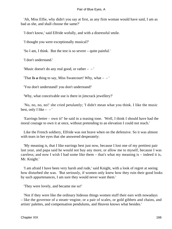'Ah, Miss Elfie, why didn't you say at first, as any firm woman would have said, I am as bad as she, and shall choose the same?'

'I don't know,' said Elfride wofully, and with a distressful smile.

'I thought you were exceptionally musical?'

'So I am, I think. But the test is so severe – quite painful.'

'I don't understand.'

'Music doesn't do any real good, or rather – – '

That **Is a** thing to say, Miss Swancourt! Why, what  $-$ 

'You don't understand! you don't understand!'

'Why, what conceivable use is there in jimcrack jewellery?'

 'No, no, no, no!' she cried petulantly; 'I didn't mean what you think. I like the music best, only I like  $-$  – '

 'Earrings better – own it!' he said in a teasing tone. 'Well, I think I should have had the moral courage to own it at once, without pretending to an elevation I could not reach.'

 Like the French soldiery, Elfride was not brave when on the defensive. So it was almost with tears in her eyes that she answered desperately:

 'My meaning is, that I like earrings best just now, because I lost one of my prettiest pair last year, and papa said he would not buy any more, or allow me to myself, because I was careless; and now I wish I had some like them – that's what my meaning is – indeed it is, Mr. Knight.'

 'I am afraid I have been very harsh and rude,' said Knight, with a look of regret at seeing how disturbed she was. 'But seriously, if women only knew how they ruin their good looks by such appurtenances, I am sure they would never want them.'

'They were lovely, and became me so!'

 'Not if they were like the ordinary hideous things women stuff their ears with nowadays – like the governor of a steam−engine, or a pair of scales, or gold gibbets and chains, and artists' palettes, and compensation pendulums, and Heaven knows what besides.'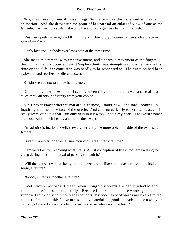'No; they were not one of those things. So pretty – like this,' she said with eager animation. And she drew with the point of her parasol an enlarged view of one of the lamented darlings, to a scale that would have suited a giantess half−a−mile high.

 'Yes, very pretty – very,' said Knight dryly. 'How did you come to lose such a precious pair of articles?'

'I only lost one – nobody ever loses both at the same time.'

 She made this remark with embarrassment, and a nervous movement of the fingers. Seeing that the loss occurred whilst Stephen Smith was attempting to kiss her for the first time on the cliff, her confusion was hardly to be wondered at. The question had been awkward, and received no direct answer.

Knight seemed not to notice her manner.

 'Oh, nobody ever loses both – I see. And certainly the fact that it was a case of loss takes away all odour of vanity from your choice.'

 'As I never know whether you are in earnest, I don't now,' she said, looking up inquiringly at the hairy face of the oracle. And coming gallantly to her own rescue, 'If I really seem vain, it is that I am only vain in my ways – not in my heart. The worst women are those vain in their hearts, and not in their ways.'

 'An adroit distinction. Well, they are certainly the more objectionable of the two,' said Knight.

'Is vanity a mortal or a venial sin? You know what life is: tell me.'

 'I am very far from knowing what life is. A just conception of life is too large a thing to grasp during the short interval of passing through it.'

 'Will the fact of a woman being fond of jewellery be likely to make her life, in its higher sense, a failure?'

'Nobody's life is altogether a failure.'

 'Well, you know what I mean, even though my words are badly selected and commonplace,' she said impatiently. 'Because I utter commonplace words, you must not suppose I think only commonplace thoughts. My poor stock of words are like a limited number of rough moulds I have to cast all my materials in, good and bad; and the novelty or delicacy of the substance is often lost in the coarse triteness of the form.'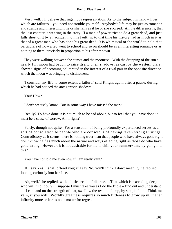'Very well; I'll believe that ingenious representation. As to the subject in hand – lives which are failures – you need not trouble yourself. Anybody's life may be just as romantic and strange and interesting if he or she fails as if he or she succeed. All the difference is, that the last chapter is wanting in the story. If a man of power tries to do a great deed, and just falls short of it by an accident not his fault, up to that time his history had as much in it as that of a great man who has done his great deed. It is whimsical of the world to hold that particulars of how a lad went to school and so on should be as an interesting romance or as nothing to them, precisely in proportion to his after renown.'

 They were walking between the sunset and the moonrise. With the dropping of the sun a nearly full moon had begun to raise itself. Their shadows, as cast by the western glare, showed signs of becoming obliterated in the interest of a rival pair in the opposite direction which the moon was bringing to distinctness.

 'I consider my life to some extent a failure,' said Knight again after a pause, during which he had noticed the antagonistic shadows.

'You! How?'

'I don't precisely know. But in some way I have missed the mark.'

 'Really? To have done it is not much to be sad about, but to feel that you have done it must be a cause of sorrow. Am I right?'

 'Partly, though not quite. For a sensation of being profoundly experienced serves as a sort of consolation to people who are conscious of having taken wrong turnings. Contradictory as it seems, there is nothing truer than that people who have always gone right don't know half as much about the nature and ways of going right as those do who have gone wrong. However, it is not desirable for me to chill your summer−time by going into this.'

'You have not told me even now if I am really vain.'

 'If I say Yes, I shall offend you; if I say No, you'll think I don't mean it,' he replied, looking curiously into her face.

 'Ah, well,' she replied, with a little breath of distress, '«That which is exceeding deep, who will find it out?» I suppose I must take you as I do the Bible – find out and understand all I can; and on the strength of that, swallow the rest in a lump, by simple faith. Think me vain, if you will. Worldly greatness requires so much littleness to grow up in, that an infirmity more or less is not a matter for regret.'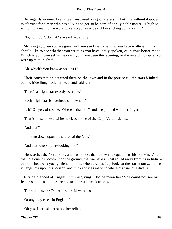'As regards women, I can't say,' answered Knight carelessly; 'but it is without doubt a misfortune for a man who has a living to get, to be born of a truly noble nature. A high soul will bring a man to the workhouse; so you may be right in sticking up for vanity.'

'No, no, I don't do that,' she said regretfully.

 Mr. Knight, when you are gone, will you send me something you have written? I think I should like to see whether you write as you have lately spoken, or in your better mood. Which is your true self – the cynic you have been this evening, or the nice philosopher you were up to to−night?'

'Ah, which? You know as well as I.'

 Their conversation detained them on the lawn and in the portico till the stars blinked out. Elfride flung back her head, and said idly –

'There's a bright star exactly over me.'

'Each bright star is overhead somewhere.'

'Is it? Oh yes, of course. Where is that one?' and she pointed with her finger.

'That is poised like a white hawk over one of the Cape Verde Islands.'

'And that?'

'Looking down upon the source of the Nile.'

'And that lonely quiet−looking one?'

 'He watches the North Pole, and has no less than the whole equator for his horizon. And that idle one low down upon the ground, that we have almost rolled away from, is in India – over the head of a young friend of mine, who very possibly looks at the star in our zenith, as it hangs low upon his horizon, and thinks of it as marking where his true love dwells.'

 Elfride glanced at Knight with misgiving. Did he mean her? She could not see his features; but his attitude seemed to show unconsciousness.

'The star is over MY head,' she said with hesitation.

'Or anybody else's in England.'

'Oh yes, I see:' she breathed her relief.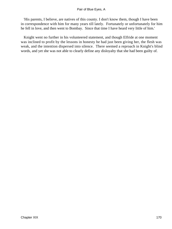'His parents, I believe, are natives of this county. I don't know them, though I have been in correspondence with him for many years till lately. Fortunately or unfortunately for him he fell in love, and then went to Bombay. Since that time I have heard very little of him.'

 Knight went no further in his volunteered statement, and though Elfride at one moment was inclined to profit by the lessons in honesty he had just been giving her, the flesh was weak, and the intention dispersed into silence. There seemed a reproach in Knight's blind words, and yet she was not able to clearly define any disloyalty that she had been guilty of.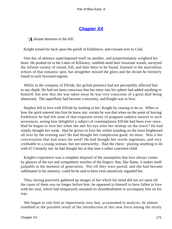# **[Chapter XX](#page-347-0)**

*'A* distant dearness in the hill.'

Knight turned his back upon the parish of Endelstow, and crossed over to Cork.

 One day of absence superimposed itself on another, and proportionately weighted his heart. He pushed on to the Lakes of Killarney, rambled amid their luxuriant woods, surveyed the infinite variety of island, hill, and dale there to be found, listened to the marvellous echoes of that romantic spot; but altogether missed the glory and the dream he formerly found in such favoured regions.

 Whilst in the company of Elfride, her girlish presence had not perceptibly affected him to any depth. He had not been conscious that her entry into his sphere had added anything to himself; but now that she was taken away he was very conscious of a great deal being abstracted. The superfluity had become a necessity, and Knight was in love.

 Stephen fell in love with Elfride by looking at her: Knight by ceasing to do so. When or how the spirit entered into him he knew not: certain he was that when on the point of leaving Endelstow he had felt none of that exquisite nicety of poignant sadness natural to such severances, seeing how delightful a subject of contemplation Elfride had been ever since. Had he begun to love her when she met his eye after her mishap on the tower? He had simply thought her weak. Had he grown to love her whilst standing on the lawn brightened all over by the evening sun? He had thought her complexion good: no more. Was it her conversation that had sown the seed? He had thought her words ingenious, and very creditable to a young woman, but not noteworthy. Had the chess− playing anything to do with it? Certainly not: he had thought her at that time a rather conceited child.

 Knight's experience was a complete disproof of the assumption that love always comes by glances of the eye and sympathetic touches of the fingers: that, like flame, it makes itself palpable at the moment of generation. Not till they were parted, and she had become sublimated in his memory, could he be said to have even attentively regarded her.

 Thus, having passively gathered up images of her which his mind did not act upon till the cause of them was no longer before him, he appeared to himself to have fallen in love with her soul, which had temporarily assumed its disembodiment to accompany him on his way.

 She began to rule him so imperiously now that, accustomed to analysis, he almost trembled at the possible result of the introduction of this new force among the nicely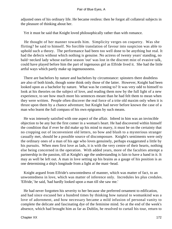adjusted ones of his ordinary life. He became restless: then he forgot all collateral subjects in the pleasure of thinking about her.

Yet it must be said that Knight loved philosophically rather than with romance.

 He thought of her manner towards him. Simplicity verges on coquetry. Was she flirting? he said to himself. No forcible translation of favour into suspicion was able to uphold such a theory. The performance had been too well done to be anything but real. It had the defects without which nothing is genuine. No actress of twenty years' standing, no bald−necked lady whose earliest season 'out' was lost in the discreet mist of evasive talk, could have played before him the part of ingenuous girl as Elfride lived it. She had the little artful ways which partly make up ingenuousness.

 There are bachelors by nature and bachelors by circumstance: spinsters there doubtless are also of both kinds, though some think only those of the latter. However, Knight had been looked upon as a bachelor by nature. What was he coming to? It was very odd to himself to look at his theories on the subject of love, and reading them now by the full light of a new experience, to see how much more his sentences meant than he had felt them to mean when they were written. People often discover the real force of a trite old maxim only when it is thrust upon them by a chance adventure; but Knight had never before known the case of a man who learnt the full compass of his own epigrams by such means.

 He was intensely satisfied with one aspect of the affair. Inbred in him was an invincible objection to be any but the first comer in a woman's heart. He had discovered within himself the condition that if ever he did make up his mind to marry, it must be on the certainty that no cropping out of inconvenient old letters, no bow and blush to a mysterious stranger casually met, should be a possible source of discomposure. Knight's sentiments were only the ordinary ones of a man of his age who loves genuinely, perhaps exaggerated a little by his pursuits. When men first love as lads, it is with the very centre of their hearts, nothing else being concerned in the operation. With added years, more of the faculties attempt a partnership in the passion, till at Knight's age the understanding is fain to have a hand in it. It may as well be left out. A man in love setting up his brains as a gauge of his position is as one determining a ship's longitude from a light at the mast−head.

 Knight argued from Elfride's unwontedness of manner, which was matter of fact, to an unwontedness in love, which was matter of inference only. Incredules les plus credules. 'Elfride,' he said, 'had hardly looked upon a man till she saw me.'

 He had never forgotten his severity to her because she preferred ornament to edification, and had since excused her a hundred times by thinking how natural to womankind was a love of adornment, and how necessary became a mild infusion of personal vanity to complete the delicate and fascinating dye of the feminine mind. So at the end of the week's absence, which had brought him as far as Dublin, he resolved to curtail his tour, return to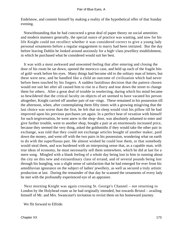Endelstow, and commit himself by making a reality of the hypothetical offer of that Sunday evening.

 Notwithstanding that he had concocted a great deal of paper theory on social amenities and modern manners generally, the special ounce of practice was wanting, and now for his life Knight could not recollect whether it was considered correct to give a young lady personal ornaments before a regular engagement to marry had been initiated. But the day before leaving Dublin he looked around anxiously for a high−class jewellery establishment, in which he purchased what he considered would suit her best.

 It was with a most awkward and unwonted feeling that after entering and closing the door of his room he sat down, opened the morocco case, and held up each of the fragile bits of gold−work before his eyes. Many things had become old to the solitary man of letters, but these were new, and he handled like a child an outcome of civilization which had never before been touched by his fingers. A sudden fastidious decision that the pattern chosen would not suit her after all caused him to rise in a flurry and tear down the street to change them for others. After a great deal of trouble in reselecting, during which his mind became so bewildered that the critical faculty on objects of art seemed to have vacated his person altogether, Knight carried off another pair of ear−rings. These remained in his possession till the afternoon, when, after contemplating them fifty times with a growing misgiving that the last choice was worse than the first, he felt that no sleep would visit his pillow till he had improved upon his previous purchases yet again. In a perfect heat of vexation with himself for such tergiversation, he went anew to the shop−door, was absolutely ashamed to enter and give further trouble, went to another shop, bought a pair at an enormously increased price, because they seemed the very thing, asked the goldsmiths if they would take the other pair in exchange, was told that they could not exchange articles bought of another maker, paid down the money, and went off with the two pairs in his possession, wondering what on earth to do with the superfluous pair. He almost wished he could lose them, or that somebody would steal them, and was burdened with an interposing sense that, as a capable man, with true ideas of economy, he must necessarily sell them somewhere, which he did at last for a mere song. Mingled with a blank feeling of a whole day being lost to him in running about the city on this new and extraordinary class of errand, and of several pounds being lost through his bungling, was a slight sense of satisfaction that he had emerged for ever from his antediluvian ignorance on the subject of ladies' jewellery, as well as secured a truly artistic production at last. During the remainder of that day he scanned the ornaments of every lady he met with the profoundly experienced eye of an appraiser.

 Next morning Knight was again crossing St. George's Channel – not returning to London by the Holyhead route as he had originally intended, but towards Bristol – availing himself of Mr. and Mrs. Swancourt's invitation to revisit them on his homeward journey.

We flit forward to Elfride.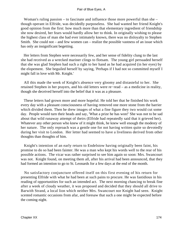Woman's ruling passion – to fascinate and influence those more powerful than she – though operant in Elfride, was decidedly purposeless. She had wanted her friend Knight's good opinion from the first: how much more than that elementary ingredient of friendship she now desired, her fears would hardly allow her to think. In originally wishing to please the highest class of man she had ever intimately known, there was no disloyalty to Stephen Smith. She could not – and few women can – realize the possible vastness of an issue which has only an insignificant begetting.

 Her letters from Stephen were necessarily few, and her sense of fidelity clung to the last she had received as a wrecked mariner clings to flotsam. The young girl persuaded herself that she was glad Stephen had such a right to her hand as he had acquired (in her eyes) by the elopement. She beguiled herself by saying, 'Perhaps if I had not so committed myself I might fall in love with Mr. Knight.'

 All this made the week of Knight's absence very gloomy and distasteful to her. She retained Stephen in her prayers, and his old letters were re−read – as a medicine in reality, though she deceived herself into the belief that it was as a pleasure.

 These letters had grown more and more hopeful. He told her that he finished his work every day with a pleasant consciousness of having removed one more stone from the barrier which divided them. Then he drew images of what a fine figure they two would cut some day. People would turn their heads and say, 'What a prize he has won!' She was not to be sad about that wild runaway attempt of theirs (Elfride had repeatedly said that it grieved her). Whatever any other person who knew of it might think, he knew well enough the modesty of her nature. The only reproach was a gentle one for not having written quite so devotedly during her visit to London. Her letter had seemed to have a liveliness derived from other thoughts than thoughts of him.

 Knight's intention of an early return to Endelstow having originally been faint, his promise to do so had been fainter. He was a man who kept his words well to the rear of his possible actions. The vicar was rather surprised to see him again so soon: Mrs. Swancourt was not. Knight found, on meeting them all, after his arrival had been announced, that they had formed an intention to go to St. Leonards for a few days at the end of the month.

 No satisfactory conjuncture offered itself on this first evening of his return for presenting Elfride with what he had been at such pains to procure. He was fastidious in his reading of opportunities for such an intended act. The next morning chancing to break fine after a week of cloudy weather, it was proposed and decided that they should all drive to Barwith Strand, a local lion which neither Mrs. Swancourt nor Knight had seen. Knight scented romantic occasions from afar, and foresaw that such a one might be expected before the coming night.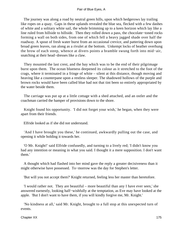The journey was along a road by neutral green hills, upon which hedgerows lay trailing like ropes on a quay. Gaps in these uplands revealed the blue sea, flecked with a few dashes of white and a solitary white sail, the whole brimming up to a keen horizon which lay like a line ruled from hillside to hillside. Then they rolled down a pass, the chocolate−toned rocks forming a wall on both sides, from one of which fell a heavy jagged shade over half the roadway. A spout of fresh water burst from an occasional crevice, and pattering down upon broad green leaves, ran along as a rivulet at the bottom. Unkempt locks of heather overhung the brow of each steep, whence at divers points a bramble swung forth into mid−air, snatching at their head−dresses like a claw.

 They mounted the last crest, and the bay which was to be the end of their pilgrimage burst upon them. The ocean blueness deepened its colour as it stretched to the foot of the crags, where it terminated in a fringe of white – silent at this distance, though moving and heaving like a counterpane upon a restless sleeper. The shadowed hollows of the purple and brown rocks would have been called blue had not that tint been so entirely appropriated by the water beside them.

 The carriage was put up at a little cottage with a shed attached, and an ostler and the coachman carried the hamper of provisions down to the shore.

 Knight found his opportunity. 'I did not forget your wish,' he began, when they were apart from their friends.

Elfride looked as if she did not understand.

 'And I have brought you these,' he continued, awkwardly pulling out the case, and opening it while holding it towards her.

 'O Mr. Knight!' said Elfride confusedly, and turning to a lively red; 'I didn't know you had any intention or meaning in what you said. I thought it a mere supposition. I don't want them.'

 A thought which had flashed into her mind gave the reply a greater decisiveness than it might otherwise have possessed. To−morrow was the day for Stephen's letter.

'But will you not accept them?' Knight returned, feeling less her master than heretofore.

 'I would rather not. They are beautiful – more beautiful than any I have ever seen,' she answered earnestly, looking half−wishfully at the temptation, as Eve may have looked at the apple. 'But I don't want to have them, if you will kindly forgive me, Mr. Knight.'

 'No kindness at all,' said Mr. Knight, brought to a full stop at this unexpected turn of events.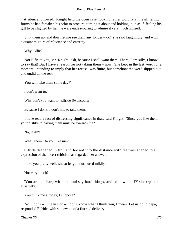A silence followed. Knight held the open case, looking rather wofully at the glittering forms he had forsaken his orbit to procure; turning it about and holding it up as if, feeling his gift to be slighted by her, he were endeavouring to admire it very much himself.

 'Shut them up, and don't let me see them any longer – do!' she said laughingly, and with a quaint mixture of reluctance and entreaty.

'Why, Elfie?'

 'Not Elfie to you, Mr. Knight. Oh, because I shall want them. There, I am silly, I know, to say that! But I have a reason for not taking them – now.' She kept in the last word for a moment, intending to imply that her refusal was finite, but somehow the word slipped out, and undid all the rest.

'You will take them some day?'

'I don't want to.'

'Why don't you want to, Elfride Swancourt?'

'Because I don't. I don't like to take them.'

 'I have read a fact of distressing significance in that,' said Knight. 'Since you like them, your dislike to having them must be towards me?'

'No, it isn't.'

'What, then? Do you like me?'

 Elfride deepened in tint, and looked into the distance with features shaped to an expression of the nicest criticism as regarded her answer.

'I like you pretty well,' she at length murmured mildly.

'Not very much?'

 'You are so sharp with me, and say hard things, and so how can I?' she replied evasively.

'You think me a fogey, I suppose?'

 'No, I don't – I mean I do – I don't know what I think you, I mean. Let us go to papa,' responded Elfride, with somewhat of a flurried delivery.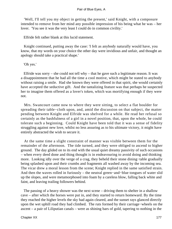'Well, I'll tell you my object in getting the present,' said Knight, with a composure intended to remove from her mind any possible impression of his being what he was – her lover. 'You see it was the very least I could do in common civility.'

Elfride felt rather blank at this lucid statement.

 Knight continued, putting away the case: 'I felt as anybody naturally would have, you know, that my words on your choice the other day were invidious and unfair, and thought an apology should take a practical shape.'

'Oh yes.'

 Elfride was sorry – she could not tell why – that he gave such a legitimate reason. It was a disappointment that he had all the time a cool motive, which might be stated to anybody without raising a smile. Had she known they were offered in that spirit, she would certainly have accepted the seductive gift. And the tantalizing feature was that perhaps he suspected her to imagine them offered as a lover's token, which was mortifying enough if they were not.

 Mrs. Swancourt came now to where they were sitting, to select a flat boulder for spreading their table−cloth upon, and, amid the discussion on that subject, the matter pending between Knight and Elfride was shelved for a while. He read her refusal so certainly as the bashfulness of a girl in a novel position, that, upon the whole, he could tolerate such a beginning. Could Knight have been told that it was a sense of fidelity struggling against new love, whilst no less assuring as to his ultimate victory, it might have entirely abstracted the wish to secure it.

 At the same time a slight constraint of manner was visible between them for the remainder of the afternoon. The tide turned, and they were obliged to ascend to higher ground. The day glided on to its end with the usual quiet dreamy passivity of such occasions – when every deed done and thing thought is in endeavouring to avoid doing and thinking more. Looking idly over the verge of a crag, they beheld their stone dining−table gradually being splashed upon and their crumbs and fragments all washed away by the incoming sea. The vicar drew a moral lesson from the scene; Knight replied in the same satisfied strain. And then the waves rolled in furiously – the neutral green−and−blue tongues of water slid up the slopes, and were metamorphosed into foam by a careless blow, falling back white and faint, and leaving trailing followers behind.

 The passing of a heavy shower was the next scene – driving them to shelter in a shallow cave – after which the horses were put in, and they started to return homeward. By the time they reached the higher levels the sky had again cleared, and the sunset rays glanced directly upon the wet uphill road they had climbed. The ruts formed by their carriage−wheels on the ascent – a pair of Liliputian canals – were as shining bars of gold, tapering to nothing in the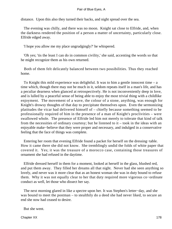distance. Upon this also they turned their backs, and night spread over the sea.

 The evening was chilly, and there was no moon. Knight sat close to Elfride, and, when the darkness rendered the position of a person a matter of uncertainty, particularly close. Elfride edged away.

'I hope you allow me my place ungrudgingly?' he whispered.

 'Oh yes; 'tis the least I can do in common civility,' she said, accenting the words so that he might recognize them as his own returned.

 Both of them felt delicately balanced between two possibilities. Thus they reached home.

To Knight this mild experience was delightful. It was to him a gentle innocent time  $- a$ time which, though there may not be much in it, seldom repeats itself in a man's life, and has a peculiar dearness when glanced at retrospectively. He is not inconveniently deep in love, and is lulled by a peaceful sense of being able to enjoy the most trivial thing with a childlike enjoyment. The movement of a wave, the colour of a stone, anything, was enough for Knight's drowsy thoughts of that day to precipitate themselves upon. Even the sermonizing platitudes the vicar had delivered himself of – chiefly because something seemed to be professionally required of him in the presence of a man of Knight's proclivities – were swallowed whole. The presence of Elfride led him not merely to tolerate that kind of talk from the necessities of ordinary courtesy; but he listened to it – took in the ideas with an enjoyable make−believe that they were proper and necessary, and indulged in a conservative feeling that the face of things was complete.

 Entering her room that evening Elfride found a packet for herself on the dressing−table. How it came there she did not know. She tremblingly undid the folds of white paper that covered it. Yes; it was the treasure of a morocco case, containing those treasures of ornament she had refused in the daytime.

 Elfride dressed herself in them for a moment, looked at herself in the glass, blushed red, and put them away. They filled her dreams all that night. Never had she seen anything so lovely, and never was it more clear that as an honest woman she was in duty bound to refuse them. Why it was not equally clear to her that duty required more vigorous co−ordinate conduct as well, let those who dissect her say.

 The next morning glared in like a spectre upon her. It was Stephen's letter−day, and she was bound to meet the postman – to stealthily do a deed she had never liked, to secure an end she now had ceased to desire.

But she went.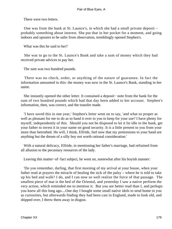There were two letters.

 One was from the bank at St. Launce's, in which she had a small private deposit – probably something about interest. She put that in her pocket for a moment, and going indoors and upstairs to be safer from observation, tremblingly opened Stephen's.

What was this he said to her?

 She was to go to the St. Launce's Bank and take a sum of money which they had received private advices to pay her.

The sum was two hundred pounds.

 There was no check, order, or anything of the nature of guarantee. In fact the information amounted to this: the money was now in the St. Launce's Bank, standing in her name.

 She instantly opened the other letter. It contained a deposit− note from the bank for the sum of two hundred pounds which had that day been added to her account. Stephen's information, then, was correct, and the transfer made.

 'I have saved this in one year,' Stephen's letter went on to say, 'and what so proper as well as pleasant for me to do as to hand it over to you to keep for your use? I have plenty for myself, independently of this. Should you not be disposed to let it lie idle in the bank, get your father to invest it in your name on good security. It is a little present to you from your more than betrothed. He will, I think, Elfride, feel now that my pretensions to your hand are anything but the dream of a silly boy not worth rational consideration.'

 With a natural delicacy, Elfride, in mentioning her father's marriage, had refrained from all allusion to the pecuniary resources of the lady.

Leaving this matter−of−fact subject, he went on, somewhat after his boyish manner:

 'Do you remember, darling, that first morning of my arrival at your house, when your father read at prayers the miracle of healing the sick of the palsy – where he is told to take up his bed and walk? I do, and I can now so well realize the force of that passage. The smallest piece of mat is the bed of the Oriental, and yesterday I saw a native perform the very action, which reminded me to mention it. But you are better read than I, and perhaps you knew all this long ago....One day I bought some small native idols to send home to you as curiosities, but afterwards finding they had been cast in England, made to look old, and shipped over, I threw them away in disgust.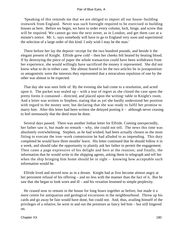'Speaking of this reminds me that we are obliged to import all our house−building ironwork from England. Never was such foresight required to be exercised in building houses as here. Before we begin, we have to order every column, lock, hinge, and screw that will be required. We cannot go into the next street, as in London, and get them cast at a minute's notice. Mr. L. says somebody will have to go to England very soon and superintend the selection of a large order of this kind. I only wish I may be the man.'

 There before her lay the deposit−receipt for the two hundred pounds, and beside it the elegant present of Knight. Elfride grew cold – then her cheeks felt heated by beating blood. If by destroying the piece of paper the whole transaction could have been withdrawn from her experience, she would willingly have sacrificed the money it represented. She did not know what to do in either case. She almost feared to let the two articles lie in juxtaposition: so antagonistic were the interests they represented that a miraculous repulsion of one by the other was almost to be expected.

 That day she was seen little of. By the evening she had come to a resolution, and acted upon it. The packet was sealed up – with a tear of regret as she closed the case upon the pretty forms it contained – directed, and placed upon the writing−table in Knight's room. And a letter was written to Stephen, stating that as yet she hardly understood her position with regard to the money sent; but declaring that she was ready to fulfil her promise to marry him. After this letter had been written she delayed posting it – although never ceasing to feel strenuously that the deed must be done.

 Several days passed. There was another Indian letter for Elfride. Coming unexpectedly, her father saw it, but made no remark – why, she could not tell. The news this time was absolutely overwhelming. Stephen, as he had wished, had been actually chosen as the most fitting to execute the iron−work commission he had alluded to as impending. This duty completed he would have three months' leave. His letter continued that he should follow it in a week, and should take the opportunity to plainly ask her father to permit the engagement. Then came a page expressive of his delight and hers at the reunion; and finally, the information that he would write to the shipping agents, asking them to telegraph and tell her when the ship bringing him home should be in sight – knowing how acceptable such information would be.

 Elfride lived and moved now as in a dream. Knight had at first become almost angry at her persistent refusal of his offering – and no less with the manner than the fact of it. But he saw that she began to look worn and ill – and his vexation lessened to simple perplexity.

 He ceased now to remain in the house for long hours together as before, but made it a mere centre for antiquarian and geological excursions in the neighbourhood. Throw up his cards and go away he fain would have done, but could not. And, thus, availing himself of the privileges of a relative, he went in and out the premises as fancy led him – but still lingered on.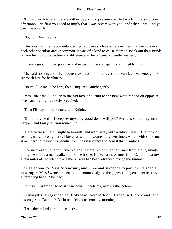'I don't wish to stay here another day if my presence is distasteful,' he said one afternoon. 'At first you used to imply that I was severe with you; and when I am kind you treat me unfairly.'

'No, no. Don't say so.'

 The origin of their acquaintanceship had been such as to render their manner towards each other peculiar and uncommon. It was of a kind to cause them to speak out their minds on any feelings of objection and difference: to be reticent on gentler matters.

'I have a good mind to go away and never trouble you again,' continued Knight.

 She said nothing, but the eloquent expression of her eyes and wan face was enough to reproach him for harshness.

'Do you like me to be here, then?' inquired Knight gently.

 'Yes,' she said. Fidelity to the old love and truth to the new were ranged on opposite sides, and truth virtuelessly prevailed.

'Then I'll stay a little longer,' said Knight.

 'Don't be vexed if I keep by myself a good deal, will you? Perhaps something may happen, and I may tell you something.'

 'Mere coyness,' said Knight to himself; and went away with a lighter heart. The trick of reading truly the enigmatical forces at work in women at given times, which with some men is an unerring instinct, is peculiar to minds less direct and honest than Knight's.

 The next evening, about five o'clock, before Knight had returned from a pilgrimage along the shore, a man walked up to the house. He was a messenger from Camelton, a town a few miles off, to which place the railway had been advanced during the summer.

 'A telegram for Miss Swancourt, and three and sixpence to pay for the special messenger.' Miss Swancourt sent out the money, signed the paper, and opened her letter with a trembling hand. She read:

'Johnson, Liverpool, to Miss Swancourt, Endelstow, near Castle Boterel.

 'Amaryllis telegraphed off Holyhead, four o'clock. Expect will dock and land passengers at Canning's Basin ten o'clock to−morrow morning.'

Her father called her into the study.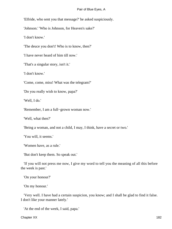'Elfride, who sent you that message?' he asked suspiciously.

'Johnson.' 'Who is Johnson, for Heaven's sake?'

'I don't know.'

'The deuce you don't! Who is to know, then?'

'I have never heard of him till now.'

'That's a singular story, isn't it.'

'I don't know.'

'Come, come, miss! What was the telegram?'

'Do you really wish to know, papa?'

'Well, I do.'

'Remember, I am a full−grown woman now.'

'Well, what then?'

'Being a woman, and not a child, I may, I think, have a secret or two.'

'You will, it seems.'

'Women have, as a rule.'

'But don't keep them. So speak out.'

 'If you will not press me now, I give my word to tell you the meaning of all this before the week is past.'

'On your honour?'

'On my honour.'

 'Very well. I have had a certain suspicion, you know; and I shall be glad to find it false. I don't like your manner lately.'

'At the end of the week, I said, papa.'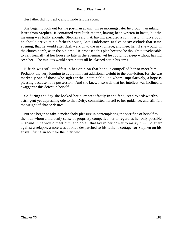Her father did not reply, and Elfride left the room.

 She began to look out for the postman again. Three mornings later he brought an inland letter from Stephen. It contained very little matter, having been written in haste; but the meaning was bulky enough. Stephen said that, having executed a commission in Liverpool, he should arrive at his father's house, East Endelstow, at five or six o'clock that same evening; that he would after dusk walk on to the next village, and meet her, if she would, in the church porch, as in the old time. He proposed this plan because he thought it unadvisable to call formally at her house so late in the evening; yet he could not sleep without having seen her. The minutes would seem hours till he clasped her in his arms.

 Elfride was still steadfast in her opinion that honour compelled her to meet him. Probably the very longing to avoid him lent additional weight to the conviction; for she was markedly one of those who sigh for the unattainable – to whom, superlatively, a hope is pleasing because not a possession. And she knew it so well that her intellect was inclined to exaggerate this defect in herself.

 So during the day she looked her duty steadfastly in the face; read Wordsworth's astringent yet depressing ode to that Deity; committed herself to her guidance; and still felt the weight of chance desires.

 But she began to take a melancholy pleasure in contemplating the sacrifice of herself to the man whom a maidenly sense of propriety compelled her to regard as her only possible husband. She would meet him, and do all that lay in her power to marry him. To guard against a relapse, a note was at once despatched to his father's cottage for Stephen on his arrival, fixing an hour for the interview.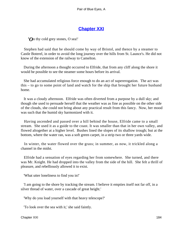# **[Chapter XXI](#page-347-0)**

*'O*n thy cold grey stones, O sea!'

 Stephen had said that he should come by way of Bristol, and thence by a steamer to Castle Boterel, in order to avoid the long journey over the hills from St. Launce's. He did not know of the extension of the railway to Camelton.

 During the afternoon a thought occurred to Elfride, that from any cliff along the shore it would be possible to see the steamer some hours before its arrival.

 She had accumulated religious force enough to do an act of supererogation. The act was this – to go to some point of land and watch for the ship that brought her future husband home.

 It was a cloudy afternoon. Elfride was often diverted from a purpose by a dull sky; and though she used to persuade herself that the weather was as fine as possible on the other side of the clouds, she could not bring about any practical result from this fancy. Now, her mood was such that the humid sky harmonized with it.

 Having ascended and passed over a hill behind the house, Elfride came to a small stream. She used it as a guide to the coast. It was smaller than that in her own valley, and flowed altogether at a higher level. Bushes lined the slopes of its shallow trough; but at the bottom, where the water ran, was a soft green carpet, in a strip two or three yards wide.

 In winter, the water flowed over the grass; in summer, as now, it trickled along a channel in the midst.

 Elfride had a sensation of eyes regarding her from somewhere. She turned, and there was Mr. Knight. He had dropped into the valley from the side of the hill. She felt a thrill of pleasure, and rebelliously allowed it to exist.

'What utter loneliness to find you in!'

 'I am going to the shore by tracking the stream. I believe it empties itself not far off, in a silver thread of water, over a cascade of great height.'

'Why do you load yourself with that heavy telescope?'

'To look over the sea with it,' she said faintly.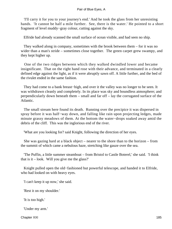'I'll carry it for you to your journey's end.' And he took the glass from her unresisting hands. 'It cannot be half a mile further. See, there is the water.' He pointed to a short fragment of level muddy−gray colour, cutting against the sky.

Elfride had already scanned the small surface of ocean visible, and had seen no ship.

 They walked along in company, sometimes with the brook between them – for it was no wider than a man's stride – sometimes close together. The green carpet grew swampy, and they kept higher up.

 One of the two ridges between which they walked dwindled lower and became insignificant. That on the right hand rose with their advance, and terminated in a clearly defined edge against the light, as if it were abruptly sawn off. A little further, and the bed of the rivulet ended in the same fashion.

 They had come to a bank breast−high, and over it the valley was no longer to be seen. It was withdrawn cleanly and completely. In its place was sky and boundless atmosphere; and perpendicularly down beneath them – small and far off – lay the corrugated surface of the Atlantic.

 The small stream here found its death. Running over the precipice it was dispersed in spray before it was half−way down, and falling like rain upon projecting ledges, made minute grassy meadows of them. At the bottom the water−drops soaked away amid the debris of the cliff. This was the inglorious end of the river.

'What are you looking for? said Knight, following the direction of her eyes.

 She was gazing hard at a black object – nearer to the shore than to the horizon – from the summit of which came a nebulous haze, stretching like gauze over the sea.

 'The Puffin, a little summer steamboat – from Bristol to Castle Boterel,' she said. 'I think that is it  $-$  look. Will you give me the glass?'

 Knight pulled open the old−fashioned but powerful telescope, and handed it to Elfride, who had looked on with heavy eyes.

'I can't keep it up now,' she said.

'Rest it on my shoulder.'

'It is too high.'

'Under my arm.'

Chapter XXI 185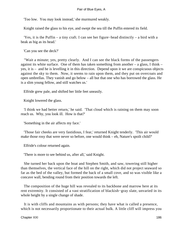'Too low. You may look instead,' she murmured weakly.

Knight raised the glass to his eye, and swept the sea till the Puffin entered its field.

 'Yes, it is the Puffin – a tiny craft. I can see her figure−head distinctly – a bird with a beak as big as its head.'

'Can you see the deck?'

 "Wait a minute; yes, pretty clearly. And I can see the black forms of the passengers against its white surface. One of them has taken something from another  $-$  a glass, I think  $$ yes, it is – and he is levelling it in this direction. Depend upon it we are conspicuous objects against the sky to them. Now, it seems to rain upon them, and they put on overcoats and open umbrellas. They vanish and go below – all but that one who has borrowed the glass. He is a slim young fellow, and still watches us.'

Elfride grew pale, and shifted her little feet uneasily.

Knight lowered the glass.

 'I think we had better return,' he said. 'That cloud which is raining on them may soon reach us. Why, you look ill. How is that?'

'Something in the air affects my face.'

 'Those fair cheeks are very fastidious, I fear,' returned Knight tenderly. 'This air would make those rosy that were never so before, one would think – eh, Nature's spoilt child?'

Elfride's colour returned again.

'There is more to see behind us, after all,' said Knight.

 She turned her back upon the boat and Stephen Smith, and saw, towering still higher than themselves, the vertical face of the hill on the right, which did not project seaward so far as the bed of the valley, but formed the back of a small cove, and so was visible like a concave wall, bending round from their position towards the left.

 The composition of the huge hill was revealed to its backbone and marrow here at its rent extremity. It consisted of a vast stratification of blackish−gray slate, unvaried in its whole height by a single change of shade.

 It is with cliffs and mountains as with persons; they have what is called a presence, which is not necessarily proportionate to their actual bulk. A little cliff will impress you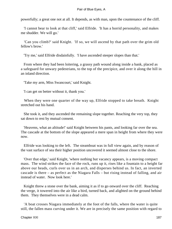powerfully; a great one not at all. It depends, as with man, upon the countenance of the cliff.

 'I cannot bear to look at that cliff,' said Elfride. 'It has a horrid personality, and makes me shudder. We will go.'

 'Can you climb?' said Knight. 'If so, we will ascend by that path over the grim old fellow's brow.'

'Try me,' said Elfride disdainfully. 'I have ascended steeper slopes than that.'

 From where they had been loitering, a grassy path wound along inside a bank, placed as a safeguard for unwary pedestrians, to the top of the precipice, and over it along the hill in an inland direction.

'Take my arm, Miss Swancourt,' said Knight.

'I can get on better without it, thank you.'

 When they were one quarter of the way up, Elfride stopped to take breath. Knight stretched out his hand.

 She took it, and they ascended the remaining slope together. Reaching the very top, they sat down to rest by mutual consent.

 'Heavens, what an altitude!' said Knight between his pants, and looking far over the sea. The cascade at the bottom of the slope appeared a mere span in height from where they were now.

 Elfride was looking to the left. The steamboat was in full view again, and by reason of the vast surface of sea their higher position uncovered it seemed almost close to the shore.

 'Over that edge,' said Knight, 'where nothing but vacancy appears, is a moving compact mass. The wind strikes the face of the rock, runs up it, rises like a fountain to a height far above our heads, curls over us in an arch, and disperses behind us. In fact, an inverted cascade is there – as perfect as the Niagara Falls – but rising instead of falling, and air instead of water. Now look here.'

 Knight threw a stone over the bank, aiming it as if to go onward over the cliff. Reaching the verge, it towered into the air like a bird, turned back, and alighted on the ground behind them. They themselves were in a dead calm.

 'A boat crosses Niagara immediately at the foot of the falls, where the water is quite still, the fallen mass curving under it. We are in precisely the same position with regard to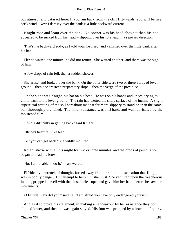our atmospheric cataract here. If you run back from the cliff fifty yards, you will be in a brisk wind. Now I daresay over the bank is a little backward current.'

 Knight rose and leant over the bank. No sooner was his head above it than his hat appeared to be sucked from his head – slipping over his forehead in a seaward direction.

 'That's the backward eddy, as I told you,' he cried, and vanished over the little bank after his hat.

 Elfride waited one minute; he did not return. She waited another, and there was no sign of him.

A few drops of rain fell, then a sudden shower.

 She arose, and looked over the bank. On the other side were two or three yards of level ground – then a short steep preparatory slope – then the verge of the precipice.

 On the slope was Knight, his hat on his head. He was on his hands and knees, trying to climb back to the level ground. The rain had wetted the shaly surface of the incline. A slight superficial wetting of the soil hereabout made it far more slippery to stand on than the same soil thoroughly drenched. The inner substance was still hard, and was lubricated by the moistened film.

'I find a difficulty in getting back,' said Knight.

Elfride's heart fell like lead.

'But you can get back?' she wildly inquired.

 Knight strove with all his might for two or three minutes, and the drops of perspiration began to bead his brow.

'No, I am unable to do it,' he answered.

 Elfride, by a wrench of thought, forced away from her mind the sensation that Knight was in bodily danger. But attempt to help him she must. She ventured upon the treacherous incline, propped herself with the closed telescope, and gave him her hand before he saw her movements.

'O Elfride! why did you?' said he. 'I am afraid you have only endangered yourself.'

 And as if to prove his statement, in making an endeavour by her assistance they both slipped lower, and then he was again stayed. His foot was propped by a bracket of quartz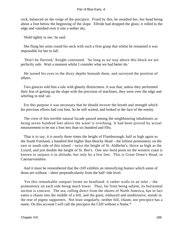rock, balanced on the verge of the precipice. Fixed by this, he steadied her, her head being about a foot below the beginning of the slope. Elfride had dropped the glass; it rolled to the edge and vanished over it into a nether sky.

'Hold tightly to me,' he said.

 She flung her arms round his neck with such a firm grasp that whilst he remained it was impossible for her to fall.

 'Don't be flurried,' Knight continued. 'So long as we stay above this block we are perfectly safe. Wait a moment whilst I consider what we had better do.'

 He turned his eyes to the dizzy depths beneath them, and surveyed the position of affairs.

 Two glances told him a tale with ghastly distinctness. It was that, unless they performed their feat of getting up the slope with the precision of machines, they were over the edge and whirling in mid−air.

 For this purpose it was necessary that he should recover the breath and strength which his previous efforts had cost him. So he still waited, and looked in the face of the enemy.

 The crest of this terrible natural facade passed among the neighbouring inhabitants as being seven hundred feet above the water it overhung. It had been proved by actual measurement to be not a foot less than six hundred and fifty.

 That is to say, it is nearly three times the height of Flamborough, half as high again as the South Foreland, a hundred feet higher than Beachy Head – the loftiest promontory on the east or south side of this island – twice the height of St. Aldhelm's, thrice as high as the Lizard, and just double the height of St. Bee's. One sea−bord point on the western coast is known to surpass it in altitude, but only by a few feet. This is Great Orme's Head, in Caernarvonshire.

 And it must be remembered that the cliff exhibits an intensifying feature which some of those are without – sheer perpendicularity from the half−tide level.

 Yet this remarkable rampart forms no headland: it rather walls in an inlet – the promontory on each side being much lower. Thus, far from being salient, its horizontal section is concave. The sea, rolling direct from the shores of North America, has in fact eaten a chasm into the middle of a hill, and the giant, embayed and unobtrusive, stands in the rear of pigmy supporters. Not least singularly, neither hill, chasm, nor precipice has a name. On this account I will call the precipice the Cliff without a Name.\*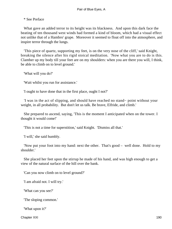### \* See Preface

 What gave an added terror to its height was its blackness. And upon this dark face the beating of ten thousand west winds had formed a kind of bloom, which had a visual effect not unlike that of a Hambro' grape. Moreover it seemed to float off into the atmosphere, and inspire terror through the lungs.

 'This piece of quartz, supporting my feet, is on the very nose of the cliff,' said Knight, breaking the silence after his rigid stoical meditation. 'Now what you are to do is this. Clamber up my body till your feet are on my shoulders: when you are there you will, I think, be able to climb on to level ground.'

'What will you do?'

'Wait whilst you run for assistance.'

'I ought to have done that in the first place, ought I not?'

 'I was in the act of slipping, and should have reached no stand− point without your weight, in all probability. But don't let us talk. Be brave, Elfride, and climb.'

 She prepared to ascend, saying, 'This is the moment I anticipated when on the tower. I thought it would come!'

'This is not a time for superstition,' said Knight. 'Dismiss all that.'

'I will,' she said humbly.

 'Now put your foot into my hand: next the other. That's good – well done. Hold to my shoulder.'

 She placed her feet upon the stirrup he made of his hand, and was high enough to get a view of the natural surface of the hill over the bank.

'Can you now climb on to level ground?'

'I am afraid not. I will try.'

'What can you see?'

'The sloping common.'

'What upon it?'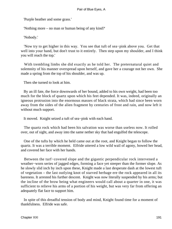'Purple heather and some grass.'

'Nothing more – no man or human being of any kind?'

'Nobody.'

 'Now try to get higher in this way. You see that tuft of sea−pink above you. Get that well into your hand, but don't trust to it entirely. Then step upon my shoulder, and I think you will reach the top.'

With trembling limbs she did exactly as he told her. The preternatural quiet and solemnity of his manner overspread upon herself, and gave her a courage not her own. She made a spring from the top of his shoulder, and was up.

Then she turned to look at him.

 By an ill fate, the force downwards of her bound, added to his own weight, had been too much for the block of quartz upon which his feet depended. It was, indeed, originally an igneous protrusion into the enormous masses of black strata, which had since been worn away from the sides of the alien fragment by centuries of frost and rain, and now left it without much support.

It moved. Knight seized a tuft of sea−pink with each hand.

 The quartz rock which had been his salvation was worse than useless now. It rolled over, out of sight, and away into the same nether sky that had engulfed the telescope.

 One of the tufts by which he held came out at the root, and Knight began to follow the quartz. It was a terrible moment. Elfride uttered a low wild wail of agony, bowed her head, and covered her face with her hands.

 Between the turf−covered slope and the gigantic perpendicular rock intervened a weather−worn series of jagged edges, forming a face yet steeper than the former slope. As he slowly slid inch by inch upon these, Knight made a last desperate dash at the lowest tuft of vegetation – the last outlying knot of starved herbage ere the rock appeared in all its bareness. It arrested his further descent. Knight was now literally suspended by his arms; but the incline of the brow being what engineers would call about a quarter in one, it was sufficient to relieve his arms of a portion of his weight, but was very far from offering an adequately flat face to support him.

 In spite of this dreadful tension of body and mind, Knight found time for a moment of thankfulness. Elfride was safe.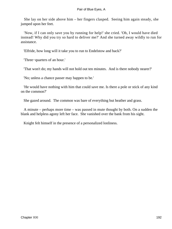She lay on her side above him – her fingers clasped. Seeing him again steady, she jumped upon her feet.

 'Now, if I can only save you by running for help!' she cried. 'Oh, I would have died instead! Why did you try so hard to deliver me?' And she turned away wildly to run for assistance.

'Elfride, how long will it take you to run to Endelstow and back?'

'Three−quarters of an hour.'

'That won't do; my hands will not hold out ten minutes. And is there nobody nearer?'

'No; unless a chance passer may happen to be.'

 'He would have nothing with him that could save me. Is there a pole or stick of any kind on the common?'

She gazed around. The common was bare of everything but heather and grass.

 A minute – perhaps more time – was passed in mute thought by both. On a sudden the blank and helpless agony left her face. She vanished over the bank from his sight.

Knight felt himself in the presence of a personalized lonliness.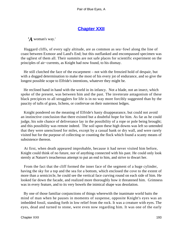# **[Chapter XXII](#page-347-0)**

*'A* woman's way.'

 Haggard cliffs, of every ugly altitude, are as common as sea−fowl along the line of coast between Exmoor and Land's End; but this outflanked and encompassed specimen was the ugliest of them all. Their summits are not safe places for scientific experiment on the principles of air−currents, as Knight had now found, to his dismay.

 He still clutched the face of the escarpment – not with the frenzied hold of despair, but with a dogged determination to make the most of his every jot of endurance, and so give the longest possible scope to Elfride's intentions, whatever they might be.

 He reclined hand in hand with the world in its infancy. Not a blade, not an insect, which spoke of the present, was between him and the past. The inveterate antagonism of these black precipices to all strugglers for life is in no way more forcibly suggested than by the paucity of tufts of grass, lichens, or confervae on their outermost ledges.

 Knight pondered on the meaning of Elfride's hasty disappearance, but could not avoid an instinctive conclusion that there existed but a doubtful hope for him. As far as he could judge, his sole chance of deliverance lay in the possibility of a rope or pole being brought; and this possibility was remote indeed. The soil upon these high downs was left so untended that they were unenclosed for miles, except by a casual bank or dry wall, and were rarely visited but for the purpose of collecting or counting the flock which found a scanty means of subsistence thereon.

 At first, when death appeared improbable, because it had never visited him before, Knight could think of no future, nor of anything connected with his past. He could only look sternly at Nature's treacherous attempt to put an end to him, and strive to thwart her.

 From the fact that the cliff formed the inner face of the segment of a huge cylinder, having the sky for a top and the sea for a bottom, which enclosed the cove to the extent of more than a semicircle, he could see the vertical face curving round on each side of him. He looked far down the facade, and realized more thoroughly how it threatened him. Grimness was in every feature, and to its very bowels the inimical shape was desolation.

 By one of those familiar conjunctions of things wherewith the inanimate world baits the mind of man when he pauses in moments of suspense, opposite Knight's eyes was an imbedded fossil, standing forth in low relief from the rock. It was a creature with eyes. The eyes, dead and turned to stone, were even now regarding him. It was one of the early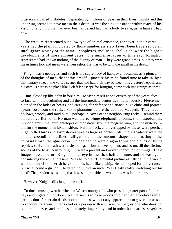crustaceans called Trilobites. Separated by millions of years in their lives, Knight and this underling seemed to have met in their death. It was the single instance within reach of his vision of anything that had ever been alive and had had a body to save, as he himself had now.

 The creature represented but a low type of animal existence, for never in their vernal years had the plains indicated by those numberless slaty layers been traversed by an intelligence worthy of the name. Zoophytes, mollusca, shell−fish, were the highest developments of those ancient dates. The immense lapses of time each formation represented had known nothing of the dignity of man. They were grand times, but they were mean times too, and mean were their relics. He was to be with the small in his death.

 Knight was a geologist; and such is the supremacy of habit over occasion, as a pioneer of the thoughts of men, that at this dreadful juncture his mind found time to take in, by a momentary sweep, the varied scenes that had had their day between this creature's epoch and his own. There is no place like a cleft landscape for bringing home such imaginings as these.

 Time closed up like a fan before him. He saw himself at one extremity of the years, face to face with the beginning and all the intermediate centuries simultaneously. Fierce men, clothed in the hides of beasts, and carrying, for defence and attack, huge clubs and pointed spears, rose from the rock, like the phantoms before the doomed Macbeth. They lived in hollows, woods, and mud huts – perhaps in caves of the neighbouring rocks. Behind them stood an earlier band. No man was there. Huge elephantine forms, the mastodon, the hippopotamus, the tapir, antelopes of monstrous size, the megatherium, and the myledon – all, for the moment, in juxtaposition. Further back, and overlapped by these, were perched huge−billed birds and swinish creatures as large as horses. Still more shadowy were the sinister crocodilian outlines – alligators and other uncouth shapes, culminating in the colossal lizard, the iguanodon. Folded behind were dragon forms and clouds of flying reptiles: still underneath were fishy beings of lower development; and so on, till the lifetime scenes of the fossil confronting him were a present and modern condition of things. These images passed before Knight's inner eye in less than half a minute, and he was again considering the actual present. Was he to die? The mental picture of Elfride in the world, without himself to cherish her, smote his heart like a whip. He had hoped for deliverance, but what could a girl do? He dared not move an inch. Was Death really stretching out his hand? The previous sensation, that it was improbable he would die, was fainter now.

However, Knight still clung to the cliff.

 To those musing weather−beaten West−country folk who pass the greater part of their days and nights out of doors, Nature seems to have moods in other than a poetical sense: predilections for certain deeds at certain times, without any apparent law to govern or season to account for them. She is read as a person with a curious temper; as one who does not scatter kindnesses and cruelties alternately, impartially, and in order, but heartless severities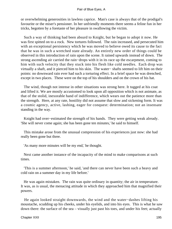or overwhelming generosities in lawless caprice. Man's case is always that of the prodigal's favourite or the miser's pensioner. In her unfriendly moments there seems a feline fun in her tricks, begotten by a foretaste of her pleasure in swallowing the victim.

 Such a way of thinking had been absurd to Knight, but he began to adopt it now. He was first spitted on to a rock. New tortures followed. The rain increased, and persecuted him with an exceptional persistency which he was moved to believe owed its cause to the fact that he was in such a wretched state already. An entirely new order of things could be observed in this introduction of rain upon the scene. It rained upwards instead of down. The strong ascending air carried the rain−drops with it in its race up the escarpment, coming to him with such velocity that they stuck into his flesh like cold needles. Each drop was virtually a shaft, and it pierced him to his skin. The water− shafts seemed to lift him on their points: no downward rain ever had such a torturing effect. In a brief space he was drenched, except in two places. These were on the top of his shoulders and on the crown of his hat.

 The wind, though not intense in other situations was strong here. It tugged at his coat and lifted it. We are mostly accustomed to look upon all opposition which is not animate, as that of the stolid, inexorable hand of indifference, which wears out the patience more than the strength. Here, at any rate, hostility did not assume that slow and sickening form. It was a cosmic agency, active, lashing, eager for conquest: determination; not an insensate standing in the way.

 Knight had over−estimated the strength of his hands. They were getting weak already. 'She will never come again; she has been gone ten minutes,' he said to himself.

 This mistake arose from the unusual compression of his experiences just now: she had really been gone but three.

'As many more minutes will be my end,' he thought.

 Next came another instance of the incapacity of the mind to make comparisons at such times.

 'This is a summer afternoon,' he said, 'and there can never have been such a heavy and cold rain on a summer day in my life before.'

 He was again mistaken. The rain was quite ordinary in quantity; the air in temperature. It was, as is usual, the menacing attitude in which they approached him that magnified their powers.

 He again looked straight downwards, the wind and the water−dashes lifting his moustache, scudding up his cheeks, under his eyelids, and into his eyes. This is what he saw down there: the surface of the sea – visually just past his toes, and under his feet; actually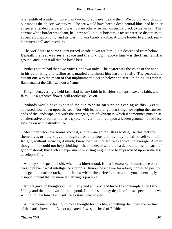one−eighth of a mile, or more than two hundred yards, below them. We colour according to our moods the objects we survey. The sea would have been a deep neutral blue, had happier auspices attended the gazer it was now no otherwise than distinctly black to his vision. That narrow white border was foam, he knew well; but its boisterous tosses were so distant as to appear a pulsation only, and its plashing was barely audible. A white border to a black sea – his funeral pall and its edging.

 The world was to some extent turned upside down for him. Rain descended from below. Beneath his feet was aerial space and the unknown; above him was the firm, familiar ground, and upon it all that he loved best.

 Pitiless nature had then two voices, and two only. The nearer was the voice of the wind in his ears rising and falling as it mauled and thrust him hard or softly. The second and distant one was the moan of that unplummetted ocean below and afar – rubbing its restless flank against the Cliff without a Name.

 Knight perseveringly held fast. Had he any faith in Elfride? Perhaps. Love is faith, and faith, like a gathered flower, will rootlessly live on.

 Nobody would have expected the sun to shine on such an evening as this. Yet it appeared, low down upon the sea. Not with its natural golden fringe, sweeping the furthest ends of the landscape, not with the strange glare of whiteness which it sometimes puts on as an alternative to colour, but as a splotch of vermilion red upon a leaden ground – a red face looking on with a drunken leer.

 Most men who have brains know it, and few are so foolish as to disguise this fact from themselves or others, even though an ostentatious display may be called self−conceit. Knight, without showing it much, knew that his intellect was above the average. And he thought – he could not help thinking – that his death would be a deliberate loss to earth of good material; that such an experiment in killing might have been practised upon some less developed life.

 A fancy some people hold, when in a bitter mood, is that inexorable circumstance only tries to prevent what intelligence attempts. Renounce a desire for a long−contested position, and go on another tack, and after a while the prize is thrown at you, seemingly in disappointment that no more tantalizing is possible.

 Knight gave up thoughts of life utterly and entirely, and turned to contemplate the Dark Valley and the unknown future beyond. Into the shadowy depths of these speculations we will not follow him. Let it suffice to state what ensued.

 At that moment of taking no more thought for this life, something disturbed the outline of the bank above him. A spot appeared. It was the head of Elfride.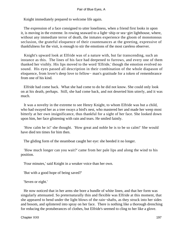Knight immediately prepared to welcome life again.

 The expression of a face consigned to utter loneliness, when a friend first looks in upon it, is moving in the extreme. In rowing seaward to a light−ship or sea−girt lighthouse, where, without any immediate terror of death, the inmates experience the gloom of monotonous seclusion, the grateful eloquence of their countenances at the greeting, expressive of thankfulness for the visit, is enough to stir the emotions of the most careless observer.

 Knight's upward look at Elfride was of a nature with, but far transcending, such an instance as this. The lines of his face had deepened to furrows, and every one of them thanked her visibly. His lips moved to the word 'Elfride,' though the emotion evolved no sound. His eyes passed all description in their combination of the whole diapason of eloquence, from lover's deep love to fellow− man's gratitude for a token of remembrance from one of his kind.

 Elfride had come back. What she had come to do he did not know. She could only look on at his death, perhaps. Still, she had come back, and not deserted him utterly, and it was much.

 It was a novelty in the extreme to see Henry Knight, to whom Elfride was but a child, who had swayed her as a tree sways a bird's nest, who mastered her and made her weep most bitterly at her own insignificance, thus thankful for a sight of her face. She looked down upon him, her face glistening with rain and tears. He smiled faintly.

 'How calm he is!' she thought. 'How great and noble he is to be so calm!' She would have died ten times for him then.

The gliding form of the steamboat caught her eye: she heeded it no longer.

 'How much longer can you wait?' came from her pale lips and along the wind to his position.

'Four minutes,' said Knight in a weaker voice than her own.

'But with a good hope of being saved?'

'Seven or eight.'

 He now noticed that in her arms she bore a bundle of white linen, and that her form was singularly attenuated. So preternaturally thin and flexible was Elfride at this moment, that she appeared to bend under the light blows of the rain−shafts, as they struck into her sides and bosom, and splintered into spray on her face. There is nothing like a thorough drenching for reducing the protuberances of clothes, but Elfride's seemed to cling to her like a glove.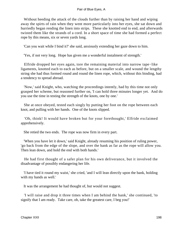Without heeding the attack of the clouds further than by raising her hand and wiping away the spirts of rain when they went more particularly into her eyes, she sat down and hurriedly began rending the linen into strips. These she knotted end to end, and afterwards twisted them like the strands of a cord. In a short space of time she had formed a perfect rope by this means, six or seven yards long.

'Can you wait while I bind it?' she said, anxiously extending her gaze down to him.

'Yes, if not very long. Hope has given me a wonderful instalment of strength.'

 Elfride dropped her eyes again, tore the remaining material into narrow tape−like ligaments, knotted each to each as before, but on a smaller scale, and wound the lengthy string she had thus formed round and round the linen rope, which, without this binding, had a tendency to spread abroad.

 'Now,' said Knight, who, watching the proceedings intently, had by this time not only grasped her scheme, but reasoned further on, 'I can hold three minutes longer yet. And do you use the time in testing the strength of the knots, one by one.'

 She at once obeyed, tested each singly by putting her foot on the rope between each knot, and pulling with her hands. One of the knots slipped.

 'Oh, think! It would have broken but for your forethought,' Elfride exclaimed apprehensively.

She retied the two ends. The rope was now firm in every part.

 'When you have let it down,' said Knight, already resuming his position of ruling power, 'go back from the edge of the slope, and over the bank as far as the rope will allow you. Then lean down, and hold the end with both hands.'

 He had first thought of a safer plan for his own deliverance, but it involved the disadvantage of possibly endangering her life.

 'I have tied it round my waist,' she cried, 'and I will lean directly upon the bank, holding with my hands as well.'

It was the arrangement he had thought of, but would not suggest.

 'I will raise and drop it three times when I am behind the bank,' she continued, 'to signify that I am ready. Take care, oh, take the greatest care, I beg you!'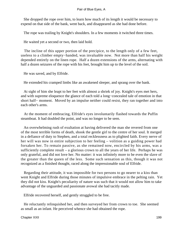She dropped the rope over him, to learn how much of its length it would be necessary to expend on that side of the bank, went back, and disappeared as she had done before.

The rope was trailing by Knight's shoulders. In a few moments it twitched three times.

He waited yet a second or two, then laid hold.

 The incline of this upper portion of the precipice, to the length only of a few feet, useless to a climber empty−handed, was invaluable now. Not more than half his weight depended entirely on the linen rope. Half a dozen extensions of the arms, alternating with half a dozen seizures of the rope with his feet, brought him up to the level of the soil.

He was saved, and by Elfride.

He extended his cramped limbs like an awakened sleeper, and sprang over the bank.

 At sight of him she leapt to her feet with almost a shriek of joy. Knight's eyes met hers, and with supreme eloquence the glance of each told a long−concealed tale of emotion in that short half− moment. Moved by an impulse neither could resist, they ran together and into each other's arms.

 At the moment of embracing, Elfride's eyes involuntarily flashed towards the Puffin steamboat. It had doubled the point, and was no longer to be seen.

 An overwhelming rush of exultation at having delivered the man she revered from one of the most terrible forms of death, shook the gentle girl to the centre of her soul. It merged in a defiance of duty to Stephen, and a total recklessness as to plighted faith. Every nerve of her will was now in entire subjection to her feeling – volition as a guiding power had forsaken her. To remain passive, as she remained now, encircled by his arms, was a sufficiently complete result – a glorious crown to all the years of her life. Perhaps he was only grateful, and did not love her. No matter: it was infinitely more to be even the slave of the greater than the queen of the less. Some such sensation as this, though it was not recognized as a finished thought, raced along the impressionable soul of Elfride.

 Regarding their attitude, it was impossible for two persons to go nearer to a kiss than went Knight and Elfride during those minutes of impulsive embrace in the pelting rain. Yet they did not kiss. Knight's peculiarity of nature was such that it would not allow him to take advantage of the unguarded and passionate avowal she had tacitly made.

Elfride recovered herself, and gently struggled to be free.

 He reluctantly relinquished her, and then surveyed her from crown to toe. She seemed as small as an infant. He perceived whence she had obtained the rope.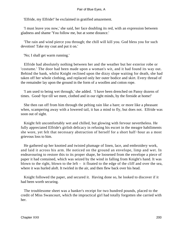'Elfride, my Elfride!' he exclaimed in gratified amazement.

 'I must leave you now,' she said, her face doubling its red, with an expression between gladness and shame 'You follow me, but at some distance.'

 'The rain and wind pierce you through; the chill will kill you. God bless you for such devotion! Take my coat and put it on.'

'No; I shall get warm running.'

 Elfride had absolutely nothing between her and the weather but her exterior robe or 'costume.' The door had been made upon a woman's wit, and it had found its way out. Behind the bank, whilst Knight reclined upon the dizzy slope waiting for death, she had taken off her whole clothing, and replaced only her outer bodice and skirt. Every thread of the remainder lay upon the ground in the form of a woollen and cotton rope.

 'I am used to being wet through,' she added. 'I have been drenched on Pansy dozens of times. Good−bye till we meet, clothed and in our right minds, by the fireside at home!'

 She then ran off from him through the pelting rain like a hare; or more like a pheasant when, scampering away with a lowered tail, it has a mind to fly, but does not. Elfride was soon out of sight.

 Knight felt uncomfortably wet and chilled, but glowing with fervour nevertheless. He fully appreciated Elfride's girlish delicacy in refusing his escort in the meagre habiliments she wore, yet felt that necessary abstraction of herself for a short half−hour as a most grievous loss to him.

 He gathered up her knotted and twisted plumage of linen, lace, and embroidery work, and laid it across his arm. He noticed on the ground an envelope, limp and wet. In endeavouring to restore this to its proper shape, he loosened from the envelope a piece of paper it had contained, which was seized by the wind in falling from Knight's hand. It was blown to the right, blown to the left – it floated to the edge of the cliff and over the sea, where it was hurled aloft. It twirled in the air, and then flew back over his head.

 Knight followed the paper, and secured it. Having done so, he looked to discover if it had been worth securing.

 The troublesome sheet was a banker's receipt for two hundred pounds, placed to the credit of Miss Swancourt, which the impractical girl had totally forgotten she carried with her.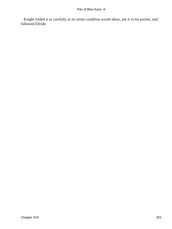Knight folded it as carefully as its moist condition would allow, put it in his pocket, and followed Elfride.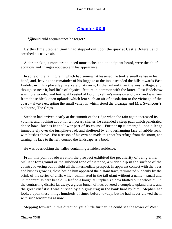# **[Chapter XXIII](#page-347-0)**

*'S*hould auld acquaintance be forgot?'

 By this time Stephen Smith had stepped out upon the quay at Castle Boterel, and breathed his native air.

 A darker skin, a more pronounced moustache, and an incipient beard, were the chief additions and changes noticeable in his appearance.

 In spite of the falling rain, which had somewhat lessened, he took a small valise in his hand, and, leaving the remainder of his luggage at the inn, ascended the hills towards East Endelstow. This place lay in a vale of its own, further inland than the west village, and though so near it, had little of physical feature in common with the latter. East Endelstow was more wooded and fertile: it boasted of Lord Luxellian's mansion and park, and was free from those bleak open uplands which lent such an air of desolation to the vicinage of the coast – always excepting the small valley in which stood the vicarage and Mrs. Swancourt's old house, The Crags.

 Stephen had arrived nearly at the summit of the ridge when the rain again increased its volume, and, looking about for temporary shelter, he ascended a steep path which penetrated dense hazel bushes in the lower part of its course. Further up it emerged upon a ledge immediately over the turnpike−road, and sheltered by an overhanging face of rubble rock, with bushes above. For a reason of his own he made this spot his refuge from the storm, and turning his face to the left, conned the landscape as a book.

He was overlooking the valley containing Elfride's residence.

 From this point of observation the prospect exhibited the peculiarity of being either brilliant foreground or the subdued tone of distance, a sudden dip in the surface of the country lowering out of sight all the intermediate prospect. In apparent contact with the trees and bushes growing close beside him appeared the distant tract, terminated suddenly by the brink of the series of cliffs which culminated in the tall giant without a name – small and unimportant as here beheld. A leaf on a bough at Stephen's elbow blotted out a whole hill in the contrasting district far away; a green bunch of nuts covered a complete upland there, and the great cliff itself was outvied by a pigmy crag in the bank hard by him. Stephen had looked upon these things hundreds of times before to−day, but he had never viewed them with such tenderness as now.

Stepping forward in this direction yet a little further, he could see the tower of West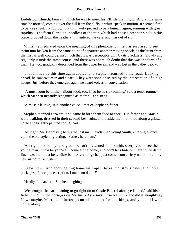Endelstow Church, beneath which he was to meet his Elfride that night. And at the same time he noticed, coming over the hill from the cliffs, a white speck in motion. It seemed first to be a sea−gull flying low, but ultimately proved to be a human figure, running with great rapidity. The form flitted on, heedless of the rain which had caused Stephen's halt in this place, dropped down the heathery hill, entered the vale, and was out of sight.

 Whilst he meditated upon the meaning of this phenomenon, he was surprised to see swim into his ken from the same point of departure another moving speck, as different from the first as well could be, insomuch that it was perceptible only by its blackness. Slowly and regularly it took the same course, and there was not much doubt that this was the form of a man. He, too, gradually descended from the upper levels, and was lost in the valley below.

 The rain had by this time again abated, and Stephen returned to the road. Looking ahead, he saw two men and a cart. They were soon obscured by the intervention of a high hedge. Just before they emerged again he heard voices in conversation.

 ''A must soon be in the naibourhood, too, if so be he's a−coming,' said a tenor tongue, which Stephen instantly recognized as Martin Cannister's.

"A must 'a b'lieve,' said another voice – that of Stephen's father.

 Stephen stepped forward, and came before them face to face. His father and Martin were walking, dressed in their second best suits, and beside them rambled along a grizzel horse and brightly painted spring−cart.

 'All right, Mr. Cannister; here's the lost man!' exclaimed young Smith, entering at once upon the old style of greeting. 'Father, here I am.'

 'All right, my sonny; and glad I be for't!' returned John Smith, overjoyed to see the young man. 'How be ye? Well, come along home, and don't let's bide out here in the damp. Such weather must be terrible bad for a young chap just come from a fiery nation like Indy; hey, naibour Cannister?'

 'Trew, trew. And about getting home his traps? Boxes, monstrous bales, and noble packages of foreign description, I make no doubt?'

'Hardly all that,' said Stephen laughing.

 'We brought the cart, maning to go right on to Castle Boterel afore ye landed,' said his father. '«Put in the horse,» says Martin. «Ay,» says I, «so we will;» and did it straightway. Now, maybe, Martin had better go on wi' the cart for the things, and you and I walk home−along.'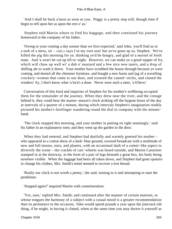'And I shall be back a'most as soon as you. Peggy is a pretty step still, though time d' begin to tell upon her as upon the rest o' us.'

 Stephen told Martin where to find his baggage, and then continued his journey homeward in the company of his father.

 'Owing to your coming a day sooner than we first expected,' said John, 'you'll find us in a turk of a mess, sir – «sir,» says I to my own son! but ye've gone up so, Stephen. We've killed the pig this morning for ye, thinking ye'd be hungry, and glad of a morsel of fresh mate. And 'a won't be cut up till to−night. However, we can make ye a good supper of fry, which will chaw up well wi' a dab o' mustard and a few nice new taters, and a drop of shilling ale to wash it down. Your mother have scrubbed the house through because ye were coming, and dusted all the chimmer furniture, and bought a new basin and jug of a travelling crockery−woman that came to our door, and scoured the cannel−sticks, and claned the winders! Ay, I don't know what 'a ha'n't a done. Never were such a steer, 'a b'lieve.'

 Conversation of this kind and inquiries of Stephen for his mother's wellbeing occupied them for the remainder of the journey. When they drew near the river, and the cottage behind it, they could hear the master−mason's clock striking off the bygone hours of the day at intervals of a quarter of a minute, during which intervals Stephen's imagination readily pictured his mother's forefinger wandering round the dial in company with the minute− hand.

 'The clock stopped this morning, and your mother in putting en right seemingly,' said his father in an explanatory tone; and they went up the garden to the door.

When they had entered, and Stephen had dutifully and warmly greeted his mother – who appeared in a cotton dress of a dark−blue ground, covered broadcast with a multitude of new and full moons, stars, and planets, with an occasional dash of a comet−like aspect to diversify the scene – the crackle of cart−wheels was heard outside, and Martin Cannister stamped in at the doorway, in the form of a pair of legs beneath a great box, his body being nowhere visible. When the luggage had been all taken down, and Stephen had gone upstairs to change his clothes, Mrs. Smith's mind seemed to recover a lost thread.

 'Really our clock is not worth a penny,' she said, turning to it and attempting to start the pendulum.

'Stopped again?' inquired Martin with commiseration.

 'Yes, sure,' replied Mrs. Smith; and continued after the manner of certain matrons, to whose tongues the harmony of a subject with a casual mood is a greater recommendation than its pertinence to the occasion, 'John would spend pounds a year upon the jimcrack old thing, if he might, in having it claned, when at the same time you may doctor it yourself as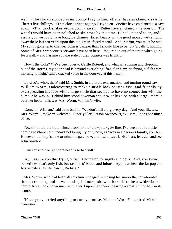well. «The clock's stopped again, John,» I say to him. «Better have en claned,» says he. There's five shillings. «That clock grinds again,» I say to en. «Better have en claned,» 'a says again. «That clock strikes wrong, John,» says I. «Better have en claned,» he goes on. The wheels would have been polished to skeletons by this time if I had listened to en, and I assure you we could have bought a chainey−faced beauty wi' the good money we've flung away these last ten years upon this old green−faced mortal. And, Martin, you must be wet. My son is gone up to change. John is damper than I should like to be, but 'a calls it nothing. Some of Mrs. Swancourt's servants have been here – they ran in out of the rain when going for a walk – and I assure you the state of their bonnets was frightful.'

 'How's the folks? We've been over to Castle Boterel, and what wi' running and stopping out of the storms, my poor head is beyond everything! fizz, fizz fizz; 'tis frying o' fish from morning to night,' said a cracked voice in the doorway at this instant.

 'Lord so's, who's that?' said Mrs. Smith, in a private exclamation, and turning round saw William Worm, endeavouring to make himself look passing civil and friendly by overspreading his face with a large smile that seemed to have no connection with the humour he was in. Behind him stood a woman about twice his size, with a large umbrella over her head. This was Mrs. Worm, William's wife.

 'Come in, William,' said John Smith. 'We don't kill a pig every day. And you, likewise, Mrs. Worm. I make ye welcome. Since ye left Parson Swancourt, William, I don't see much of 'ee.'

 'No, for to tell the truth, since I took to the turn−pike−gate line, I've been out but little, coming to church o' Sundays not being my duty now, as 'twas in a parson's family, you see. However, our boy is able to mind the gate now, and I said, says I, «Barbara, let's call and see John Smith.»'

'I am sorry to hear yer pore head is so bad still.'

 'Ay, I assure you that frying o' fish is going on for nights and days. And, you know, sometimes 'tisn't only fish, but rashers o' bacon and inions. Ay, I can hear the fat pop and fizz as nateral as life; can't I, Barbara?'

 Mrs. Worm, who had been all this time engaged in closing her umbrella, corroborated this statement, and now, coming indoors, showed herself to be a wide−faced, comfortable−looking woman, with a wart upon her cheek, bearing a small tuft of hair in its centre.

 'Have ye ever tried anything to cure yer noise, Maister Worm?' inquired Martin Cannister.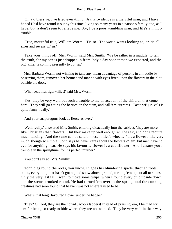'Oh ay; bless ye, I've tried everything. Ay, Providence is a merciful man, and I have hoped He'd have found it out by this time, living so many years in a parson's family, too, as I have, but 'a don't seem to relieve me. Ay, I be a poor wambling man, and life's a mint o' trouble!'

 'True, mournful true, William Worm. 'Tis so. The world wants looking to, or 'tis all sixes and sevens wi' us.'

 'Take your things off, Mrs. Worm,' said Mrs. Smith. 'We be rather in a muddle, to tell the truth, for my son is just dropped in from Indy a day sooner than we expected, and the pig−killer is coming presently to cut up.'

 Mrs. Barbara Worm, not wishing to take any mean advantage of persons in a muddle by observing them, removed her bonnet and mantle with eyes fixed upon the flowers in the plot outside the door.

'What beautiful tiger−lilies!' said Mrs. Worm.

 'Yes, they be very well, but such a trouble to me on account of the children that come here. They will go eating the berries on the stem, and call 'em currants. Taste wi' junivals is quite fancy, really.'

'And your snapdragons look as fierce as ever.'

 'Well, really,' answered Mrs. Smith, entering didactically into the subject, 'they are more like Christians than flowers. But they make up well enough wi' the rest, and don't require much tending. And the same can be said o' these miller's wheels. 'Tis a flower I like very much, though so simple. John says he never cares about the flowers o' 'em, but men have no eye for anything neat. He says his favourite flower is a cauliflower. And I assure you I tremble in the springtime, for 'tis perfect murder.'

'You don't say so, Mrs. Smith!'

 'John digs round the roots, you know. In goes his blundering spade, through roots, bulbs, everything that hasn't got a good show above ground, turning 'em up cut all to slices. Only the very last fall I went to move some tulips, when I found every bulb upside down, and the stems crooked round. He had turned 'em over in the spring, and the cunning creatures had soon found that heaven was not where it used to be.'

'What's that long−favoured flower under the hedge?'

 'They? O Lord, they are the horrid Jacob's ladders! Instead of praising 'em, I be mad wi' 'em for being so ready to bide where they are not wanted. They be very well in their way,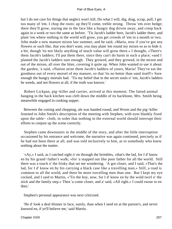but I do not care for things that neglect won't kill. Do what I will, dig, drag, scrap, pull, I get too many of 'em. I chop the roots: up they'll come, treble strong. Throw 'em over hedge; there they'll grow, staring me in the face like a hungry dog driven away, and creep back again in a week or two the same as before. 'Tis Jacob's ladder here, Jacob's ladder there, and plant 'em where nothing in the world will grow, you get crowds of 'em in a month or two. John made a new manure mixen last summer, and he said, «Maria, now if you've got any flowers or such like, that you don't want, you may plant 'em round my mixen so as to hide it a bit, though 'tis not likely anything of much value will grow there.» I thought, «There's them Jacob's ladders; I'll put them there, since they can't do harm in such a place; »and I planted the Jacob's ladders sure enough. They growed, and they growed, in the mixen and out of the mixen, all over the litter, covering it quite up. When John wanted to use it about the garden, 'a said, «Nation seize them Jacob's ladders of yours, Maria! They've eat the goodness out of every morsel of my manure, so that 'tis no better than sand itself!» Sure enough the hungry mortals had. 'Tis my belief that in the secret souls o' 'em, Jacob's ladders be weeds, and not flowers at all, if the truth was known.'

 Robert Lickpan, pig−killer and carrier, arrived at this moment. The fatted animal hanging in the back kitchen was cleft down the middle of its backbone, Mrs. Smith being meanwhile engaged in cooking supper.

 Between the cutting and chopping, ale was handed round, and Worm and the pig−killer listened to John Smith's description of the meeting with Stephen, with eyes blankly fixed upon the table− cloth, in order that nothing in the external world should interrupt their efforts to conjure up the scene correctly.

 Stephen came downstairs in the middle of the story, and after the little interruption occasioned by his entrance and welcome, the narrative was again continued, precisely as if he had not been there at all, and was told inclusively to him, as to somebody who knew nothing about the matter.

 '«Ay,» I said, as I catched sight o' en through the brimbles, «that's the lad, for I d' know en by his grand−father's walk; »for 'a stapped out like poor father for all the world. Still there was a touch o' the frisky that set me wondering. 'A got closer, and I said, «That's the lad, for I d' know en by his carrying a black case like a travelling man.» Still, a road is common to all the world, and there be more travelling men than one. But I kept my eye cocked, and I said to Martin, «'Tis the boy, now, for I d' know en by the wold twirl o' the stick and the family step.» Then 'a come closer, and a' said, «All right.» I could swear to en then.'

Stephen's personal appearance was next criticised.

 'He d' look a deal thinner in face, surely, than when I seed en at the parson's, and never knowed en, if ye'll believe me,' said Martin.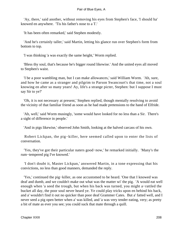'Ay, there,' said another, without removing his eyes from Stephen's face, 'I should ha' knowed en anywhere. 'Tis his father's nose to a T.'

'It has been often remarked,' said Stephen modestly.

 'And he's certainly taller,' said Martin, letting his glance run over Stephen's form from bottom to top.

'I was thinking 'a was exactly the same height,' Worm replied.

 'Bless thy soul, that's because he's bigger round likewise.' And the united eyes all moved to Stephen's waist.

 'I be a poor wambling man, but I can make allowances,' said William Worm. 'Ah, sure, and how he came as a stranger and pilgrim to Parson Swancourt's that time, not a soul knowing en after so many years! Ay, life's a strange picter, Stephen: but I suppose I must say Sir to ye?'

 'Oh, it is not necessary at present,' Stephen replied, though mentally resolving to avoid the vicinity of that familiar friend as soon as he had made pretensions to the hand of Elfride.

 'Ah, well,' said Worm musingly, 'some would have looked for no less than a Sir. There's a sight of difference in people.'

'And in pigs likewise,' observed John Smith, looking at the halved carcass of his own.

 Robert Lickpan, the pig−killer, here seemed called upon to enter the lists of conversation.

 'Yes, they've got their particular naters good−now,' he remarked initially. 'Many's the rum−tempered pig I've knowed.'

 'I don't doubt it, Master Lickpan,' answered Martin, in a tone expressing that his convictions, no less than good manners, demanded the reply.

 'Yes,' continued the pig−killer, as one accustomed to be heard. 'One that I knowed was deaf and dumb, and we couldn't make out what was the matter wi' the pig. 'A would eat well enough when 'a seed the trough, but when his back was turned, you might a−rattled the bucket all day, the poor soul never heard ye. Ye could play tricks upon en behind his back, and a' wouldn't find it out no quicker than poor deaf Grammer Cates. But a' fatted well, and I never seed a pig open better when a' was killed, and 'a was very tender eating, very; as pretty a bit of mate as ever you see; you could suck that mate through a quill.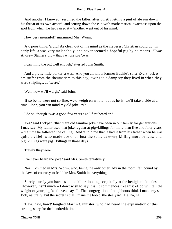'And another I knowed,' resumed the killer, after quietly letting a pint of ale run down his throat of its own accord, and setting down the cup with mathematical exactness upon the spot from which he had raised it – 'another went out of his mind.'

'How very mournful!' murmured Mrs. Worm.

 'Ay, poor thing, 'a did! As clean out of his mind as the cleverest Christian could go. In early life 'a was very melancholy, and never seemed a hopeful pig by no means. 'Twas Andrew Stainer's pig – that's whose pig 'twas.'

'I can mind the pig well enough,' attested John Smith.

 'And a pretty little porker 'a was. And you all know Farmer Buckle's sort? Every jack o' em suffer from the rheumatism to this day, owing to a damp sty they lived in when they were striplings, as 'twere.'

'Well, now we'll weigh,' said John.

 'If so be he were not so fine, we'd weigh en whole: but as he is, we'll take a side at a time. John, you can mind my old joke, ey?'

'I do so; though 'twas a good few years ago I first heard en.'

 'Yes,' said Lickpan, 'that there old familiar joke have been in our family for generations, I may say. My father used that joke regular at pig−killings for more than five and forty years – the time he followed the calling. And 'a told me that 'a had it from his father when he was quite a chiel, who made use o' en just the same at every killing more or less; and pig−killings were pig− killings in those days.'

'Trewly they were.'

'I've never heard the joke,' said Mrs. Smith tentatively.

 'Nor I,' chimed in Mrs. Worm, who, being the only other lady in the room, felt bound by the laws of courtesy to feel like Mrs. Smith in everything.

 'Surely, surely you have,' said the killer, looking sceptically at the benighted females. 'However, 'tisn't much – I don't wish to say it is. It commences like this: «Bob will tell the weight of your pig, 'a b'lieve,» says I. The congregation of neighbours think I mane my son Bob, naturally; but the secret is that I mane the bob o' the steelyard. Ha, ha, ha!'

 'Haw, haw, haw!' laughed Martin Cannister, who had heard the explanation of this striking story for the hundredth time.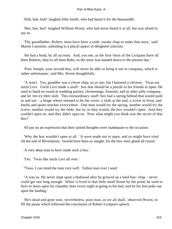'Huh, huh, huh!' laughed John Smith, who had heard it for the thousandth.

 'Hee, hee, hee!' laughed William Worm, who had never heard it at all, but was afraid to say so.

 'Thy grandfather, Robert, must have been a wide−awake chap to make that story,' said Martin Cannister, subsiding to a placid aspect of delighted criticism.

 'He had a head, by all account. And, you see, as the first−born of the Lickpans have all been Roberts, they've all been Bobs, so the story was handed down to the present day.'

 'Poor Joseph, your second boy, will never be able to bring it out in company, which is rather unfortunate,' said Mrs. Worm thoughtfully.

"A won't. Yes, grandfer was a clever chap, as ye say; but I knowed a cleverer. 'Twas my uncle Levi. Uncle Levi made a snuff− box that should be a puzzle to his friends to open. He used to hand en round at wedding parties, christenings, funerals, and in other jolly company, and let 'em try their skill. This extraordinary snuff−box had a spring behind that would push in and out – a hinge where seemed to be the cover; a slide at the end, a screw in front, and knobs and queer notches everywhere. One man would try the spring, another would try the screw, another would try the slide; but try as they would, the box wouldn't open. And they couldn't open en, and they didn't open en. Now what might you think was the secret of that box?'

All put on an expression that their united thoughts were inadequate to the occasion.

 'Why the box wouldn't open at all. 'A were made not to open, and ye might have tried till the end of Revelations, 'twould have been as naught, for the box were glued all round.'

'A very deep man to have made such a box.'

'Yes. 'Twas like uncle Levi all over.'

''Twas. I can mind the man very well. Tallest man ever I seed.'

 ''A was so. He never slept upon a bedstead after he growed up a hard boy−chap – never could get one long enough. When 'a lived in that little small house by the pond, he used to have to leave open his chamber door every night at going to his bed, and let his feet poke out upon the landing.'

 'He's dead and gone now, nevertheless, poor man, as we all shall,' observed Worm, to fill the pause which followed the conclusion of Robert Lickpan's speech.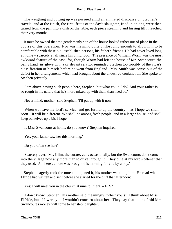The weighing and cutting up was pursued amid an animated discourse on Stephen's travels; and at the finish, the first−fruits of the day's slaughter, fried in onions, were then turned from the pan into a dish on the table, each piece steaming and hissing till it reached their very mouths.

 It must be owned that the gentlemanly son of the house looked rather out of place in the course of this operation. Nor was his mind quite philosophic enough to allow him to be comfortable with these old−established persons, his father's friends. He had never lived long at home – scarcely at all since his childhood. The presence of William Worm was the most awkward feature of the case, for, though Worm had left the house of Mr. Swancourt, the being hand−in−glove with a ci−devant servitor reminded Stephen too forcibly of the vicar's classification of himself before he went from England. Mrs. Smith was conscious of the defect in her arrangements which had brought about the undesired conjunction. She spoke to Stephen privately.

 'I am above having such people here, Stephen; but what could I do? And your father is so rough in his nature that he's more mixed up with them than need be.'

'Never mind, mother,' said Stephen; 'I'll put up with it now.'

 'When we leave my lord's service, and get further up the country – as I hope we shall soon – it will be different. We shall be among fresh people, and in a larger house, and shall keep ourselves up a bit, I hope.'

'Is Miss Swancourt at home, do you know?' Stephen inquired

'Yes, your father saw her this morning.'

'Do you often see her?'

 'Scarcely ever. Mr. Glim, the curate, calls occasionally, but the Swancourts don't come into the village now any more than to drive through it. They dine at my lord's oftener than they used. Ah, here's a note was brought this morning for you by a boy.'

 Stephen eagerly took the note and opened it, his mother watching him. He read what Elfride had written and sent before she started for the cliff that afternoon:

'Yes; I will meet you in the church at nine to−night. – E. S.'

 'I don't know, Stephen,' his mother said meaningly, 'whe'r you still think about Miss Elfride, but if I were you I wouldn't concern about her. They say that none of old Mrs. Swancourt's money will come to her step−daughter.'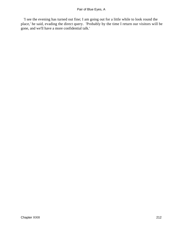'I see the evening has turned out fine; I am going out for a little while to look round the place,' he said, evading the direct query. 'Probably by the time I return our visitors will be gone, and we'll have a more confidential talk.'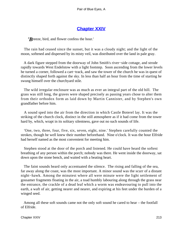# **[Chapter XXIV](#page-347-0)**

*'B*reeze, bird, and flower confess the hour.'

 The rain had ceased since the sunset, but it was a cloudy night; and the light of the moon, softened and dispersed by its misty veil, was distributed over the land in pale gray.

 A dark figure stepped from the doorway of John Smith's river−side cottage, and strode rapidly towards West Endelstow with a light footstep. Soon ascending from the lower levels he turned a corner, followed a cart−track, and saw the tower of the church he was in quest of distinctly shaped forth against the sky. In less than half an hour from the time of starting he swung himself over the churchyard stile.

 The wild irregular enclosure was as much as ever an integral part of the old hill. The grass was still long, the graves were shaped precisely as passing years chose to alter them from their orthodox form as laid down by Martin Cannister, and by Stephen's own grandfather before him.

 A sound sped into the air from the direction in which Castle Boterel lay. It was the striking of the church clock, distinct in the still atmosphere as if it had come from the tower hard by, which, wrapt in its solitary silentness, gave out no such sounds of life.

 'One, two, three, four, five, six, seven, eight, nine.' Stephen carefully counted the strokes, though he well knew their number beforehand. Nine o'clock. It was the hour Elfride had herself named as the most convenient for meeting him.

 Stephen stood at the door of the porch and listened. He could have heard the softest breathing of any person within the porch; nobody was there. He went inside the doorway, sat down upon the stone bench, and waited with a beating heart.

 The faint sounds heard only accentuated the silence. The rising and falling of the sea, far away along the coast, was the most important. A minor sound was the scurr of a distant night−hawk. Among the minutest where all were minute were the light settlement of gossamer fragments floating in the air, a toad humbly labouring along through the grass near the entrance, the crackle of a dead leaf which a worm was endeavouring to pull into the earth, a waft of air, getting nearer and nearer, and expiring at his feet under the burden of a winged seed.

 Among all these soft sounds came not the only soft sound he cared to hear – the footfall of Elfride.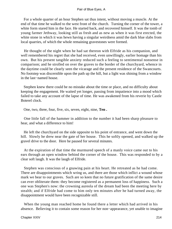For a whole quarter of an hour Stephen sat thus intent, without moving a muscle. At the end of that time he walked to the west front of the church. Turning the corner of the tower, a white form stared him in the face. He started back, and recovered himself. It was the tomb of young farmer Jethway, looking still as fresh and as new as when it was first erected, the white stone in which it was hewn having a singular weirdness amid the dark blue slabs from local quarries, of which the whole remaining gravestones were formed.

 He thought of the night when he had sat thereon with Elfride as his companion, and well remembered his regret that she had received, even unwillingly, earlier homage than his own. But his present tangible anxiety reduced such a feeling to sentimental nonsense in comparison; and he strolled on over the graves to the border of the churchyard, whence in the daytime could be clearly seen the vicarage and the present residence of the Swancourts. No footstep was discernible upon the path up the hill, but a light was shining from a window in the last−named house.

 Stephen knew there could be no mistake about the time or place, and no difficulty about keeping the engagement. He waited yet longer, passing from impatience into a mood which failed to take any account of the lapse of time. He was awakened from his reverie by Castle Boterel clock.

One, two, three, four, five, six, seven, eight, nine, **Ten .**

 One little fall of the hammer in addition to the number it had been sharp pleasure to hear, and what a difference to him!

 He left the churchyard on the side opposite to his point of entrance, and went down the hill. Slowly he drew near the gate of her house. This he softly opened, and walked up the gravel drive to the door. Here he paused for several minutes.

 At the expiration of that time the murmured speech of a manly voice came out to his ears through an open window behind the corner of the house. This was responded to by a clear soft laugh. It was the laugh of Elfride.

 Stephen was conscious of a gnawing pain at his heart. He retreated as he had come. There are disappointments which wring us, and there are those which inflict a wound whose mark we bear to our graves. Such are so keen that no future gratification of the same desire can ever obliterate them: they become registered as a permanent loss of happiness. Such a one was Stephen's now: the crowning aureola of the dream had been the meeting here by stealth; and if Elfride had come to him only ten minutes after he had turned away, the disappointment would have been recognizable still.

 When the young man reached home he found there a letter which had arrived in his absence. Believing it to contain some reason for her non−appearance, yet unable to imagine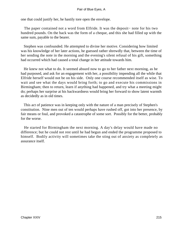one that could justify her, he hastily tore open the envelope.

 The paper contained not a word from Elfride. It was the deposit− note for his two hundred pounds. On the back was the form of a cheque, and this she had filled up with the same sum, payable to the bearer.

 Stephen was confounded. He attempted to divine her motive. Considering how limited was his knowledge of her later actions, he guessed rather shrewdly that, between the time of her sending the note in the morning and the evening's silent refusal of his gift, something had occurred which had caused a total change in her attitude towards him.

 He knew not what to do. It seemed absurd now to go to her father next morning, as he had purposed, and ask for an engagement with her, a possibility impending all the while that Elfride herself would not be on his side. Only one course recommended itself as wise. To wait and see what the days would bring forth; to go and execute his commissions in Birmingham; then to return, learn if anything had happened, and try what a meeting might do; perhaps her surprise at his backwardness would bring her forward to show latent warmth as decidedly as in old times.

 This act of patience was in keeping only with the nature of a man precisely of Stephen's constitution. Nine men out of ten would perhaps have rushed off, got into her presence, by fair means or foul, and provoked a catastrophe of some sort. Possibly for the better, probably for the worse.

 He started for Birmingham the next morning. A day's delay would have made no difference; but he could not rest until he had begun and ended the programme proposed to himself. Bodily activity will sometimes take the sting out of anxiety as completely as assurance itself.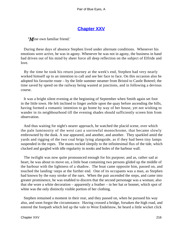## **[Chapter XXV](#page-347-0)**

*'M*ine own familiar friend.'

 During these days of absence Stephen lived under alternate conditions. Whenever his emotions were active, he was in agony. Whenever he was not in agony, the business in hand had driven out of his mind by sheer force all deep reflection on the subject of Elfride and love.

 By the time he took his return journey at the week's end, Stephen had very nearly worked himself up to an intention to call and see her face to face. On this occasion also he adopted his favourite route – by the little summer steamer from Bristol to Castle Boterel; the time saved by speed on the railway being wasted at junctions, and in following a devious course.

 It was a bright silent evening at the beginning of September when Smith again set foot in the little town. He felt inclined to linger awhile upon the quay before ascending the hills, having formed a romantic intention to go home by way of her house, yet not wishing to wander in its neighbourhood till the evening shades should sufficiently screen him from observation.

 And thus waiting for night's nearer approach, he watched the placid scene, over which the pale luminosity of the west cast a sorrowful monochrome, that became slowly embrowned by the dusk. A star appeared, and another, and another. They sparkled amid the yards and rigging of the two coal brigs lying alangside, as if they had been tiny lamps suspended in the ropes. The masts rocked sleepily to the infinitesimal flux of the tide, which clucked and gurgled with idle regularity in nooks and holes of the harbour wall.

 The twilight was now quite pronounced enough for his purpose; and as, rather sad at heart, he was about to move on, a little boat containing two persons glided up the middle of the harbour with the lightness of a shadow. The boat came opposite him, passed on, and touched the landing−steps at the further end. One of its occupants was a man, as Stephen had known by the easy stroke of the oars. When the pair ascended the steps, and came into greater prominence, he was enabled to discern that the second personage was a woman; also that she wore a white decoration – apparently a feather – in her hat or bonnet, which spot of white was the only distinctly visible portion of her clothing.

 Stephen remained a moment in their rear, and they passed on, when he pursued his way also, and soon forgot the circumstance. Having crossed a bridge, forsaken the high road, and entered the footpath which led up the vale to West Endelstow, he heard a little wicket click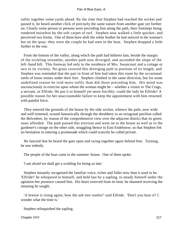softly together some yards ahead. By the time that Stephen had reached the wicket and passed it, he heard another click of precisely the same nature from another gate yet further on. Clearly some person or persons were preceding him along the path, their footsteps being rendered noiseless by the soft carpet of turf. Stephen now walked a little quicker, and perceived two forms. One of them bore aloft the white feather he had noticed in the woman's hat on the quay: they were the couple he had seen in the boat. Stephen dropped a little further to the rear.

 From the bottom of the valley, along which the path had hitherto lain, beside the margin of the trickling streamlet, another path now diverged, and ascended the slope of the left−hand hill. This footway led only to the residence of Mrs. Swancourt and a cottage or two in its vicinity. No grass covered this diverging path in portions of its length, and Stephen was reminded that the pair in front of him had taken this route by the occasional rattle of loose stones under their feet. Stephen climbed in the same direction, but for some undefined reason he trod more softly than did those preceding him. His mind was unconsciously in exercise upon whom the woman might be – whether a visitor to The Crags, a servant, or Elfride. He put it to himself yet more forcibly; could the lady be Elfride? A possible reason for her unaccountable failure to keep the appointment with him returned with painful force.

 They entered the grounds of the house by the side wicket, whence the path, now wide and well trimmed, wound fantastically through the shrubbery to an octagonal pavilion called the Belvedere, by reason of the comprehensive view over the adjacent district that its green seats afforded. The path passed this erection and went on to the house as well as to the gardener's cottage on the other side, straggling thence to East Endelstow; so that Stephen felt no hesitation in entering a promenade which could scarcely be called private.

 He fancied that he heard the gate open and swing together again behind him. Turning, he saw nobody.

The people of the boat came to the summer−house. One of them spoke.

'I am afraid we shall get a scolding for being so late.'

 Stephen instantly recognised the familiar voice, richer and fuller now than it used to be. 'Elfride!' he whispered to himself, and held fast by a sapling, to steady himself under the agitation her presence caused him. His heart swerved from its beat; he shunned receiving the meaning he sought.

 'A breeze is rising again; how the ash tree rustles!' said Elfride. 'Don't you hear it? I wonder what the time is.'

Stephen relinquished the sapling.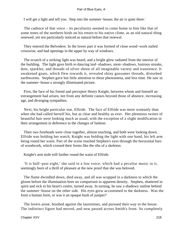I will get a light and tell you. Step into the summer−house; the air is quiet there.'

 The cadence of that voice – its peculiarity seemed to come home to him like that of some notes of the northern birds on his return to his native clime, as an old natural thing renewed, yet not particularly noticed as natural before that renewal.

 They entered the Belvedere. In the lower part it was formed of close wood−work nailed crosswise, and had openings in the upper by way of windows.

 The scratch of a striking light was heard, and a bright glow radiated from the interior of the building. The light gave birth to dancing leaf−shadows, stem−shadows, lustrous streaks, dots, sparkles, and threads of silver sheen of all imaginable variety and transience. It awakened gnats, which flew towards it, revealed shiny gossamer threads, disturbed earthworms. Stephen gave but little attention to these phenomena, and less time. He saw in the summer−house a strongly illuminated picture.

 First, the face of his friend and preceptor Henry Knight, between whom and himself an estrangement had arisen, not from any definite causes beyond those of absence, increasing age, and diverging sympathies.

 Next, his bright particular star, Elfride. The face of Elfride was more womanly than when she had called herself his, but as clear and healthy as ever. Her plenteous twines of beautiful hair were looking much as usual, with the exception of a slight modification in their arrangement in deference to the changes of fashion.

 Their two foreheads were close together, almost touching, and both were looking down. Elfride was holding her watch, Knight was holding the light with one hand, his left arm being round her waist. Part of the scene reached Stephen's eyes through the horizontal bars of woodwork, which crossed their forms like the ribs of a skeleton.

Knight's arm stole still further round the waist of Elfride.

 'It is half−past eight,' she said in a low voice, which had a peculiar music in it, seemingly born of a thrill of pleasure at the new proof that she was beloved.

 The flame dwindled down, died away, and all was wrapped in a darkness to which the gloom before the illumination bore no comparison in apparent density. Stephen, shattered in spirit and sick to his heart's centre, turned away. In turning, he saw a shadowy outline behind the summer−house on the other side. His eyes grew accustomed to the darkness. Was the form a human form, or was it an opaque bush of juniper?

 The lovers arose, brushed against the laurestines, and pursued their way to the house. The indistinct figure had moved, and now passed across Smith's front. So completely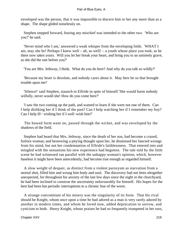enveloped was the person, that it was impossible to discern him or her any more than as a shape. The shape glided noiselessly on.

 Stephen stepped forward, fearing any mischief was intended to the other two. 'Who are you?' he said.

 'Never mind who I am,' answered a weak whisper from the enveloping folds. 'WHAT I am, may she be! Perhaps I knew well – ah, so well! – a youth whose place you took, as he there now takes yours. Will you let her break your heart, and bring you to an untimely grave, as she did the one before you?'

'You are Mrs. Jethway, I think. What do you do here? And why do you talk so wildly?'

 'Because my heart is desolate, and nobody cares about it. May hers be so that brought trouble upon me!'

 'Silence!' said Stephen, staunch to Elfride in spite of himself 'She would harm nobody wilfully, never would she! How do you come here?'

 'I saw the two coming up the path, and wanted to learn if she were not one of them. Can I help disliking her if I think of the past? Can I help watching her if I remember my boy? Can I help ill− wishing her if I well−wish him?'

 The bowed form went on, passed through the wicket, and was enveloped by the shadows of the field.

 Stephen had heard that Mrs. Jethway, since the death of her son, had become a crazed, forlorn woman; and bestowing a pitying thought upon her, he dismissed her fancied wrongs from his mind, but not her condemnation of Elfride's faithlessness. That entered into and mingled with the sensations his new experience had begotten. The tale told by the little scene he had witnessed ran parallel with the unhappy woman's opinion, which, however baseless it might have been antecedently, had become true enough as regarded himself.

 A slow weight of despair, as distinct from a violent paroxysm as starvation from a mortal shot, filled him and wrung him body and soul. The discovery had not been altogether unexpected, for throughout his anxiety of the last few days since the night in the churchyard, he had been inclined to construe the uncertainty unfavourably for himself. His hopes for the best had been but periodic interruptions to a chronic fear of the worst.

 A strange concomitant of his misery was the singularity of its form. That his rival should be Knight, whom once upon a time he had adored as a man is very rarely adored by another in modern times, and whom he loved now, added deprecation to sorrow, and cynicism to both. Henry Knight, whose praises he had so frequently trumpeted in her ears,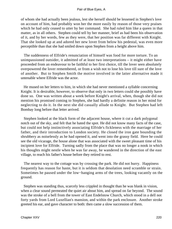of whom she had actually been jealous, lest she herself should be lessened in Stephen's love on account of him, had probably won her the more easily by reason of those very praises which he had only ceased to utter by her command. She had ruled him like a queen in that matter, as in all others. Stephen could tell by her manner, brief as had been his observation of it, and by her words, few as they were, that her position was far different with Knight. That she looked up at and adored her new lover from below his pedestal, was even more perceptible than that she had smiled down upon Stephen from a height above him.

 The suddenness of Elfride's renunciation of himself was food for more torture. To an unimpassioned outsider, it admitted of at least two interpretations – it might either have proceeded from an endeavour to be faithful to her first choice, till the lover seen absolutely overpowered the lover remembered, or from a wish not to lose his love till sure of the love of another. But to Stephen Smith the motive involved in the latter alternative made it untenable where Elfride was the actor.

 He mused on her letters to him, in which she had never mentioned a syllable concerning Knight. It is desirable, however, to observe that only in two letters could she possibly have done so. One was written about a week before Knight's arrival, when, though she did not mention his promised coming to Stephen, she had hardly a definite reason in her mind for neglecting to do it. In the next she did casually allude to Knight. But Stephen had left Bombay long before that letter arrived.

 Stephen looked at the black form of the adjacent house, where it cut a dark polygonal notch out of the sky, and felt that he hated the spot. He did not know many facts of the case, but could not help instinctively associating Elfride's fickleness with the marriage of her father, and their introduction to London society. He closed the iron gate bounding the shrubbery as noiselessly as he had opened it, and went into the grassy field. Here he could see the old vicarage, the house alone that was associated with the sweet pleasant time of his incipient love for Elfride. Turning sadly from the place that was no longer a nook in which his thoughts might nestle when he was far away, he wandered in the direction of the east village, to reach his father's house before they retired to rest.

 The nearest way to the cottage was by crossing the park. He did not hurry. Happiness frequently has reason for haste, but it is seldom that desolation need scramble or strain. Sometimes he paused under the low−hanging arms of the trees, looking vacantly on the ground.

 Stephen was standing thus, scarcely less crippled in thought than he was blank in vision, when a clear sound permeated the quiet air about him, and spread on far beyond. The sound was the stroke of a bell from the tower of East Endelstow Church, which stood in a dell not forty yards from Lord Luxellian's mansion, and within the park enclosure. Another stroke greeted his ear, and gave character to both: then came a slow succession of them.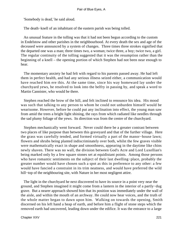'Somebody is dead,' he said aloud.

The death−knell of an inhabitant of the eastern parish was being tolled.

 An unusual feature in the tolling was that it had not been begun according to the custom in Endelstow and other parishes in the neighbourhood. At every death the sex and age of the deceased were announced by a system of changes. Three times three strokes signified that the departed one was a man; three times two, a woman; twice three, a boy; twice two, a girl. The regular continuity of the tolling suggested that it was the resumption rather than the beginning of a knell – the opening portion of which Stephen had not been near enough to hear.

 The momentary anxiety he had felt with regard to his parents passed away. He had left them in perfect health, and had any serious illness seized either, a communication would have reached him ere this. At the same time, since his way homeward lay under the churchyard yews, he resolved to look into the belfry in passing by, and speak a word to Martin Cannister, who would be there.

 Stephen reached the brow of the hill, and felt inclined to renounce his idea. His mood was such that talking to any person to whom he could not unburden himself would be wearisome. However, before he could put any inclination into effect, the young man saw from amid the trees a bright light shining, the rays from which radiated like needles through the sad plumy foliage of the yews. Its direction was from the centre of the churchyard.

 Stephen mechanically went forward. Never could there be a greater contrast between two places of like purpose than between this graveyard and that of the further village. Here the grass was carefully tended, and formed virtually a part of the manor−house lawn; flowers and shrubs being planted indiscriminately over both, whilst the few graves visible were mathematically exact in shape and smoothness, appearing in the daytime like chins newly shaven. There was no wall, the division between God's Acre and Lord Luxellian's being marked only by a few square stones set at equidistant points. Among those persons who have romantic sentiments on the subject of their last dwelling−place, probably the greater number would have chosen such a spot as this in preference to any other: a few would have fancied a constraint in its trim neatness, and would have preferred the wild hill−top of the neighbouring site, with Nature in her most negligent attire.

 The light in the churchyard he next discovered to have its source in a point very near the ground, and Stephen imagined it might come from a lantern in the interior of a partly−dug grave. But a nearer approach showed him that its position was immediately under the wall of the aisle, and within the mouth of an archway. He could now hear voices, and the truth of the whole matter began to dawn upon him. Walking on towards the opening, Smith discerned on his left hand a heap of earth, and before him a flight of stone steps which the removed earth had uncovered, leading down under the edifice. It was the entrance to a large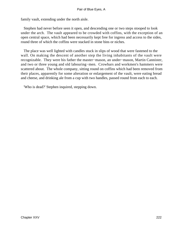family vault, extending under the north aisle.

 Stephen had never before seen it open, and descending one or two steps stooped to look under the arch. The vault appeared to be crowded with coffins, with the exception of an open central space, which had been necessarily kept free for ingress and access to the sides, round three of which the coffins were stacked in stone bins or niches.

 The place was well lighted with candles stuck in slips of wood that were fastened to the wall. On making the descent of another step the living inhabitants of the vault were recognizable. They were his father the master−mason, an under−mason, Martin Cannister, and two or three young and old labouring−men. Crowbars and workmen's hammers were scattered about. The whole company, sitting round on coffins which had been removed from their places, apparently for some alteration or enlargement of the vault, were eating bread and cheese, and drinking ale from a cup with two handles, passed round from each to each.

'Who is dead?' Stephen inquired, stepping down.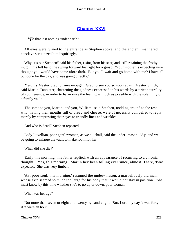## **[Chapter XXVI](#page-347-0)**

*'T*o that last nothing under earth.'

 All eyes were turned to the entrance as Stephen spoke, and the ancient−mannered conclave scrutinized him inquiringly.

 'Why, 'tis our Stephen!' said his father, rising from his seat; and, still retaining the frothy mug in his left hand, he swung forward his right for a grasp. 'Your mother is expecting ye – thought you would have come afore dark. But you'll wait and go home with me? I have all but done for the day, and was going directly.'

 'Yes, 'tis Master Stephy, sure enough. Glad to see you so soon again, Master Smith,' said Martin Cannister, chastening the gladness expressed in his words by a strict neutrality of countenance, in order to harmonize the feeling as much as possible with the solemnity of a family vault.

 'The same to you, Martin; and you, William,' said Stephen, nodding around to the rest, who, having their mouths full of bread and cheese, were of necessity compelled to reply merely by compressing their eyes to friendly lines and wrinkles.

'And who is dead?' Stephen repeated.

 'Lady Luxellian, poor gentlewoman, as we all shall, said the under−mason. 'Ay, and we be going to enlarge the vault to make room for her.'

'When did she die?'

 'Early this morning,' his father replied, with an appearance of recurring to a chronic thought. 'Yes, this morning. Martin hev been tolling ever since, almost. There, 'twas expected. She was very limber.'

 'Ay, poor soul, this morning,' resumed the under−mason, a marvellously old man, whose skin seemed so much too large for his body that it would not stay in position. 'She must know by this time whether she's to go up or down, poor woman.'

'What was her age?'

 'Not more than seven or eight and twenty by candlelight. But, Lord! by day 'a was forty if 'a were an hour.'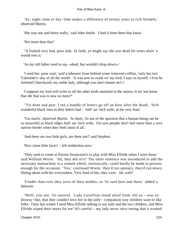'Ay, night−time or day−time makes a difference of twenty years to rich feymels,' observed Martin.

'She was one and thirty really,' said John Smith. 'I had it from them that know.'

'Not more than that!'

 ''A looked very bad, poor lady. In faith, ye might say she was dead for years afore 'a would own it.'

'As my old father used to say, «dead, but wouldn't drop down.»'

 'I seed her, poor soul,' said a labourer from behind some removed coffins, 'only but last Valentine's−day of all the world. 'A was arm in crook wi' my lord. I says to myself, «You be ticketed Churchyard, my noble lady, although you don't dream on't.»'

 'I suppose my lord will write to all the other lords anointed in the nation, to let 'em know that she that was is now no more?'

 ''Tis done and past. I see a bundle of letters go off an hour after the death. Sich wonderful black rims as they letters had – half−an−inch wide, at the very least.'

 'Too much,' observed Martin. 'In short, 'tis out of the question that a human being can be so mournful as black edges half−an−inch wide. I'm sure people don't feel more than a very narrow border when they feels most of all.'

'And there are two little girls, are there not?' said Stephen.

'Nice clane little faces! – left motherless now.'

 'They used to come to Parson Swancourt's to play with Miss Elfride when I were there,' said William Worm. 'Ah, they did so's!' The latter sentence was introduced to add the necessary melancholy to a remark which, intrinsically, could hardly be made to possess enough for the occasion. 'Yes,' continued Worm, 'they'd run upstairs, they'd run down; flitting about with her everywhere. Very fond of her, they were. Ah, well!'

 'Fonder than ever they were of their mother, so 'tis said here and there,' added a labourer.

 'Well, you see, 'tis natural. Lady Luxellian stood aloof from 'em so – was so drowsy−like, that they couldn't love her in the jolly− companion way children want to like folks. Only last winter I seed Miss Elfride talking to my lady and the two children, and Miss Elfride wiped their noses for em' SO careful – my lady never once seeing that it wanted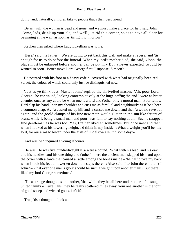doing; and, naturally, children take to people that's their best friend.'

 'Be as 'twill, the woman is dead and gone, and we must make a place for her,' said John. 'Come, lads, drink up your ale, and we'll just rid this corner, so as to have all clear for beginning at the wall, as soon as 'tis light to−morrow.'

Stephen then asked where Lady Luxellian was to lie.

 'Here,' said his father. 'We are going to set back this wall and make a recess; and 'tis enough for us to do before the funeral. When my lord's mother died, she said, «John, the place must be enlarged before another can be put in.» But 'a never expected 'twould be wanted so soon. Better move Lord George first, I suppose, Simeon?'

 He pointed with his foot to a heavy coffin, covered with what had originally been red velvet, the colour of which could only just be distinguished now.

 'Just as ye think best, Master John,' replied the shrivelled mason. 'Ah, poor Lord George!' he continued, looking contemplatively at the huge coffin; 'he and I were as bitter enemies once as any could be when one is a lord and t'other only a mortal man. Poor fellow! He'd clap his hand upon my shoulder and cuss me as familial and neighbourly as if he'd been a common chap. Ay, 'a cussed me up hill and 'a cussed me down; and then 'a would rave out again, and the goold clamps of his fine new teeth would glisten in the sun like fetters of brass, while I, being a small man and poor, was fain to say nothing at all. Such a strappen fine gentleman as he was too! Yes, I rather liked en sometimes. But once now and then, when I looked at his towering height, I'd think in my inside, «What a weight you'll be, my lord, for our arms to lower under the aisle of Endelstow Church some day!»'

'And was he?' inquired a young labourer.

 'He was. He was five hundredweight if 'a were a pound. What with his lead, and his oak, and his handles, and his one thing and t'other' – here the ancient man slapped his hand upon the cover with a force that caused a rattle among the bones inside – 'he half broke my back when I took his feet to lower en down the steps there. «Ah,» saith I to John there – didn't I, John? – «that ever one man's glory should be such a weight upon another man!» But there, I liked my lord George sometimes.'

 ''Tis a strange thought,' said another, 'that while they be all here under one roof, a snug united family o' Luxellians, they be really scattered miles away from one another in the form of good sheep and wicked goats, isn't it?'

'True; 'tis a thought to look at.'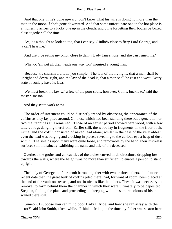'And that one, if he's gone upward, don't know what his wife is doing no more than the man in the moon if she's gone downward. And that some unfortunate one in the hot place is a−hollering across to a lucky one up in the clouds, and quite forgetting their bodies be boxed close together all the time.'

 'Ay, 'tis a thought to look at, too, that I can say «Hullo!» close to fiery Lord George, and 'a can't hear me.'

'And that I be eating my onion close to dainty Lady Jane's nose, and she can't smell me.'

'What do 'em put all their heads one way for?' inquired a young man.

 'Because 'tis churchyard law, you simple. The law of the living is, that a man shall be upright and down−right, and the law of the dead is, that a man shall be east and west. Every state of society have its laws.'

 'We must break the law wi' a few of the poor souls, however. Come, buckle to,' said the master−mason.

And they set to work anew.

 The order of interment could be distinctly traced by observing the appearance of the coffins as they lay piled around. On those which had been standing there but a generation or two the trappings still remained. Those of an earlier period showed bare wood, with a few tattered rags dangling therefrom. Earlier still, the wood lay in fragments on the floor of the niche, and the coffin consisted of naked lead alone; whilst in the case of the very oldest, even the lead was bulging and cracking in pieces, revealing to the curious eye a heap of dust within. The shields upon many were quite loose, and removable by the hand, their lustreless surfaces still indistinctly exhibiting the name and title of the deceased.

 Overhead the groins and concavities of the arches curved in all directions, dropping low towards the walls, where the height was no more than sufficient to enable a person to stand upright.

 The body of George the fourteenth baron, together with two or three others, all of more recent date than the great bulk of coffins piled there, had, for want of room, been placed at the end of the vault on tressels, and not in niches like the others. These it was necessary to remove, to form behind them the chamber in which they were ultimately to be deposited. Stephen, finding the place and proceedings in keeping with the sombre colours of his mind, waited there still.

 'Simeon, I suppose you can mind poor Lady Elfride, and how she ran away with the actor?' said John Smith, after awhile. 'I think it fell upon the time my father was sexton here.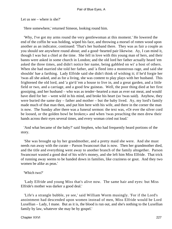Let us see – where is she?'

'Here somewhere,' returned Simeon, looking round him.

 'Why, I've got my arms round the very gentlewoman at this moment.' He lowered the end of the coffin he was holding, wiped his face, and throwing a morsel of rotten wood upon another as an indicator, continued: 'That's her husband there. They was as fair a couple as you should see anywhere round about; and a good−hearted pair likewise. Ay, I can mind it, though I was but a chiel at the time. She fell in love with this young man of hers, and their banns were asked in some church in London; and the old lord her father actually heard 'em asked the three times, and didn't notice her name, being gabbled on wi' a host of others. When she had married she told her father, and 'a fleed into a monstrous rage, and said she shouldn' hae a farthing. Lady Elfride said she didn't think of wishing it; if he'd forgie her 'twas all she asked, and as for a living, she was content to play plays with her husband. This frightened the old lord, and 'a gie'd 'em a house to live in, and a great garden, and a little field or two, and a carriage, and a good few guineas. Well, the poor thing died at her first gossiping, and her husband – who was as tender−hearted a man as ever eat meat, and would have died for her – went wild in his mind, and broke his heart (so 'twas said). Anyhow, they were buried the same day – father and mother – but the baby lived. Ay, my lord's family made much of that man then, and put him here with his wife, and there in the corner the man is now. The Sunday after there was a funeral sermon: the text was, «Or ever the silver cord be loosed, or the golden bowl be broken;» and when 'twas preaching the men drew their hands across their eyes several times, and every woman cried out loud.'

 'And what became of the baby?' said Stephen, who had frequently heard portions of the story.

 'She was brought up by her grandmother, and a pretty maid she were. And she must needs run away with the curate – Parson Swancourt that is now. Then her grandmother died, and the title and everything went away to another branch of the family altogether. Parson Swancourt wasted a good deal of his wife's money, and she left him Miss Elfride. That trick of running away seems to be handed down in families, like craziness or gout. And they two women be alike as peas.'

## 'Which two?'

 'Lady Elfride and young Miss that's alive now. The same hair and eyes: but Miss Elfride's mother was darker a good deal.'

 'Life's a strangle bubble, ye see,' said William Worm musingly. 'For if the Lord's anointment had descended upon women instead of men, Miss Elfride would be Lord Luxellian – Lady, I mane. But as it is, the blood is run out, and she's nothing to the Luxellian family by law, whatever she may be by gospel.'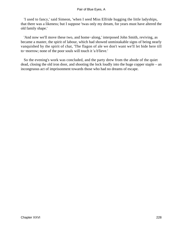'I used to fancy,' said Simeon, 'when I seed Miss Elfride hugging the little ladyships, that there was a likeness; but I suppose 'twas only my dream, for years must have altered the old family shape.'

 'And now we'll move these two, and home−along,' interposed John Smith, reviving, as became a master, the spirit of labour, which had showed unmistakable signs of being nearly vanquished by the spirit of chat, 'The flagon of ale we don't want we'll let bide here till to−morrow; none of the poor souls will touch it 'a b'lieve.'

 So the evening's work was concluded, and the party drew from the abode of the quiet dead, closing the old iron door, and shooting the lock loudly into the huge copper staple – an incongruous act of imprisonment towards those who had no dreams of escape.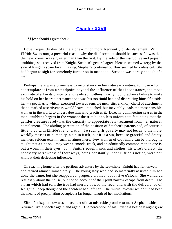## **[Chapter XXVII](#page-347-0)**

*'H*ow should I greet thee?'

 Love frequently dies of time alone – much more frequently of displacement. With Elfride Swancourt, a powerful reason why the displacement should be successful was that the new−comer was a greater man than the first. By the side of the instructive and piquant snubbings she received from Knight, Stephen's general agreeableness seemed watery; by the side of Knight's spare love− making, Stephen's continual outflow seemed lackadaisical. She had begun to sigh for somebody further on in manhood. Stephen was hardly enough of a man.

 Perhaps there was a proneness to inconstancy in her nature – a nature, to those who contemplate it from a standpoint beyond the influence of that inconstancy, the most exquisite of all in its plasticity and ready sympathies. Partly, too, Stephen's failure to make his hold on her heart a permanent one was his too timid habit of dispraising himself beside her – a peculiarity which, exercised towards sensible men, stirs a kindly chord of attachment that a marked assertiveness would leave untouched, but inevitably leads the most sensible woman in the world to undervalue him who practises it. Directly domineering ceases in the man, snubbing begins in the woman; the trite but no less unfortunate fact being that the gentler creature rarely has the capacity to appreciate fair treatment from her natural complement. The abiding perception of the position of Stephen's parents had, of course, a little to do with Elfride's renunciation. To such girls poverty may not be, as to the more worldly masses of humanity, a sin in itself; but it is a sin, because graceful and dainty manners seldom exist in such an atmosphere. Few women of old family can be thoroughly taught that a fine soul may wear a smock−frock, and an admittedly common man in one is but a worm in their eyes. John Smith's rough hands and clothes, his wife's dialect, the necessary narrowness of their ways, being constantly under Elfride's notice, were not without their deflecting influence.

 On reaching home after the perilous adventure by the sea−shore, Knight had felt unwell, and retired almost immediately. The young lady who had so materially assisted him had done the same, but she reappeared, properly clothed, about five o'clock. She wandered restlessly about the house, but not on account of their joint narrow escape from death. The storm which had torn the tree had merely bowed the reed, and with the deliverance of Knight all deep thought of the accident had left her. The mutual avowal which it had been the means of precipitating occupied a far longer length of her meditations.

 Elfride's disquiet now was on account of that miserable promise to meet Stephen, which returned like a spectre again and again. The perception of his littleness beside Knight grew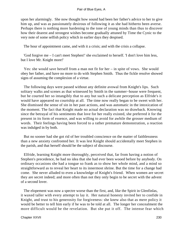upon her alarmingly. She now thought how sound had been her father's advice to her to give him up, and was as passionately desirous of following it as she had hitherto been averse. Perhaps there is nothing more hardening to the tone of young minds than thus to discover how their dearest and strongest wishes become gradually attuned by Time the Cynic to the very note of some selfish policy which in earlier days they despised.

The hour of appointment came, and with it a crisis; and with the crisis a collapse.

 'God forgive me – I can't meet Stephen!' she exclaimed to herself. 'I don't love him less, but I love Mr. Knight more!'

 Yes: she would save herself from a man not fit for her – in spite of vows. She would obey her father, and have no more to do with Stephen Smith. Thus the fickle resolve showed signs of assuming the complexion of a virtue.

 The following days were passed without any definite avowal from Knight's lips. Such solitary walks and scenes as that witnessed by Smith in the summer−house were frequent, but he courted her so intangibly that to any but such a delicate perception as Elfride's it would have appeared no courtship at all. The time now really began to be sweet with her. She dismissed the sense of sin in her past actions, and was automatic in the intoxication of the moment. The fact that Knight made no actual declaration was no drawback. Knowing since the betrayal of his sentiments that love for her really existed, she preferred it for the present in its form of essence, and was willing to avoid for awhile the grosser medium of words. Their feelings having been forced to a rather premature demonstration, a reaction was indulged in by both.

 But no sooner had she got rid of her troubled conscience on the matter of faithlessness than a new anxiety confronted her. It was lest Knight should accidentally meet Stephen in the parish, and that herself should be the subject of discourse.

 Elfride, learning Knight more thoroughly, perceived that, far from having a notion of Stephen's precedence, he had no idea that she had ever been wooed before by anybody. On ordinary occasions she had a tongue so frank as to show her whole mind, and a mind so straightforward as to reveal her heart to its innermost shrine. But the time for a change had come. She never alluded to even a knowledge of Knight's friend. When women are secret they are secret indeed; and more often than not they only begin to be secret with the advent of a second lover.

 The elopement was now a spectre worse than the first, and, like the Spirit in Glenfinlas, it waxed taller with every attempt to lay it. Her natural honesty invited her to confide in Knight, and trust to his generosity for forgiveness: she knew also that as mere policy it would be better to tell him early if he was to be told at all. The longer her concealment the more difficult would be the revelation. But she put it off. The intense fear which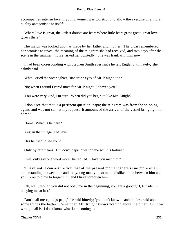accompanies intense love in young women was too strong to allow the exercise of a moral quality antagonistic to itself:

 'Where love is great, the littlest doubts are fear; Where little fears grow great, great love grows there.'

 The match was looked upon as made by her father and mother. The vicar remembered her promise to reveal the meaning of the telegram she had received, and two days after the scene in the summer– house, asked her pointedly. She was frank with him now.

 'I had been corresponding with Stephen Smith ever since he left England, till lately,' she calmly said.

'What!' cried the vicar aghast; 'under the eyes of Mr. Knight, too?'

'No; when I found I cared most for Mr. Knight, I obeyed you.'

'You were very kind, I'm sure. When did you begin to like Mr. Knight?'

 'I don't see that that is a pertinent question, papa; the telegram was from the shipping agent, and was not sent at my request. It announced the arrival of the vessel bringing him home.'

'Home! What, is he here?'

'Yes; in the village, I believe.'

'Has he tried to see you?'

'Only by fair means. But don't, papa, question me so! It is torture.'

'I will only say one word more,' he replied. 'Have you met him?'

 'I have not. I can assure you that at the present moment there is no more of an understanding between me and the young man you so much disliked than between him and you. You told me to forget him; and I have forgotten him.'

 'Oh, well; though you did not obey me in the beginning, you are a good girl, Elfride, in obeying me at last.'

 'Don't call me «good,» papa,' she said bitterly; 'you don't know – and the less said about some things the better. Remember, Mr. Knight knows nothing about the other. Oh, how wrong it all is! I don't know what I am coming to.'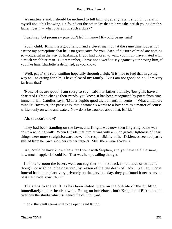'As matters stand, I should be inclined to tell him; or, at any rate, I should not alarm myself about his knowing. He found out the other day that this was the parish young Smith's father lives in – what puts you in such a flurry?'

'I can't say; but promise – pray don't let him know! It would be my ruin!'

 'Pooh, child. Knight is a good fellow and a clever man; but at the same time it does not escape my perceptions that he is no great catch for you. Men of his turn of mind are nothing so wonderful in the way of husbands. If you had chosen to wait, you might have mated with a much wealthier man. But remember, I have not a word to say against your having him, if you like him. Charlotte is delighted, as you know.'

 'Well, papa,' she said, smiling hopefully through a sigh, 'it is nice to feel that in giving way to – to caring for him, I have pleased my family. But I am not good; oh no, I am very far from that!'

 'None of us are good, I am sorry to say,' said her father blandly; 'but girls have a chartered right to change their minds, you know. It has been recognized by poets from time immemorial. Catullus says, "Mulier cupido quod dicit amanti, in vento – ' What a memory mine is! However, the passage is, that a woman's words to a lover are as a matter of course written only on wind and water. Now don't be troubled about that, Elfride.'

'Ah, you don't know!'

 They had been standing on the lawn, and Knight was now seen lingering some way down a winding walk. When Elfride met him, it was with a much greater lightness of heart; things were more straightforward now. The responsibility of her fickleness seemed partly shifted from her own shoulders to her father's. Still, there were shadows.

 'Ah, could he have known how far I went with Stephen, and yet have said the same, how much happier I should be!' That was her prevailing thought.

 In the afternoon the lovers went out together on horseback for an hour or two; and though not wishing to be observed, by reason of the late death of Lady Luxellian, whose funeral had taken place very privately on the previous day, they yet found it necessary to pass East Endelstow Church.

 The steps to the vault, as has been stated, were on the outside of the building, immediately under the aisle wall. Being on horseback, both Knight and Elfride could overlook the shrubs which screened the church−yard.

'Look, the vault seems still to be open,' said Knight.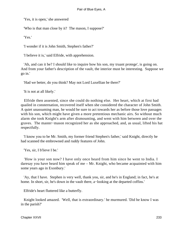'Yes, it is open,' she answered

'Who is that man close by it? The mason, I suppose?'

'Yes.'

'I wonder if it is John Smith, Stephen's father?'

'I believe it is,' said Elfride, with apprehension.

 'Ah, and can it be? I should like to inquire how his son, my truant protege', is going on. And from your father's description of the vault, the interior must be interesting. Suppose we go in.'

'Had we better, do you think? May not Lord Luxellian be there?'

'It is not at all likely.'

 Elfride then assented, since she could do nothing else. Her heart, which at first had quailed in consternation, recovered itself when she considered the character of John Smith. A quiet unassuming man, he would be sure to act towards her as before those love passages with his son, which might have given a more pretentious mechanic airs. So without much alarm she took Knight's arm after dismounting, and went with him between and over the graves. The master−mason recognized her as she approached, and, as usual, lifted his hat respectfully.

 'I know you to be Mr. Smith, my former friend Stephen's father,' said Knight, directly he had scanned the embrowned and ruddy features of John.

'Yes, sir, I b'lieve I be.'

 'How is your son now? I have only once heard from him since he went to India. I daresay you have heard him speak of me – Mr. Knight, who became acquainted with him some years ago in Exonbury.'

 'Ay, that I have. Stephen is very well, thank you, sir, and he's in England; in fact, he's at home. In short, sir, he's down in the vault there, a−looking at the departed coffins.'

Elfride's heart fluttered like a butterfly.

 Knight looked amazed. 'Well, that is extraordinary.' he murmured. 'Did he know I was in the parish?'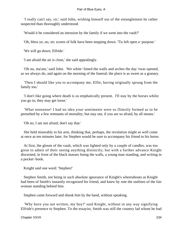'I really can't say, sir,' said John, wishing himself out of the entanglement he rather suspected than thoroughly understood.

'Would it be considered an intrusion by the family if we went into the vault?'

'Oh, bless ye, no, sir; scores of folk have been stepping down. 'Tis left open a−purpose.'

'We will go down, Elfride.'

'I am afraid the air is close,' she said appealingly.

 'Oh no, ma'am,' said John. 'We white−limed the walls and arches the day 'twas opened, as we always do, and again on the morning of the funeral; the place is as sweet as a granary.

 'Then I should like you to accompany me, Elfie; having originally sprung from the family too.'

 'I don't like going where death is so emphatically present. I'll stay by the horses whilst you go in; they may get loose.'

 'What nonsense! I had no idea your sentiments were so flimsily formed as to be perturbed by a few remnants of mortality; but stay out, if you are so afraid, by all means.'

'Oh no, I am not afraid; don't say that.'

 She held miserably to his arm, thinking that, perhaps, the revelation might as well come at once as ten minutes later, for Stephen would be sure to accompany his friend to his horse.

 At first, the gloom of the vault, which was lighted only by a couple of candles, was too great to admit of their seeing anything distinctly; but with a further advance Knight discerned, in front of the black masses lining the walls, a young man standing, and writing in a pocket−book.

Knight said one word: 'Stephen!'

 Stephen Smith, not being in such absolute ignorance of Knight's whereabouts as Knight had been of Smith's instantly recognized his friend, and knew by rote the outlines of the fair woman standing behind him.

Stephen came forward and shook him by the hand, without speaking.

 'Why have you not written, my boy?' said Knight, without in any way signifying Elfride's presence to Stephen. To the essayist, Smith was still the country lad whom he had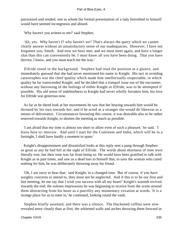patronized and tended; one to whom the formal presentation of a lady betrothed to himself would have seemed incongruous and absurd.

'Why haven't you written to me?' said Stephen.

 'Ah, yes. Why haven't I? why haven't we? That's always the query which we cannot clearly answer without an unsatisfactory sense of our inadequacies. However, I have not forgotten you, Smith. And now we have met; and we must meet again, and have a longer chat than this can conveniently be. I must know all you have been doing. That yon have thriven, I know, and you must teach me the way.'

 Elfride stood in the background. Stephen had read the position at a glance, and immediately guessed that she had never mentioned his name to Knight. His tact in avoiding catastrophes was the chief quality which made him intellectually respectable, in which quality he far transcended Knight; and he decided that a tranquil issue out of the encounter, without any harrowing of the feelings of either Knight or Elfride, was to be attempted if possible. His old sense of indebtedness to Knight had never wholly forsaken him; his love for Elfride was generous now.

 As far as he dared look at her movements he saw that her bearing towards him would be dictated by his own towards her; and if he acted as a stranger she would do likewise as a means of deliverance. Circumstances favouring this course, it was desirable also to be rather reserved towards Knight, to shorten the meeting as much as possible.

 'I am afraid that my time is almost too short to allow even of such a pleasure,' he said. 'I leave here to−morrow. And until I start for the Continent and India, which will be in a fortnight, I shall have hardly a moment to spare.'

 Knight's disappointment and dissatisfied looks at this reply sent a pang through Stephen as great as any he had felt at the sight of Elfride. The words about shortness of time were literally true, but their tone was far from being so. He would have been gratified to talk with Knight as in past times, and saw as a dead loss to himself that, to save the woman who cared nothing for him, he was deliberately throwing away his friend.

 'Oh, I am sorry to hear that,' said Knight, in a changed tone. 'But of course, if you have weighty concerns to attend to, they must not be neglected. And if this is to be our first and last meeting, let me say that I wish you success with all my heart!' Knight's warmth revived towards the end; the solemn impressions he was beginning to receive from the scene around them abstracting from his heart as a puerility any momentary vexation at words. 'It is a strange place for us to meet in,' he continued, looking round the vault.

 Stephen briefly assented, and there was a silence. The blackened coffins were now revealed more clearly than at first, the whitened walls and arches throwing them forward in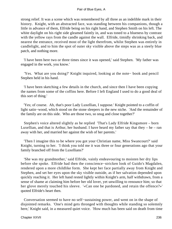strong relief. It was a scene which was remembered by all three as an indelible mark in their history. Knight, with an abstracted face, was standing between his companions, though a little in advance of them, Elfride being on his right hand, and Stephen Smith on his left. The white daylight on his right side gleamed faintly in, and was toned to a blueness by contrast with the yellow rays from the candle against the wall. Elfride, timidly shrinking back, and nearest the entrance, received most of the light therefrom, whilst Stephen was entirely in candlelight, and to him the spot of outer sky visible above the steps was as a steely blue patch, and nothing more.

 'I have been here two or three times since it was opened,' said Stephen. 'My father was engaged in the work, you know.'

 'Yes. What are you doing?' Knight inquired, looking at the note− book and pencil Stephen held in his hand.

 'I have been sketching a few details in the church, and since then I have been copying the names from some of the coffins here. Before I left England I used to do a good deal of this sort of thing.'

 'Yes; of course. Ah, that's poor Lady Luxellian, I suppose.' Knight pointed to a coffin of light satin−wood, which stood on the stone sleepers in the new niche. 'And the remainder of the family are on this side. Who are those two, so snug and close together?'

 Stephen's voice altered slightly as he replied 'That's Lady Elfride Kingsmore – born Luxellian, and that is Arthur, her husband. I have heard my father say that they – he – ran away with her, and married her against the wish of her parents.'

 'Then I imagine this to be where you got your Christian name, Miss Swancourt?' said Knight, turning to her. 'I think you told me it was three or four generations ago that your family branched off from the Luxellians?'

 'She was my grandmother,' said Elfride, vainly endeavouring to moisten her dry lips before she spoke. Elfride had then the conscience−stricken look of Guido's Magdalen, rendered upon a more childlike form. She kept her face partially away from Knight and Stephen, and set her eyes upon the sky visible outside, as if her salvation depended upon quickly reaching it. Her left hand rested lightly within Knight's arm, half withdrawn, from a sense of shame at claiming him before her old lover, yet unwilling to renounce him; so that her glove merely touched his sleeve. '«Can one be pardoned, and retain the offence?»' quoted Elfride's heart then.

 Conversation seemed to have no self−sustaining power, and went on in the shape of disjointed remarks. 'One's mind gets thronged with thoughts while standing so solemnly here,' Knight said, in a measured quiet voice. 'How much has been said on death from time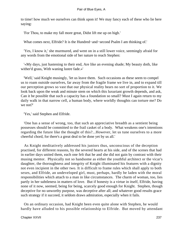to time! how much we ourselves can think upon it! We may fancy each of these who lie here saying:

'For Thou, to make my fall more great, Didst lift me up on high.'

What comes next, Elfride? It is the Hundred−and−second Psalm I am thinking of.'

 'Yes, I know it,' she murmured, and went on in a still lower voice, seemingly afraid for any words from the emotional side of her nature to reach Stephen:

 '«My days, just hastening to their end, Are like an evening shade; My beauty doth, like wither'd grass, With waning lustre fade.»'

 'Well,' said Knight musingly, 'let us leave them. Such occasions as these seem to compel us to roam outside ourselves, far away from the fragile frame we live in, and to expand till our perception grows so vast that our physical reality bears no sort of proportion to it. We look back upon the weak and minute stem on which this luxuriant growth depends, and ask, Can it be possible that such a capacity has a foundation so small? Must I again return to my daily walk in that narrow cell, a human body, where worldly thoughts can torture me? Do we not?'

'Yes,' said Stephen and Elfride.

 'One has a sense of wrong, too, that such an appreciative breadth as a sentient being possesses should be committed to the frail casket of a body. What weakens one's intentions regarding the future like the thought of this?...However, let us tune ourselves to a more cheerful chord, for there's a great deal to be done yet by us all.'

 As Knight meditatively addressed his juniors thus, unconscious of the deception practised, for different reasons, by the severed hearts at his side, and of the scenes that had in earlier days united them, each one felt that he and she did not gain by contrast with their musing mentor. Physically not so handsome as either the youthful architect or the vicar's daughter, the thoroughness and integrity of Knight illuminated his features with a dignity not even incipient in the other two. It is difficult to frame rules which shall apply to both sexes, and Elfride, an undeveloped girl, must, perhaps, hardly be laden with the moral responsibilities which attach to a man in like circumstances. The charm of woman, too, lies partly in her subtleness in matters of love. But if honesty is a virtue in itself, Elfride, having none of it now, seemed, being for being, scarcely good enough for Knight. Stephen, though deceptive for no unworthy purpose, was deceptive after all; and whatever good results grace such strategy if it succeed, it seldom draws admiration, especially when it fails.

 On an ordinary occasion, had Knight been even quite alone with Stephen, he would hardly have alluded to his possible relationship to Elfride. But moved by attendant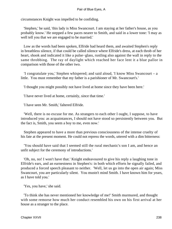circumstances Knight was impelled to be confiding.

 'Stephen,' he said, 'this lady is Miss Swancourt. I am staying at her father's house, as you probably know.' He stepped a few paces nearer to Smith, and said in a lower tone: 'I may as well tell you that we are engaged to be married.'

 Low as the words had been spoken, Elfride had heard them, and awaited Stephen's reply in breathless silence, if that could be called silence where Elfride's dress, at each throb of her heart, shook and indicated it like a pulse−glass, rustling also against the wall in reply to the same throbbing. The ray of daylight which reached her face lent it a blue pallor in comparison with those of the other two.

 'I congratulate you,' Stephen whispered; and said aloud, 'I know Miss Swancourt – a little. You must remember that my father is a parishioner of Mr. Swancourt's.'

'I thought you might possibly not have lived at home since they have been here.'

'I have never lived at home, certainly, since that time.'

'I have seen Mr. Smith,' faltered Elfride.

 'Well, there is no excuse for me. As strangers to each other I ought, I suppose, to have introduced you: as acquaintances, I should not have stood so persistently between you. But the fact is, Smith, you seem a boy to me, even now.'

 Stephen appeared to have a more than previous consciousness of the intense cruelty of his fate at the present moment. He could not repress the words, uttered with a dim bitterness:

 'You should have said that I seemed still the rural mechanic's son I am, and hence an unfit subject for the ceremony of introductions.'

 'Oh, no, no! I won't have that.' Knight endeavoured to give his reply a laughing tone in Elfride's ears, and an earnestness in Stephen's: in both which efforts he signally failed, and produced a forced speech pleasant to neither. 'Well, let us go into the open air again; Miss Swancourt, you are particularly silent. You mustn't mind Smith. I have known him for years, as I have told you.'

'Yes, you have,' she said.

 'To think she has never mentioned her knowledge of me!' Smith murmured, and thought with some remorse how much her conduct resembled his own on his first arrival at her house as a stranger to the place.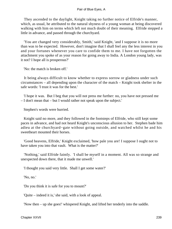They ascended to the daylight, Knight taking no further notice of Elfride's manner, which, as usual, he attributed to the natural shyness of a young woman at being discovered walking with him on terms which left not much doubt of their meaning. Elfride stepped a little in advance, and passed through the churchyard.

 'You are changed very considerably, Smith,' said Knight, 'and I suppose it is no more than was to be expected. However, don't imagine that I shall feel any the less interest in you and your fortunes whenever you care to confide them to me. I have not forgotten the attachment you spoke of as your reason for going away to India. A London young lady, was it not? I hope all is prosperous?'

'No: the match is broken off.'

 It being always difficult to know whether to express sorrow or gladness under such circumstances – all depending upon the character of the match – Knight took shelter in the safe words: 'I trust it was for the best.'

 'I hope it was. But I beg that you will not press me further: no, you have not pressed me – I don't mean that – but I would rather not speak upon the subject.'

Stephen's words were hurried.

 Knight said no more, and they followed in the footsteps of Elfride, who still kept some paces in advance, and had not heard Knight's unconscious allusion to her. Stephen bade him adieu at the churchyard−gate without going outside, and watched whilst he and his sweetheart mounted their horses.

 'Good heavens, Elfride,' Knight exclaimed, 'how pale you are! I suppose I ought not to have taken you into that vault. What is the matter?'

 'Nothing,' said Elfride faintly. 'I shall be myself in a moment. All was so strange and unexpected down there, that it made me unwell.'

'I thought you said very little. Shall I get some water?'

'No, no.'

'Do you think it is safe for you to mount?'

'Quite – indeed it is,' she said, with a look of appeal.

'Now then – up she goes!' whispered Knight, and lifted her tenderly into the saddle.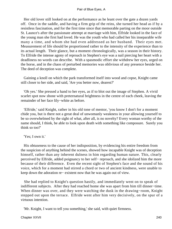Her old lover still looked on at the performance as he leant over the gate a dozen yards off. Once in the saddle, and having a firm grip of the reins, she turned her head as if by a resistless fascination, and for the first time since that memorable parting on the moor outside St. Launce's after the passionate attempt at marriage with him, Elfride looked in the face of the young man she first had loved. He was the youth who had called her his inseparable wife many a time, and whom she had even addressed as her husband. Their eyes met. Measurement of life should be proportioned rather to the intensity of the experience than to its actual length. Their glance, but a moment chronologically, was a season in their history. To Elfride the intense agony of reproach in Stephen's eye was a nail piercing her heart with a deadliness no words can describe. With a spasmodic effort she withdrew her eyes, urged on the horse, and in the chaos of perturbed memories was oblivious of any presence beside her. The deed of deception was complete.

 Gaining a knoll on which the park transformed itself into wood and copse, Knight came still closer to her side, and said, 'Are you better now, dearest?'

 'Oh yes.' She pressed a hand to her eyes, as if to blot out the image of Stephen. A vivid scarlet spot now shone with preternatural brightness in the centre of each cheek, leaving the remainder of her face lily−white as before.

 'Elfride,' said Knight, rather in his old tone of mentor, 'you know I don't for a moment chide you, but is there not a great deal of unwomanly weakness in your allowing yourself to be so overwhelmed by the sight of what, after all, is no novelty? Every woman worthy of the name should, I think, be able to look upon death with something like composure. Surely you think so too?'

'Yes; I own it.'

 His obtuseness to the cause of her indisposition, by evidencing his entire freedom from the suspicion of anything behind the scenes, showed how incapable Knight was of deception himself, rather than any inherent dulness in him regarding human nature. This, clearly perceived by Elfride, added poignancy to her self− reproach, and she idolized him the more because of their difference. Even the recent sight of Stephen's face and the sound of his voice, which for a moment had stirred a chord or two of ancient kindness, were unable to keep down the adoration re− existent now that he was again out of view.

 She had replied to Knight's question hastily, and immediately went on to speak of indifferent subjects. After they had reached home she was apart from him till dinner−time. When dinner was over, and they were watching the dusk in the drawing−room, Knight stepped out upon the terrace. Elfride went after him very decisively, on the spur of a virtuous intention.

'Mr. Knight, I want to tell you something,' she said, with quiet firmness.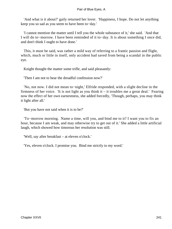'And what is it about?' gaily returned her lover. 'Happiness, I hope. Do not let anything keep you so sad as you seem to have been to−day.'

 'I cannot mention the matter until I tell you the whole substance of it,' she said. 'And that I will do to−morrow. I have been reminded of it to−day. It is about something I once did, and don't think I ought to have done.'

 This, it must be said, was rather a mild way of referring to a frantic passion and flight, which, much or little in itself, only accident had saved from being a scandal in the public eye.

Knight thought the matter some trifle, and said pleasantly:

'Then I am not to hear the dreadful confession now?'

 'No, not now. I did not mean to−night,' Elfride responded, with a slight decline in the firmness of her voice. 'It is not light as you think it – it troubles me a great deal.' Fearing now the effect of her own earnestness, she added forcedly, 'Though, perhaps, you may think it light after all.'

'But you have not said when it is to be?'

 'To−morrow morning. Name a time, will you, and bind me to it? I want you to fix an hour, because I am weak, and may otherwise try to get out of it.' She added a little artificial laugh, which showed how timorous her resolution was still.

'Well, say after breakfast – at eleven o'clock.'

'Yes, eleven o'clock. I promise you. Bind me strictly to my word.'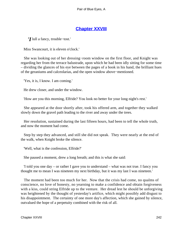# **[Chapter XXVIII](#page-347-0)**

*'I* lull a fancy, trouble−tost.'

Miss Swancourt, it is eleven o'clock.'

 She was looking out of her dressing−room window on the first floor, and Knight was regarding her from the terrace balustrade, upon which he had been idly sitting for some time – dividing the glances of his eye between the pages of a book in his hand, the brilliant hues of the geraniums and calceolarias, and the open window above−mentioned.

'Yes, it is, I know. I am coming.'

He drew closer, and under the window.

'How are you this morning, Elfride? You look no better for your long night's rest.'

 She appeared at the door shortly after, took his offered arm, and together they walked slowly down the gravel path leading to the river and away under the trees.

 Her resolution, sustained during the last fifteen hours, had been to tell the whole truth, and now the moment had come.

 Step by step they advanced, and still she did not speak. They were nearly at the end of the walk, when Knight broke the silence.

'Well, what is the confession, Elfride?'

She paused a moment, drew a long breath; and this is what she said:

 'I told you one day – or rather I gave you to understand – what was not true. I fancy you thought me to mean I was nineteen my next birthday, but it was my last I was nineteen.'

 The moment had been too much for her. Now that the crisis had come, no qualms of conscience, no love of honesty, no yearning to make a confidence and obtain forgiveness with a kiss, could string Elfride up to the venture. Her dread lest he should be unforgiving was heightened by the thought of yesterday's artifice, which might possibly add disgust to his disappointment. The certainty of one more day's affection, which she gained by silence, outvalued the hope of a perpetuity combined with the risk of all.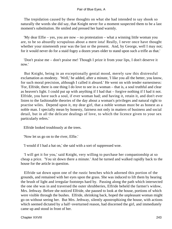The trepidation caused by these thoughts on what she had intended to say shook so naturally the words she did say, that Knight never for a moment suspected them to be a last moment's substitution. He smiled and pressed her hand warmly.

 'My dear Elfie – yes, you are now – no protestation – what a winning little woman you are, to be so absurdly scrupulous about a mere iota! Really, I never once have thought whether your nineteenth year was the last or the present. And, by George, well I may not; for it would never do for a staid fogey a dozen years older to stand upon such a trifle as that.'

 'Don't praise me – don't praise me! Though I prize it from your lips, I don't deserve it now.'

 But Knight, being in an exceptionally genial mood, merely saw this distressful exclamation as modesty. 'Well,' he added, after a minute, 'I like you all the better, you know, for such moral precision, although I called it absurd.' He went on with tender earnestness: 'For, Elfride, there is one thing I do love to see in a woman – that is, a soul truthful and clear as heaven's light. I could put up with anything if I had that – forgive nothing if I had it not. Elfride, you have such a soul, if ever woman had; and having it, retain it, and don't ever listen to the fashionable theories of the day about a woman's privileges and natural right to practise wiles. Depend upon it, my dear girl, that a noble woman must be as honest as a noble man. I specially mean by honesty, fairness not only in matters of business and social detail, but in all the delicate dealings of love, to which the licence given to your sex particularly refers.'

Elfride looked troublously at the trees.

'Now let us go on to the river, Elfie.'

'I would if I had a hat on,' she said with a sort of suppressed woe.

 'I will get it for you,' said Knight, very willing to purchase her companionship at so cheap a price. 'You sit down there a minute.' And he turned and walked rapidly back to the house for the article in question.

 Elfride sat down upon one of the rustic benches which adorned this portion of the grounds, and remained with her eyes upon the grass. She was induced to lift them by hearing the brush of light and irregular footsteps hard by. Passing along the path which intersected the one she was in and traversed the outer shrubberies, Elfride beheld the farmer's widow, Mrs. Jethway. Before she noticed Elfride, she paused to look at the house, portions of which were visible through the bushes. Elfride, shrinking back, hoped the unpleasant woman might go on without seeing her. But Mrs. Jethway, silently apostrophizing the house, with actions which seemed dictated by a half−overturned reason, had discerned the girl, and immediately came up and stood in front of her.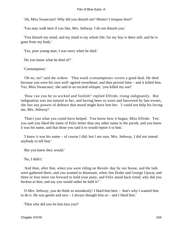'Ah, Miss Swancourt! Why did you disturb me? Mustn't I trespass here?'

'You may walk here if you like, Mrs. Jethway. I do not disturb you.'

 'You disturb my mind, and my mind is my whole life; for my boy is there still, and he is gone from my body.'

'Yes, poor young man. I was sorry when he died.'

'Do you know what he died of? '

'Consumption.'

 'Oh no, no!' said the widow. 'That word «consumption» covers a good deal. He died because you were his own well−agreed sweetheart, and then proved false – and it killed him. Yes, Miss Swancourt,' she said in an excited whisper, 'you killed my son!'

 'How can you be so wicked and foolish!' replied Elfride, rising indignantly. But indignation was not natural to her, and having been so worn and harrowed by late events, she lost any powers of defence that mood might have lent her. 'I could not help his loving me, Mrs. Jethway!'

 'That's just what you could have helped. You know how it began, Miss Elfride. Yes: you said you liked the name of Felix better than any other name in the parish, and you knew it was his name, and that those you said it to would report it to him.'

 'I knew it was his name – of course I did; but I am sure, Mrs. Jethway, I did not intend anybody to tell him.'

'But you knew they would.'

'No, I didn't.'

 'And then, after that, when you were riding on Revels−day by our house, and the lads were gathered there, and you wanted to dismount, when Jim Drake and George Upway and three or four more ran forward to hold your pony, and Felix stood back timid, why did you beckon to him, and say you would rather he held it? '

 'O Mrs. Jethway, you do think so mistakenly! I liked him best – that's why I wanted him to do it. He was gentle and nice – I always thought him so – and I liked him.'

'Then why did you let him kiss you?'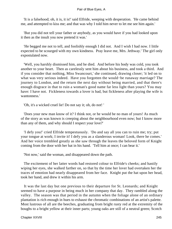'It is a falsehood; oh, it is, it is!' said Elfride, weeping with desperation. 'He came behind me, and attempted to kiss me; and that was why I told him never to let me see him again.'

 'But you did not tell your father or anybody, as you would have if you had looked upon it then as the insult you now pretend it was.'

 'He begged me not to tell, and foolishly enough I did not. And I wish I had now. I little expected to be scourged with my own kindness. Pray leave me, Mrs. Jethway.' The girl only expostulated now.

 'Well, you harshly dismissed him, and he died. And before his body was cold, you took another to your heart. Then as carelessly sent him about his business, and took a third. And if you consider that nothing, Miss Swancourt,' she continued, drawing closer; 'it led on to what was very serious indeed. Have you forgotten the would−be runaway marriage? The journey to London, and the return the next day without being married, and that there's enough disgrace in that to ruin a woman's good name far less light than yours? You may have: I have not. Fickleness towards a lover is bad, but fickleness after playing the wife is wantonness.'

'Oh, it's a wicked cruel lie! Do not say it; oh, do not! '

 'Does your new man know of it? I think not, or he would be no man of yours! As much of the story as was known is creeping about the neighbourhood even now; but I know more than any of them, and why should I respect your love?'

 'I defy you!' cried Elfride tempestuously. 'Do and say all you can to ruin me; try; put your tongue at work; I invite it! I defy you as a slanderous woman! Look, there he comes.' And her voice trembled greatly as she saw through the leaves the beloved form of Knight coming from the door with her hat in his hand. 'Tell him at once; I can bear it.'

'Not now,' said the woman, and disappeared down the path.

 The excitement of her latter words had restored colour to Elfride's cheeks; and hastily wiping her eyes, she walked farther on, so that by the time her lover had overtaken her the traces of emotion had nearly disappeared from her face. Knight put the hat upon her head, took her hand, and drew it within his arm.

 It was the last day but one previous to their departure for St. Leonards; and Knight seemed to have a purpose in being much in her company that day. They rambled along the valley. The season was that period in the autumn when the foliage alone of an ordinary plantation is rich enough in hues to exhaust the chromatic combinations of an artist's palette. Most lustrous of all are the beeches, graduating from bright rusty red at the extremity of the boughs to a bright yellow at their inner parts; young oaks are still of a neutral green; Scotch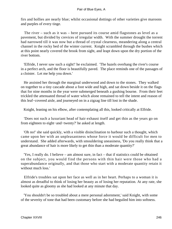firs and hollies are nearly blue; whilst occasional dottings of other varieties give maroons and purples of every tinge.

 The river – such as it was – here pursued its course amid flagstones as level as a pavement, but divided by crevices of irregular width. With the summer drought the torrent had narrowed till it was now but a thread of crystal clearness, meandering along a central channel in the rocky bed of the winter current. Knight scrambled through the bushes which at this point nearly covered the brook from sight, and leapt down upon the dry portion of the river bottom.

 'Elfride, I never saw such a sight!' he exclaimed. 'The hazels overhang the river's course in a perfect arch, and the floor is beautifully paved. The place reminds one of the passages of a cloister. Let me help you down.'

 He assisted her through the marginal underwood and down to the stones. They walked on together to a tiny cascade about a foot wide and high, and sat down beside it on the flags that for nine months in the year were submerged beneath a gushing bourne. From their feet trickled the attenuated thread of water which alone remained to tell the intent and reason of this leaf−covered aisle, and journeyed on in a zigzag line till lost in the shade.

Knight, leaning on his elbow, after contemplating all this, looked critically at Elfride.

 'Does not such a luxuriant head of hair exhaust itself and get thin as the years go on from eighteen to eight−and−twenty?' he asked at length.

 'Oh no!' she said quickly, with a visible disinclination to harbour such a thought, which came upon her with an unpleasantness whose force it would be difficult for men to understand. She added afterwards, with smouldering uneasiness, 'Do you really think that a great abundance of hair is more likely to get thin than a moderate quantity?'

 'Yes, I really do. I believe – am almost sure, in fact – that if statistics could be obtained on the subject, you would find the persons with thin hair were those who had a superabundance originally, and that those who start with a moderate quantity retain it without much loss.'

 Elfride's troubles sat upon her face as well as in her heart. Perhaps to a woman it is almost as dreadful to think of losing her beauty as of losing her reputation. At any rate, she looked quite as gloomy as she had looked at any minute that day.

 'You shouldn't be so troubled about a mere personal adornment,' said Knight, with some of the severity of tone that had been customary before she had beguiled him into softness.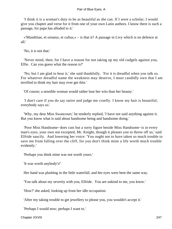'I think it is a woman's duty to be as beautiful as she can. If I were a scholar, I would give you chapter and verse for it from one of your own Latin authors. I know there is such a passage, for papa has alluded to it.'

 «'Munditiae, et ornatus, et cultus,» – is that it? A passage in Livy which is no defence at all.'

'No, it is not that.'

 'Never mind, then; for I have a reason for not taking up my old cudgels against you, Elfie. Can you guess what the reason is?'

 'No; but I am glad to hear it,' she said thankfully. 'For it is dreadful when you talk so. For whatever dreadful name the weakness may deserve, I must candidly own that I am terrified to think my hair may ever get thin.'

'Of course; a sensible woman would rather lose her wits than her beauty.'

 'I don't care if you do say satire and judge me cruelly. I know my hair is beautiful; everybody says so.'

 'Why, my dear Miss Swancourt,' he tenderly replied, 'I have not said anything against it. But you know what is said about handsome being and handsome doing.'

 'Poor Miss Handsome−does cuts but a sorry figure beside Miss Handsome−is in every man's eyes, your own not excepted, Mr. Knight, though it pleases you to throw off so,' said Elfride saucily. And lowering her voice: 'You ought not to have taken so much trouble to save me from falling over the cliff, for you don't think mine a life worth much trouble evidently.'

'Perhaps you think mine was not worth yours.'

'It was worth anybody's!'

Her hand was plashing in the little waterfall, and her eyes were bent the same way.

'You talk about my severity with you, Elfride. You are unkind to me, you know.'

'How?' she asked, looking up from her idle occupation.

'After my taking trouble to get jewellery to please you, you wouldn't accept it.'

'Perhaps I would now; perhaps I want to.'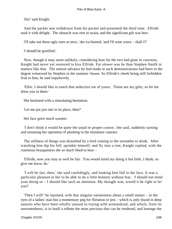'Do!' said Knight.

 And the packet was withdrawn from his pocket and presented the third time. Elfride took it with delight. The obstacle was rent in twain, and the significant gift was hers.

'I'll take out these ugly ones at once,' she exclaimed, 'and I'll wear yours – shall I?'

'I should be gratified.'

 Now, though it may seem unlikely, considering how far the two had gone in converse, Knight had never yet ventured to kiss Elfride. Far slower was he than Stephen Smith in matters like that. The utmost advance he had made in such demonstrations had been to the degree witnessed by Stephen in the summer−house. So Elfride's cheek being still forbidden fruit to him, he said impulsively.

 'Elfie, I should like to touch that seductive ear of yours. Those are my gifts; so let me dress you in them.'

She hesitated with a stimulating hesitation.

'Let me put just one in its place, then?'

Her face grew much warmer.

 'I don't think it would be quite the usual or proper course,' she said, suddenly turning and resuming her operation of plashing in the miniature cataract.

 The stillness of things was disturbed by a bird coming to the streamlet to drink. After watching him dip his bill, sprinkle himself, and fly into a tree, Knight replied, with the courteous brusqueness she so much liked to hear –

 'Elfride, now you may as well be fair. You would mind my doing it but little, I think; so give me leave, do.'

 'I will be fair, then,' she said confidingly, and looking him full in the face. It was a particular pleasure to her to be able to do a little honesty without fear. 'I should not mind your doing so – I should like such an attention. My thought was, would it be right to let you?'

 'Then I will!' he rejoined, with that singular earnestness about a small matter – in the eyes of a ladies' man but a momentary peg for flirtation or jest – which is only found in deep natures who have been wholly unused to toying with womankind, and which, from its unwontedness, is in itself a tribute the most precious that can be rendered, and homage the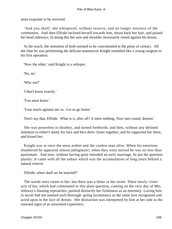most exquisite to be received.

 'And you shall,' she whispered, without reserve, and no longer mistress of the ceremonies. And then Elfride inclined herself towards him, thrust back her hair, and poised her head sideways. In doing this her arm and shoulder necessarily rested against his breast.

 At the touch, the sensation of both seemed to be concentrated at the point of contact. All the time he was performing the delicate manoeuvre Knight trembled like a young surgeon in his first operation.

'Now the other,' said Knight in a whisper.

'No, no.'

'Why not?'

'I don't know exactly.'

'You must know.'

'Your touch agitates me so. Let us go home.'

'Don't say that, Elfride. What is it, after all? A mere nothing. Now turn round, dearest.'

 She was powerless to disobey, and turned forthwith; and then, without any defined intention in either's mind, his face and hers drew closer together; and he supported her there, and kissed her.

 Knight was at once the most ardent and the coolest man alive. When his emotions slumbered he appeared almost phlegmatic; when they were moved he was no less than passionate. And now, without having quite intended an early marriage, he put the question plainly. It came with all the ardour which was the accumulation of long years behind a natural reserve.

'Elfride, when shall we be married?'

 The words were sweet to her; but there was a bitter in the sweet. These newly−overt acts of his, which had culminated in this plain question, coming on the very day of Mrs. Jethway's blasting reproaches, painted distinctly her fickleness as an enormity. Loving him in secret had not seemed such thorough−going inconstancy as the same love recognized and acted upon in the face of threats. Her distraction was interpreted by him at her side as the outward signs of an unwonted experience.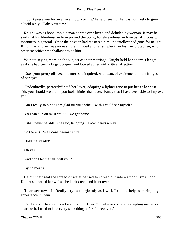'I don't press you for an answer now, darling,' he said, seeing she was not likely to give a lucid reply. 'Take your time.'

 Knight was as honourable a man as was ever loved and deluded by woman. It may be said that his blindness in love proved the point, for shrewdness in love usually goes with meanness in general. Once the passion had mastered him, the intellect had gone for naught. Knight, as a lover, was more single−minded and far simpler than his friend Stephen, who in other capacities was shallow beside him.

 Without saying more on the subject of their marriage, Knight held her at arm's length, as if she had been a large bouquet, and looked at her with critical affection.

 'Does your pretty gift become me?' she inquired, with tears of excitement on the fringes of her eyes.

 'Undoubtedly, perfectly!' said her lover, adopting a lighter tone to put her at her ease. 'Ah, you should see them; you look shinier than ever. Fancy that I have been able to improve you!'

'Am I really so nice? I am glad for your sake. I wish I could see myself.'

'You can't. You must wait till we get home.'

'I shall never be able,' she said, laughing. 'Look: here's a way.'

'So there is. Well done, woman's wit!'

'Hold me steady!'

'Oh yes.'

'And don't let me fall, will you?'

'By no means.'

 Below their seat the thread of water paused to spread out into a smooth small pool. Knight supported her whilst she knelt down and leant over it.

 'I can see myself. Really, try as religiously as I will, I cannot help admiring my appearance in them.'

 'Doubtless. How can you be so fond of finery? I believe you are corrupting me into a taste for it. I used to hate every such thing before I knew you.'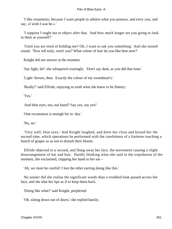'I like ornaments, because I want people to admire what you possess, and envy you, and say, «I wish I was he.» '

 'I suppose I ought not to object after that. And how much longer are you going to look in there at yourself?'

 'Until you are tired of holding me? Oh, I want to ask you something.' And she turned round. 'Now tell truly, won't you? What colour of hair do you like best now?'

Knight did not answer at the moment.

'Say light, do!' she whispered coaxingly. 'Don't say dark, as you did that time.'

'Light−brown, then. Exactly the colour of my sweetheart's.'

'Really?' said Elfride, enjoying as truth what she knew to be flattery.

'Yes.'

'And blue eyes, too, not hazel? Say yes, say yes!'

'One recantation is enough for to−day.'

'No, no.'

 'Very well, blue eyes.' And Knight laughed, and drew her close and kissed her the second time, which operations he performed with the carefulness of a fruiterer touching a bunch of grapes so as not to disturb their bloom.

 Elfride objected to a second, and flung away her face, the movement causing a slight disarrangement of hat and hair. Hardly thinking what she said in the trepidation of the moment, she exclaimed, clapping her hand to her ear –

'Ah, we must be careful! I lost the other earring doing like this.'

 No sooner did she realise the significant words than a troubled look passed across her face, and she shut her lips as if to keep them back.

'Doing like what?' said Knight, perplexed.

'Oh, sitting down out of doors,' she replied hastily.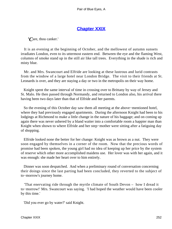# **[Chapter XXIX](#page-347-0)**

*'C*are, thou canker.'

 It is an evening at the beginning of October, and the mellowest of autumn sunsets irradiates London, even to its uttermost eastern end. Between the eye and the flaming West, columns of smoke stand up in the still air like tall trees. Everything in the shade is rich and misty blue.

 Mr. and Mrs. Swancourt and Elfride are looking at these lustrous and lurid contrasts from the window of a large hotel near London Bridge. The visit to their friends at St. Leonards is over, and they are staying a day or two in the metropolis on their way home.

 Knight spent the same interval of time in crossing over to Brittany by way of Jersey and St. Malo. He then passed through Normandy, and returned to London also, his arrival there having been two days later than that of Elfride and her parents.

 So the evening of this October day saw them all meeting at the above−mentioned hotel, where they had previously engaged apartments. During the afternoon Knight had been to his lodgings at Richmond to make a little change in the nature of his baggage; and on coming up again there was never ushered by a bland waiter into a comfortable room a happier man than Knight when shown to where Elfride and her step−mother were sitting after a fatiguing day of shopping.

 Elfride looked none the better for her change: Knight was as brown as a nut. They were soon engaged by themselves in a corner of the room. Now that the precious words of promise had been spoken, the young girl had no idea of keeping up her price by the system of reserve which other more accomplished maidens use. Her lover was with her again, and it was enough: she made her heart over to him entirely.

 Dinner was soon despatched. And when a preliminary round of conversation concerning their doings since the last parting had been concluded, they reverted to the subject of to−morrow's journey home.

 'That enervating ride through the myrtle climate of South Devon – how I dread it to−morrow!' Mrs. Swancourt was saying. 'I had hoped the weather would have been cooler by this time.'

'Did you ever go by water?' said Knight.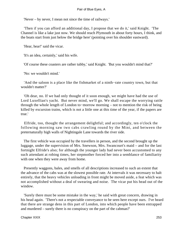'Never – by never, I mean not since the time of railways.'

 'Then if you can afford an additional day, I propose that we do it,' said Knight. 'The Channel is like a lake just now. We should reach Plymouth in about forty hours, I think, and the boats start from just below the bridge here' (pointing over his shoulder eastward).

'Hear, hear!' said the vicar.

'It's an idea, certainly,' said his wife.

'Of course these coasters are rather tubby,' said Knight. 'But you wouldn't mind that?'

'No: we wouldn't mind.'

 'And the saloon is a place like the fishmarket of a ninth−rate country town, but that wouldn't matter?'

 'Oh dear, no. If we had only thought of it soon enough, we might have had the use of Lord Luxellian's yacht. But never mind, we'll go. We shall escape the worrying rattle through the whole length of London to−morrow morning – not to mention the risk of being killed by excursion trains, which is not a little one at this time of the year, if the papers are true.'

 Elfride, too, thought the arrangement delightful; and accordingly, ten o'clock the following morning saw two cabs crawling round by the Mint, and between the preternaturally high walls of Nightingale Lane towards the river side.

 The first vehicle was occupied by the travellers in person, and the second brought up the luggage, under the supervision of Mrs. Snewson, Mrs. Swancourt's maid – and for the last fortnight Elfride's also; for although the younger lady had never been accustomed to any such attendant at robing times, her stepmother forced her into a semblance of familiarity with one when they were away from home.

 Presently waggons, bales, and smells of all descriptions increased to such an extent that the advance of the cabs was at the slowest possible rate. At intervals it was necessary to halt entirely, that the heavy vehicles unloading in front might be moved aside, a feat which was not accomplished without a deal of swearing and noise. The vicar put his head out of the window.

 'Surely there must be some mistake in the way,' he said with great concern, drawing in his head again. 'There's not a respectable conveyance to be seen here except ours. I've heard that there are strange dens in this part of London, into which people have been entrapped and murdered – surely there is no conspiracy on the part of the cabman?'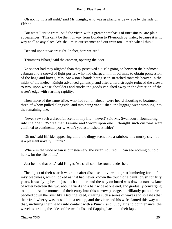'Oh no, no. It is all right,' said Mr. Knight, who was as placid as dewy eve by the side of Elfride.

 'But what I argue from,' said the vicar, with a greater emphasis of uneasiness, 'are plain appearances. This can't be the highway from London to Plymouth by water, because it is no way at all to any place. We shall miss our steamer and our train too – that's what I think.'

'Depend upon it we are right. In fact, here we are.'

'Trimmer's Wharf,' said the cabman, opening the door.

 No sooner had they alighted than they perceived a tussle going on between the hindmost cabman and a crowd of light porters who had charged him in column, to obtain possession of the bags and boxes, Mrs. Snewson's hands being seen stretched towards heaven in the midst of the melee. Knight advanced gallantly, and after a hard struggle reduced the crowd to two, upon whose shoulders and trucks the goods vanished away in the direction of the water's edge with startling rapidity.

 Then more of the same tribe, who had run on ahead, were heard shouting to boatmen, three of whom pulled alongside, and two being vanquished, the luggage went tumbling into the remaining one.

 'Never saw such a dreadful scene in my life – never!' said Mr. Swancourt, floundering into the boat. 'Worse than Famine and Sword upon one. I thought such customs were confined to continental ports. Aren't you astonished, Elfride?'

 'Oh no,' said Elfride, appearing amid the dingy scene like a rainbow in a murky sky. 'It is a pleasant novelty, I think.'

 'Where in the wide ocean is our steamer?' the vicar inquired. 'I can see nothing but old hulks, for the life of me.'

'Just behind that one,' said Knight; 'we shall soon be round under her.'

 The object of their search was soon after disclosed to view – a great lumbering form of inky blackness, which looked as if it had never known the touch of a paint−brush for fifty years. It was lying beside just such another, and the way on board was down a narrow lane of water between the two, about a yard and a half wide at one end, and gradually converging to a point. At the moment of their entry into this narrow passage, a brilliantly painted rival paddled down the river like a trotting steed, creating such a series of waves and splashes that their frail wherry was tossed like a teacup, and the vicar and his wife slanted this way and that, inclining their heads into contact with a Punch−and−Judy air and countenance, the wavelets striking the sides of the two hulls, and flapping back into their laps.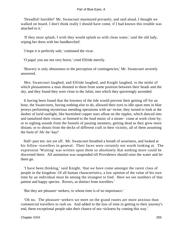'Dreadful! horrible!' Mr. Swancourt murmured privately; and said aloud, I thought we walked on board. I don't think really I should have come, if I had known this trouble was attached to it.'

 'If they must splash, I wish they would splash us with clean water,' said the old lady, wiping her dress with her handkerchief.

'I hope it is perfectly safe,' continued the vicar.

'O papa! you are not very brave,' cried Elfride merrily.

 'Bravery is only obtuseness to the perception of contingencies,' Mr. Swancourt severely answered.

 Mrs. Swancourt laughed, and Elfride laughed, and Knight laughed, in the midst of which pleasantness a man shouted to them from some position between their heads and the sky, and they found they were close to the Juliet, into which they quiveringly ascended.

 It having been found that the lowness of the tide would prevent their getting off for an hour, the Swancourts, having nothing else to do, allowed their eyes to idle upon men in blue jerseys performing mysterious mending operations with tar−twine; they turned to look at the dashes of lurid sunlight, like burnished copper stars afloat on the ripples, which danced into and tantalized their vision; or listened to the loud music of a steam− crane at work close by; or to sighing sounds from the funnels of passing steamers, getting dead as they grew more distant; or to shouts from the decks of different craft in their vicinity, all of them assuming the form of 'Ah−he−hay!'

 Half−past ten: not yet off. Mr. Swancourt breathed a breath of weariness, and looked at his fellow−travellers in general. Their faces were certainly not worth looking at. The expression 'Waiting' was written upon them so absolutely that nothing more could be discerned there. All animation was suspended till Providence should raise the water and let them go.

 'I have been thinking,' said Knight, 'that we have come amongst the rarest class of people in the kingdom. Of all human characteristics, a low opinion of the value of his own time by an individual must be among the strangest to find. Here we see numbers of that patient and happy species. Rovers, as distinct from travellers.'

'But they are pleasure−seekers, to whom time is of no importance.'

 'Oh no. The pleasure−seekers we meet on the grand routes are more anxious than commercial travellers to rush on. And added to the loss of time in getting to their journey's end, these exceptional people take their chance of sea−sickness by coming this way.'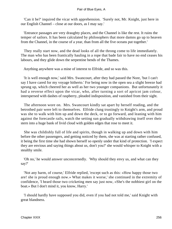'Can it be?' inquired the vicar with apprehension. 'Surely not, Mr. Knight, just here in our English Channel – close at our doors, as I may say.'

 'Entrance passages are very draughty places, and the Channel is like the rest. It ruins the temper of sailors. It has been calculated by philosophers that more damns go up to heaven from the Channel, in the course of a year, than from all the five oceans put together.'

 They really start now, and the dead looks of all the throng come to life immediately. The man who has been frantically hauling in a rope that bade fair to have no end ceases his labours, and they glide down the serpentine bends of the Thames.

Anything anywhere was a mine of interest to Elfride, and so was this.

 'It is well enough now,' said Mrs. Swancourt, after they had passed the Nore, 'but I can't say I have cared for my voyage hitherto.' For being now in the open sea a slight breeze had sprung up, which cheered her as well as her two younger companions. But unfortunately it had a reverse effect upon the vicar, who, after turning a sort of apricot jam colour, interspersed with dashes of raspberry, pleaded indisposition, and vanished from their sight.

 The afternoon wore on. Mrs. Swancourt kindly sat apart by herself reading, and the betrothed pair were left to themselves. Elfride clung trustingly to Knight's arm, and proud was she to walk with him up and down the deck, or to go forward, and leaning with him against the forecastle rails, watch the setting sun gradually withdrawing itself over their stern into a huge bank of livid cloud with golden edges that rose to meet it.

 She was childishly full of life and spirits, though in walking up and down with him before the other passengers, and getting noticed by them, she was at starting rather confused, it being the first time she had shown herself so openly under that kind of protection. 'I expect they are envious and saying things about us, don't you?' she would whisper to Knight with a stealthy smile.

 'Oh no,' he would answer unconcernedly. 'Why should they envy us, and what can they say?'

 'Not any harm, of course,' Elfride replied, 'except such as this: «How happy those two are! she is proud enough now.» What makes it worse,' she continued in the extremity of confidence, 'I heard those two cricketing men say just now, «She's the nobbiest girl on the boat.» But I don't mind it, you know, Harry.'

 'I should hardly have supposed you did, even if you had not told me,' said Knight with great blandness.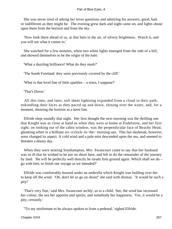She was never tired of asking her lover questions and admiring his answers, good, bad, or indifferent as they might be. The evening grew dark and night came on, and lights shone upon them from the horizon and from the sky.

 'Now look there ahead of us, at that halo in the air, of silvery brightness. Watch it, and you will see what it comes to.'

 She watched for a few minutes, when two white lights emerged from the side of a hill, and showed themselves to be the origin of the halo.

'What a dazzling brilliance! What do they mark?'

'The South Foreland: they were previously covered by the cliff.'

'What is that level line of little sparkles – a town, I suppose?'

'That's Dover.'

 All this time, and later, soft sheet lightning expanded from a cloud in their path, enkindling their faces as they paced up and down, shining over the water, and, for a moment, showing the horizon as a keen line.

 Elfride slept soundly that night. Her first thought the next morning was the thrilling one that Knight was as close at hand as when they were at home at Endelstow, and her first sight, on looking out of the cabin window, was the perpendicular face of Beachy Head, gleaming white in a brilliant six−o'clock−in−the− morning sun. This fair daybreak, however, soon changed its aspect. A cold wind and a pale mist descended upon the sea, and seemed to threaten a dreary day.

 When they were nearing Southampton, Mrs. Swancourt came to say that her husband was so ill that he wished to be put on shore here, and left to do the remainder of the journey by land. 'He will be perfectly well directly he treads firm ground again. Which shall we do – go with him, or finish our voyage as we intended?'

 Elfride was comfortably housed under an umbrella which Knight was holding over her to keep off the wind. 'Oh, don't let us go on shore!' she said with dismay. 'It would be such a pity!'

 'That's very fine,' said Mrs. Swancourt archly, as to a child. 'See, the wind has increased her colour, the sea her appetite and spirits, and somebody her happiness. Yes, it would be a pity, certainly.'

''Tis my misfortune to be always spoken to from a pedestal,' sighed Elfride.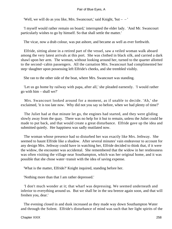'Well, we will do as you like, Mrs. Swancourt,' said Knight, 'but  $-$  – '

 'I myself would rather remain on board,' interrupted the elder lady. 'And Mr. Swancourt particularly wishes to go by himself. So that shall settle the matter.'

The vicar, now a drab colour, was put ashore, and became as well as ever forthwith.

 Elfride, sitting alone in a retired part of the vessel, saw a veiled woman walk aboard among the very latest arrivals at this port. She was clothed in black silk, and carried a dark shawl upon her arm. The woman, without looking around her, turned to the quarter allotted to the second−cabin passengers. All the carnation Mrs. Swancourt had complimented her step−daughter upon possessing left Elfride's cheeks, and she trembled visibly.

She ran to the other side of the boat, where Mrs. Swancourt was standing.

 'Let us go home by railway with papa, after all,' she pleaded earnestly. 'I would rather go with him – shall we?'

 Mrs. Swancourt looked around for a moment, as if unable to decide. 'Ah,' she exclaimed, 'it is too late now. Why did not you say so before, when we had plenty of time?'

 The Juliet had at that minute let go, the engines had started, and they were gliding slowly away from the quay. There was no help for it but to remain, unless the Juliet could be made to put back, and that would create a great disturbance. Elfride gave up the idea and submitted quietly. Her happiness was sadly mutilated now.

 The woman whose presence had so disturbed her was exactly like Mrs. Jethway. She seemed to haunt Elfride like a shadow. After several minutes' vain endeavour to account for any design Mrs. Jethway could have in watching her, Elfride decided to think that, if it were the widow, the encounter was accidental. She remembered that the widow in her restlessness was often visiting the village near Southampton, which was her original home, and it was possible that she chose water−transit with the idea of saving expense.

'What is the matter, Elfride?' Knight inquired, standing before her.

'Nothing more than that I am rather depressed.'

 'I don't much wonder at it; that wharf was depressing. We seemed underneath and inferior to everything around us. But we shall be in the sea breeze again soon, and that will freshen you, dear.'

 The evening closed in and dusk increased as they made way down Southampton Water and through the Solent. Elfride's disturbance of mind was such that her light spirits of the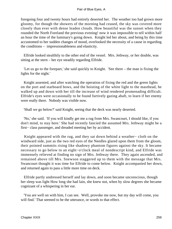foregoing four and twenty hours had entirely deserted her. The weather too had grown more gloomy, for though the showers of the morning had ceased, the sky was covered more closely than ever with dense leaden clouds. How beautiful was the sunset when they rounded the North Foreland the previous evening! now it was impossible to tell within half an hour the time of the luminary's going down. Knight led her about, and being by this time accustomed to her sudden changes of mood, overlooked the necessity of a cause in regarding the conditions – impressionableness and elasticity.

 Elfride looked stealthily to the other end of the vessel. Mrs. Jethway, or her double, was sitting at the stern – her eye steadily regarding Elfride.

 'Let us go to the forepart,' she said quickly to Knight. 'See there – the man is fixing the lights for the night.'

 Knight assented, and after watching the operation of fixing the red and the green lights on the port and starboard bows, and the hoisting of the white light to the masthead, he walked up and down with her till the increase of wind rendered promenading difficult. Elfride's eyes were occasionally to be found furtively gazing abaft, to learn if her enemy were really there. Nobody was visible now.

'Shall we go below?' said Knight, seeing that the deck was nearly deserted.

 'No,' she said. 'If you will kindly get me a rug from Mrs. Swancourt, I should like, if you don't mind, to stay here.' She had recently fancied the assumed Mrs. Jethway might be a first− class passenger, and dreaded meeting her by accident.

 Knight appeared with the rug, and they sat down behind a weather− cloth on the windward side, just as the two red eyes of the Needles glared upon them from the gloom, their pointed summits rising like shadowy phantom figures against the sky. It became necessary to go below to an eight−o'clock meal of nondescript kind, and Elfride was immensely relieved at finding no sign of Mrs. Jethway there. They again ascended, and remained above till Mrs. Snewson staggered up to them with the message that Mrs. Swancourt thought it was time for Elfride to come below. Knight accompanied her down, and returned again to pass a little more time on deck.

 Elfride partly undressed herself and lay down, and soon became unconscious, though her sleep was light How long she had lain, she knew not, when by slow degrees she became cognizant of a whispering in her ear.

 'You are well on with him, I can see. Well, provoke me now, but my day will come, you will find.' That seemed to be the utterance, or words to that effect.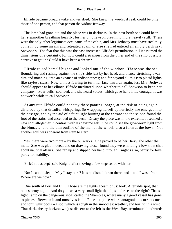Elfride became broad awake and terrified. She knew the words, if real, could be only those of one person, and that person the widow Jethway.

 The lamp had gone out and the place was in darkness. In the next berth she could hear her stepmother breathing heavily, further on Snewson breathing more heavily still. These were the only other legitimate occupants of the cabin, and Mrs. Jethway must have stealthily come in by some means and retreated again, or else she had entered an empty berth next Snewson's. The fear that this was the case increased Elfride's perturbation, till it assumed the dimensions of a certainty, for how could a stranger from the other end of the ship possibly contrive to get in? Could it have been a dream?

 Elfride raised herself higher and looked out of the window. There was the sea, floundering and rushing against the ship's side just by her head, and thence stretching away, dim and moaning, into an expanse of indistinctness; and far beyond all this two placid lights like rayless stars. Now almost fearing to turn her face inwards again, lest Mrs. Jethway should appear at her elbow, Elfride meditated upon whether to call Snewson to keep her company. 'Four bells ' sounded, and she heard voices, which gave her a little courage. It was not worth while to call Snewson.

 At any rate Elfride could not stay there panting longer, at the risk of being again disturbed by that dreadful whispering. So wrapping herself up hurriedly she emerged into the passage, and by the aid of a faint light burning at the entrance to the saloon found the foot of the stairs, and ascended to the deck. Dreary the place was in the extreme. It seemed a new spot altogether in contrast with its daytime self. She could see the glowworm light from the binnacle, and the dim outline of the man at the wheel; also a form at the bows. Not another soul was apparent from stem to stern.

 Yes, there were two more – by the bulwarks. One proved to be her Harry, the other the mate. She was glad indeed, and on drawing closer found they were holding a low slow chat about nautical affairs. She ran up and slipped her hand through Knight's arm, partly for love, partly for stability.

'Elfie! not asleep?' said Knight, after moving a few steps aside with her.

 'No: I cannot sleep. May I stay here? It is so dismal down there, and – and I was afraid. Where are we now?'

 'Due south of Portland Bill. Those are the lights abeam of us: look. A terrible spot, that, on a stormy night. And do you see a very small light that dips and rises to the right? That's a light− ship on the dangerous shoal called the Shambles, where many a good vessel has gone to pieces. Between it and ourselves is the Race – a place where antagonistic currents meet and form whirlpools – a spot which is rough in the smoothest weather, and terrific in a wind. That dark, dreary horizon we just discern to the left is the West Bay, terminated landwards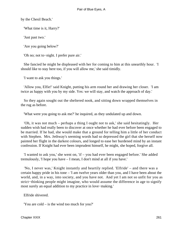by the Chesil Beach.'

'What time is it, Harry?'

'Just past two.'

'Are you going below?'

'Oh no; not to−night. I prefer pure air.'

 She fancied he might be displeased with her for coming to him at this unearthly hour. 'I should like to stay here too, if you will allow me,' she said timidly.

'I want to ask you things.'

 'Allow you, Elfie!' said Knight, putting his arm round her and drawing her closer. 'I am twice as happy with you by my side. Yes: we will stay, and watch the approach of day.'

 So they again sought out the sheltered nook, and sitting down wrapped themselves in the rug as before.

'What were you going to ask me?' he inquired, as they undulated up and down.

 'Oh, it was not much – perhaps a thing I ought not to ask,' she said hesitatingly. Her sudden wish had really been to discover at once whether he had ever before been engaged to be married. If he had, she would make that a ground for telling him a little of her conduct with Stephen. Mrs. Jethway's seeming words had so depressed the girl that she herself now painted her flight in the darkest colours, and longed to ease her burdened mind by an instant confession. If Knight had ever been imprudent himself, he might, she hoped, forgive all.

 'I wanted to ask you,' she went on, 'if – you had ever been engaged before.' She added tremulously, 'I hope you have – I mean, I don't mind at all if you have.'

 'No, I never was,' Knight instantly and heartily replied. 'Elfride' – and there was a certain happy pride in his tone – 'I am twelve years older than you, and I have been about the world, and, in a way, into society, and you have not. And yet I am not so unfit for you as strict−thinking people might imagine, who would assume the difference in age to signify most surely an equal addition to my practice in love−making.'

Elfride shivered.

'You are cold – is the wind too much for you?'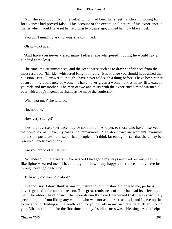'No,' she said gloomily. The belief which had been her sheet− anchor in hoping for forgiveness had proved false. This account of the exceptional nature of his experience, a matter which would have set her rejoicing two years ago, chilled her now like a frost.

'You don't mind my asking you?' she continued.

'Oh no – not at all.'

 'And have you never kissed many ladies?' she whispered, hoping he would say a hundred at the least.

 The time, the circumstances, and the scene were such as to draw confidences from the most reserved. 'Elfride,' whispered Knight in reply, 'it is strange you should have asked that question. But I'll answer it, though I have never told such a thing before. I have been rather absurd in my avoidance of women. I have never given a woman a kiss in my life, except yourself and my mother.' The man of two and thirty with the experienced mind warmed all over with a boy's ingenuous shame as he made the confession.

'What, not one?' she faltered.

'No; not one.'

'How very strange!'

 'Yes, the reverse experience may be commoner. And yet, to those who have observed their own sex, as I have, my case is not remarkable. Men about town are women's favourites – that's the postulate – and superficial people don't think far enough to see that there may be reserved, lonely exceptions.'

'Are you proud of it, Harry?'

 'No, indeed. Of late years I have wished I had gone my ways and trod out my measure like lighter−hearted men. I have thought of how many happy experiences I may have lost through never going to woo.'

'Then why did you hold aloof?'

 'I cannot say. I don't think it was my nature to: circumstance hindered me, perhaps. I have regretted it for another reason. This great remissness of mine has had its effect upon me. The older I have grown, the more distinctly have I perceived that it was absolutely preventing me from liking any woman who was not as unpractised as I; and I gave up the expectation of finding a nineteenth−century young lady in my own raw state. Then I found you, Elfride, and l felt for the first time that my fastidiousness was a blessing. And it helped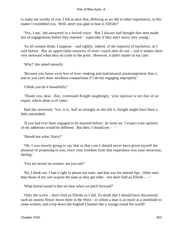to make me worthy of you. I felt at once that, differing as we did in other experiences, in this matter I resembled you. Well, aren't you glad to hear it, Elfride?'

 'Yes, I am,' she answered in a forced voice. 'But I always had thought that men made lots of engagements before they married – especially if they don't marry very young.'

 'So all women think, I suppose – and rightly, indeed, of the majority of bachelors, as I said before. But an appreciable minority of slow−coach men do not – and it makes them very awkward when they do come to the point. However, it didn't matter in my case.'

'Why?' she asked uneasily.

 'Because you know even less of love−making and matrimonial prearrangement than I, and so you can't draw invidious comparisons if I do my engaging improperly.'

'I think you do it beautifully!'

 'Thank you, dear. But,' continued Knight laughingly, 'your opinion is not that of an expert, which alone is of value.'

 Had she answered, 'Yes, it is,' half as strongly as she felt it, Knight might have been a little astonished.

 'If you had ever been engaged to be married before,' he went on, 'I expect your opinion of my addresses would be different. But then, I should not  $-$  –

'Should not what, Harry?'

 'Oh, I was merely going to say that in that case I should never have given myself the pleasure of proposing to you, since your freedom from that experience was your attraction, darling.'

'You are severe on women, are you not?'

 'No, I think not. I had a right to please my taste, and that was for untried lips. Other men than those of my sort acquire the taste as they get older – but don't find an Elfride –  $-$ 

'What horrid sound is that we hear when we pitch forward?'

 'Only the screw – don't find an Elfride as I did. To think that I should have discovered such an unseen flower down there in the West – to whom a man is as much as a multitude to some women, and a trip down the English Channel like a voyage round the world!'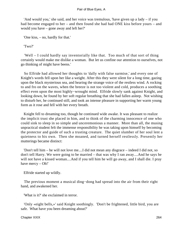'And would you,' she said, and her voice was tremulous, 'have given up a lady – if you had become engaged to her – and then found she had had ONE kiss before yours – and would you have – gone away and left her?'

'One kiss, – no, hardly for that.'

'Two?'

 'Well – I could hardly say inventorially like that. Too much of that sort of thing certainly would make me dislike a woman. But let us confine our attention to ourselves, not go thinking of might have beens.'

 So Elfride had allowed her thoughts to 'dally with false surmise,' and every one of Knight's words fell upon her like a weight. After this they were silent for a long time, gazing upon the black mysterious sea, and hearing the strange voice of the restless wind. A rocking to and fro on the waves, when the breeze is not too violent and cold, produces a soothing effect even upon the most highly−wrought mind. Elfride slowly sank against Knight, and looking down, he found by her soft regular breathing that she had fallen asleep. Not wishing to disturb her, he continued still, and took an intense pleasure in supporting her warm young form as it rose and fell with her every breath.

 Knight fell to dreaming too, though he continued wide awake. It was pleasant to realize the implicit trust she placed in him, and to think of the charming innocence of one who could sink to sleep in so simple and unceremonious a manner. More than all, the musing unpractical student felt the immense responsibility he was taking upon himself by becoming the protector and guide of such a trusting creature. The quiet slumber of her soul lent a quietness to his own. Then she moaned, and turned herself restlessly. Presently her mutterings became distinct:

 'Don't tell him – he will not love me....I did not mean any disgrace – indeed I did not, so don't tell Harry. We were going to be married – that was why I ran away....And he says he will not have a kissed woman....And if you tell him he will go away, and I shall die. I pray have mercy – Oh!'

Elfride started up wildly.

 The previous moment a musical ding−dong had spread into the air from their right hand, and awakened her.

'What is it?' she exclaimed in terror.

 'Only «eight bells,»' said Knight soothingly. 'Don't be frightened, little bird, you are safe. What have you been dreaming about?'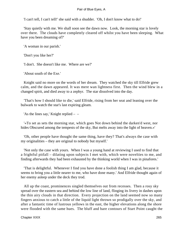'I can't tell, I can't tell!' she said with a shudder. 'Oh, I don't know what to do!'

 'Stay quietly with me. We shall soon see the dawn now. Look, the morning star is lovely over there. The clouds have completely cleared off whilst you have been sleeping. What have you been dreaming of?'

'A woman in our parish.'

'Don't you like her?'

'I don't. She doesn't like me. Where are we?'

'About south of the Exe.'

 Knight said no more on the words of her dream. They watched the sky till Elfride grew calm, and the dawn appeared. It was mere wan lightness first. Then the wind blew in a changed spirit, and died away to a zephyr. The star dissolved into the day.

 'That's how I should like to die,' said Elfride, rising from her seat and leaning over the bulwark to watch the star's last expiring gleam.

'As the lines say,' Knight replied – –

 '«To set as sets the morning star, which goes Not down behind the darken'd west, nor hides Obscured among the tempests of the sky, But melts away into the light of heaven.»'

 'Oh, other people have thought the same thing, have they? That's always the case with my originalities – they are original to nobody but myself.'

 'Not only the case with yours. When I was a young hand at reviewing I used to find that a frightful pitfall – dilating upon subjects I met with, which were novelties to me, and finding afterwards they had been exhausted by the thinking world when I was in pinafores.'

 'That is delightful. Whenever I find you have done a foolish thing I am glad, because it seems to bring you a little nearer to me, who have done many.' And Elfride thought again of her enemy asleep under the deck they trod.

 All up the coast, prominences singled themselves out from recesses. Then a rosy sky spread over the eastern sea and behind the low line of land, flinging its livery in dashes upon the thin airy clouds in that direction. Every projection on the land seemed now so many fingers anxious to catch a little of the liquid light thrown so prodigally over the sky, and after a fantastic time of lustrous yellows in the east, the higher elevations along the shore were flooded with the same hues. The bluff and bare contours of Start Point caught the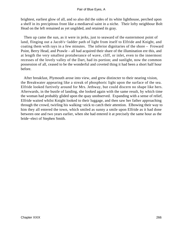brightest, earliest glow of all, and so also did the sides of its white lighthouse, perched upon a shelf in its precipitous front like a mediaeval saint in a niche. Their lofty neighbour Bolt Head on the left remained as yet ungilded, and retained its gray.

 Then up came the sun, as it were in jerks, just to seaward of the easternmost point of land, flinging out a Jacob's−ladder path of light from itself to Elfride and Knight, and coating them with rays in a few minutes. The inferior dignitaries of the shore – Froward Point, Berry Head, and Prawle – all had acquired their share of the illumination ere this, and at length the very smallest protuberance of wave, cliff, or inlet, even to the innermost recesses of the lovely valley of the Dart, had its portion; and sunlight, now the common possession of all, ceased to be the wonderful and coveted thing it had been a short half hour before.

 After breakfast, Plymouth arose into view, and grew distincter to their nearing vision, the Breakwater appearing like a streak of phosphoric light upon the surface of the sea. Elfride looked furtively around for Mrs. Jethway, but could discern no shape like hers. Afterwards, in the bustle of landing, she looked again with the same result, by which time the woman had probably glided upon the quay unobserved. Expanding with a sense of relief, Elfride waited whilst Knight looked to their luggage, and then saw her father approaching through the crowd, twirling his walking−stick to catch their attention. Elbowing their way to him they all entered the town, which smiled as sunny a smile upon Elfride as it had done between one and two years earlier, when she had entered it at precisely the same hour as the bride−elect of Stephen Smith.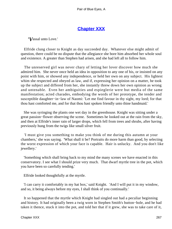# **[Chapter XXX](#page-347-0)**

*'V*assal unto Love.'

 Elfride clung closer to Knight as day succeeded day. Whatever else might admit of question, there could be no dispute that the allegiance she bore him absorbed her whole soul and existence. A greater than Stephen had arisen, and she had left all to follow him.

 The unreserved girl was never chary of letting her lover discover how much she admired him. She never once held an idea in opposition to any one of his, or insisted on any point with him, or showed any independence, or held her own on any subject. His lightest whim she respected and obeyed as law, and if, expressing her opinion on a matter, he took up the subject and differed from her, she instantly threw down her own opinion as wrong and untenable. Even her ambiguities and espieglerie were but media of the same manifestation; acted charades, embodying the words of her prototype, the tender and susceptible daughter−in−law of Naomi: 'Let me find favour in thy sight, my lord; for that thou hast comforted me, and for that thou hast spoken friendly unto thine handmaid.'

 She was syringing the plants one wet day in the greenhouse. Knight was sitting under a great passion−flower observing the scene. Sometimes he looked out at the rain from the sky, and then at Elfride's inner rain of larger drops, which fell from trees and shrubs, after having previously hung from the twigs like small silver fruit.

 'I must give you something to make you think of me during this autumn at your chambers,' she was saying. 'What shall it be? Portraits do more harm than good, by selecting the worst expression of which your face is capable. Hair is unlucky. And you don't like jewellery.'

 'Something which shall bring back to my mind the many scenes we have enacted in this conservatory. I see what I should prize very much. That dwarf myrtle tree in the pot, which you have been so carefully tending.'

Elfride looked thoughtfully at the myrtle.

 'I can carry it comfortably in my hat box,' said Knight. 'And I will put it in my window, and so, it being always before my eyes, I shall think of you continually.'

 It so happened that the myrtle which Knight had singled out had a peculiar beginning and history. It had originally been a twig worn in Stephen Smith's button−hole, and he had taken it thence, stuck it into the pot, and told her that if it grew, she was to take care of it,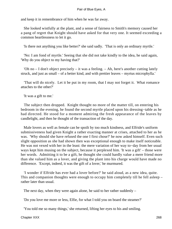and keep it in remembrance of him when he was far away.

 She looked wistfully at the plant, and a sense of fairness to Smith's memory caused her a pang of regret that Knight should have asked for that very one. It seemed exceeding a common heartlessness to let it go.

'Is there not anything you like better?' she said sadly. 'That is only an ordinary myrtle.'

 'No: I am fond of myrtle.' Seeing that she did not take kindly to the idea, he said again, 'Why do you object to my having that?'

 'Oh no – I don't object precisely – it was a feeling. – Ah, here's another cutting lately struck, and just as small – of a better kind, and with prettier leaves – myrtus microphylla.'

 'That will do nicely. Let it be put in my room, that I may not forget it. What romance attaches to the other?'

'It was a gift to me.'

 The subject then dropped. Knight thought no more of the matter till, on entering his bedroom in the evening, he found the second myrtle placed upon his dressing−table as he had directed. He stood for a moment admiring the fresh appearance of the leaves by candlelight, and then he thought of the transaction of the day.

 Male lovers as well as female can be spoilt by too much kindness, and Elfride's uniform submissiveness had given Knight a rather exacting manner at crises, attached to her as he was. 'Why should she have refused the one I first chose?' he now asked himself. Even such slight opposition as she had shown then was exceptional enough to make itself noticeable. He was not vexed with her in the least: the mere variation of her way to−day from her usual ways kept him musing on the subject, because it perplexed him. 'It was a gift' – those were her words. Admitting it to be a gift, he thought she could hardly value a mere friend more than she valued him as a lover, and giving the plant into his charge would have made no difference. 'Except, indeed, it was the gift of a lover,' he murmured.

 'I wonder if Elfride has ever had a lover before?' he said aloud, as a new idea, quite. This and companion thoughts were enough to occupy him completely till he fell asleep – rather later than usual.

The next day, when they were again alone, he said to her rather suddenly –

'Do you love me more or less, Elfie, for what I told you on board the steamer?'

'You told me so many things,' she returned, lifting her eyes to his and smiling.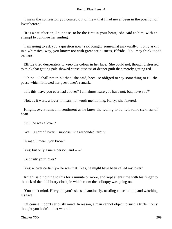'I mean the confession you coaxed out of me – that I had never been in the position of lover before.'

 'It is a satisfaction, I suppose, to be the first in your heart,' she said to him, with an attempt to continue her smiling.

 'I am going to ask you a question now,' said Knight, somewhat awkwardly. 'I only ask it in a whimsical way, you know: not with great seriousness, Elfride. You may think it odd, perhaps.'

 Elfride tried desperately to keep the colour in her face. She could not, though distressed to think that getting pale showed consciousness of deeper guilt than merely getting red.

 'Oh no – I shall not think that,' she said, because obliged to say something to fill the pause which followed her questioner's remark.

'It is this: have you ever had a lover? I am almost sure you have not; but, have you?'

'Not, as it were, a lover; I mean, not worth mentioning, Harry,' she faltered.

 Knight, overstrained in sentiment as he knew the feeling to be, felt some sickness of heart.

'Still, he was a lover?'

'Well, a sort of lover, I suppose,' she responded tardily.

'A man, I mean, you know.'

'Yes; but only a mere person, and  $-$  – '

'But truly your lover?'

'Yes; a lover certainly – he was that. Yes, he might have been called my lover.'

 Knight said nothing to this for a minute or more, and kept silent time with his finger to the tick of the old library clock, in which room the colloquy was going on.

 'You don't mind, Harry, do you?' she said anxiously, nestling close to him, and watching his face.

 'Of course, I don't seriously mind. In reason, a man cannot object to such a trifle. I only thought you hadn't – that was all.'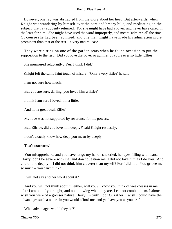However, one ray was abstracted from the glory about her head. But afterwards, when Knight was wandering by himself over the bare and breezy hills, and meditating on the subject, that ray suddenly returned. For she might have had a lover, and never have cared in the least for him. She might have used the word improperly, and meant 'admirer' all the time. Of course she had been admired; and one man might have made his admiration more prominent than that of the rest – a very natural case.

 They were sitting on one of the garden seats when he found occasion to put the supposition to the test. 'Did you love that lover or admirer of yours ever so little, Elfie?'

She murmured reluctantly, 'Yes, I think I did.'

Knight felt the same faint touch of misery. 'Only a very little?' he said.

'I am not sure how much.'

'But you are sure, darling, you loved him a little?'

'I think I am sure I loved him a little.'

'And not a great deal, Elfie?'

'My love was not supported by reverence for his powers.'

'But, Elfride, did you love him deeply?' said Knight restlessly.

'I don't exactly know how deep you mean by deeply.'

'That's nonsense.'

 'You misapprehend; and you have let go my hand!' she cried, her eyes filling with tears. 'Harry, don't be severe with me, and don't question me. I did not love him as I do you. And could it be deeply if I did not think him cleverer than myself? For I did not. You grieve me so much – you can't think.'

'I will not say another word about it.'

 'And you will not think about it, either, will you? I know you think of weaknesses in me after I am out of your sight; and not knowing what they are, I cannot combat them. I almost wish you were of a grosser nature, Harry; in truth I do! Or rather, I wish I could have the advantages such a nature in you would afford me, and yet have you as you are.'

'What advantages would they be?'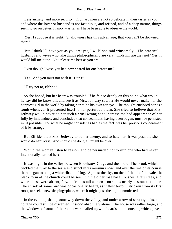'Less anxiety, and more security. Ordinary men are not so delicate in their tastes as you; and where the lover or husband is not fastidious, and refined, and of a deep nature, things seem to go on better, I fancy – as far as I have been able to observe the world.'

 'Yes; I suppose it is right. Shallowness has this advantage, that you can't be drowned there.'

 'But I think I'll have you as you are; yes, I will!' she said winsomely. 'The practical husbands and wives who take things philosophically are very humdrum, are they not? Yes, it would kill me quite. You please me best as you are.'

'Even though I wish you had never cared for one before me?'

'Yes. And you must not wish it. Don't!'

'I'll try not to, Elfride.'

 So she hoped, but her heart was troubled. If he felt so deeply on this point, what would he say did he know all, and see it as Mrs. Jethway saw it? He would never make her the happiest girl in the world by taking her to be his own for aye. The thought enclosed her as a tomb whenever it presented itself to her perturbed brain. She tried to believe that Mrs. Jethway would never do her such a cruel wrong as to increase the bad appearance of her folly by innuendoes; and concluded that concealment, having been begun, must be persisted in, if possible. For what he might consider as bad as the fact, was her previous concealment of it by strategy.

 But Elfride knew Mrs. Jethway to be her enemy, and to hate her. It was possible she would do her worst. And should she do it, all might be over.

 Would the woman listen to reason, and be persuaded not to ruin one who had never intentionally harmed her?

 It was night in the valley between Endelstow Crags and the shore. The brook which trickled that way to the sea was distinct in its murmurs now, and over the line of its course there began to hang a white riband of fog. Against the sky, on the left hand of the vale, the black form of the church could be seen. On the other rose hazel−bushes, a few trees, and where these were absent, furze tufts – as tall as men – on stems nearly as stout as timber. The shriek of some bird was occasionally heard, as it flew terror− stricken from its first roost, to seek a new sleeping−place, where it might pass the night unmolested.

 In the evening shade, some way down the valley, and under a row of scrubby oaks, a cottage could still be discerned. It stood absolutely alone. The house was rather large, and the windows of some of the rooms were nailed up with boards on the outside, which gave a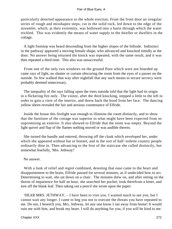particularly deserted appearance to the whole erection. From the front door an irregular series of rough and misshapen steps, cut in the solid rock, led down to the edge of the streamlet, which, at their extremity, was hollowed into a basin through which the water trickled. This was evidently the means of water supply to the dweller or dwellers in the cottage.

 A light footstep was heard descending from the higher slopes of the hillside. Indistinct in the pathway appeared a moving female shape, who advanced and knocked timidly at the door. No answer being returned the knock was repeated, with the same result, and it was then repeated a third time. This also was unsuccessful.

 From one of the only two windows on the ground floor which were not boarded up came rays of light, no shutter or curtain obscuring the room from the eyes of a passer on the outside. So few walked that way after nightfall that any such means to secure secrecy were probably deemed unnecessary.

 The inequality of the rays falling upon the trees outside told that the light had its origin in a flickering fire only. The visitor, after the third knocking, stepped a little to the left in order to gain a view of the interior, and threw back the hood from her face. The dancing yellow sheen revealed the fair and anxious countenance of Elfride.

 Inside the house this firelight was enough to illumine the room distinctly, and to show that the furniture of the cottage was superior to what might have been expected from so unpromising an exterior. It also showed to Elfride that the room was empty. Beyond the light quiver and flap of the flames nothing moved or was audible therein.

 She turned the handle and entered, throwing off the cloak which enveloped her, under which she appeared without hat or bonnet, and in the sort of half−toilette country people ordinarily dine in. Then advancing to the foot of the staircase she called distinctly, but somewhat fearfully, 'Mrs. Jethway!'

# No answer.

 With a look of relief and regret combined, denoting that ease came to the heart and disappointment to the brain, Elfride paused for several minutes, as if undecided how to act. Determining to wait, she sat down on a chair. The minutes drew on, and after sitting on the thorns of impatience for half an hour, she searched her pocket, took therefrom a letter, and tore off the blank leaf. Then taking out a pencil she wrote upon the paper:

 'DEAR MRS. JETHWAY, – I have been to visit you. I wanted much to see you, but I cannot wait any longer. I came to beg you not to execute the threats you have repeated to me. Do not, I beseech you, Mrs. Jethway, let any one know I ran away from home! It would ruin me with him, and break my heart. I will do anything for you, if you will be kind to me.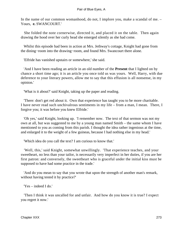In the name of our common womanhood, do not, I implore you, make a scandal of me. – Yours, **e.** SWANCOURT.'

 She folded the note cornerwise, directed it, and placed it on the table. Then again drawing the hood over her curly head she emerged silently as she had come.

 Whilst this episode had been in action at Mrs. Jethway's cottage, Knight had gone from the dining−room into the drawing−room, and found Mrs. Swancourt there alone.

'Elfride has vanished upstairs or somewhere,' she said.

 'And I have been reading an article in an old number of the **Present** that I lighted on by chance a short time ago; it is an article you once told us was yours. Well, Harry, with due deference to your literary powers, allow me to say that this effusion is all nonsense, in my opinion.'

'What is it about?' said Knight, taking up the paper and reading.

 'There: don't get red about it. Own that experience has taught you to be more charitable. I have never read such unchivalrous sentiments in my life – from a man, I mean. There, I forgive you; it was before you knew Elfride.'

 'Oh yes,' said Knight, looking up. 'I remember now. The text of that sermon was not my own at all, but was suggested to me by a young man named Smith – the same whom I have mentioned to you as coming from this parish. I thought the idea rather ingenious at the time, and enlarged it to the weight of a few guineas, because I had nothing else in my head.'

'Which idea do you call the text? I am curious to know that.'

 'Well, this,' said Knight, somewhat unwillingly. 'That experience teaches, and your sweetheart, no less than your tailor, is necessarily very imperfect in her duties, if you are her first patron: and conversely, the sweetheart who is graceful under the initial kiss must be supposed to have had some practice in the trade.'

 'And do you mean to say that you wrote that upon the strength of another man's remark, without having tested it by practice?'

'Yes – indeed I do.'

 'Then I think it was uncalled for and unfair. And how do you know it is true? I expect you regret it now.'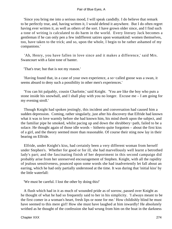'Since you bring me into a serious mood, I will speak candidly. I do believe that remark to be perfectly true, and, having written it, I would defend it anywhere. But I do often regret having ever written it, as well as others of the sort. I have grown older since, and I find such a tone of writing is calculated to do harm in the world. Every literary Jack becomes a gentleman if he can only pen a few indifferent satires upon womankind: women themselves, too, have taken to the trick; and so, upon the whole, I begin to be rather ashamed of my companions.'

 'Ah, Henry, you have fallen in love since and it makes a difference,' said Mrs. Swancourt with a faint tone of banter.

'That's true; but that is not my reason.'

 'Having found that, in a case of your own experience, a so−called goose was a swan, it seems absurd to deny such a possibility in other men's experiences.'

 'You can hit palpably, cousin Charlotte,' said Knight. 'You are like the boy who puts a stone inside his snowball, and I shall play with you no longer. Excuse me – I am going for my evening stroll.'

 Though Knight had spoken jestingly, this incident and conversation had caused him a sudden depression. Coming, rather singularly, just after his discovery that Elfride had known what it was to love warmly before she had known him, his mind dwelt upon the subject, and the familiar pipe he smoked, whilst pacing up and down the shrubbery−path, failed to be a solace. He thought again of those idle words – hitherto quite forgotten – about the first kiss of a girl, and the theory seemed more than reasonable. Of course their sting now lay in their bearing on Elfride.

 Elfride, under Knight's kiss, had certainly been a very different woman from herself under Stephen's. Whether for good or for ill, she had marvellously well learnt a betrothed lady's part; and the fascinating finish of her deportment in this second campaign did probably arise from her unreserved encouragement of Stephen. Knight, with all the rapidity of jealous sensitiveness, pounced upon some words she had inadvertently let fall about an earring, which he had only partially understood at the time. It was during that 'initial kiss' by the little waterfall:

'We must be careful. I lost the other by doing this!'

 A flush which had in it as much of wounded pride as of sorrow, passed over Knight as he thought of what he had so frequently said to her in his simplicity. 'I always meant to be the first comer in a woman's heart, fresh lips or none for me.' How childishly blind he must have seemed to this mere girl! How she must have laughed at him inwardly! He absolutely writhed as he thought of the confession she had wrung from him on the boat in the darkness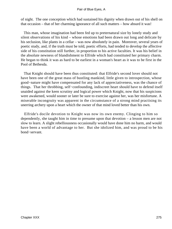of night. The one conception which had sustained his dignity when drawn out of his shell on that occasion – that of her charming ignorance of all such matters – how absurd it was!

 This man, whose imagination had been fed up to preternatural size by lonely study and silent observations of his kind – whose emotions had been drawn out long and delicate by his seclusion, like plants in a cellar – was now absolutely in pain. Moreover, several years of poetic study, and, if the truth must be told, poetic efforts, had tended to develop the affective side of his constitution still further, in proportion to his active faculties. It was his belief in the absolute newness of blandishment to Elfride which had constituted her primary charm. He began to think it was as hard to be earliest in a woman's heart as it was to be first in the Pool of Bethesda.

 That Knight should have been thus constituted: that Elfride's second lover should not have been one of the great mass of bustling mankind, little given to introspection, whose good−nature might have compensated for any lack of appreciativeness, was the chance of things. That her throbbing, self−confounding, indiscreet heart should have to defend itself unaided against the keen scrutiny and logical power which Knight, now that his suspicions were awakened, would sooner or later be sure to exercise against her, was her misfortune. A miserable incongruity was apparent in the circumstance of a strong mind practising its unerring archery upon a heart which the owner of that mind loved better than his own.

 Elfride's docile devotion to Knight was now its own enemy. Clinging to him so dependently, she taught him in time to presume upon that devotion – a lesson men are not slow to learn. A slight rebelliousness occasionally would have done him no harm, and would have been a world of advantage to her. But she idolized him, and was proud to be his bond−servant.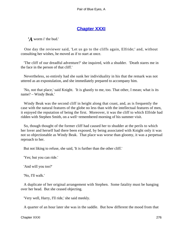# **[Chapter XXXI](#page-347-0)**

*'A* worm i' the bud.'

 One day the reviewer said, 'Let us go to the cliffs again, Elfride;' and, without consulting her wishes, he moved as if to start at once.

 'The cliff of our dreadful adventure?' she inquired, with a shudder. 'Death stares me in the face in the person of that cliff.'

 Nevertheless, so entirely had she sunk her individuality in his that the remark was not uttered as an expostulation, and she immediately prepared to accompany him.

 'No, not that place,' said Knight. 'It is ghastly to me, too. That other, I mean; what is its name? – Windy Beak.'

 Windy Beak was the second cliff in height along that coast, and, as is frequently the case with the natural features of the globe no less than with the intellectual features of men, it enjoyed the reputation of being the first. Moreover, it was the cliff to which Elfride had ridden with Stephen Smith, on a well−remembered morning of his summer visit.

 So, though thought of the former cliff had caused her to shudder at the perils to which her lover and herself had there been exposed, by being associated with Knight only it was not so objectionable as Windy Beak. That place was worse than gloomy, it was a perpetual reproach to her.

But not liking to refuse, she said, 'It is further than the other cliff.'

'Yes; but you can ride.'

'And will you too?'

'No, I'll walk.'

 A duplicate of her original arrangement with Stephen. Some fatality must be hanging over her head. But she ceased objecting.

'Very well, Harry, I'll ride,' she said meekly.

A quarter of an hour later she was in the saddle. But how different the mood from that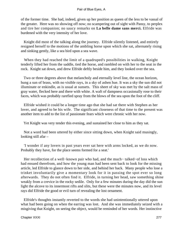of the former time. She had, indeed, given up her position as queen of the less to be vassal of the greater. Here was no showing off now; no scampering out of sight with Pansy, to perplex and tire her companion; no saucy remarks on **La belle dame sans merci.** Elfride was burdened with the very intensity of her love.

 Knight did most of the talking along the journey. Elfride silently listened, and entirely resigned herself to the motions of the ambling horse upon which she sat, alternately rising and sinking gently, like a sea bird upon a sea wave.

 When they had reached the limit of a quadruped's possibilities in walking, Knight tenderly lifted her from the saddle, tied the horse, and rambled on with her to the seat in the rock. Knight sat down, and drew Elfride deftly beside him, and they looked over the sea.

 Two or three degrees above that melancholy and eternally level line, the ocean horizon, hung a sun of brass, with no visible rays, in a sky of ashen hue. It was a sky the sun did not illuminate or enkindle, as is usual at sunsets. This sheet of sky was met by the salt mass of gray water, flecked here and there with white. A waft of dampness occasionally rose to their faces, which was probably rarefied spray from the blows of the sea upon the foot of the cliff.

 Elfride wished it could be a longer time ago that she had sat there with Stephen as her lover, and agreed to be his wife. The significant closeness of that time to the present was another item to add to the list of passionate fears which were chronic with her now.

Yet Knight was very tender this evening, and sustained her close to him as they sat.

 Not a word had been uttered by either since sitting down, when Knight said musingly, looking still afar –

 'I wonder if any lovers in past years ever sat here with arms locked, as we do now. Probably they have, for the place seems formed for a seat.'

Her recollection of a well–known pair who had, and the much– talked–of loss which had ensued therefrom, and how the young man had been sent back to look for the missing article, led Elfride to glance down to her side, and behind her back. Many people who lose a trinket involuntarily give a momentary look for it in passing the spot ever so long afterwards. They do not often find it. Elfride, in turning her head, saw something shine weakly from a crevice in the rocky sedile. Only for a few minutes during the day did the sun light the alcove to its innermost rifts and slits, but these were the minutes now, and its level rays did Elfride the good or evil turn of revealing the lost ornament.

 Elfride's thoughts instantly reverted to the words she had unintentionally uttered upon what had been going on when the earring was lost. And she was immediately seized with a misgiving that Knight, on seeing the object, would be reminded of her words. Her instinctive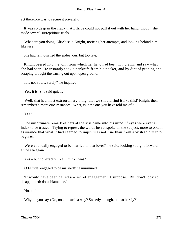act therefore was to secure it privately.

 It was so deep in the crack that Elfride could not pull it out with her hand, though she made several surreptitious trials.

 'What are you doing, Elfie?' said Knight, noticing her attempts, and looking behind him likewise.

She had relinquished the endeavour, but too late.

 Knight peered into the joint from which her hand had been withdrawn, and saw what she had seen. He instantly took a penknife from his pocket, and by dint of probing and scraping brought the earring out upon open ground.

'It is not yours, surely?' he inquired.

'Yes, it is,' she said quietly.

 'Well, that is a most extraordinary thing, that we should find it like this!' Knight then remembered more circumstances; 'What, is it the one you have told me of?'

'Yes.'

 The unfortunate remark of hers at the kiss came into his mind, if eyes were ever an index to be trusted. Trying to repress the words he yet spoke on the subject, more to obtain assurance that what it had seemed to imply was not true than from a wish to pry into bygones.

 'Were you really engaged to be married to that lover?' he said, looking straight forward at the sea again.

'Yes – but not exactly. Yet I think I was.'

'O Elfride, engaged to be married!' he murmured.

 'It would have been called a – secret engagement, I suppose. But don't look so disappointed; don't blame me.'

'No, no.'

'Why do you say «No, no,» in such a way? Sweetly enough, but so barely?'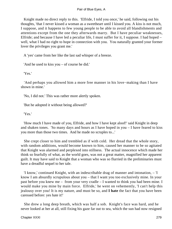Knight made no direct reply to this. 'Elfride, I told you once,' he said, following out his thoughts, 'that I never kissed a woman as a sweetheart until I kissed you. A kiss is not much, I suppose, and it happens to few young people to be able to avoid all blandishments and attentions except from the one they afterwards marry. But I have peculiar weaknesses, Elfride; and because I have led a peculiar life, I must suffer for it, I suppose. I had hoped – well, what I had no right to hope in connection with you. You naturally granted your former lover the privileges you grant me.'

A 'yes' came from her like the last sad whisper of a breeze.

'And he used to kiss you – of course he did.'

'Yes.'

 'And perhaps you allowed him a more free manner in his love−making than I have shown in mine.'

'No, I did not.' This was rather more alertly spoken.

'But he adopted it without being allowed?'

'Yes.'

 'How much I have made of you, Elfride, and how I have kept aloof!' said Knight in deep and shaken tones. 'So many days and hours as I have hoped in you – I have feared to kiss you more than those two times. And he made no scruples to...'

 She crept closer to him and trembled as if with cold. Her dread that the whole story, with random additions, would become known to him, caused her manner to be so agitated that Knight was alarmed and perplexed into stillness. The actual innocence which made her think so fearfully of what, as the world goes, was not a great matter, magnified her apparent guilt. It may have said to Knight that a woman who was so flurried in the preliminaries must have a dreadful sequel to her tale.

 'I know,' continued Knight, with an indescribable drag of manner and intonation, – 'I know I am absurdly scrupulous about you – that I want you too exclusively mine. In your past before you knew me – from your very cradle – I wanted to think you had been mine. I would make you mine by main force. Elfride,' he went on vehemently, 'I can't help this jealousy over you! It is my nature, and must be so, and **I hate** the fact that you have been caressed before: yes hate it!'

 She drew a long deep breath, which was half a sob. Knight's face was hard, and he never looked at her at all, still fixing his gaze far out to sea, which the sun had now resigned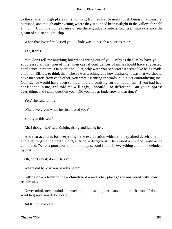to the shade. In high places it is not long from sunset to night, dusk being in a measure banished, and though only evening where they sat, it had been twilight in the valleys for half an hour. Upon the dull expanse of sea there gradually intensified itself into existence the gleam of a distant light−ship.

'When that lover first kissed you, Elfride was it in such a place as this?'

'Yes, it was.'

 'You don't tell me anything but what I wring out of you. Why is that? Why have you suppressed all mention of this when casual confidences of mine should have suggested confidence in return? On board the Juliet, why were you so secret? It seems like being made a fool of, Elfride, to think that, when I was teaching you how desirable it was that we should have no secrets from each other, you were assenting in words, but in act contradicting me. Confidence would have been so much more promising for our happiness. If you had had confidence in me, and told me willingly, I should – be different. But you suppress everything, and I shall question you. Did you live at Endelstow at that time?'

'Yes,' she said faintly.

'Where were you when he first kissed you?'

'Sitting in this seat.'

'Ah, I thought so!' said Knight, rising and facing her.

 'And that accounts for everything – the exclamation which you explained deceitfully, and all! Forgive the harsh word, Elfride – forgive it.' He smiled a surface smile as he continued: 'What a poor mortal I am to play second fiddle in everything and to be deluded by fibs!'

'Oh, don't say it; don't, Harry!'

'Where did he kiss you besides here?'

 'Sitting on – a tomb in the – churchyard – and other places,' she answered with slow recklessness.

 'Never mind, never mind,' he exclaimed, on seeing her tears and perturbation. 'I don't want to grieve you. I don't care.'

But Knight did care.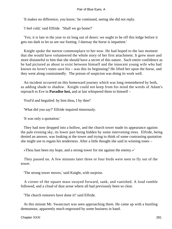'It makes no difference, you know,' he continued, seeing she did not reply.

'I feel cold,' said Elfride. 'Shall we go home?'

 'Yes; it is late in the year to sit long out of doors: we ought to be off this ledge before it gets too dark to let us see our footing. I daresay the horse is impatient.'

 Knight spoke the merest commonplace to her now. He had hoped to the last moment that she would have volunteered the whole story of her first attachment. It grew more and more distasteful to him that she should have a secret of this nature. Such entire confidence as he had pictured as about to exist between himself and the innocent young wife who had known no lover's tones save his – was this its beginning? He lifted her upon the horse, and they went along constrainedly. The poison of suspicion was doing its work well.

 An incident occurred on this homeward journey which was long remembered by both, as adding shade to shadow. Knight could not keep from his mind the words of Adam's reproach to Eve in **Paradise lost,** and at last whispered them to himself –

'Fool'd and beguiled: by him thou, I by thee!'

'What did you say?' Elfride inquired timorously.

'It was only a quotation.'

 They had now dropped into a hollow, and the church tower made its appearance against the pale evening sky, its lower part being hidden by some intervening trees. Elfride, being denied an answer, was looking at the tower and trying to think of some contrasting quotation she might use to regain his tenderness. After a little thought she said in winning tones –

«Thou hast been my hope, and a strong tower for me against the enemy.»'

 They passed on. A few minutes later three or four birds were seen to fly out of the tower.

'The strong tower moves,' said Knight, with surprise.

 A corner of the square mass swayed forward, sank, and vanished. A loud rumble followed, and a cloud of dust arose where all had previously been so clear.

'The church restorers have done it!' said Elfride.

 At this minute Mr. Swancourt was seen approaching them. He came up with a bustling demeanour, apparently much engrossed by some business in hand.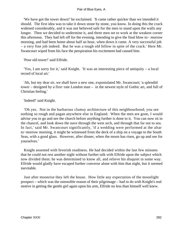'We have got the tower down!' he exclaimed. 'It came rather quicker than we intended it should. The first idea was to take it down stone by stone, you know. In doing this the crack widened considerably, and it was not believed safe for the men to stand upon the walls any longer. Then we decided to undermine it, and three men set to work at the weakest corner this afternoon. They had left off for the evening, intending to give the final blow to− morrow morning, and had been home about half an hour, when down it came. A very successful job – a very fine job indeed. But he was a tough old fellow in spite of the crack.' Here Mr. Swancourt wiped from his face the perspiration his excitement had caused him.

'Poor old tower!' said Elfride.

 'Yes, I am sorry for it,' said Knight. 'It was an interesting piece of antiquity – a local record of local art.'

 'Ah, but my dear sir, we shall have a new one, expostulated Mr. Swancourt; 'a splendid tower – designed by a first−rate London man – in the newest style of Gothic art, and full of Christian feeling.'

'Indeed!' said Knight.

 'Oh yes. Not in the barbarous clumsy architecture of this neighbourhood; you see nothing so rough and pagan anywhere else in England. When the men are gone, I would advise you to go and see the church before anything further is done to it. You can now sit in the chancel, and look down the nave through the west arch, and through that far out to sea. In fact,' said Mr. Swancourt significantly, 'if a wedding were performed at the altar to−morrow morning, it might be witnessed from the deck of a ship on a voyage to the South Seas, with a good glass. However, after dinner, when the moon has risen, go up and see for yourselves.'

 Knight assented with feverish readiness. He had decided within the last few minutes that he could not rest another night without further talk with Elfride upon the subject which now divided them: he was determined to know all, and relieve his disquiet in some way. Elfride would gladly have escaped further converse alone with him that night, but it seemed inevitable.

 Just after moonrise they left the house. How little any expectation of the moonlight prospect – which was the ostensible reason of their pilgrimage – had to do with Knight's real motive in getting the gentle girl again upon his arm, Elfride no less than himself well knew.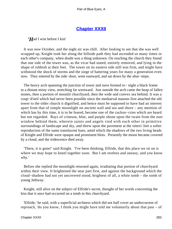# **[Chapter XXXII](#page-347-0)**

# *'H*ad I wist before I kist'

 It was now October, and the night air was chill. After looking to see that she was well wrapped up, Knight took her along the hillside path they had ascended so many times in each other's company, when doubt was a thing unknown. On reaching the church they found that one side of the tower was, as the vicar had stated, entirely removed, and lying in the shape of rubbish at their feet. The tower on its eastern side still was firm, and might have withstood the shock of storms and the siege of battering years for many a generation even now. They entered by the side−door, went eastward, and sat down by the altar−steps.

 The heavy arch spanning the junction of tower and nave formed to− night a black frame to a distant misty view, stretching far westward. Just outside the arch came the heap of fallen stones, then a portion of moonlit churchyard, then the wide and convex sea behind. It was a coup−d'oeil which had never been possible since the mediaeval masons first attached the old tower to the older church it dignified, and hence must be supposed to have had an interest apart from that of simple moonlight on ancient wall and sea and shore – any mention of which has by this time, it is to be feared, become one of the cuckoo−cries which are heard but not regarded. Rays of crimson, blue, and purple shone upon the twain from the east window behind them, wherein saints and angels vied with each other in primitive surroundings of landscape and sky, and threw upon the pavement at the sitters' feet a softer reproduction of the same translucent hues, amid which the shadows of the two living heads of Knight and Elfride were opaque and prominent blots. Presently the moon became covered by a cloud, and the iridescence died away.

 'There, it is gone!' said Knight. 'I've been thinking, Elfride, that this place we sit on is where we may hope to kneel together soon. But I am restless and uneasy, and you know why.'

 Before she replied the moonlight returned again, irradiating that portion of churchyard within their view. It brightened the near part first, and against the background which the cloud−shadow had not yet uncovered stood, brightest of all, a white tomb – the tomb of young Jethway.

 Knight, still alive on the subject of Elfride's secret, thought of her words concerning the kiss that it once had occurred on a tomb in this churchyard.

 'Elfride,' he said, with a superficial archness which did not half cover an undercurrent of reproach, 'do you know, I think you might have told me voluntarily about that past – of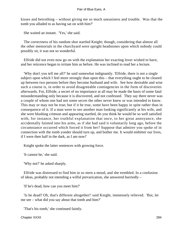kisses and betrothing – without giving me so much uneasiness and trouble. Was that the tomb you alluded to as having sat on with him?'

She waited an instant. 'Yes,' she said.

 The correctness of his random shot startled Knight; though, considering that almost all the other memorials in the churchyard were upright headstones upon which nobody could possibly sit, it was not so wonderful.

 Elfride did not even now go on with the explanation her exacting lover wished to have, and her reticence began to irritate him as before. He was inclined to read her a lecture.

 'Why don't you tell me all?' he said somewhat indignantly. 'Elfride, there is not a single subject upon which I feel more strongly than upon this – that everything ought to be cleared up between two persons before they become husband and wife. See how desirable and wise such a course is, in order to avoid disagreeable contingencies in the form of discoveries afterwards. For, Elfride, a secret of no importance at all may be made the basis of some fatal misunderstanding only because it is discovered, and not confessed. They say there never was a couple of whom one had not some secret the other never knew or was intended to know. This may or may not be true; but if it be true, some have been happy in spite rather than in consequence of it. If a man were to see another man looking significantly at his wife, and she were blushing crimson and appearing startled, do you think he would be so well satisfied with, for instance, her truthful explanation that once, to her great annoyance, she accidentally fainted into his arms, as if she had said it voluntarily long ago, before the circumstance occurred which forced it from her? Suppose that admirer you spoke of in connection with the tomb yonder should turn up, and bother me. It would embitter our lives, if I were then half in the dark, as I am now!'

Knight spoke the latter sentences with growing force.

'It cannot be,' she said.

'Why not?' he asked sharply.

 Elfride was distressed to find him in so stern a mood, and she trembled. In a confusion of ideas, probably not intending a wilful prevarication, she answered hurriedly –

'If he's dead, how can you meet him?'

 'Is he dead? Oh, that's different altogether!' said Knight, immensely relieved. 'But, let me see – what did you say about that tomb and him?'

'That's his tomb,' she continued faintly.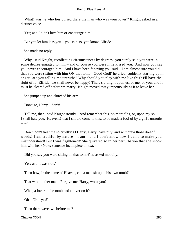'What! was he who lies buried there the man who was your lover?' Knight asked in a distinct voice.

'Yes; and I didn't love him or encourage him.'

'But you let him kiss you – you said so, you know, Elfride.'

She made no reply.

 'Why,' said Knight, recollecting circumstances by degrees, 'you surely said you were in some degree engaged to him – and of course you were if he kissed you. And now you say you never encouraged him. And I have been fancying you said – I am almost sure you did – that you were sitting with him ON that tomb. Good God!' he cried, suddenly starting up in anger, 'are you telling me untruths? Why should you play with me like this? I'll have the right of it. Elfride, we shall never be happy! There's a blight upon us, or me, or you, and it must be cleared off before we marry.' Knight moved away impetuously as if to leave her.

She jumped up and clutched his arm

'Don't go, Harry – don't!

 'Tell me, then,' said Knight sternly. 'And remember this, no more fibs, or, upon my soul, I shall hate you. Heavens! that I should come to this, to be made a fool of by a girl's untruths  $-$  –  $\prime$ 

 'Don't, don't treat me so cruelly! O Harry, Harry, have pity, and withdraw those dreadful words! I am truthful by nature – I am – and I don't know how I came to make you misunderstand! But I was frightened!' She quivered so in her perturbation that she shook him with her {Note: sentence incomplete in text.}

'Did you say you were sitting on that tomb?' he asked moodily.

'Yes; and it was true.'

'Then how, in the name of Heaven, can a man sit upon his own tomb?'

'That was another man. Forgive me, Harry, won't you?'

'What, a lover in the tomb and a lover on it?'

' $Oh - Oh - yes!$ '

'Then there were two before me?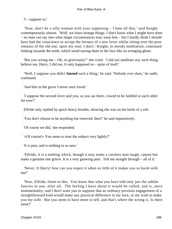'I – suppose so.'

 'Now, don't be a silly woman with your supposing – I hate all that,' said Knight contemptuously almost. 'Well, we learn strange things. I don't know what I might have done – no man can say into what shape circumstances may warp him – but I hardly think I should have had the conscience to accept the favours of a new lover whilst sitting over the poor remains of the old one; upon my soul, I don't.' Knight, in moody meditation, continued looking towards the tomb, which stood staring them in the face like an avenging ghost.

 'But you wrong me – Oh, so grievously!" she cried. 'I did not meditate any such thing: believe me, Harry, I did not. It only happened so – quite of itself.'

 'Well, I suppose you didn't **Intend** such a thing,' he said. 'Nobody ever does,' he sadly continued.

'And him in the grave I never once loved.'

 'I suppose the second lover and you, as you sat there, vowed to be faithful to each other for ever?'

Elfride only replied by quick heavy breaths, showing she was on the brink of a sob.

'You don't choose to be anything but reserved, then?' he said imperatively.

'Of course we did,' she responded.

'«Of course!» You seem to treat the subject very lightly?'

'It is past, and is nothing to us now.'

 'Elfride, it is a nothing which, though it may make a careless man laugh, cannot but make a genuine one grieve. It is a very gnawing pain. Tell me straight through – all of it.'

 'Never. O Harry! how can you expect it when so little of it makes you so harsh with me?'

 'Now, Elfride, listen to this. You know that what you have told only jars the subtler fancies in one, after all. The feeling I have about it would be called, and is, mere sentimentality; and I don't want you to suppose that an ordinary previous engagement of a straightforward kind would make any practical difference in my love, or my wish to make you my wife. But you seem to have more to tell, and that's where the wrong is. Is there more?'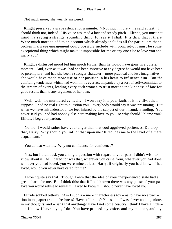'Not much more,' she wearily answered.

 Knight preserved a grave silence for a minute. '«Not much more,»' he said at last. 'I should think not, indeed!' His voice assumed a low and steady pitch. 'Elfride, you must not mind my saying a strange−sounding thing, for say it I shall. It is this: that if there **Were** much more to add to an account which already includes all the particulars that a broken marriage engagement could possibly include with propriety, it must be some exceptional thing which might make it impossible for me or any one else to love you and marry you.'

 Knight's disturbed mood led him much further than he would have gone in a quieter moment. And, even as it was, had she been assertive to any degree he would not have been so peremptory; and had she been a stronger character – more practical and less imaginative – she would have made more use of her position in his heart to influence him. But the confiding tenderness which had won him is ever accompanied by a sort of self−committal to the stream of events, leading every such woman to trust more to the kindness of fate for good results than to any argument of her own.

 'Well, well,' he murmured cynically; 'I won't say it is your fault: it is my ill−luck, I suppose. I had no real right to question you – everybody would say it was presuming. But when we have misunderstood, we feel injured by the subject of our misunderstanding. You never said you had had nobody else here making love to you, so why should I blame you? Elfride, I beg your pardon.'

 'No, no! I would rather have your anger than that cool aggrieved politeness. Do drop that, Harry! Why should you inflict that upon me? It reduces me to the level of a mere acquaintance.'

'You do that with me. Why not confidence for confidence?'

 'Yes; but I didn't ask you a single question with regard to your past: I didn't wish to know about it. All I cared for was that, wherever you came from, whatever you had done, whoever you had loved, you were mine at last. Harry, if originally you had known I had loved, would you never have cared for me?'

 'I won't quite say that. Though I own that the idea of your inexperienced state had a great charm for me. But I think this: that if I had known there was any phase of your past love you would refuse to reveal if I asked to know it, I should never have loved you.'

Elfride sobbed bitterly. 'Am I such a – mere characterless toy – as to have no attrac – tion in me, apart from – freshness? Haven't I brains? You said – I was clever and ingenious in my thoughts, and – isn't that anything? Have I not some beauty? I think I have a little – and I know I have – yes, I do! You have praised my voice, and my manner, and my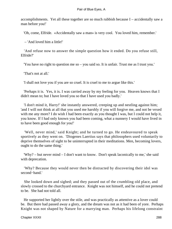accomplishments. Yet all these together are so much rubbish because I – accidentally saw a man before you!'

'Oh, come, Elfride. «Accidentally saw a man» is very cool. You loved him, remember.'

– 'And loved him a little!'

 'And refuse now to answer the simple question how it ended. Do you refuse still, Elfride?'

'You have no right to question me so – you said so. It is unfair. Trust me as I trust you.'

'That's not at all.'

'I shall not love you if you are so cruel. It is cruel to me to argue like this.'

 'Perhaps it is. Yes, it is. I was carried away by my feeling for you. Heaven knows that I didn't mean to; but I have loved you so that I have used you badly.'

 'I don't mind it, Harry!' she instantly answered, creeping up and nestling against him; 'and I will not think at all that you used me harshly if you will forgive me, and not be vexed with me any more? I do wish I had been exactly as you thought I was, but I could not help it, you know. If I had only known you had been coming, what a nunnery I would have lived in to have been good enough for you!'

 'Well, never mind,' said Knight; and he turned to go. He endeavoured to speak sportively as they went on. 'Diogenes Laertius says that philosophers used voluntarily to deprive themselves of sight to be uninterrupted in their meditations. Men, becoming lovers, ought to do the same thing.'

 'Why? – but never mind – I don't want to know. Don't speak laconically to me,' she said with deprecation.

 'Why? Because they would never then be distracted by discovering their idol was second−hand.'

 She looked down and sighed; and they passed out of the crumbling old place, and slowly crossed to the churchyard entrance. Knight was not himself, and he could not pretend to be. She had not told all.

 He supported her lightly over the stile, and was practically as attentive as a lover could be. But there had passed away a glory, and the dream was not as it had been of yore. Perhaps Knight was not shaped by Nature for a marrying man. Perhaps his lifelong constraint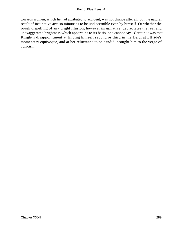towards women, which he had attributed to accident, was not chance after all, but the natural result of instinctive acts so minute as to be undiscernible even by himself. Or whether the rough dispelling of any bright illusion, however imaginative, depreciates the real and unexaggerated brightness which appertains to its basis, one cannot say. Certain it was that Knight's disappointment at finding himself second or third in the field, at Elfride's momentary equivoque, and at her reluctance to be candid, brought him to the verge of cynicism.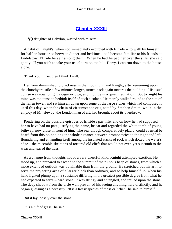# **[Chapter XXXIII](#page-347-0)**

*'O* daughter of Babylon, wasted with misery.'

 A habit of Knight's, when not immediately occupied with Elfride – to walk by himself for half an hour or so between dinner and bedtime – had become familiar to his friends at Endelstow, Elfride herself among them. When he had helped her over the stile, she said gently, 'If you wish to take your usual turn on the hill, Harry, I can run down to the house alone.'

'Thank you, Elfie; then I think I will.'

 Her form diminished to blackness in the moonlight, and Knight, after remaining upon the churchyard stile a few minutes longer, turned back again towards the building. His usual course was now to light a cigar or pipe, and indulge in a quiet meditation. But to−night his mind was too tense to bethink itself of such a solace. He merely walked round to the site of the fallen tower, and sat himself down upon some of the large stones which had composed it until this day, when the chain of circumstance originated by Stephen Smith, while in the employ of Mr. Hewby, the London man of art, had brought about its overthrow.

 Pondering on the possible episodes of Elfride's past life, and on how he had supposed her to have had no past justifying the name, he sat and regarded the white tomb of young Jethway, now close in front of him. The sea, though comparatively placid, could as usual be heard from this point along the whole distance between promontories to the right and left, floundering and entangling itself among the insulated stacks of rock which dotted the water's edge – the miserable skeletons of tortured old cliffs that would not even yet succumb to the wear and tear of the tides.

 As a change from thoughts not of a very cheerful kind, Knight attempted exertion. He stood up, and prepared to ascend to the summit of the ruinous heap of stones, from which a more extended outlook was obtainable than from the ground. He stretched out his arm to seize the projecting arris of a larger block than ordinary, and so help himself up, when his hand lighted plump upon a substance differing in the greatest possible degree from what he had expected to seize – hard stone. It was stringy and entangled, and trailed upon the stone. The deep shadow from the aisle wall prevented his seeing anything here distinctly, and he began guessing as a necessity. 'It is a tressy species of moss or lichen,' he said to himself.

But it lay loosely over the stone.

'It is a tuft of grass,' he said.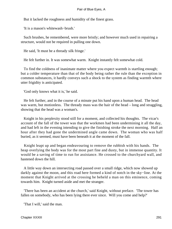But it lacked the roughness and humidity of the finest grass.

'It is a mason's whitewash−brush.'

 Such brushes, he remembered, were more bristly; and however much used in repairing a structure, would not be required in pulling one down.

He said, 'It must be a thready silk fringe.'

He felt further in. It was somewhat warm. Knight instantly felt somewhat cold.

 To find the coldness of inanimate matter where you expect warmth is startling enough; but a colder temperature than that of the body being rather the rule than the exception in common substances, it hardly conveys such a shock to the system as finding warmth where utter frigidity is anticipated.

'God only knows what it is,' he said.

 He felt further, and in the course of a minute put his hand upon a human head. The head was warm, but motionless. The thready mass was the hair of the head – long and straggling, showing that the head was a woman's.

 Knight in his perplexity stood still for a moment, and collected his thoughts. The vicar's account of the fall of the tower was that the workmen had been undermining it all the day, and had left in the evening intending to give the finishing stroke the next morning. Half an hour after they had gone the undermined angle came down. The woman who was half buried, as it seemed, must have been beneath it at the moment of the fall.

 Knight leapt up and began endeavouring to remove the rubbish with his hands. The heap overlying the body was for the most part fine and dusty, but in immense quantity. It would be a saving of time to run for assistance. He crossed to the churchyard wall, and hastened down the hill.

 A little way down an intersecting road passed over a small ridge, which now showed up darkly against the moon, and this road here formed a kind of notch in the sky−line. At the moment that Knight arrived at the crossing he beheld a man on this eminence, coming towards him. Knight turned aside and met the stranger.

 'There has been an accident at the church,' said Knight, without preface. 'The tower has fallen on somebody, who has been lying there ever since. Will you come and help?'

'That I will,' said the man.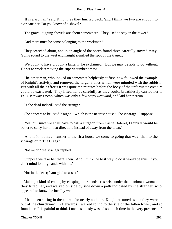'It is a woman,' said Knight, as they hurried back, 'and I think we two are enough to extricate her. Do you know of a shovel?'

'The grave−digging shovels are about somewhere. They used to stay in the tower.'

'And there must be some belonging to the workmen.'

 They searched about, and in an angle of the porch found three carefully stowed away. Going round to the west end Knight signified the spot of the tragedy.

 'We ought to have brought a lantern,' he exclaimed. 'But we may be able to do without.' He set to work removing the superincumbent mass.

 The other man, who looked on somewhat helplessly at first, now followed the example of Knight's activity, and removed the larger stones which were mingled with the rubbish. But with all their efforts it was quite ten minutes before the body of the unfortunate creature could be extricated. They lifted her as carefully as they could, breathlessly carried her to Felix Jethway's tomb, which was only a few steps westward, and laid her thereon.

'Is she dead indeed?' said the stranger.

'She appears to be,' said Knight. 'Which is the nearest house? The vicarage, I suppose.'

 'Yes; but since we shall have to call a surgeon from Castle Boterel, I think it would be better to carry her in that direction, instead of away from the town.'

 'And is it not much further to the first house we come to going that way, than to the vicarage or to The Crags?'

'Not much,' the stranger replied.

 'Suppose we take her there, then. And I think the best way to do it would be thus, if you don't mind joining hands with me.'

'Not in the least; I am glad to assist.'

 Making a kind of cradle, by clasping their hands crosswise under the inanimate woman, they lifted her, and walked on side by side down a path indicated by the stranger, who appeared to know the locality well.

 'I had been sitting in the church for nearly an hour,' Knight resumed, when they were out of the churchyard. 'Afterwards I walked round to the site of the fallen tower, and so found her. It is painful to think I unconsciously wasted so much time in the very presence of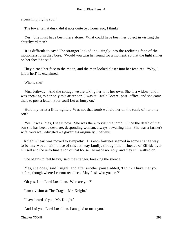a perishing, flying soul.'

'The tower fell at dusk, did it not? quite two hours ago, I think?'

 'Yes. She must have been there alone. What could have been her object in visiting the churchyard then?

 'It is difficult to say.' The stranger looked inquiringly into the reclining face of the motionless form they bore. 'Would you turn her round for a moment, so that the light shines on her face?' he said.

 They turned her face to the moon, and the man looked closer into her features. 'Why, I know her!' he exclaimed.

'Who is she?'

 'Mrs. Jethway. And the cottage we are taking her to is her own. She is a widow; and I was speaking to her only this afternoon. I was at Castle Boterel post−office, and she came there to post a letter. Poor soul! Let us hurry on.'

 'Hold my wrist a little tighter. Was not that tomb we laid her on the tomb of her only son?'

 'Yes, it was. Yes, I see it now. She was there to visit the tomb. Since the death of that son she has been a desolate, desponding woman, always bewailing him. She was a farmer's wife, very well educated – a governess originally, I believe.'

 Knight's heart was moved to sympathy. His own fortunes seemed in some strange way to be interwoven with those of this Jethway family, through the influence of Elfride over himself and the unfortunate son of that house. He made no reply, and they still walked on.

'She begins to feel heavy,' said the stranger, breaking the silence.

 'Yes, she does,' said Knight; and after another pause added, 'I think I have met you before, though where I cannot recollect. May I ask who you are?'

'Oh yes. I am Lord Luxellian. Who are you?'

'I am a visitor at The Crags – Mr. Knight.'

'I have heard of you, Mr. Knight.'

'And I of you, Lord Luxellian. I am glad to meet you.'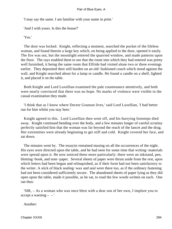'I may say the same. I am familiar with your name in print.'

'And I with yours. Is this the house?'

'Yes.'

 The door was locked. Knight, reflecting a moment, searched the pocket of the lifeless woman, and found therein a large key which, on being applied to the door, opened it easily. The fire was out, but the moonlight entered the quarried window, and made patterns upon the floor. The rays enabled them to see that the room into which they had entered was pretty well furnished, it being the same room that Elfride had visited alone two or three evenings earlier. They deposited their still burden on an old−fashioned couch which stood against the wall, and Knight searched about for a lamp or candle. He found a candle on a shelf, lighted it, and placed it on the table.

 Both Knight and Lord Luxellian examined the pale countenance attentively, and both were nearly convinced that there was no hope. No marks of violence were visible in the casual examination they made.

 'I think that as I know where Doctor Granson lives,' said Lord Luxellian, 'I had better run for him whilst you stay here.'

 Knight agreed to this. Lord Luxellian then went off, and his hurrying footsteps died away. Knight continued bending over the body, and a few minutes longer of careful scrutiny perfectly satisfied him that the woman was far beyond the reach of the lancet and the drug. Her extremities were already beginning to get stiff and cold. Knight covered her face, and sat down.

 The minutes went by. The essayist remained musing on all the occurrences of the night. His eyes were directed upon the table, and he had seen for some time that writing−materials were spread upon it. He now noticed these more particularly: there were an inkstand, pen, blotting−book, and note−paper. Several sheets of paper were thrust aside from the rest, upon which letters had been begun and relinquished, as if their form had not been satisfactory to the writer. A stick of black sealing−wax and seal were there too, as if the ordinary fastening had not been considered sufficiently secure. The abandoned sheets of paper lying as they did open upon the table, made it possible, as he sat, to read the few words written on each. One ran thus:

 'SIR, – As a woman who was once blest with a dear son of her own, I implore you to accept a warning  $-$  – '

Another: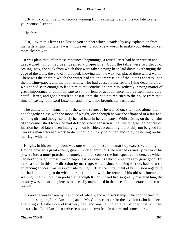'SIR, – If you will deign to receive warning from a stranger before it is too late to alter your course, listen to  $-$  – '

The third:

 'SIR, – With this letter I enclose to you another which, unaided by any explanation from me, tells a startling tale. I wish, however, to add a few words to make your delusion yet more clear to you  $-$  –  $'$ 

 It was plain that, after these renounced beginnings, a fourth letter had been written and despatched, which had been deemed a proper one. Upon the table were two drops of sealing−wax, the stick from which they were taken having been laid down overhanging the edge of the table; the end of it drooped, showing that the wax was placed there whilst warm. There was the chair in which the writer had sat, the impression of the letter's address upon the blotting−paper, and the poor widow who had caused these results lying dead hard by. Knight had seen enough to lead him to the conclusion that Mrs. Jethway, having matter of great importance to communicate to some friend or acquaintance, had written him a very careful letter, and gone herself to post it; that she had not returned to the house from that time of leaving it till Lord Luxellian and himself had brought her back dead.

 The unutterable melancholy of the whole scene, as he waited on, silent and alone, did not altogether clash with the mood of Knight, even though he was the affianced of a fair and winning girl, and though so lately he had been in her company. Whilst sitting on the remains of the demolished tower he had defined a new sensation; that the lengthened course of inaction he had lately been indulging in on Elfride's account might probably not be good for him as a man who had work to do. It could quickly be put an end to by hastening on his marriage with her.

 Knight, in his own opinion, was one who had missed his mark by excessive aiming. Having now, to a great extent, given up ideal ambitions, he wished earnestly to direct his powers into a more practical channel, and thus correct the introspective tendencies which had never brought himself much happiness, or done his fellow−creatures any great good. To make a start in this new direction by marriage, which, since knowing Elfride, had been so entrancing an idea, was less exquisite to−night. That the curtailment of his illusion regarding her had something to do with the reaction, and with the return of his old sentiments on wasting time, is more than probable. Though Knight's heart had so greatly mastered him, the mastery was not so complete as to be easily maintained in the face of a moderate intellectual revival.

 His reverie was broken by the sound of wheels, and a horse's tramp. The door opened to admit the surgeon, Lord Luxellian, and a Mr. Coole, coroner for the division (who had been attending at Castle Boterel that very day, and was having an after−dinner chat with the doctor when Lord Luxellian arrived); next came two female nurses and some idlers.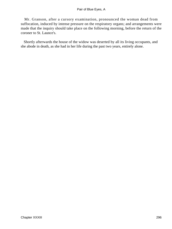Mr. Granson, after a cursory examination, pronounced the woman dead from suffocation, induced by intense pressure on the respiratory organs; and arrangements were made that the inquiry should take place on the following morning, before the return of the coroner to St. Launce's.

 Shortly afterwards the house of the widow was deserted by all its living occupants, and she abode in death, as she had in her life during the past two years, entirely alone.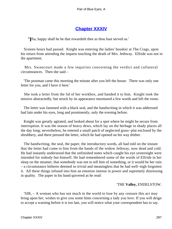# **[Chapter XXXIV](#page-347-0)**

*'Y*ea, happy shall he be that rewardeth thee as thou hast served us.'

 Sixteen hours had passed. Knight was entering the ladies' boudoir at The Crags, upon his return from attending the inquest touching the death of Mrs. Jethway. Elfride was not in the apartment.

 Mrs. Swancourt made a few inquiries concerning the verdict and collateral circumstances. Then she said –

 'The postman came this morning the minute after you left the house. There was only one letter for you, and I have it here.'

 She took a letter from the lid of her workbox, and handed it to him. Knight took the missive abstractedly, but struck by its appearance murmured a few words and left the room.

 The letter was fastened with a black seal, and the handwriting in which it was addressed had lain under his eyes, long and prominently, only the evening before.

 Knight was greatly agitated, and looked about for a spot where he might be secure from interruption. It was the season of heavy dews, which lay on the herbage in shady places all the day long; nevertheless, he entered a small patch of neglected grass−plat enclosed by the shrubbery, and there perused the letter, which he had opened on his way thither.

 The handwriting, the seal, the paper, the introductory words, all had told on the instant that the letter had come to him from the hands of the widow Jethway, now dead and cold. He had instantly understood that the unfinished notes which caught his eye yesternight were intended for nobody but himself. He had remembered some of the words of Elfride in her sleep on the steamer, that somebody was not to tell him of something, or it would be her ruin – a circumstance hitherto deemed so trivial and meaningless that he had well−nigh forgotten it. All these things infused into him an emotion intense in power and supremely distressing in quality. The paper in his hand quivered as he read:

## 'THE **Valley,** ENDELSTOW.

 'SIR, – A woman who has not much in the world to lose by any censure this act may bring upon her, wishes to give you some hints concerning a lady you love. If you will deign to accept a warning before it is too late, you will notice what your correspondent has to say.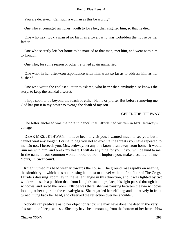'You are deceived. Can such a woman as this be worthy?

'One who encouraged an honest youth to love her, then slighted him, so that he died.

 'One who next took a man of no birth as a lover, who was forbidden the house by her father.

 'One who secretly left her home to be married to that man, met him, and went with him to London.

'One who, for some reason or other, returned again unmarried.

 'One who, in her after−correspondence with him, went so far as to address him as her husband.

 'One who wrote the enclosed letter to ask me, who better than anybody else knows the story, to keep the scandal a secret.

 'I hope soon to be beyond the reach of either blame or praise. But before removing me God has put it in my power to avenge the death of my son.

### 'GERTRUDE JETHWAY.'

 The letter enclosed was the note in pencil that Elfride had written in Mrs. Jethway's cottage:

 'DEAR MRS. JETHWAY, – I have been to visit you. I wanted much to see you, but I cannot wait any longer. I came to beg you not to execute the threats you have repeated to me. Do not, I beseech you, Mrs. Jethway, let any one know I ran away from home! It would ruin me with him, and break my heart. I will do anything for you, if you will be kind to me. In the name of our common womanhood, do not, I implore you, make a scandal of me. – Yours, 'E. **Swancourt.**

 Knight turned his head wearily towards the house. The ground rose rapidly on nearing the shrubbery in which he stood, raising it almost to a level with the first floor of The Crags. Elfride's dressing−room lay in the salient angle in this direction, and it was lighted by two windows in such a position that, from Knight's standing−place, his sight passed through both windows, and raked the room. Elfride was there; she was pausing between the two windows, looking at her figure in the cheval−glass. She regarded herself long and attentively in front; turned, flung back her head, and observed the reflection over her shoulder.

 Nobody can predicate as to her object or fancy; she may have done the deed in the very abstraction of deep sadness. She may have been moaning from the bottom of her heart, 'How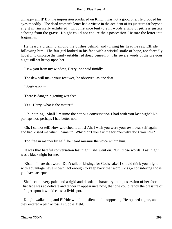unhappy am I!' But the impression produced on Knight was not a good one. He dropped his eyes moodily. The dead woman's letter had a virtue in the accident of its juncture far beyond any it intrinsically exhibited. Circumstance lent to evil words a ring of pitiless justice echoing from the grave. Knight could not endure their possession. He tore the letter into fragments.

 He heard a brushing among the bushes behind, and turning his head he saw Elfride following him. The fair girl looked in his face with a wistful smile of hope, too forcedly hopeful to displace the firmly established dread beneath it. His severe words of the previous night still sat heavy upon her.

'I saw you from my window, Harry,' she said timidly.

'The dew will make your feet wet,' he observed, as one deaf.

'I don't mind it.'

'There is danger in getting wet feet.'

'Yes...Harry, what is the matter?'

 'Oh, nothing. Shall I resume the serious conversation I had with you last night? No, perhaps not; perhaps I had better not.'

 'Oh, I cannot tell! How wretched it all is! Ah, I wish you were your own dear self again, and had kissed me when I came up! Why didn't you ask me for one? why don't you now?'

'Too free in manner by half,' he heard murmur the voice within him.

 'It was that hateful conversation last night,' she went on. 'Oh, those words! Last night was a black night for me.'

 'Kiss! – I hate that word! Don't talk of kissing, for God's sake! I should think you might with advantage have shown tact enough to keep back that word «kiss,» considering those you have accepted.'

 She became very pale, and a rigid and desolate charactery took possession of her face. That face was so delicate and tender in appearance now, that one could fancy the pressure of a finger upon it would cause a livid spot.

 Knight walked on, and Elfride with him, silent and unopposing. He opened a gate, and they entered a path across a stubble−field.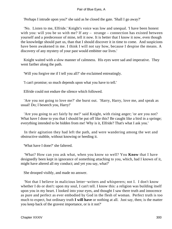'Perhaps I intrude upon you?' she said as he closed the gate. 'Shall I go away?'

 'No. Listen to me, Elfride.' Knight's voice was low and unequal. 'I have been honest with you: will you be so with me? If any – strange – connection has existed between yourself and a predecessor of mine, tell it now. It is better that I know it now, even though the knowledge should part us, than that I should discover it in time to come. And suspicions have been awakened in me. I think I will not say how, because I despise the means. A discovery of any mystery of your past would embitter our lives.'

 Knight waited with a slow manner of calmness. His eyes were sad and imperative. They went farther along the path.

'Will you forgive me if I tell you all?' she exclaimed entreatingly.

'I can't promise; so much depends upon what you have to tell.'

Elfride could not endure the silence which followed.

 'Are you not going to love me?' she burst out. 'Harry, Harry, love me, and speak as usual! Do; I beseech you, Harry!'

 'Are you going to act fairly by me?' said Knight, with rising anger; 'or are you not? What have I done to you that I should be put off like this? Be caught like a bird in a springe; everything intended to be hidden from me! Why is it, Elfride? That's what I ask you.'

 In their agitation they had left the path, and were wandering among the wet and obstructive stubble, without knowing or heeding it.

'What have I done?' she faltered.

 'What? How can you ask what, when you know so well? You **Know** that I have designedly been kept in ignorance of something attaching to you, which, had I known of it, might have altered all my conduct; and yet you say, what?'

She drooped visibly, and made no answer.

 'Not that I believe in malicious letter−writers and whisperers; not I. I don't know whether I do or don't: upon my soul, I can't tell. I know this: a religion was building itself upon you in my heart. I looked into your eyes, and thought I saw there truth and innocence as pure and perfect as ever embodied by God in the flesh of woman. Perfect truth is too much to expect, but ordinary truth **I will have** or nothing at all. Just say, then; is the matter you keep back of the gravest importance, or is it not?'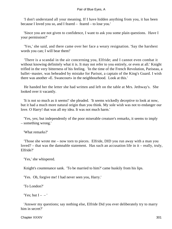'I don't understand all your meaning. If I have hidden anything from you, it has been because I loved you so, and I feared – feared – to lose you.'

 'Since you are not given to confidence, I want to ask you some plain questions. Have I your permission?'

 'Yes,' she said, and there came over her face a weary resignation. 'Say the harshest words you can; I will bear them!'

 'There is a scandal in the air concerning you, Elfride; and I cannot even combat it without knowing definitely what it is. It may not refer to you entirely, or even at all.' Knight trifled in the very bitterness of his feeling. 'In the time of the French Revolution, Pariseau, a ballet−master, was beheaded by mistake for Parisot, a captain of the King's Guard. I wish there was another «E. Swancourt» in the neighbourhood. Look at this.'

 He handed her the letter she had written and left on the table at Mrs. Jethway's. She looked over it vacantly.

 'It is not so much as it seems!' she pleaded. 'It seems wickedly deceptive to look at now, but it had a much more natural origin than you think. My sole wish was not to endanger our love. O Harry! that was all my idea. It was not much harm.'

 'Yes, yes; but independently of the poor miserable creature's remarks, it seems to imply – something wrong.'

'What remarks?'

 'Those she wrote me – now torn to pieces. Elfride, DID you run away with a man you loved? – that was the damnable statement. Has such an accusation life in it – really, truly, Elfride?'

'Yes,' she whispered.

Knight's countenance sank. 'To be married to him?' came huskily from his lips.

'Yes. Oh, forgive me! I had never seen you, Harry.'

'To London?'

'Yes; but  $I - -$ '

 'Answer my questions; say nothing else, Elfride Did you ever deliberately try to marry him in secret?'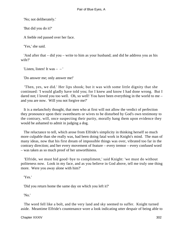'No; not deliberately.'

'But did you do it?'

A feeble red passed over her face.

'Yes,' she said.

 'And after that – did you – write to him as your husband; and did he address you as his wife?'

'Listen, listen! It was  $-$  – '

'Do answer me; only answer me!'

 'Then, yes, we did.' Her lips shook; but it was with some little dignity that she continued: 'I would gladly have told you; for I knew and know I had done wrong. But I dared not; I loved you too well. Oh, so well! You have been everything in the world to me – and you are now. Will you not forgive me?'

 It is a melancholy thought, that men who at first will not allow the verdict of perfection they pronounce upon their sweethearts or wives to be disturbed by God's own testimony to the contrary, will, once suspecting their purity, morally hang them upon evidence they would be ashamed to admit in judging a dog.

 The reluctance to tell, which arose from Elfride's simplicity in thinking herself so much more culpable than she really was, had been doing fatal work in Knight's mind. The man of many ideas, now that his first dream of impossible things was over, vibrated too far in the contrary direction; and her every movement of feature – every tremor – every confused word – was taken as so much proof of her unworthiness.

 'Elfride, we must bid good−bye to compliment,' said Knight: 'we must do without politeness now. Look in my face, and as you believe in God above, tell me truly one thing more. Were you away alone with him?'

'Yes.'

'Did you return home the same day on which you left it?'

'No.'

 The word fell like a bolt, and the very land and sky seemed to suffer. Knight turned aside. Meantime Elfride's countenance wore a look indicating utter despair of being able to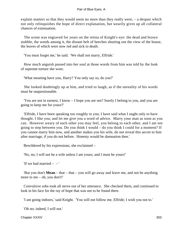explain matters so that they would seem no more than they really were, – a despair which not only relinquishes the hope of direct explanation, but wearily gives up all collateral chances of extenuation.

 The scene was engraved for years on the retina of Knight's eye: the dead and brown stubble, the weeds among it, the distant belt of beeches shutting out the view of the house, the leaves of which were now red and sick to death.

'You must forget me,' he said. 'We shall not marry, Elfride.'

 How much anguish passed into her soul at those words from him was told by the look of supreme torture she wore.

'What meaning have you, Harry? You only say so, do you?'

 She looked doubtingly up at him, and tried to laugh, as if the unreality of his words must be unquestionable.

 'You are not in earnest, I know – I hope you are not? Surely I belong to you, and you are going to keep me for yours?'

 'Elfride, I have been speaking too roughly to you; I have said what I ought only to have thought. I like you; and let me give you a word of advice. Marry your man as soon as you can. However weary of each other you may feel, you belong to each other, and I am not going to step between you. Do you think I would – do you think I could for a moment? If you cannot marry him now, and another makes you his wife, do not reveal this secret to him after marriage, if you do not before. Honesty would be damnation then.'

Bewildered by his expressions, she exclaimed –

'No, no; I will not be a wife unless I am yours; and I must be yours!'

'If we had married  $-$  – '

 'But you don't **Mean** – that – that – you will go away and leave me, and not be anything more to me – oh, you don't!'

 Convulsive sobs took all nerve out of her utterance. She checked them, and continued to look in his face for the ray of hope that was not to be found there.

'I am going indoors,' said Knight. 'You will not follow me, Elfride; I wish you not to.'

'Oh no; indeed, I will not.'

Chapter XXXIV 303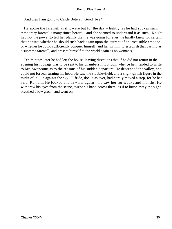'And then I am going to Castle Boterel. Good−bye.'

 He spoke the farewell as if it were but for the day – lightly, as he had spoken such temporary farewells many times before – and she seemed to understand it as such. Knight had not the power to tell her plainly that he was going for ever; he hardly knew for certain that he was: whether he should rush back again upon the current of an irresistible emotion, or whether he could sufficiently conquer himself, and her in him, to establish that parting as a supreme farewell, and present himself to the world again as no woman's.

 Ten minutes later he had left the house, leaving directions that if he did not return in the evening his luggage was to be sent to his chambers in London, whence he intended to write to Mr. Swancourt as to the reasons of his sudden departure. He descended the valley, and could not forbear turning his head. He saw the stubble−field, and a slight girlish figure in the midst of it – up against the sky. Elfride, docile as ever, had hardly moved a step, for he had said, Remain. He looked and saw her again – he saw her for weeks and months. He withdrew his eyes from the scene, swept his hand across them, as if to brush away the sight, breathed a low groan, and went on.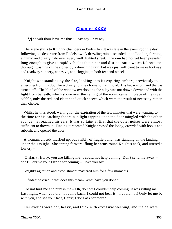# **[Chapter XXXV](#page-347-0)**

*'A*nd wilt thou leave me thus? – say nay – say nay!'

 The scene shifts to Knight's chambers in Bede's Inn. It was late in the evening of the day following his departure from Endelstow. A drizzling rain descended upon London, forming a humid and dreary halo over every well−lighted street. The rain had not yet been prevalent long enough to give to rapid vehicles that clear and distinct rattle which follows the thorough washing of the stones by a drenching rain, but was just sufficient to make footway and roadway slippery, adhesive, and clogging to both feet and wheels.

 Knight was standing by the fire, looking into its expiring embers, previously to emerging from his door for a dreary journey home to Richmond. His hat was on, and the gas turned off. The blind of the window overlooking the alley was not drawn down; and with the light from beneath, which shone over the ceiling of the room, came, in place of the usual babble, only the reduced clatter and quick speech which were the result of necessity rather than choice.

 Whilst he thus stood, waiting for the expiration of the few minutes that were wanting to the time for his catching the train, a light tapping upon the door mingled with the other sounds that reached his ears. It was so faint at first that the outer noises were almost sufficient to drown it. Finding it repeated Knight crossed the lobby, crowded with books and rubbish, and opened the door.

 A woman, closely muffled up, but visibly of fragile build, was standing on the landing under the gaslight. She sprang forward, flung her arms round Knight's neck, and uttered a low cry –

 'O Harry, Harry, you are killing me! I could not help coming. Don't send me away – don't! Forgive your Elfride for coming – I love you so!'

Knight's agitation and astonishment mastered him for a few moments.

'Elfride!' he cried, 'what does this mean? What have you done?'

 'Do not hurt me and punish me – Oh, do not! I couldn't help coming; it was killing me. Last night, when you did not come back, I could not bear it – I could not! Only let me be with you, and see your face, Harry; I don't ask for more.'

Her eyelids were hot, heavy, and thick with excessive weeping, and the delicate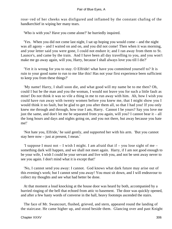rose−red of her cheeks was disfigured and inflamed by the constant chafing of the handkerchief in wiping her many tears.

'Who is with you? Have you come alone?' he hurriedly inquired.

 'Yes. When you did not come last night, I sat up hoping you would come – and the night was all agony – and I waited on and on, and you did not come! Then when it was morning, and your letter said you were gone, I could not endure it; and I ran away from them to St. Launce's, and came by the train. And I have been all day travelling to you, and you won't make me go away again, will you, Harry, because I shall always love you till I die?'

 'Yet it is wrong for you to stay. O Elfride! what have you committed yourself to? It is ruin to your good name to run to me like this! Has not your first experience been sufficient to keep you from these things?'

 'My name! Harry, I shall soon die, and what good will my name be to me then? Oh, could I but be the man and you the woman, I would not leave you for such a little fault as mine! Do not think it was so vile a thing in me to run away with him. Ah, how I wish you could have run away with twenty women before you knew me, that I might show you I would think it no fault, but be glad to get you after them all, so that I had you! If you only knew me through and through, how true I am, Harry. Cannot I be yours? Say you love me just the same, and don't let me be separated from you again, will you? I cannot bear it – all the long hours and days and nights going on, and you not there, but away because you hate me!'

 'Not hate you, Elfride,' he said gently, and supported her with his arm. 'But you cannot stay here now – just at present, I mean.'

'I suppose I must not  $-$  I wish I might. I am afraid that if  $-$  you lose sight of me  $$ something dark will happen, and we shall not meet again. Harry, if I am not good enough to be your wife, I wish I could be your servant and live with you, and not be sent away never to see you again. I don't mind what it is except that!'

 'No, I cannot send you away: I cannot. God knows what dark future may arise out of this evening's work; but I cannot send you away! You must sit down, and I will endeavour to collect my thoughts and see what had better be done.

 At that moment a loud knocking at the house door was heard by both, accompanied by a hurried ringing of the bell that echoed from attic to basement. The door was quickly opened, and after a few hasty words of converse in the hall, heavy footsteps ascended the stairs.

 The face of Mr. Swancourt, flushed, grieved, and stern, appeared round the landing of the staircase. He came higher up, and stood beside them. Glancing over and past Knight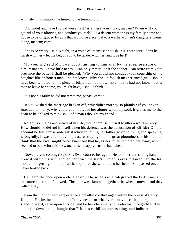with silent indignation, he turned to the trembling girl.

 'O Elfride! and have I found you at last? Are these your tricks, madam? When will you get rid of your idiocies, and conduct yourself like a decent woman? Is my family name and house to be disgraced by acts that would be a scandal to a washerwoman's daughter? Come along, madam; come!'

 'She is so weary!' said Knight, in a voice of intensest anguish. 'Mr. Swancourt, don't be harsh with her – let me beg of you to be tender with her, and love her!'

 'To you, sir,' said Mr. Swancourt, turning to him as if by the sheer pressure of circumstances, 'I have little to say. I can only remark, that the sooner I can retire from your presence the better I shall be pleased. Why you could not conduct your courtship of my daughter like an honest man, I do not know. Why she – a foolish inexperienced girl – should have been tempted to this piece of folly, I do not know. Even if she had not known better than to leave her home, you might have, I should think.'

'It is not his fault: he did not tempt me, papa! I came.'

 'If you wished the marriage broken off, why didn't you say so plainly? If you never intended to marry, why could you not leave her alone? Upon my soul, it grates me to the heart to be obliged to think so ill of a man I thought my friend!'

 Knight, soul−sick and weary of his life, did not arouse himself to utter a word in reply. How should he defend himself when his defence was the accusation of Elfride? On that account he felt a miserable satisfaction in letting her father go on thinking and speaking wrongfully. It was a faint ray of pleasure straying into the great gloominess of his brain to think that the vicar might never know but that he, as her lover, tempted her away, which seemed to be the form Mr. Swancourt's misapprehension had taken.

 'Now, are you coming?' said Mr. Swancourt to her again. He took her unresisting hand, drew it within his arm, and led her down the stairs. Knight's eyes followed her, the last moment begetting in him a frantic hope that she would turn her head. She passed on, and never looked back.

 He heard the door open – close again. The wheels of a cab grazed the kerbstone, a murmured direction followed. The door was slammed together, the wheels moved, and they rolled away.

 From that hour of her reappearance a dreadful conflict raged within the breast of Henry Knight. His instinct, emotion, affectiveness – or whatever it may be called – urged him to stand forward, seize upon Elfride, and be her cherisher and protector through life. Then came the devastating thought that Elfride's childlike, unreasoning, and indiscreet act in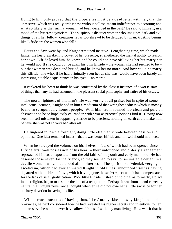flying to him only proved that the proprieties must be a dead letter with her; that the unreserve, which was really artlessness without ballast, meant indifference to decorum; and what so likely as that such a woman had been deceived in the past? He said to himself, in a mood of the bitterest cynicism: 'The suspicious discreet woman who imagines dark and evil things of all her fellow−creatures is far too shrewd to be deluded by man: trusting beings like Elfride are the women who fall.'

 Hours and days went by, and Knight remained inactive. Lengthening time, which made fainter the heart−awakening power of her presence, strengthened the mental ability to reason her down. Elfride loved him, he knew, and he could not leave off loving her but marry her he would not. If she could but be again his own Elfride – the woman she had seemed to be – but that woman was dead and buried, and he knew her no more! And how could he marry this Elfride, one who, if he had originally seen her as she was, would have been barely an interesting pitiable acquaintance in his eyes – no more?

 It cankered his heart to think he was confronted by the closest instance of a worse state of things than any he had assumed in the pleasant social philosophy and satire of his essays.

 The moral rightness of this man's life was worthy of all praise; but in spite of some intellectual acumen, Knight had in him a modicum of that wrongheadedness which is mostly found in scrupulously honest people. With him, truth seemed too clean and pure an abstraction to be so hopelessly churned in with error as practical persons find it. Having now seen himself mistaken in supposing Elfride to be peerless, nothing on earth could make him believe she was not so very bad after all.

 He lingered in town a fortnight, doing little else than vibrate between passion and opinions. One idea remained intact – that it was better Elfride and himself should not meet.

When he surveyed the volumes on his shelves – few of which had been opened since Elfride first took possession of his heart – their untouched and orderly arrangement reproached him as an apostate from the old faith of his youth and early manhood. He had deserted those never−failing friends, so they seemed to say, for an unstable delight in a ductile woman, which had ended all in bitterness. The spirit of self−denial, verging on asceticism, which had ever animated Knight in old times, announced itself as having departed with the birth of love, with it having gone the self−respect which had compensated for the lack of self− gratification. Poor little Elfride, instead of holding, as formerly, a place in his religion, began to assume the hue of a temptation. Perhaps it was human and correctly natural that Knight never once thought whether he did not owe her a little sacrifice for her unchary devotion in saving his life.

 With a consciousness of having thus, like Antony, kissed away kingdoms and provinces, he next considered how he had revealed his higher secrets and intentions to her, an unreserve he would never have allowed himself with any man living. How was it that he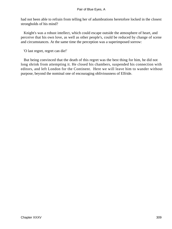had not been able to refrain from telling her of adumbrations heretofore locked in the closest strongholds of his mind?

 Knight's was a robust intellect, which could escape outside the atmosphere of heart, and perceive that his own love, as well as other people's, could be reduced by change of scene and circumstances. At the same time the perception was a superimposed sorrow:

'O last regret, regret can die!'

 But being convinced that the death of this regret was the best thing for him, he did not long shrink from attempting it. He closed his chambers, suspended his connection with editors, and left London for the Continent. Here we will leave him to wander without purpose, beyond the nominal one of encouraging obliviousness of Elfride.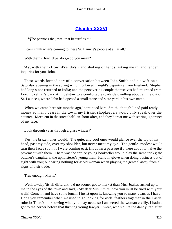# **[Chapter XXXVI](#page-347-0)**

*'T*he pennie's the jewel that beautifies a'.'

'I can't think what's coming to these St. Launce's people at all at all.'

'With their «How−d'ye−do's,» do you mean?'

 'Ay, with their «How−d'ye−do's,» and shaking of hands, asking me in, and tender inquiries for you, John.'

 These words formed part of a conversation between John Smith and his wife on a Saturday evening in the spring which followed Knight's departure from England. Stephen had long since returned to India; and the persevering couple themselves had migrated from Lord Luxellian's park at Endelstow to a comfortable roadside dwelling about a mile out of St. Launce's, where John had opened a small stone and slate yard in his own name.

 'When we came here six months ago,' continued Mrs. Smith, 'though I had paid ready money so many years in the town, my friskier shopkeepers would only speak over the counter. Meet 'em in the street half−an−hour after, and they'd treat me with staring ignorance of my face.'

'Look through ye as through a glass winder?'

 'Yes, the brazen ones would. The quiet and cool ones would glance over the top of my head, past my side, over my shoulder, but never meet my eye. The gentle−modest would turn their faces south if I were coming east, flit down a passage if I were about to halve the pavement with them. There was the spruce young bookseller would play the same tricks; the butcher's daughters; the upholsterer's young men. Hand in glove when doing business out of sight with you; but caring nothing for a' old woman when playing the genteel away from all signs of their trade.'

'True enough, Maria.'

 'Well, to−day 'tis all different. I'd no sooner got to market than Mrs. Joakes rushed up to me in the eyes of the town and said, «My dear Mrs. Smith, now you must be tired with your walk! Come in and have some lunch! I insist upon it; knowing you so many years as I have! Don't you remember when we used to go looking for owls' feathers together in the Castle ruins?» There's no knowing what you may need, so I answered the woman civilly. I hadn't got to the corner before that thriving young lawyer, Sweet, who's quite the dandy, ran after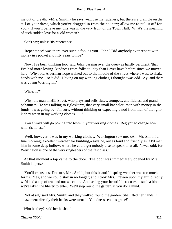me out of breath. «Mrs. Smith,» he says, «excuse my rudeness, but there's a bramble on the tail of your dress, which you've dragged in from the country; allow me to pull it off for you.» If you'll believe me, this was in the very front of the Town Hall. What's the meaning of such sudden love for a' old woman?'

'Can't say; unless 'tis repentance.'

 'Repentance! was there ever such a fool as you. John? Did anybody ever repent with money in's pocket and fifty years to live?'

 'Now, I've been thinking too,' said John, passing over the query as hardly pertinent, 'that I've had more loving−kindness from folks to−day than I ever have before since we moved here. Why, old Alderman Tope walked out to the middle of the street where I was, to shake hands with me – so 'a did. Having on my working clothes, I thought 'twas odd. Ay, and there was young Werrington.'

'Who's he?'

 'Why, the man in Hill Street, who plays and sells flutes, trumpets, and fiddles, and grand pehanners. He was talking to Egloskerry, that very small bachelor−man with money in the funds. I was going by, I'm sure, without thinking or expecting a nod from men of that glib kidney when in my working clothes  $-$  – '

 'You always will go poking into town in your working clothes. Beg you to change how I will. 'tis no use.'

 'Well, however, I was in my working clothes. Werrington saw me. «Ah, Mr. Smith! a fine morning; excellent weather for building,» says he, out as loud and friendly as if I'd met him in some deep hollow, where he could get nobody else to speak to at all. 'Twas odd: for Werrington is one of the very ringleaders of the fast class.'

 At that moment a tap came to the door. The door was immediately opened by Mrs. Smith in person.

 'You'll excuse us, I'm sure, Mrs. Smith, but this beautiful spring weather was too much for us. Yes, and we could stay in no longer; and I took Mrs. Trewen upon my arm directly we'd had a cup of tea, and out we came. And seeing your beautiful crocuses in such a bloom, we've taken the liberty to enter. We'll step round the garden, if you don't mind.'

 'Not at all,' said Mrs. Smith; and they walked round the garden. She lifted her hands in amazement directly their backs were turned. 'Goodness send us grace!'

Who be they?' said her husband.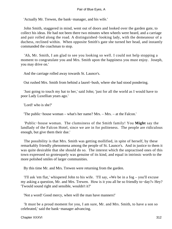'Actually Mr. Trewen, the bank−manager, and his wife.'

 John Smith, staggered in mind, went out of doors and looked over the garden gate, to collect his ideas. He had not been there two minutes when wheels were heard, and a carriage and pair rolled along the road. A distinguished−looking lady, with the demeanour of a duchess, reclined within. When opposite Smith's gate she turned her head, and instantly commanded the coachman to stop.

 'Ah, Mr. Smith, I am glad to see you looking so well. I could not help stopping a moment to congratulate you and Mrs. Smith upon the happiness you must enjoy. Joseph, you may drive on.'

And the carriage rolled away towards St. Launce's.

Out rushed Mrs. Smith from behind a laurel−bush, where she had stood pondering.

 'Just going to touch my hat to her,' said John; 'just for all the world as I would have to poor Lady Luxellian years ago.'

'Lord! who is she?'

'The public−house woman – what's her name? Mrs. – Mrs. – at the Falcon.'

 'Public−house woman. The clumsiness of the Smith family! You **Might** say the landlady of the Falcon Hotel, since we are in for politeness. The people are ridiculous enough, but give them their due.'

 The possibility is that Mrs. Smith was getting mollified, in spite of herself, by these remarkably friendly phenomena among the people of St. Launce's. And in justice to them it was quite desirable that she should do so. The interest which the unpractised ones of this town expressed so grotesquely was genuine of its kind, and equal in intrinsic worth to the more polished smiles of larger communities.

By this time Mr. and Mrs. Trewen were returning from the garden.

 'I'll ask 'em flat,' whispered John to his wife. 'I'll say, «We be in a fog – you'll excuse my asking a question, Mr. and Mrs. Trewen. How is it you all be so friendly to−day?» Hey? 'Twould sound right and sensible, wouldn't it?'

'Not a word! Good mercy, when will the man have manners!'

 'It must be a proud moment for you, I am sure, Mr. and Mrs. Smith, to have a son so celebrated,' said the bank−manager advancing.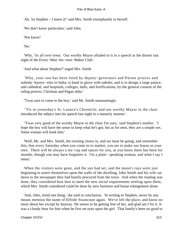'Ah, 'tis Stephen – I knew it!' said Mrs. Smith triumphantly to herself.

'We don't know particulars,' said John.

'Not know!'

'No.'

 'Why, 'tis all over town. Our worthy Mayor alluded to it in a speech at the dinner last night of the Every−Man−his−own−Maker Club.'

'And what about Stephen?' urged Mrs. Smith.

 'Why, your son has been feted by deputy−governors and Parsee princes and nobody−knows−who in India; is hand in glove with nabobs, and is to design a large palace, and cathedral, and hospitals, colleges, halls, and fortifications, by the general consent of the ruling powers, Christian and Pagan alike.'

''Twas sure to come to the boy,' said Mr. Smith unassumingly.

 ''Tis in yesterday's St. Launce's Chronicle; and our worthy Mayor in the chair introduced the subject into his speech last night in a masterly manner.'

 ''Twas very good of the worthy Mayor in the chair I'm sure,' said Stephen's mother. 'I hope the boy will have the sense to keep what he's got; but as for men, they are a simple sex. Some woman will hook him.'

 'Well, Mr. and Mrs. Smith, the evening closes in, and we must be going; and remember this, that every Saturday when you come in to market, you are to make our house as your own. There will be always a tea−cup and saucer for you, as you know there has been for months, though you may have forgotten it. I'm a plain− speaking woman, and what I say I mean<sup>'</sup>

 When the visitors were gone, and the sun had set, and the moon's rays were just beginning to assert themselves upon the walls of the dwelling, John Smith and his wife sat dawn to the newspaper they had hastily procured from the town. And when the reading was done, they considered how best to meet the new social requirements settling upon them, which Mrs. Smith considered could be done by new furniture and house enlargement alone.

 'And, John, mind one thing,' she said in conclusion. 'In writing to Stephen, never by any means mention the name of Elfride Swancourt again. We've left the place, and know no more about her except by hearsay. He seems to be getting free of her, and glad am I for it. It was a cloudy hour for him when he first set eyes upon the girl. That family's been no good to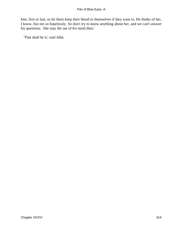him, first or last; so let them keep their blood to themselves if they want to. He thinks of her, I know, but not so hopelessly. So don't try to know anything about her, and we can't answer his questions. She may die out of his mind then.'

'That shall be it,' said John.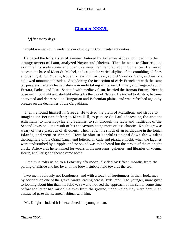# **[Chapter XXXVII](#page-347-0)**

*'A*fter many days.'

Knight roamed south, under colour of studying Continental antiquities.

 He paced the lofty aisles of Amiens, loitered by Ardennes Abbey, climbed into the strange towers of Laon, analyzed Noyon and Rheims. Then he went to Chartres, and examined its scaly spires and quaint carving then he idled about Coutances. He rowed beneath the base of Mont St. Michel, and caught the varied skyline of the crumbling edifices encrusting it. St. Ouen's, Rouen, knew him for days; so did Vezelay, Sens, and many a hallowed monument besides. Abandoning the inspection of early French art with the same purposeless haste as he had shown in undertaking it, he went further, and lingered about Ferrara, Padua, and Pisa. Satiated with mediaevalism, he tried the Roman Forum. Next he observed moonlight and starlight effects by the bay of Naples. He turned to Austria, became enervated and depressed on Hungarian and Bohemian plains, and was refreshed again by breezes on the declivities of the Carpathians.

 Then he found himself in Greece. He visited the plain of Marathon, and strove to imagine the Persian defeat; to Mars Hill, to picture St. Paul addressing the ancient Athenians; to Thermopylae and Salamis, to run through the facts and traditions of the Second Invasion – the result of his endeavours being more or less chaotic. Knight grew as weary of these places as of all others. Then he felt the shock of an earthquake in the Ionian Islands, and went to Venice. Here he shot in gondolas up and down the winding thoroughfare of the Grand Canal, and loitered on calle and piazza at night, when the lagunes were undisturbed by a ripple, and no sound was to be heard but the stroke of the midnight clock. Afterwards he remained for weeks in the museums, galleries, and libraries of Vienna, Berlin, and Paris; and thence came home.

 Time thus rolls us on to a February afternoon, divided by fifteen months from the parting of Elfride and her lover in the brown stubble field towards the sea.

 Two men obviously not Londoners, and with a touch of foreignness in their look, met by accident on one of the gravel walks leading across Hyde Park. The younger, more given to looking about him than his fellow, saw and noticed the approach of his senior some time before the latter had raised his eyes from the ground, upon which they were bent in an abstracted gaze that seemed habitual with him.

'Mr. Knight – indeed it is!' exclaimed the younger man.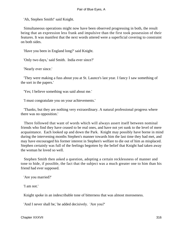'Ah, Stephen Smith!' said Knight.

 Simultaneous operations might now have been observed progressing in both, the result being that an expression less frank and impulsive than the first took possession of their features. It was manifest that the next words uttered were a superficial covering to constraint on both sides.

'Have you been in England long?' said Knight.

'Only two days,' said Smith. India ever since?'

'Nearly ever since.'

 'They were making a fuss about you at St. Launce's last year. I fancy I saw something of the sort in the papers.'

'Yes; I believe something was said about me.'

'I must congratulate you on your achievements.'

 'Thanks, but they are nothing very extraordinary. A natural professional progress where there was no opposition.'

 There followed that want of words which will always assert itself between nominal friends who find they have ceased to be real ones, and have not yet sunk to the level of mere acquaintance. Each looked up and down the Park. Knight may possibly have borne in mind during the intervening months Stephen's manner towards him the last time they had met, and may have encouraged his former interest in Stephen's welfare to die out of him as misplaced. Stephen certainly was full of the feelings begotten by the belief that Knight had taken away the woman he loved so well.

 Stephen Smith then asked a question, adopting a certain recklessness of manner and tone to hide, if possible, the fact that the subject was a much greater one to him than his friend had ever supposed.

'Are you married?'

'I am not.'

Knight spoke in an indescribable tone of bitterness that was almost moroseness.

'And I never shall be,' he added decisively. 'Are you?'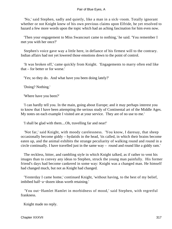'No,' said Stephen, sadly and quietly, like a man in a sick−room. Totally ignorant whether or not Knight knew of his own previous claims upon Elfride, he yet resolved to hazard a few more words upon the topic which had an aching fascination for him even now.

 'Then your engagement to Miss Swancourt came to nothing,' he said. 'You remember I met you with her once?'

 Stephen's voice gave way a little here, in defiance of his firmest will to the contrary. Indian affairs had not yet lowered those emotions down to the point of control.

 'It was broken off,' came quickly from Knight. 'Engagements to marry often end like that – for better or for worse.'

'Yes; so they do. And what have you been doing lately?'

'Doing? Nothing.'

'Where have you been?'

 'I can hardly tell you. In the main, going about Europe; and it may perhaps interest you to know that I have been attempting the serious study of Continental art of the Middle Ages. My notes on each example I visited are at your service. They are of no use to me.'

'I shall be glad with them....Oh, travelling far and near!'

 'Not far,' said Knight, with moody carelessness. 'You know, I daresay, that sheep occasionally become giddy – hydatids in the head, 'tis called, in which their brains become eaten up, and the animal exhibits the strange peculiarity of walking round and round in a circle continually. I have travelled just in the same way – round and round like a giddy ram.'

 The reckless, bitter, and rambling style in which Knight talked, as if rather to vent his images than to convey any ideas to Stephen, struck the young man painfully. His former friend's days had become cankered in some way: Knight was a changed man. He himself had changed much, but not as Knight had changed.

 'Yesterday I came home,' continued Knight, 'without having, to the best of my belief, imbibed half−a−dozen ideas worth retaining.'

 'You out−Hamlet Hamlet in morbidness of mood,' said Stephen, with regretful frankness.

Knight made no reply.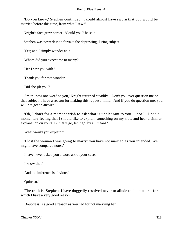'Do you know,' Stephen continued, 'I could almost have sworn that you would be married before this time, from what I saw?'

Knight's face grew harder. 'Could you?' he said.

Stephen was powerless to forsake the depressing, luring subject.

'Yes; and I simply wonder at it.'

'Whom did you expect me to marry?'

'Her I saw you with.'

'Thank you for that wonder.'

'Did she jilt you?'

 'Smith, now one word to you,' Knight returned steadily. 'Don't you ever question me on that subject. I have a reason for making this request, mind. And if you do question me, you will not get an answer.'

 'Oh, I don't for a moment wish to ask what is unpleasant to you – not I. I had a momentary feeling that I should like to explain something on my side, and hear a similar explanation on yours. But let it go, let it go, by all means.'

'What would you explain?'

 'I lost the woman I was going to marry: you have not married as you intended. We might have compared notes.'

'I have never asked you a word about your case.'

'I know that.'

'And the inference is obvious.'

'Quite so.'

 'The truth is, Stephen, I have doggedly resolved never to allude to the matter – for which I have a very good reason.'

'Doubtless. As good a reason as you had for not marrying her.'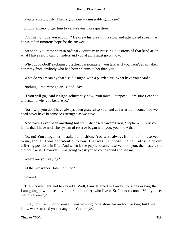'You talk insidiously. I had a good one – a miserably good one!'

Smith's anxiety urged him to venture one more question.

 'Did she not love you enough?' He drew his breath in a slow and attenuated stream, as he waited in timorous hope for the answer.

 'Stephen, you rather strain ordinary courtesy in pressing questions of that kind after what I have said. I cannot understand you at all. I must go on now.'

 'Why, good God!' exclaimed Stephen passionately, 'you talk as if you hadn't at all taken her away from anybody who had better claims to her than you!'

'What do you mean by that?' said Knight, with a puzzled air. 'What have you heard?'

'Nothing. I too must go on. Good−day.'

 'If you will go,' said Knight, reluctantly now, 'you must, I suppose. I am sure I cannot understand why you behave so.'

 'Nor I why you do. I have always been grateful to you, and as far as I am concerned we need never have become so estranged as we have.'

 'And have I ever been anything but well−disposed towards you, Stephen? Surely you know that I have not! The system of reserve began with you: you know that.'

 'No, no! You altogether mistake our position. You were always from the first reserved to me, though I was confidential to you. That was, I suppose, the natural issue of our differing positions in life. And when I, the pupil, became reserved like you, the master, you did not like it. However, I was going to ask you to come round and see me.'

'Where are you staying?'

'At the Grosvenor Hotel, Pimlico.'

'So am I.'

 'That's convenient, not to say odd. Well, I am detained in London for a day or two; then I am going down to see my father and mother, who live at St. Launce's now. Will you see me this evening?'

 'I may; but I will not promise. I was wishing to be alone for an hour or two; but I shall know where to find you, at any rate. Good−bye.'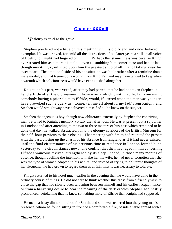# **[Chapter XXXVIII](#page-347-0)**

*'J*ealousy is cruel as the grave.'

 Stephen pondered not a little on this meeting with his old friend and once−beloved exemplar. He was grieved, for amid all the distractions of his latter years a still small voice of fidelity to Knight had lingered on in him. Perhaps this staunchness was because Knight ever treated him as a mere disciple – even to snubbing him sometimes; and had at last, though unwittingly, inflicted upon him the greatest snub of all, that of taking away his sweetheart. The emotional side of his constitution was built rather after a feminine than a male model; and that tremendous wound from Knight's hand may have tended to keep alive a warmth which solicitousness would have extinguished altogether.

 Knight, on his part, was vexed, after they had parted, that he had not taken Stephen in hand a little after the old manner. Those words which Smith had let fall concerning somebody having a prior claim to Elfride, would, if uttered when the man was younger, have provoked such a query as, 'Come, tell me all about it, my lad,' from Knight, and Stephen would straightway have delivered himself of all he knew on the subject.

 Stephen the ingenuous boy, though now obliterated externally by Stephen the contriving man, returned to Knight's memory vividly that afternoon. He was at present but a sojourner in London; and after attending to the two or three matters of business which remained to be done that day, he walked abstractedly into the gloomy corridors of the British Museum for the half−hour previous to their closing. That meeting with Smith had reunited the present with the past, closing up the chasm of his absence from England as if it had never existed, until the final circumstances of his previous time of residence in London formed but a yesterday to the circumstances now. The conflict that then had raged in him concerning Elfride Swancourt revived, strengthened by its sleep. Indeed, in those many months of absence, though quelling the intention to make her his wife, he had never forgotten that she was the type of woman adapted to his nature; and instead of trying to obliterate thoughts of her altogether, he had grown to regard them as an infirmity it was necessary to tolerate.

 Knight returned to his hotel much earlier in the evening than he would have done in the ordinary course of things. He did not care to think whether this arose from a friendly wish to close the gap that had slowly been widening between himself and his earliest acquaintance, or from a hankering desire to hear the meaning of the dark oracles Stephen had hastily pronounced, betokening that he knew something more of Elfride than Knight had supposed.

 He made a hasty dinner, inquired for Smith, and soon was ushered into the young man's presence, whom he found sitting in front of a comfortable fire, beside a table spread with a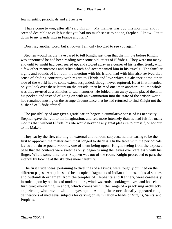few scientific periodicals and art reviews.

 'I have come to you, after all,' said Knight. 'My manner was odd this morning, and it seemed desirable to call; but that you had too much sense to notice, Stephen, I know. Put it down to my wanderings in France and Italy.'

'Don't say another word, but sit down. I am only too glad to see you again.'

 Stephen would hardly have cared to tell Knight just then that the minute before Knight was announced he had been reading over some old letters of Elfride's. They were not many; and until to−night had been sealed up, and stowed away in a corner of his leather trunk, with a few other mementoes and relics which had accompanied him in his travels. The familiar sights and sounds of London, the meeting with his friend, had with him also revived that sense of abiding continuity with regard to Elfride and love which his absence at the other side of the world had to some extent suspended, though never ruptured. He at first intended only to look over these letters on the outside; then he read one; then another; until the whole was thus re−used as a stimulus to sad memories. He folded them away again, placed them in his pocket, and instead of going on with an examination into the state of the artistic world, had remained musing on the strange circumstance that he had returned to find Knight not the husband of Elfride after all.

 The possibility of any given gratification begets a cumulative sense of its necessity. Stephen gave the rein to his imagination, and felt more intensely than he had felt for many months that, without Elfride, his life would never be any great pleasure to himself, or honour to his Maker.

 They sat by the fire, chatting on external and random subjects, neither caring to be the first to approach the matter each most longed to discuss. On the table with the periodicals lay two or three pocket−books, one of them being open. Knight seeing from the exposed page that the contents were sketches only, began turning the leaves over carelessly with his finger. When, some time later, Stephen was out of the room, Knight proceeded to pass the interval by looking at the sketches more carefully.

 The first crude ideas, pertaining to dwellings of all kinds, were roughly outlined on the different pages. Antiquities had been copied; fragments of Indian columns, colossal statues, and outlandish ornament from the temples of Elephanta and Kenneri, were carelessly intruded upon by outlines of modern doors, windows, roofs, cooking−stoves, and household furniture; everything, in short, which comes within the range of a practising architect's experience, who travels with his eyes open. Among these occasionally appeared rough delineations of mediaeval subjects for carving or illumination – heads of Virgins, Saints, and Prophets.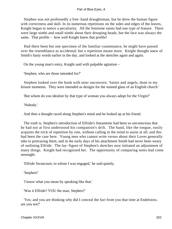Stephen was not professedly a free−hand draughtsman, but he drew the human figure with correctness and skill. In its numerous repetitions on the sides and edges of the leaves, Knight began to notice a peculiarity. All the feminine saints had one type of feature. There were large nimbi and small nimbi about their drooping heads, but the face was always the same. That profile – how well Knight knew that profile!

 Had there been but one specimen of the familiar countenance, he might have passed over the resemblance as accidental; but a repetition meant more. Knight thought anew of Smith's hasty words earlier in the day, and looked at the sketches again and again.

On the young man's entry, Knight said with palpable agitation –

'Stephen, who are those intended for?'

 Stephen looked over the book with utter unconcern, 'Saints and angels, done in my leisure moments. They were intended as designs for the stained glass of an English church.'

'But whom do you idealize by that type of woman you always adopt for the Virgin?'

'Nobody.'

And then a thought raced along Stephen's mind and he looked up at his friend.

 The truth is, Stephen's introduction of Elfride's lineaments had been so unconscious that he had not at first understood his companion's drift. The hand, like the tongue, easily acquires the trick of repetition by rote, without calling in the mind to assist at all; and this had been the case here. Young men who cannot write verses about their Loves generally take to portraying them, and in the early days of his attachment Smith had never been weary of outlining Elfride. The lay−figure of Stephen's sketches now initiated an adjustment of many things. Knight had recognized her. The opportunity of comparing notes had come unsought.

'Elfride Swancourt, to whom I was engaged,' he said quietly.

'Stephen!'

'I know what you mean by speaking like that.'

'Was it Elfride? YOU the man, Stephen?'

 'Yes; and you are thinking why did I conceal the fact from you that time at Endelstow, are you not?'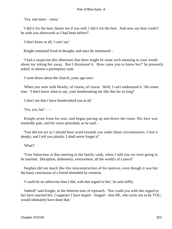'Yes, and more – more.'

 'I did it for the best; blame me if you will; I did it for the best. And now say how could I be with you afterwards as I had been before?'

'I don't know at all; I can't say.'

Knight remained fixed in thought, and once he murmured –

 'I had a suspicion this afternoon that there might be some such meaning in your words about my taking her away. But I dismissed it. How came you to know her?' he presently asked, in almost a peremptory tone.

'I went down about the church; years ago now.'

 'When you were with Hewby, of course, of course. Well, I can't understand it.' His tones rose. 'I don't know what to say, your hoodwinking me like this for so long!'

'I don't see that I have hoodwinked you at all.'

'Yes, yes, but'  $-$ 

 Knight arose from his seat, and began pacing up and down the room. His face was markedly pale, and his voice perturbed, as he said –

 'You did not act as I should have acted towards you under those circumstances. I feel it deeply; and I tell you plainly, I shall never forget it!'

'What?'

 'Your behaviour at that meeting in the family vault, when I told you we were going to be married. Deception, dishonesty, everywhere; all the world's of a piece!'

 Stephen did not much like this misconstruction of his motives, even though it was but the hasty conclusion of a friend disturbed by emotion.

'I could do no otherwise than I did, with due regard to her,' he said stiffly.

 'Indeed!' said Knight, in the bitterest tone of reproach. 'Nor could you with due regard to her have married her, I suppose! I have hoped – longed – that HE, who turns out to be YOU, would ultimately have done that.'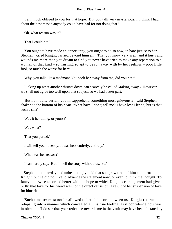'I am much obliged to you for that hope. But you talk very mysteriously. I think I had about the best reason anybody could have had for not doing that.'

'Oh, what reason was it?'

'That I could not.'

 'You ought to have made an opportunity; you ought to do so now, in bare justice to her, Stephen!' cried Knight, carried beyond himself. 'That you know very well, and it hurts and wounds me more than you dream to find you never have tried to make any reparation to a woman of that kind – so trusting, so apt to be run away with by her feelings – poor little fool, so much the worse for her!'

'Why, you talk like a madman! You took her away from me, did you not?'

 'Picking up what another throws down can scarcely be called «taking away.» However, we shall not agree too well upon that subject, so we had better part.'

 'But I am quite certain you misapprehend something most grievously,' said Stephen, shaken to the bottom of his heart. 'What have I done; tell me? I have lost Elfride, but is that such a sin?'

'Was it her doing, or yours?'

'Was what?'

'That you parted.'

'I will tell you honestly. It was hers entirely, entirely.'

'What was her reason?'

'I can hardly say. But I'll tell the story without reserve.'

 Stephen until to−day had unhesitatingly held that she grew tired of him and turned to Knight; but he did not like to advance the statement now, or even to think the thought. To fancy otherwise accorded better with the hope to which Knight's estrangement had given birth: that love for his friend was not the direct cause, but a result of her suspension of love for himself.

 'Such a matter must not be allowed to breed discord between us,' Knight returned, relapsing into a manner which concealed all his true feeling, as if confidence now was intolerable. 'I do see that your reticence towards me in the vault may have been dictated by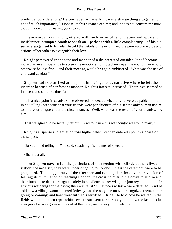prudential considerations.' He concluded artificially, 'It was a strange thing altogether; but not of much importance, I suppose, at this distance of time; and it does not concern me now, though I don't mind hearing your story.'

 These words from Knight, uttered with such an air of renunciation and apparent indifference, prompted Smith to speak on – perhaps with a little complacency – of his old secret engagement to Elfride. He told the details of its origin, and the peremptory words and actions of her father to extinguish their love.

 Knight persevered in the tone and manner of a disinterested outsider. It had become more than ever imperative to screen his emotions from Stephen's eye; the young man would otherwise be less frank, and their meeting would be again embittered. What was the use of untoward candour?

 Stephen had now arrived at the point in his ingenuous narrative where he left the vicarage because of her father's manner. Knight's interest increased. Their love seemed so innocent and childlike thus far.

 'It is a nice point in casuistry,' he observed, 'to decide whether you were culpable or not in not telling Swancourt that your friends were parishioners of his. It was only human nature to hold your tongue under the circumstances. Well, what was the result of your dismissal by him?'

'That we agreed to be secretly faithful. And to insure this we thought we would marry.'

 Knight's suspense and agitation rose higher when Stephen entered upon this phase of the subject.

'Do you mind telling on?' he said, steadying his manner of speech.

'Oh, not at all.'

 Then Stephen gave in full the particulars of the meeting with Elfride at the railway station; the necessity they were under of going to London, unless the ceremony were to be postponed. The long journey of the afternoon and evening; her timidity and revulsion of feeling; its culmination on reaching London; the crossing over to the down−platform and their immediate departure again, solely in obedience to her wish; the journey all night; their anxious watching for the dawn; their arrival at St. Launce's at last – were detailed. And he told how a village woman named Jethway was the only person who recognized them, either going or coming; and how dreadfully this terrified Elfride. He told how he waited in the fields whilst this then reproachful sweetheart went for her pony, and how the last kiss he ever gave her was given a mile out of the town, on the way to Endelstow.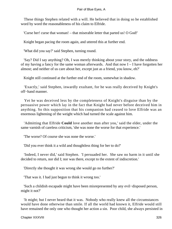These things Stephen related with a will. He believed that in doing so he established word by word the reasonableness of his claim to Elfride.

'Curse her! curse that woman! – that miserable letter that parted us! O God!'

Knight began pacing the room again, and uttered this at further end.

'What did you say?' said Stephen, turning round.

 'Say? Did I say anything? Oh, I was merely thinking about your story, and the oddness of my having a fancy for the same woman afterwards. And that now I – I have forgotten her almost; and neither of us care about her, except just as a friend, you know, eh?'

Knight still continued at the further end of the room, somewhat in shadow.

 'Exactly,' said Stephen, inwardly exultant, for he was really deceived by Knight's off−hand manner.

 Yet he was deceived less by the completeness of Knight's disguise than by the persuasive power which lay in the fact that Knight had never before deceived him in anything. So this supposition that his companion had ceased to love Elfride was an enormous lightening of the weight which had turned the scale against him.

 'Admitting that Elfride **Could** love another man after you,' said the elder, under the same varnish of careless criticism, 'she was none the worse for that experience.'

'The worse? Of course she was none the worse.'

'Did you ever think it a wild and thoughtless thing for her to do?'

 'Indeed, I never did,' said Stephen. 'I persuaded her. She saw no harm in it until she decided to return, nor did I; nor was there, except to the extent of indiscretion.'

'Directly she thought it was wrong she would go no further?'

'That was it. I had just begun to think it wrong too.'

 'Such a childish escapade might have been misrepresented by any evil−disposed person, might it not?'

 'It might; but I never heard that it was. Nobody who really knew all the circumstances would have done otherwise than smile. If all the world had known it, Elfride would still have remained the only one who thought her action a sin. Poor child, she always persisted in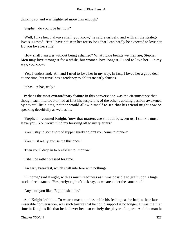thinking so, and was frightened more than enough.'

'Stephen, do you love her now?'

 'Well, I like her; I always shall, you know,' he said evasively, and with all the strategy love suggested. 'But I have not seen her for so long that I can hardly be expected to love her. Do you love her still?'

 'How shall I answer without being ashamed? What fickle beings we men are, Stephen! Men may love strongest for a while, but women love longest. I used to love her – in my way, you know.'

 'Yes, I understand. Ah, and I used to love her in my way. In fact, I loved her a good deal at one time; but travel has a tendency to obliterate early fancies.'

'It has – it has, truly.'

 Perhaps the most extraordinary feature in this conversation was the circumstance that, though each interlocutor had at first his suspicions of the other's abiding passion awakened by several little acts, neither would allow himself to see that his friend might now be speaking deceitfully as well as he.

 'Stephen.' resumed Knight, 'now that matters are smooth between us, I think I must leave you. You won't mind my hurrying off to my quarters?'

'You'll stay to some sort of supper surely? didn't you come to dinner!'

'You must really excuse me this once.'

'Then you'll drop in to breakfast to−morrow.'

'I shall be rather pressed for time.'

'An early breakfast, which shall interfere with nothing?'

 'I'll come,' said Knight, with as much readiness as it was possible to graft upon a huge stock of reluctance. 'Yes, early; eight o'clock say, as we are under the same roof.'

'Any time you like. Eight it shall be.'

 And Knight left him. To wear a mask, to dissemble his feelings as he had in their late miserable conversation, was such torture that he could support it no longer. It was the first time in Knight's life that he had ever been so entirely the player of a part. And the man he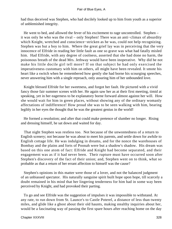had thus deceived was Stephen, who had docilely looked up to him from youth as a superior of unblemished integrity.

 He went to bed, and allowed the fever of his excitement to rage uncontrolled. Stephen – it was only he who was the rival – only Stephen! There was an anti−climax of absurdity which Knight, wretched and conscience−stricken as he was, could not help recognizing. Stephen was but a boy to him. Where the great grief lay was in perceiving that the very innocence of Elfride in reading her little fault as one so grave was what had fatally misled him. Had Elfride, with any degree of coolness, asserted that she had done no harm, the poisonous breath of the dead Mrs. Jethway would have been inoperative. Why did he not make his little docile girl tell more? If on that subject he had only exercised the imperativeness customary with him on others, all might have been revealed. It smote his heart like a switch when he remembered how gently she had borne his scourging speeches, never answering him with a single reproach, only assuring him of her unbounded love.

 Knight blessed Elfride for her sweetness, and forgot her fault. He pictured with a vivid fancy those fair summer scenes with her. He again saw her as at their first meeting, timid at speaking, yet in her eagerness to be explanatory borne forward almost against her will. How she would wait for him in green places, without showing any of the ordinary womanly affectations of indifference! How proud she was to be seen walking with him, bearing legibly in her eyes the thought that he was the greatest genius in the world!

 He formed a resolution; and after that could make pretence of slumber no longer. Rising and dressing himself, he sat down and waited for day.

 That night Stephen was restless too. Not because of the unwontedness of a return to English scenery; not because he was about to meet his parents, and settle down for awhile to English cottage life. He was indulging in dreams, and for the nonce the warehouses of Bombay and the plains and forts of Poonah were but a shadow's shadow. His dream was based on this one atom of fact: Elfride and Knight had become separated, and their engagement was as if it had never been. Their rupture must have occurred soon after Stephen's discovery of the fact of their union; and, Stephen went on to think, what so probable as that a return of her errant affection to himself was the cause?

 Stephen's opinions in this matter were those of a lover, and not the balanced judgment of an unbiassed spectator. His naturally sanguine spirit built hope upon hope, till scarcely a doubt remained in his mind that her lingering tenderness for him had in some way been perceived by Knight, and had provoked their parting.

 To go and see Elfride was the suggestion of impulses it was impossible to withstand. At any rate, to run down from St. Launce's to Castle Poterel, a distance of less than twenty miles, and glide like a ghost about their old haunts, making stealthy inquiries about her, would be a fascinating way of passing the first spare hours after reaching home on the day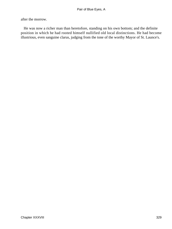after the morrow.

 He was now a richer man than heretofore, standing on his own bottom; and the definite position in which he had rooted himself nullified old local distinctions. He had become illustrious, even sanguine clarus, judging from the tone of the worthy Mayor of St. Launce's.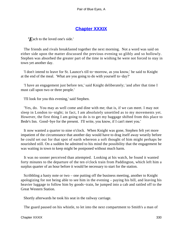# **[Chapter XXXIX](#page-347-0)**

<span id="page-330-0"></span>*'E*ach to the loved one's side.'

 The friends and rivals breakfasted together the next morning. Not a word was said on either side upon the matter discussed the previous evening so glibly and so hollowly. Stephen was absorbed the greater part of the time in wishing he were not forced to stay in town yet another day.

 'I don't intend to leave for St. Launce's till to−morrow, as you know,' he said to Knight at the end of the meal. 'What are you going to do with yourself to−day?'

 'I have an engagement just before ten,' said Knight deliberately; 'and after that time I must call upon two or three people.'

'I'll look for you this evening,' said Stephen.

 'Yes, do. You may as well come and dine with me; that is, if we can meet. I may not sleep in London to−night; in fact, I am absolutely unsettled as to my movements yet. However, the first thing I am going to do is to get my baggage shifted from this place to Bede's Inn. Good−bye for the present. I'll write, you know, if I can't meet you.'

 It now wanted a quarter to nine o'clock. When Knight was gone, Stephen felt yet more impatient of the circumstance that another day would have to drag itself away wearily before he could set out for that spot of earth whereon a soft thought of him might perhaps be nourished still. On a sudden he admitted to his mind the possibility that the engagement he was waiting in town to keep might be postponed without much harm.

 It was no sooner perceived than attempted. Looking at his watch, he found it wanted forty minutes to the departure of the ten o'clock train from Paddington, which left him a surplus quarter of an hour before it would be necessary to start for the station.

 Scribbling a hasty note or two – one putting off the business meeting, another to Knight apologizing for not being able to see him in the evening – paying his bill, and leaving his heavier luggage to follow him by goods−train, he jumped into a cab and rattled off to the Great Western Station.

Shortly afterwards he took his seat in the railway carriage.

The guard paused on his whistle, to let into the next compartment to Smith's a man of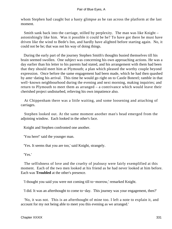whom Stephen had caught but a hasty glimpse as he ran across the platform at the last moment.

 Smith sank back into the carriage, stilled by perplexity. The man was like Knight – astonishingly like him. Was it possible it could be he? To have got there he must have driven like the wind to Bede's Inn, and hardly have alighted before starting again. No, it could not be he; that was not his way of doing things.

 During the early part of the journey Stephen Smith's thoughts busied themselves till his brain seemed swollen. One subject was concerning his own approaching actions. He was a day earlier than his letter to his parents had stated, and his arrangement with them had been that they should meet him at Plymouth; a plan which pleased the worthy couple beyond expression. Once before the same engagement had been made, which he had then quashed by ante−dating his arrival. This time he would go right on to Castle Boterel; ramble in that well−known neighbourhood during the evening and next morning, making inquiries; and return to Plymouth to meet them as arranged – a contrivance which would leave their cherished project undisturbed, relieving his own impatience also.

 At Chippenham there was a little waiting, and some loosening and attaching of carriages.

 Stephen looked out. At the same moment another man's head emerged from the adjoining window. Each looked in the other's face.

Knight and Stephen confronted one another.

'You here!' said the younger man.

'Yes. It seems that you are too,' said Knight, strangely.

'Yes.'

 The selfishness of love and the cruelty of jealousy were fairly exemplified at this moment. Each of the two men looked at his friend as he had never looked at him before. Each was **Troubled** at the other's presence.

'I thought you said you were not coming till to−morrow,' remarked Knight.

'I did. It was an afterthought to come to−day. This journey was your engagement, then?'

 'No, it was not. This is an afterthought of mine too. I left a note to explain it, and account for my not being able to meet you this evening as we arranged.'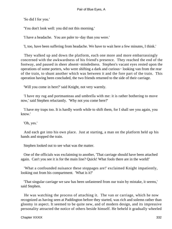'So did I for you.'

'You don't look well: you did not this morning.'

'I have a headache. You are paler to−day than you were.'

'I, too, have been suffering from headache. We have to wait here a few minutes, I think.'

 They walked up and down the platform, each one more and more embarrassingly concerned with the awkwardness of his friend's presence. They reached the end of the footway, and paused in sheer absent−mindedness. Stephen's vacant eyes rested upon the operations of some porters, who were shifting a dark and curious− looking van from the rear of the train, to shunt another which was between it and the fore part of the train. This operation having been concluded, the two friends returned to the side of their carriage.

'Will you come in here?' said Knight, not very warmly.

 'I have my rug and portmanteau and umbrella with me: it is rather bothering to move now,' said Stephen reluctantly. 'Why not you come here?'

 'I have my traps too. It is hardly worth while to shift them, for I shall see you again, you know.'

'Oh, yes.'

 And each got into his own place. Just at starting, a man on the platform held up his hands and stopped the train.

Stephen looked out to see what was the matter.

 One of the officials was exclaiming to another, 'That carriage should have been attached again. Can't you see it is for the main line? Quick! What fools there are in the world!'

 'What a confounded nuisance these stoppages are!' exclaimed Knight impatiently, looking out from his compartment. 'What is it?'

 'That singular carriage we saw has been unfastened from our train by mistake, it seems,' said Stephen.

 He was watching the process of attaching it. The van or carriage, which he now recognized as having seen at Paddington before they started, was rich and solemn rather than gloomy in aspect. It seemed to be quite new, and of modern design, and its impressive personality attracted the notice of others beside himself. He beheld it gradually wheeled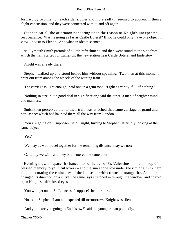forward by two men on each side: slower and more sadly it seemed to approach: then a slight concussion, and they were connected with it, and off again.

 Stephen sat all the afternoon pondering upon the reason of Knight's unexpected reappearance. Was he going as far as Castle Boterel? If so, he could only have one object in view – a visit to Elfride. And what an idea it seemed!

 At Plymouth Smith partook of a little refreshment, and then went round to the side from which the train started for Camelton, the new station near Castle Boterel and Endelstow.

Knight was already there.

 Stephen walked up and stood beside him without speaking. Two men at this moment crept out from among the wheels of the waiting train.

'The carriage is light enough,' said one in a grim tone. 'Light as vanity; full of nothing.'

 'Nothing in size, but a good deal in signification,' said the other, a man of brighter mind and manners.

 Smith then perceived that to their train was attached that same carriage of grand and dark aspect which had haunted them all the way from London.

 'You are going on, I suppose?' said Knight, turning to Stephen, after idly looking at the same object.

'Yes.'

'We may as well travel together for the remaining distance, may we not?'

'Certainly we will;' and they both entered the same door.

 Evening drew on apace. It chanced to be the eve of St. Valentine's – that bishop of blessed memory to youthful lovers – and the sun shone low under the rim of a thick hard cloud, decorating the eminences of the landscape with crowns of orange fire. As the train changed its direction on a curve, the same rays stretched in through the window, and coaxed open Knight's half−closed eyes.

'You will get out at St. Launce's, I suppose?' he murmured.

'No,' said Stephen, 'I am not expected till to−morrow.' Knight was silent.

'And you – are you going to Endelstow?' said the younger man pointedly.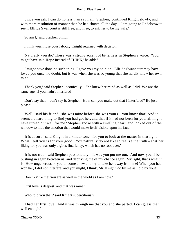'Since you ask, I can do no less than say I am, Stephen,' continued Knight slowly, and with more resolution of manner than he had shown all the day. 'I am going to Endelstow to see if Elfride Swancourt is still free; and if so, to ask her to be my wife.'

'So am I,' said Stephen Smith.

'I think you'll lose your labour,' Knight returned with decision.

 'Naturally you do.' There was a strong accent of bitterness in Stephen's voice. 'You might have said **Hope** instead of THINK,' he added.

 'I might have done no such thing. I gave you my opinion. Elfride Swancourt may have loved you once, no doubt, but it was when she was so young that she hardly knew her own mind.'

 'Thank you,' said Stephen laconically. 'She knew her mind as well as I did. We are the same age. If you hadn't interfered  $-$  – '

 'Don't say that – don't say it, Stephen! How can you make out that I interfered? Be just, please!'

 'Well,' said his friend, 'she was mine before she was yours – you know that! And it seemed a hard thing to find you had got her, and that if it had not been for you, all might have turned out well for me.' Stephen spoke with a swelling heart, and looked out of the window to hide the emotion that would make itself visible upon his face.

 'It is absurd,' said Knight in a kinder tone, 'for you to look at the matter in that light. What I tell you is for your good. You naturally do not like to realize the truth – that her liking for you was only a girl's first fancy, which has no root ever.'

 'It is not true!' said Stephen passionately. 'It was you put me out. And now you'll be pushing in again between us, and depriving me of my chance again! My right, that's what it is! How ungenerous of you to come anew and try to take her away from me! When you had won her, I did not interfere; and you might, I think, Mr. Knight, do by me as I did by you!'

'Don't «Mr.» me; you are as well in the world as I am now.'

'First love is deepest; and that was mine.'

'Who told you that?' said Knight superciliously.

 'I had her first love. And it was through me that you and she parted. I can guess that well enough.'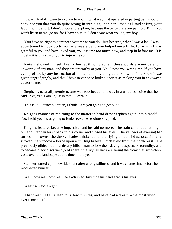'It was. And if I were to explain to you in what way that operated in parting us, I should convince you that you do quite wrong in intruding upon her – that, as I said at first, your labour will be lost. I don't choose to explain, because the particulars are painful. But if you won't listen to me, go on, for Heaven's sake. I don't care what you do, my boy.'

 'You have no right to domineer over me as you do. Just because, when I was a lad, I was accustomed to look up to you as a master, and you helped me a little, for which I was grateful to you and have loved you, you assume too much now, and step in before me. It is cruel – it is unjust – of you to injure me so!'

 Knight showed himself keenly hurt at this. 'Stephen, those words are untrue and unworthy of any man, and they are unworthy of you. You know you wrong me. If you have ever profited by any instruction of mine, I am only too glad to know it. You know it was given ungrudgingly, and that I have never once looked upon it as making you in any way a debtor to me.'

 Stephen's naturally gentle nature was touched, and it was in a troubled voice that he said, 'Yes, yes. I am unjust in that – I own it.'

'This is St. Launce's Station, I think. Are you going to get out?'

 Knight's manner of returning to the matter in hand drew Stephen again into himself. 'No; I told you I was going to Endelstow,' he resolutely replied.

 Knight's features became impassive, and he said no more. The train continued rattling on, and Stephen leant back in his corner and closed his eyes. The yellows of evening had turned to browns, the dusky shades thickened, and a flying cloud of dust occasionally stroked the window – borne upon a chilling breeze which blew from the north−east. The previously gilded but now dreary hills began to lose their daylight aspects of rotundity, and to become black discs vandyked against the sky, all nature wearing the cloak that six o'clock casts over the landscape at this time of the year.

 Stephen started up in bewilderment after a long stillness, and it was some time before he recollected himself.

'Well, how real, how real!' he exclaimed, brushing his hand across his eyes.

'What is?' said Knight.

 'That dream. I fell asleep for a few minutes, and have had a dream – the most vivid I ever remember.'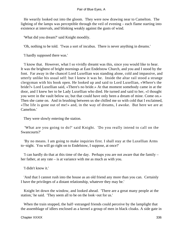He wearily looked out into the gloom. They were now drawing near to Camelton. The lighting of the lamps was perceptible through the veil of evening – each flame starting into existence at intervals, and blinking weakly against the gusts of wind.

'What did you dream?' said Knight moodily.

'Oh, nothing to be told. 'Twas a sort of incubus. There is never anything in dreams.'

'I hardly supposed there was.'

 'I know that. However, what I so vividly dreamt was this, since you would like to hear. It was the brightest of bright mornings at East Endelstow Church, and you and I stood by the font. Far away in the chancel Lord Luxellian was standing alone, cold and impassive, and utterly unlike his usual self: but I knew it was he. Inside the altar rail stood a strange clergyman with his book open. He looked up and said to Lord Luxellian, «Where's the bride?» Lord Luxellian said, «There's no bride.» At that moment somebody came in at the door, and I knew her to be Lady Luxellian who died. He turned and said to her, «I thought you were in the vault below us; but that could have only been a dream of mine. Come on.» Then she came on. And in brushing between us she chilled me so with cold that I exclaimed, «The life is gone out of me!» and, in the way of dreams, I awoke. But here we are at Camelton.'

They were slowly entering the station.

 'What are you going to do?' said Knight. 'Do you really intend to call on the Swancourts?'

 'By no means. I am going to make inquiries first. I shall stay at the Luxellian Arms to−night. You will go right on to Endelstow, I suppose, at once?'

 'I can hardly do that at this time of the day. Perhaps you are not aware that the family – her father, at any rate – is at variance with me as much as with you.

'I didn't know it.'

 'And that I cannot rush into the house as an old friend any more than you can. Certainly I have the privileges of a distant relationship, whatever they may be.'

 Knight let down the window, and looked ahead. 'There are a great many people at the station,' he said. 'They seem all to be on the look−out for us.'

 When the train stopped, the half−estranged friends could perceive by the lamplight that the assemblage of idlers enclosed as a kernel a group of men in black cloaks. A side gate in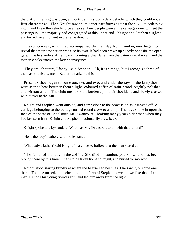the platform railing was open, and outside this stood a dark vehicle, which they could not at first characterize. Then Knight saw on its upper part forms against the sky like cedars by night, and knew the vehicle to be a hearse. Few people were at the carriage doors to meet the passengers – the majority had congregated at this upper end. Knight and Stephen alighted, and turned for a moment in the same direction.

 The sombre van, which had accompanied them all day from London, now began to reveal that their destination was also its own. It had been drawn up exactly opposite the open gate. The bystanders all fell back, forming a clear lane from the gateway to the van, and the men in cloaks entered the latter conveyance.

 'They are labourers, I fancy,' said Stephen. 'Ah, it is strange; but I recognize three of them as Endelstow men. Rather remarkable this.'

 Presently they began to come out, two and two; and under the rays of the lamp they were seen to bear between them a light−coloured coffin of satin−wood, brightly polished, and without a nail. The eight men took the burden upon their shoulders, and slowly crossed with it over to the gate.

 Knight and Stephen went outside, and came close to the procession as it moved off. A carriage belonging to the cortege turned round close to a lamp. The rays shone in upon the face of the vicar of Endelstow, Mr. Swancourt – looking many years older than when they had last seen him. Knight and Stephen involuntarily drew back.

Knight spoke to a bystander. 'What has Mr. Swancourt to do with that funeral?'

'He is the lady's father,' said the bystander.

'What lady's father?' said Knight, in a voice so hollow that the man stared at him.

 'The father of the lady in the coffin. She died in London, you know, and has been brought here by this train. She is to be taken home to−night, and buried to−morrow.'

 Knight stood staring blindly at where the hearse had been; as if he saw it, or some one, there. Then he turned, and beheld the lithe form of Stephen bowed down like that of an old man. He took his young friend's arm, and led him away from the light.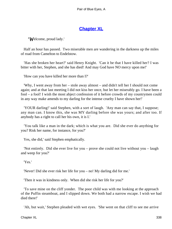# **[Chapter XL](#page-347-0)**

<span id="page-338-0"></span>*'W*elcome, proud lady.'

 Half an hour has passed. Two miserable men are wandering in the darkness up the miles of road from Camelton to Endelstow.

 'Has she broken her heart?' said Henry Knight. 'Can it be that I have killed her? I was bitter with her, Stephen, and she has died! And may God have NO mercy upon me!'

'How can you have killed her more than I?'

 'Why, I went away from her – stole away almost – and didn't tell her I should not come again; and at that last meeting I did not kiss her once, but let her miserably go. I have been a fool – a fool! I wish the most abject confession of it before crowds of my countrymen could in any way make amends to my darling for the intense cruelty I have shown her!'

 'YOUR darling!' said Stephen, with a sort of laugh. 'Any man can say that, I suppose; any man can. I know this, she was MY darling before she was yours; and after too. If anybody has a right to call her his own, it is I.'

 'You talk like a man in the dark; which is what you are. Did she ever do anything for you? Risk her name, for instance, for you?'

Yes, she did,' said Stephen emphatically.

 'Not entirely. Did she ever live for you – prove she could not live without you – laugh and weep for you?'

'Yes.'

'Never! Did she ever risk her life for you – no! My darling did for me.'

'Then it was in kindness only. When did she risk her life for you?'

 'To save mine on the cliff yonder. The poor child was with me looking at the approach of the Puffin steamboat, and I slipped down. We both had a narrow escape. I wish we had died there!'

'Ah, but wait,' Stephen pleaded with wet eyes. 'She went on that cliff to see me arrive

Chapter XL 338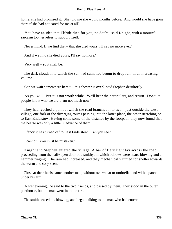home: she had promised it. She told me she would months before. And would she have gone there if she had not cared for me at all?'

 'You have an idea that Elfride died for you, no doubt,' said Knight, with a mournful sarcasm too nerveless to support itself.

'Never mind. If we find that – that she died yours, I'll say no more ever.'

'And if we find she died yours, I'll say no more.'

'Very well – so it shall be.'

 The dark clouds into which the sun had sunk had begun to drop rain in an increasing volume.

'Can we wait somewhere here till this shower is over?' said Stephen desultorily.

 'As you will. But it is not worth while. We'll hear the particulars, and return. Don't let people know who we are. I am not much now.'

 They had reached a point at which the road branched into two – just outside the west village, one fork of the diverging routes passing into the latter place, the other stretching on to East Endelstow. Having come some of the distance by the footpath, they now found that the hearse was only a little in advance of them.

'I fancy it has turned off to East Endelstow. Can you see?'

'I cannot. You must be mistaken.'

 Knight and Stephen entered the village. A bar of fiery light lay across the road, proceeding from the half−open door of a smithy, in which bellows were heard blowing and a hammer ringing. The rain had increased, and they mechanically turned for shelter towards the warm and cosy scene.

 Close at their heels came another man, without over−coat or umbrella, and with a parcel under his arm.

 'A wet evening,' he said to the two friends, and passed by them. They stood in the outer penthouse, but the man went in to the fire.

The smith ceased his blowing, and began talking to the man who had entered.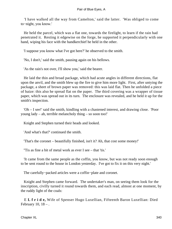'I have walked all the way from Camelton,' said the latter. 'Was obliged to come to−night, you know.'

 He held the parcel, which was a flat one, towards the firelight, to learn if the rain had penetrated it. Resting it edgewise on the forge, he supported it perpendicularly with one hand, wiping his face with the handkerchief he held in the other.

'I suppose you know what I've got here?' he observed to the smith.

'No, I don't,' said the smith, pausing again on his bellows.

'As the rain's not over, I'll show you,' said the bearer.

 He laid the thin and broad package, which had acute angles in different directions, flat upon the anvil, and the smith blew up the fire to give him more light. First, after untying the package, a sheet of brown paper was removed: this was laid flat. Then he unfolded a piece of baize: this also he spread flat on the paper. The third covering was a wrapper of tissue paper, which was spread out in its turn. The enclosure was revealed, and he held it up for the smith's inspection.

 'Oh – I see!' said the smith, kindling with a chastened interest, and drawing close. 'Poor young lady – ah, terrible melancholy thing – so soon too!'

Knight and Stephen turned their heads and looked.

'And what's that?' continued the smith.

'That's the coronet – beautifully finished, isn't it? Ah, that cost some money!'

''Tis as fine a bit of metal work as ever I see – that 'tis.'

 'It came from the same people as the coffin, you know, but was not ready soon enough to be sent round to the house in London yesterday. I've got to fix it on this very night.'

The carefully−packed articles were a coffin−plate and coronet.

 Knight and Stephen came forward. The undertaker's man, on seeing them look for the inscription, civilly turned it round towards them, and each read, almost at one moment, by the ruddy light of the coals:

 E **L f r i d e,** Wife of Spenser Hugo Luxellian, Fifteenth Baron Luxellian: Died February 10,  $18 -$ .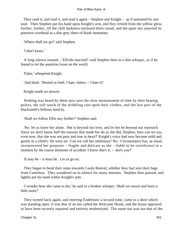They read it, and read it, and read it again – Stephen and Knight – as if animated by one soul. Then Stephen put his hand upon Knight's arm, and they retired from the yellow glow, further, further, till the chill darkness enclosed them round, and the quiet sky asserted its presence overhead as a dim grey sheet of blank monotony.

'Where shall we go?' said Stephen.

'I don't know.'

 A long silence ensued....'Elfride married!' said Stephen then in a thin whisper, as if he feared to let the assertion loose on the world.

'False,' whispered Knight.

'And dead. Denied us both. I hate «false» – I hate it!'

Knight made no answer.

 Nothing was heard by them now save the slow measurement of time by their beating pulses, the soft touch of the dribbling rain upon their clothes, and the low purr of the blacksmith's bellows hard by.

'Shall we follow Elfie any further?' Stephen said.

 'No: let us leave her alone. She is beyond our love, and let her be beyond our reproach. Since we don't know half the reasons that made her do as she did, Stephen, how can we say, even now, that she was not pure and true in heart?' Knight's voice had now become mild and gentle as a child's. He went on: 'Can we call her ambitious? No. Circumstance has, as usual, overpowered her purposes – fragile and delicate as she – liable to be overthrown in a moment by the coarse elements of accident. I know that's it, – don't you?'

'It may be – it must be. Let us go on.'

 They began to bend their steps towards Castle Boterel, whither they had sent their bags from Camelton. They wandered on in silence for many minutes. Stephen then paused, and lightly put his hand within Knight's arm.

 'I wonder how she came to die,' he said in a broken whisper. 'Shall we return and learn a little more?'

 They turned back again, and entering Endelstow a second time, came to a door which was standing open. It was that of an inn called the Welcome Home, and the house appeared to have been recently repaired and entirely modernized. The name too was not that of the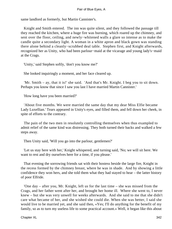same landlord as formerly, but Martin Cannister's.

 Knight and Smith entered. The inn was quite silent, and they followed the passage till they reached the kitchen, where a huge fire was burning, which roared up the chimney, and sent over the floor, ceiling, and newly−whitened walls a glare so intense as to make the candle quite a secondary light. A woman in a white apron and black gown was standing there alone behind a cleanly−scrubbed deal table. Stephen first, and Knight afterwards, recognized her as Unity, who had been parlour−maid at the vicarage and young lady's−maid at the Crags.

'Unity,' said Stephen softly, 'don't you know me?'

She looked inquiringly a moment, and her face cleared up.

 'Mr. Smith – ay, that it is!' she said. 'And that's Mr. Knight. I beg you to sit down. Perhaps you know that since I saw you last I have married Martin Cannister.'

'How long have you been married?'

 'About five months. We were married the same day that my dear Miss Elfie became Lady Luxellian.' Tears appeared in Unity's eyes, and filled them, and fell down her cheek, in spite of efforts to the contrary.

 The pain of the two men in resolutely controlling themselves when thus exampled to admit relief of the same kind was distressing. They both turned their backs and walked a few steps away.

Then Unity said, 'Will you go into the parlour, gentlemen?'

 'Let us stay here with her,' Knight whispered, and turning said, 'No; we will sit here. We want to rest and dry ourselves here for a time, if you please.'

 That evening the sorrowing friends sat with their hostess beside the large fire, Knight in the recess formed by the chimney breast, where he was in shade. And by showing a little confidence they won hers, and she told them what they had stayed to hear – the latter history of poor Elfride.

 'One day – after you, Mr. Knight, left us for the last time – she was missed from the Crags, and her father went after her, and brought her home ill. Where she went to, I never knew – but she was very unwell for weeks afterwards. And she said to me that she didn't care what became of her, and she wished she could die. When she was better, I said she would live to be married yet, and she said then, «Yes; I'll do anything for the benefit of my family, so as to turn my useless life to some practical account.» Well, it began like this about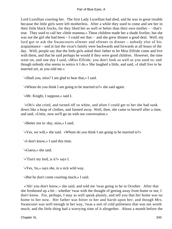Lord Luxellian courting her. The first Lady Luxellian had died, and he was in great trouble because the little girls were left motherless. After a while they used to come and see her in their little black frocks, for they liked her as well or better than their own mother – −that's true. They used to call her «little mamma.» These children made her a shade livelier, but she was not the girl she had been  $- I$  could see that  $-$  and she grew thinner a good deal. Well, my lord got to ask the Swancourts oftener and oftener to dinner – nobody else of his acquaintance – and at last the vicar's family were backwards and forwards at all hours of the day. Well, people say that the little girls asked their father to let Miss Elfride come and live with them, and that he said perhaps he would if they were good children. However, the time went on, and one day I said, «Miss Elfride, you don't look so well as you used to; and though nobody else seems to notice it I do.» She laughed a little, and said, «I shall live to be married yet, as you told me.»

'«Shall you, miss? I am glad to hear that,» I said.

'«Whom do you think I am going to be married to?» she said again.

'«Mr. Knight, I suppose,» said I.

 '«Oh!» she cried, and turned off so white, and afore I could get to her she had sunk down like a heap of clothes, and fainted away. Well, then, she came to herself after a time, and said, «Unity, now we'll go on with our conversation.»

'«Better not to−day, miss,» I said.

'«Yes, we will,» she said. «Whom do you think I am going to be married to?»

'«I don't know,» I said this time.

'«Guess,» she said.

'«'Tisn't my lord, is it?» says I.

'«Yes, 'tis,» says she, in a sick wild way.

'«But he don't come courting much,» I said.

 «'Ah! you don't know,» she said, and told me 'twas going to be in October. After that she freshened up a bit – whether 'twas with the thought of getting away from home or not, I don't know. For, perhaps, I may as well speak plainly, and tell you that her home was no home to her now. Her father was bitter to her and harsh upon her; and though Mrs. Swancourt was well enough in her way, 'twas a sort of cold politeness that was not worth much, and the little thing had a worrying time of it altogether. About a month before the

Chapter XL 343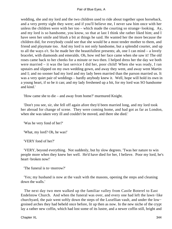wedding, she and my lord and the two children used to ride about together upon horseback, and a very pretty sight they were; and if you'll believe me, I never saw him once with her unless the children were with her too – which made the courting so strange−looking. Ay, and my lord is so handsome, you know, so that at last I think she rather liked him; and I have seen her smile and blush a bit at things he said. He wanted her the more because the children did, for everybody could see that she would be a most tender mother to them, and friend and playmate too. And my lord is not only handsome, but a splendid courter, and up to all the ways o't. So he made her the beautifullest presents; ah, one I can mind – a lovely bracelet, with diamonds and emeralds. Oh, how red her face came when she saw it! The old roses came back to her cheeks for a minute or two then. I helped dress her the day we both were married – it was the last service I did her, poor child! When she was ready, I ran upstairs and slipped on my own wedding gown, and away they went, and away went Martin and I; and no sooner had my lord and my lady been married than the parson married us. It was a very quiet pair of weddings – hardly anybody knew it. Well, hope will hold its own in a young heart, if so be it can; and my lady freshened up a bit, for my lord was SO handsome and kind.'

'How came she to die – and away from home?' murmured Knight.

 'Don't you see, sir, she fell off again afore they'd been married long, and my lord took her abroad for change of scene. They were coming home, and had got as far as London, when she was taken very ill and couldn't be moved, and there she died.'

'Was he very fond of her?'

'What, my lord? Oh, he was!'

'VERY fond of her?'

 'VERY, beyond everything. Not suddenly, but by slow degrees. 'Twas her nature to win people more when they knew her well. He'd have died for her, I believe. Poor my lord, he's heart−broken now!'

'The funeral is to−morrow?'

 'Yes; my husband is now at the vault with the masons, opening the steps and cleaning down the walls.'

 The next day two men walked up the familiar valley from Castle Boterel to East Endelstow Church. And when the funeral was over, and every one had left the lawn−like churchyard, the pair went softly down the steps of the Luxellian vault, and under the low− groined arches they had beheld once before, lit up then as now. In the new niche of the crypt lay a rather new coffin, which had lost some of its lustre, and a newer coffin still, bright and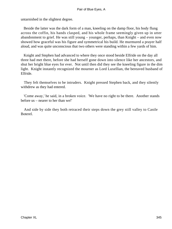untarnished in the slightest degree.

 Beside the latter was the dark form of a man, kneeling on the damp floor, his body flung across the coffin, his hands clasped, and his whole frame seemingly given up in utter abandonment to grief. He was still young – younger, perhaps, than Knight – and even now showed how graceful was his figure and symmetrical his build. He murmured a prayer half aloud, and was quite unconscious that two others were standing within a few yards of him.

 Knight and Stephen had advanced to where they once stood beside Elfride on the day all three had met there, before she had herself gone down into silence like her ancestors, and shut her bright blue eyes for ever. Not until then did they see the kneeling figure in the dim light. Knight instantly recognized the mourner as Lord Luxellian, the bereaved husband of Elfride.

 They felt themselves to be intruders. Knight pressed Stephen back, and they silently withdrew as they had entered.

 'Come away,' he said, in a broken voice. 'We have no right to be there. Another stands before us – nearer to her than we!'

 And side by side they both retraced their steps down the grey still valley to Castle Boterel.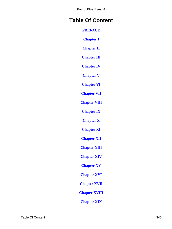# **Table Of Content**

**[PREFACE](#page-3-0)**

**[Chapter I](#page-5-0)**

**[Chapter II](#page-8-0)**

**[Chapter III](#page-14-0)**

**[Chapter IV](#page-20-0)**

**[Chapter V](#page-29-0)**

**[Chapter VI](#page-37-0)**

**[Chapter VII](#page-43-0)**

**[Chapter VIII](#page-61-0)**

**[Chapter IX](#page-71-0)**

**[Chapter X](#page-79-0)**

**[Chapter XI](#page-89-0)**

**[Chapter XII](#page-100-0)**

**[Chapter XIII](#page-114-0)**

**[Chapter XIV](#page-122-0)**

**[Chapter XV](#page-130-0)**

**[Chapter XVI](#page-133-0)**

**[Chapter XVII](#page-138-0)**

**[Chapter XVIII](#page-145-0)**

**[Chapter XIX](#page-162-0)**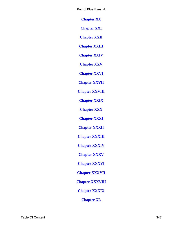<span id="page-347-0"></span>**[Chapter XX](#page-171-0)**

**[Chapter XXI](#page-184-0)**

**[Chapter XXII](#page-193-0)**

**[Chapter XXIII](#page-202-0)**

**[Chapter XXIV](#page-213-0)**

**[Chapter XXV](#page-216-0)**

**[Chapter XXVI](#page-223-0)**

**[Chapter XXVII](#page-229-0)**

**[Chapter XXVIII](#page-242-0)**

**[Chapter XXIX](#page-252-0)**

**[Chapter XXX](#page-267-0)**

**[Chapter XXXI](#page-276-0)**

**[Chapter XXXII](#page-283-0)**

**[Chapter XXXIII](#page-290-0)**

**[Chapter XXXIV](#page-297-0)**

**[Chapter XXXV](#page-305-0)**

**[Chapter XXXVI](#page-310-0)**

**[Chapter XXXVII](#page-315-0)**

**[Chapter XXXVIII](#page-320-0)**

**[Chapter XXXIX](#page-330-0)**

**[Chapter XL](#page-338-0)**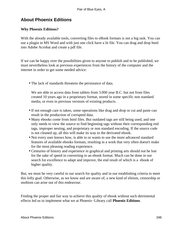# **About Phoenix Editions**

# **Why Phoenix Editions?**

With the already available tools, converting files to eBook formats is not a big task. You can use a plugin in MS Word and with just one click have a lit file. You can drag and drop html into Adobe Acrobat and create a pdf file.

If we can be happy over the possibilities given to anyone to publish and to be published, we must nevertheless look at previous experiences from the history of the computer and the internet in order to get some needed advice:

• The lack of standards threatens the persistance of data.

We are able to access data from tablets from 3.000 year B.C. but not from files created 10 years ago in a proprietary format, stored in some specific non standard media, or even in previous versions of existing products.

- If not enough care is taken, some operations like drag and drop or cut and paste can result in the production of corrupted data.
- Many ebooks come from html files. But outdated tags are still being used, and one only needs to view the source to find beginning tags without their corresponding end tags, improper nesting, and proprietary or non standard encoding. If the source code is not cleaned up, all this will make its way to the derivated ebook.
- Not every user knows how, is able to or wants to use the more advanced standard features of available ebooks formats, resulting in a work that very often doesn't make for the most pleasing reading experience.
- Centuries of history and experience in graphical and printing arts should not be lost for the sake of speed in converting to an ebook format. Much can be done in our search for excellence to adapt and improve, the end result of which is a ebook of higher quality.

But, we must be very careful in our search for quality and in our establishing criteria to meet this lofty goal. Otherwise, as we know and are aware of, a new kind of elitism, censorship or snobism can arise out of this endeavour.

Finding the proper and fair way to achieve this quality of ebook without such detrimental effects led us to implement what we at Phoenix−Library call **Phoenix Editions**.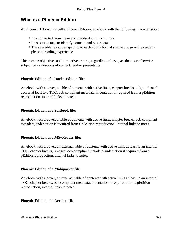# **What is a Phoenix Edition**

At Phoenix−Library we call a Phoenix Edition, an ebook with the following characteristics:

- It is converted from clean and standard xhtml/xml files
- It uses meta tags to identify content, and other data
- The available resources specific to each ebook format are used to give the reader a pleasant reading experience.

This means: objectives and normative criteria, regardless of taste, aesthetic or otherwise subjective evaluations of contents and/or presentation.

## **Phoenix Edition of a RocketEdition file:**

An ebook with a cover, a table of contents with active links, chapter breaks, a "go to" touch access at least to a TOC, oeb compliant metadata, indentation if required from a pEdition reproduction, internal links to notes.

## **Phoenix Edition of a Softbook file:**

An ebook with a cover, a table of contents with active links, chapter breaks, oeb compliant metadata, indentation if required from a pEdition reproduction, internal links to notes.

## **Phoenix Edition of a MS−Reader file:**

An ebook with a cover, an external table of contents with active links at least to an internal TOC, chapter breaks, images, oeb compliant metadata, indentation if required from a pEditon reproduction, internal links to notes.

## **Phoenix Edition of a Mobipocket file:**

An ebook with a cover, an external table of contents with active links at least to an internal TOC, chapter breaks, oeb compliant metadata, indentation if required from a pEdition reproduction, internal links to notes.

## **Phoenix Edition of a Acrobat file:**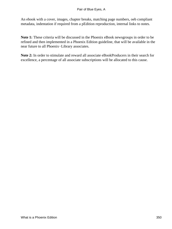An ebook with a cover, images, chapter breaks, matching page numbers, oeb compliant metadata, indentation if required from a pEdition reproduction, internal links to notes.

**Note 1:** These criteria will be discussed in the Phoenix eBook newsgroups in order to be refined and then implemented in a Phoenix Edition guideline, that will be available in the near future to all Phoenix−Library associates.

**Note 2:** In order to stimulate and reward all associate eBookProducers in their search for excellence, a percentage of all associate subscriptions will be allocated to this cause.